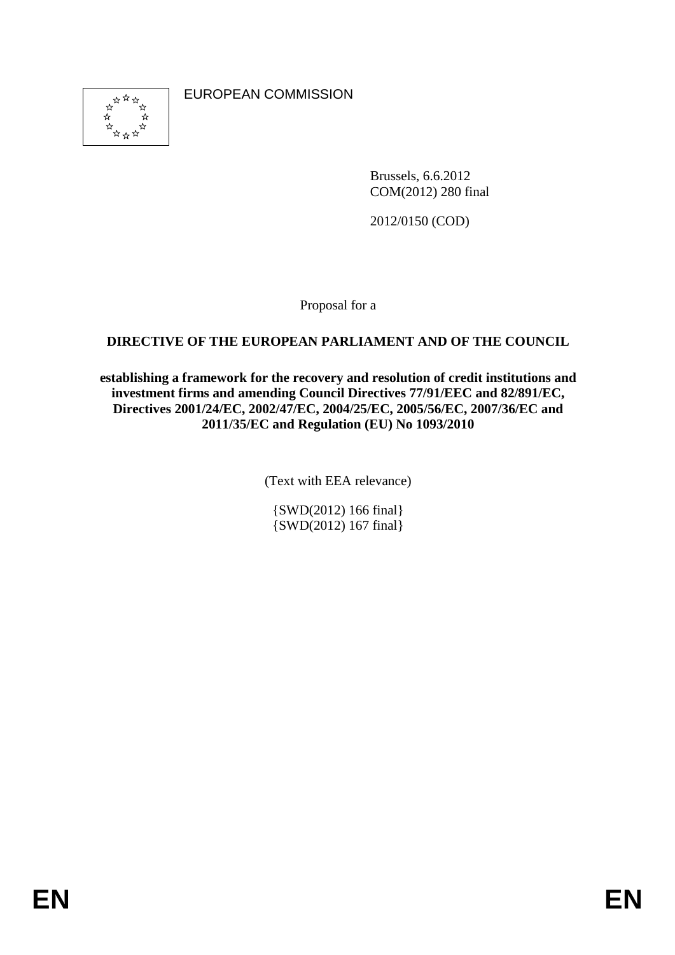

EUROPEAN COMMISSION

Brussels, 6.6.2012 COM(2012) 280 final

2012/0150 (COD)

Proposal for a

## **DIRECTIVE OF THE EUROPEAN PARLIAMENT AND OF THE COUNCIL**

**establishing a framework for the recovery and resolution of credit institutions and investment firms and amending Council Directives 77/91/EEC and 82/891/EC, Directives 2001/24/EC, 2002/47/EC, 2004/25/EC, 2005/56/EC, 2007/36/EC and 2011/35/EC and Regulation (EU) No 1093/2010** 

(Text with EEA relevance)

{SWD(2012) 166 final} {SWD(2012) 167 final}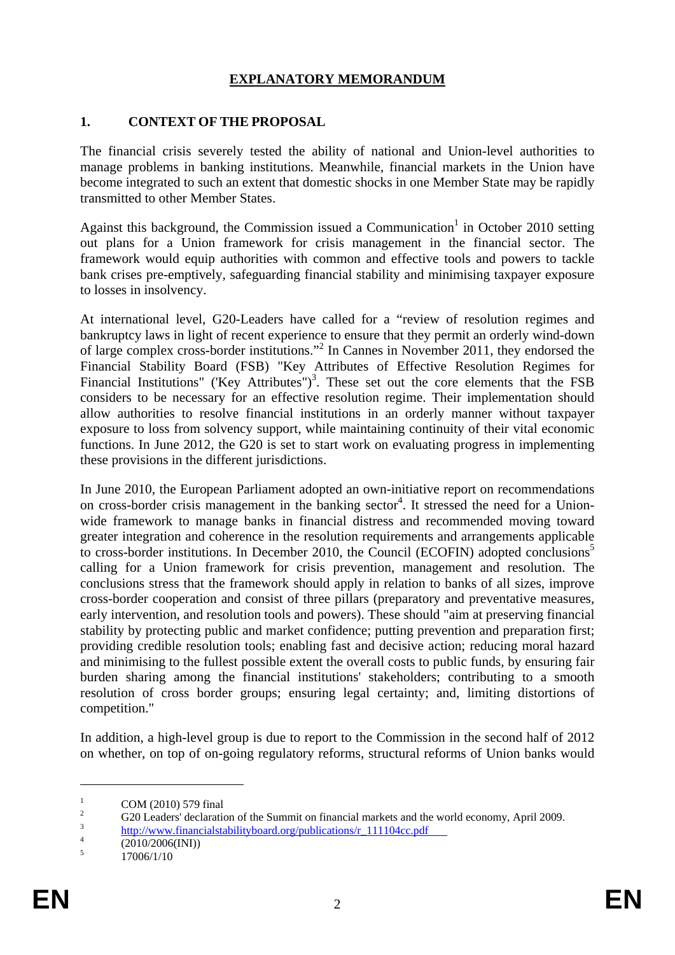## **EXPLANATORY MEMORANDUM**

#### **1. CONTEXT OF THE PROPOSAL**

The financial crisis severely tested the ability of national and Union-level authorities to manage problems in banking institutions. Meanwhile, financial markets in the Union have become integrated to such an extent that domestic shocks in one Member State may be rapidly transmitted to other Member States.

Against this background, the Commission issued a Communication<sup>1</sup> in October 2010 setting out plans for a Union framework for crisis management in the financial sector. The framework would equip authorities with common and effective tools and powers to tackle bank crises pre-emptively, safeguarding financial stability and minimising taxpayer exposure to losses in insolvency.

At international level, G20-Leaders have called for a "review of resolution regimes and bankruptcy laws in light of recent experience to ensure that they permit an orderly wind-down of large complex cross-border institutions."2 In Cannes in November 2011, they endorsed the Financial Stability Board (FSB) "Key Attributes of Effective Resolution Regimes for Financial Institutions" ('Key Attributes")<sup>3</sup>. These set out the core elements that the FSB considers to be necessary for an effective resolution regime. Their implementation should allow authorities to resolve financial institutions in an orderly manner without taxpayer exposure to loss from solvency support, while maintaining continuity of their vital economic functions. In June 2012, the G20 is set to start work on evaluating progress in implementing these provisions in the different jurisdictions.

In June 2010, the European Parliament adopted an own-initiative report on recommendations on cross-border crisis management in the banking sector<sup>4</sup>. It stressed the need for a Unionwide framework to manage banks in financial distress and recommended moving toward greater integration and coherence in the resolution requirements and arrangements applicable to cross-border institutions. In December 2010, the Council (ECOFIN) adopted conclusions<sup>5</sup> calling for a Union framework for crisis prevention, management and resolution. The conclusions stress that the framework should apply in relation to banks of all sizes, improve cross-border cooperation and consist of three pillars (preparatory and preventative measures, early intervention, and resolution tools and powers). These should "aim at preserving financial stability by protecting public and market confidence; putting prevention and preparation first; providing credible resolution tools; enabling fast and decisive action; reducing moral hazard and minimising to the fullest possible extent the overall costs to public funds, by ensuring fair burden sharing among the financial institutions' stakeholders; contributing to a smooth resolution of cross border groups; ensuring legal certainty; and, limiting distortions of competition."

In addition, a high-level group is due to report to the Commission in the second half of 2012 on whether, on top of on-going regulatory reforms, structural reforms of Union banks would

<u>.</u>

<sup>1</sup> COM (2010) 579 final

<sup>2</sup>  $\frac{2}{3}$  G20 Leaders' declaration of the Summit on financial markets and the world economy, April 2009.

 $\frac{3}{4}$  [http://www.financialstabilityboard.org/pub](http://www.financialstabilityboard.org/publications/r_111104cc.pdf)lications/r\_111104cc.pdf

 <sup>(2010/2006(</sup>INI))

<sup>5</sup> 17006/1/10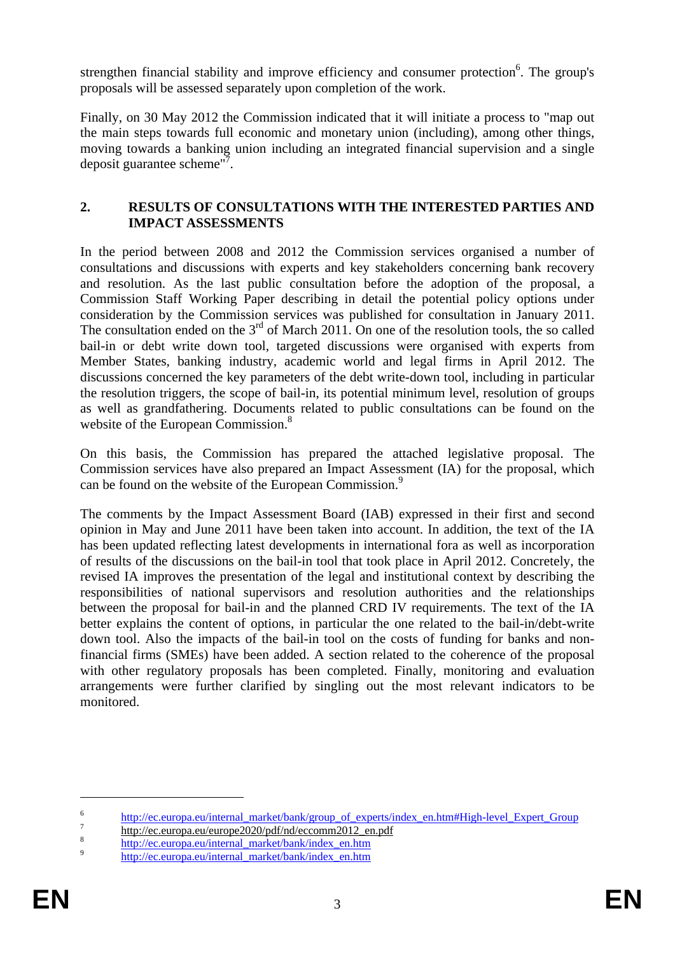strengthen financial stability and improve efficiency and consumer protection $6$ . The group's proposals will be assessed separately upon completion of the work.

Finally, on 30 May 2012 the Commission indicated that it will initiate a process to "map out the main steps towards full economic and monetary union (including), among other things, moving towards a banking union including an integrated financial supervision and a single deposit guarantee scheme"?.

#### **2. RESULTS OF CONSULTATIONS WITH THE INTERESTED PARTIES AND IMPACT ASSESSMENTS**

In the period between 2008 and 2012 the Commission services organised a number of consultations and discussions with experts and key stakeholders concerning bank recovery and resolution. As the last public consultation before the adoption of the proposal, a Commission Staff Working Paper describing in detail the potential policy options under consideration by the Commission services was published for consultation in January 2011. The consultation ended on the  $3<sup>rd</sup>$  of March 2011. On one of the resolution tools, the so called bail-in or debt write down tool, targeted discussions were organised with experts from Member States, banking industry, academic world and legal firms in April 2012. The discussions concerned the key parameters of the debt write-down tool, including in particular the resolution triggers, the scope of bail-in, its potential minimum level, resolution of groups as well as grandfathering. Documents related to public consultations can be found on the website of the European Commission.<sup>8</sup>

On this basis, the Commission has prepared the attached legislative proposal. The Commission services have also prepared an Impact Assessment (IA) for the proposal, which can be found on the website of the European Commission.<sup>9</sup>

The comments by the Impact Assessment Board (IAB) expressed in their first and second opinion in May and June 2011 have been taken into account. In addition, the text of the IA has been updated reflecting latest developments in international fora as well as incorporation of results of the discussions on the bail-in tool that took place in April 2012. Concretely, the revised IA improves the presentation of the legal and institutional context by describing the responsibilities of national supervisors and resolution authorities and the relationships between the proposal for bail-in and the planned CRD IV requirements. The text of the IA better explains the content of options, in particular the one related to the bail-in/debt-write down tool. Also the impacts of the bail-in tool on the costs of funding for banks and nonfinancial firms (SMEs) have been added. A section related to the coherence of the proposal with other regulatory proposals has been completed. Finally, monitoring and evaluation arrangements were further clarified by singling out the most relevant indicators to be monitored.

<sup>&</sup>lt;sup>6</sup> [http://ec.europa.eu/internal\\_market/bank/group\\_of\\_experts/index\\_en.htm#High-level\\_E](http://ec.europa.eu/internal_market/bank/group_of_experts/index_en.htm#High-level_Expert_Group)xpert\_Group

 $\frac{n_{\text{http://ec.europa.eu/europe2020/pdf/nd/eccomm2012_en.pdf}}{4.44 \times 1.64 \times 1.64 \times 1.64 \times 1.64 \times 1.64 \times 1.64 \times 1.64 \times 1.64 \times 1.64 \times 1.64 \times 1.64 \times 1.64 \times 1.64 \times 1.64 \times 1.64 \times 1.64 \times 1.64 \times 1.64 \times 1.64 \times 1.64 \times 1.64 \times 1.64 \times 1.64 \times 1.64 \times 1.64 \times 1.$  $\frac{n_{\text{http://ec.europa.eu/europe2020/pdf/nd/eccomm2012_en.pdf}}{4.44 \times 1.64 \times 1.64 \times 1.64 \times 1.64 \times 1.64 \times 1.64 \times 1.64 \times 1.64 \times 1.64 \times 1.64 \times 1.64 \times 1.64 \times 1.64 \times 1.64 \times 1.64 \times 1.64 \times 1.64 \times 1.64 \times 1.64 \times 1.64 \times 1.64 \times 1.64 \times 1.64 \times 1.64 \times 1.64 \times 1.$  $\frac{n_{\text{http://ec.europa.eu/europe2020/pdf/nd/eccomm2012_en.pdf}}{4.44 \times 1.64 \times 1.64 \times 1.64 \times 1.64 \times 1.64 \times 1.64 \times 1.64 \times 1.64 \times 1.64 \times 1.64 \times 1.64 \times 1.64 \times 1.64 \times 1.64 \times 1.64 \times 1.64 \times 1.64 \times 1.64 \times 1.64 \times 1.64 \times 1.64 \times 1.64 \times 1.64 \times 1.64 \times 1.64 \times 1.$ 

<sup>&</sup>lt;sup>8</sup> [http://ec.europa.eu/internal\\_market/bank/index\\_en.htm 9](http://ec.europa.eu/internal_market/bank/index_en.htm) http://ec.europa.eu/internal\_market/bank/index\_en.htm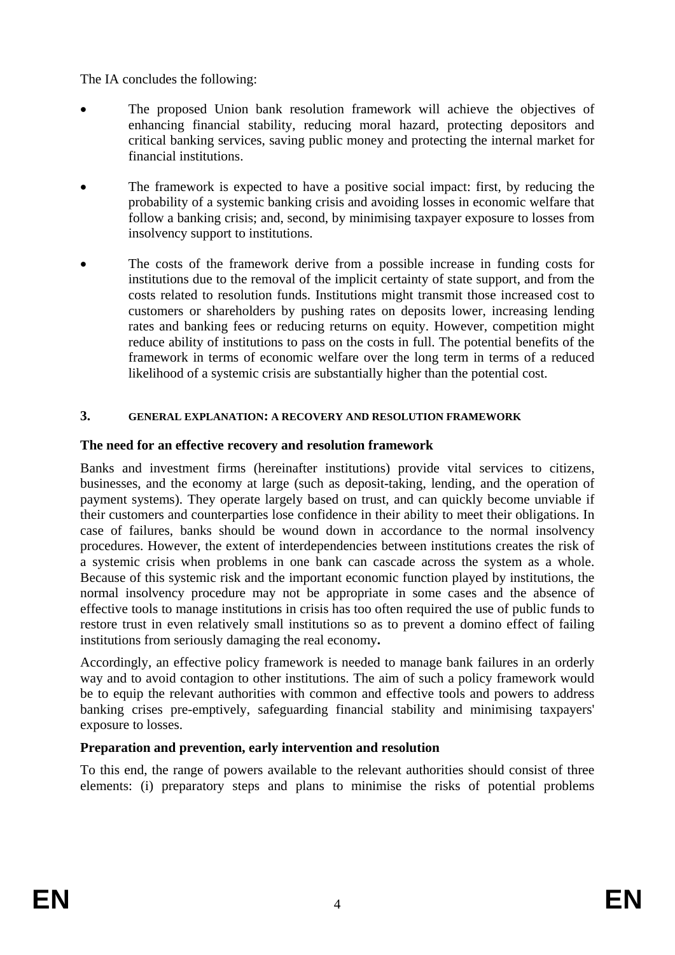The IA concludes the following:

- The proposed Union bank resolution framework will achieve the objectives of enhancing financial stability, reducing moral hazard, protecting depositors and critical banking services, saving public money and protecting the internal market for financial institutions.
- The framework is expected to have a positive social impact: first, by reducing the probability of a systemic banking crisis and avoiding losses in economic welfare that follow a banking crisis; and, second, by minimising taxpayer exposure to losses from insolvency support to institutions.
- The costs of the framework derive from a possible increase in funding costs for institutions due to the removal of the implicit certainty of state support, and from the costs related to resolution funds. Institutions might transmit those increased cost to customers or shareholders by pushing rates on deposits lower, increasing lending rates and banking fees or reducing returns on equity. However, competition might reduce ability of institutions to pass on the costs in full. The potential benefits of the framework in terms of economic welfare over the long term in terms of a reduced likelihood of a systemic crisis are substantially higher than the potential cost.

## **3. GENERAL EXPLANATION: A RECOVERY AND RESOLUTION FRAMEWORK**

## **The need for an effective recovery and resolution framework**

Banks and investment firms (hereinafter institutions) provide vital services to citizens, businesses, and the economy at large (such as deposit-taking, lending, and the operation of payment systems). They operate largely based on trust, and can quickly become unviable if their customers and counterparties lose confidence in their ability to meet their obligations. In case of failures, banks should be wound down in accordance to the normal insolvency procedures. However, the extent of interdependencies between institutions creates the risk of a systemic crisis when problems in one bank can cascade across the system as a whole. Because of this systemic risk and the important economic function played by institutions, the normal insolvency procedure may not be appropriate in some cases and the absence of effective tools to manage institutions in crisis has too often required the use of public funds to restore trust in even relatively small institutions so as to prevent a domino effect of failing institutions from seriously damaging the real economy**.** 

Accordingly, an effective policy framework is needed to manage bank failures in an orderly way and to avoid contagion to other institutions. The aim of such a policy framework would be to equip the relevant authorities with common and effective tools and powers to address banking crises pre-emptively, safeguarding financial stability and minimising taxpayers' exposure to losses.

# **Preparation and prevention, early intervention and resolution**

To this end, the range of powers available to the relevant authorities should consist of three elements: (i) preparatory steps and plans to minimise the risks of potential problems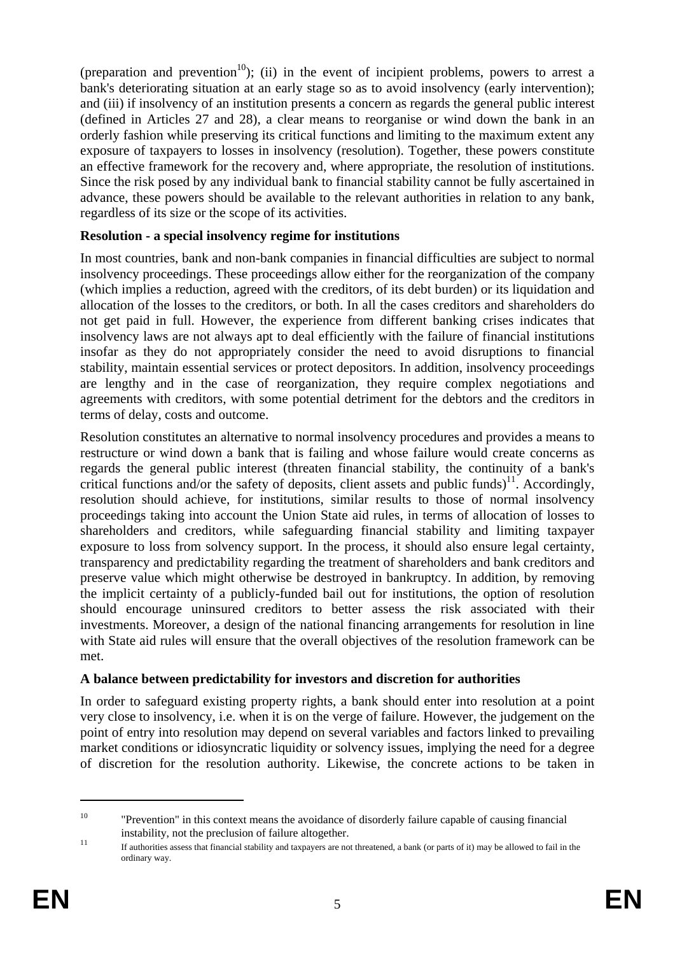(preparation and prevention<sup>10</sup>); (ii) in the event of incipient problems, powers to arrest a bank's deteriorating situation at an early stage so as to avoid insolvency (early intervention); and (iii) if insolvency of an institution presents a concern as regards the general public interest (defined in Articles 27 and 28), a clear means to reorganise or wind down the bank in an orderly fashion while preserving its critical functions and limiting to the maximum extent any exposure of taxpayers to losses in insolvency (resolution). Together, these powers constitute an effective framework for the recovery and, where appropriate, the resolution of institutions. Since the risk posed by any individual bank to financial stability cannot be fully ascertained in advance, these powers should be available to the relevant authorities in relation to any bank, regardless of its size or the scope of its activities.

#### **Resolution - a special insolvency regime for institutions**

In most countries, bank and non-bank companies in financial difficulties are subject to normal insolvency proceedings. These proceedings allow either for the reorganization of the company (which implies a reduction, agreed with the creditors, of its debt burden) or its liquidation and allocation of the losses to the creditors, or both. In all the cases creditors and shareholders do not get paid in full. However, the experience from different banking crises indicates that insolvency laws are not always apt to deal efficiently with the failure of financial institutions insofar as they do not appropriately consider the need to avoid disruptions to financial stability, maintain essential services or protect depositors. In addition, insolvency proceedings are lengthy and in the case of reorganization, they require complex negotiations and agreements with creditors, with some potential detriment for the debtors and the creditors in terms of delay, costs and outcome.

Resolution constitutes an alternative to normal insolvency procedures and provides a means to restructure or wind down a bank that is failing and whose failure would create concerns as regards the general public interest (threaten financial stability, the continuity of a bank's critical functions and/or the safety of deposits, client assets and public funds)<sup>11</sup>. Accordingly, resolution should achieve, for institutions, similar results to those of normal insolvency proceedings taking into account the Union State aid rules, in terms of allocation of losses to shareholders and creditors, while safeguarding financial stability and limiting taxpayer exposure to loss from solvency support. In the process, it should also ensure legal certainty, transparency and predictability regarding the treatment of shareholders and bank creditors and preserve value which might otherwise be destroyed in bankruptcy. In addition, by removing the implicit certainty of a publicly-funded bail out for institutions, the option of resolution should encourage uninsured creditors to better assess the risk associated with their investments. Moreover, a design of the national financing arrangements for resolution in line with State aid rules will ensure that the overall objectives of the resolution framework can be met.

#### **A balance between predictability for investors and discretion for authorities**

In order to safeguard existing property rights, a bank should enter into resolution at a point very close to insolvency, i.e. when it is on the verge of failure. However, the judgement on the point of entry into resolution may depend on several variables and factors linked to prevailing market conditions or idiosyncratic liquidity or solvency issues, implying the need for a degree of discretion for the resolution authority. Likewise, the concrete actions to be taken in

<sup>&</sup>lt;sup>10</sup> "Prevention" in this context means the avoidance of disorderly failure capable of causing financial instability, not the preclusion of failure altogether.<br>
If authorities assess that financial stability and taxpayers are not threatened, a bank (or parts of it) may be allowed to fail in the

ordinary way.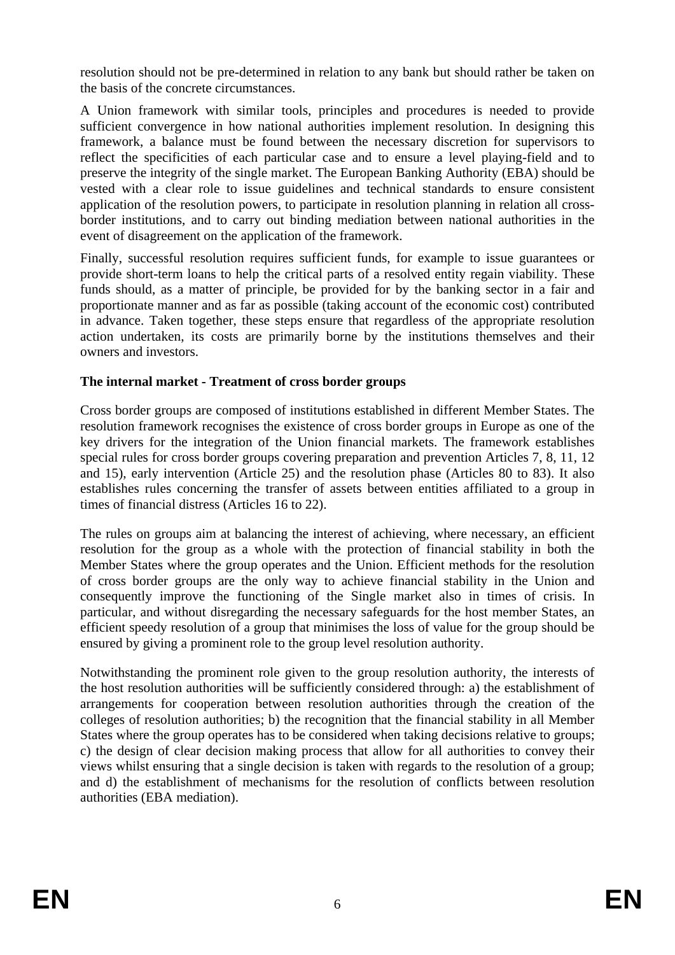resolution should not be pre-determined in relation to any bank but should rather be taken on the basis of the concrete circumstances.

A Union framework with similar tools, principles and procedures is needed to provide sufficient convergence in how national authorities implement resolution. In designing this framework, a balance must be found between the necessary discretion for supervisors to reflect the specificities of each particular case and to ensure a level playing-field and to preserve the integrity of the single market. The European Banking Authority (EBA) should be vested with a clear role to issue guidelines and technical standards to ensure consistent application of the resolution powers, to participate in resolution planning in relation all crossborder institutions, and to carry out binding mediation between national authorities in the event of disagreement on the application of the framework.

Finally, successful resolution requires sufficient funds, for example to issue guarantees or provide short-term loans to help the critical parts of a resolved entity regain viability. These funds should, as a matter of principle, be provided for by the banking sector in a fair and proportionate manner and as far as possible (taking account of the economic cost) contributed in advance. Taken together, these steps ensure that regardless of the appropriate resolution action undertaken, its costs are primarily borne by the institutions themselves and their owners and investors.

## **The internal market - Treatment of cross border groups**

Cross border groups are composed of institutions established in different Member States. The resolution framework recognises the existence of cross border groups in Europe as one of the key drivers for the integration of the Union financial markets. The framework establishes special rules for cross border groups covering preparation and prevention Articles 7, 8, 11, 12 and 15), early intervention (Article 25) and the resolution phase (Articles 80 to 83). It also establishes rules concerning the transfer of assets between entities affiliated to a group in times of financial distress (Articles 16 to 22).

The rules on groups aim at balancing the interest of achieving, where necessary, an efficient resolution for the group as a whole with the protection of financial stability in both the Member States where the group operates and the Union. Efficient methods for the resolution of cross border groups are the only way to achieve financial stability in the Union and consequently improve the functioning of the Single market also in times of crisis. In particular, and without disregarding the necessary safeguards for the host member States, an efficient speedy resolution of a group that minimises the loss of value for the group should be ensured by giving a prominent role to the group level resolution authority.

Notwithstanding the prominent role given to the group resolution authority, the interests of the host resolution authorities will be sufficiently considered through: a) the establishment of arrangements for cooperation between resolution authorities through the creation of the colleges of resolution authorities; b) the recognition that the financial stability in all Member States where the group operates has to be considered when taking decisions relative to groups; c) the design of clear decision making process that allow for all authorities to convey their views whilst ensuring that a single decision is taken with regards to the resolution of a group; and d) the establishment of mechanisms for the resolution of conflicts between resolution authorities (EBA mediation).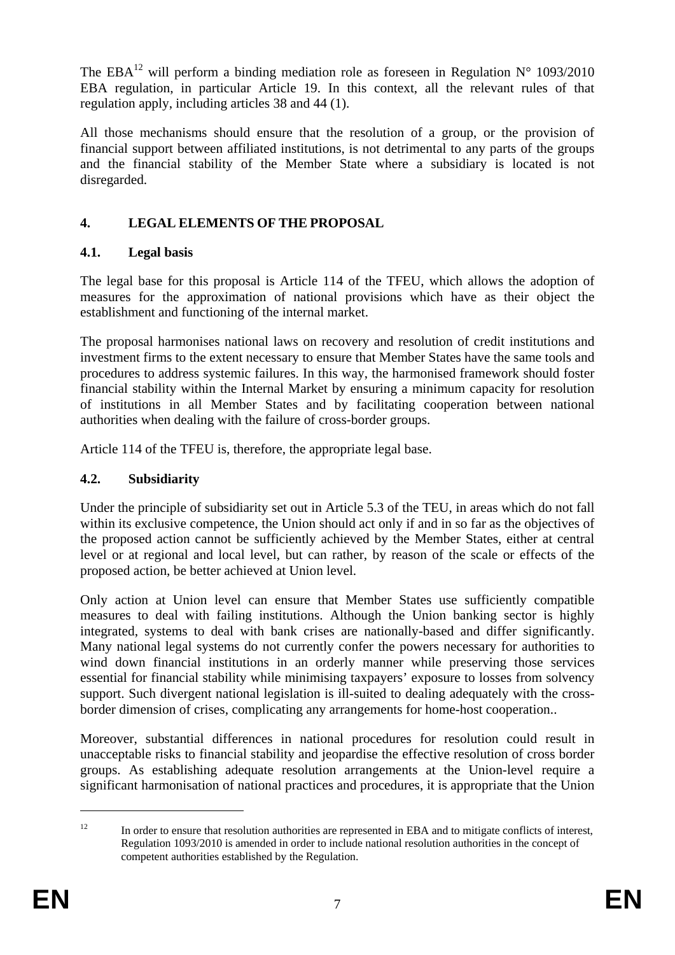The EBA<sup>12</sup> will perform a binding mediation role as foreseen in Regulation  $N^{\circ}$  1093/2010 EBA regulation, in particular Article 19. In this context, all the relevant rules of that regulation apply, including articles 38 and 44 (1).

All those mechanisms should ensure that the resolution of a group, or the provision of financial support between affiliated institutions, is not detrimental to any parts of the groups and the financial stability of the Member State where a subsidiary is located is not disregarded.

# **4. LEGAL ELEMENTS OF THE PROPOSAL**

## **4.1. Legal basis**

The legal base for this proposal is Article 114 of the TFEU, which allows the adoption of measures for the approximation of national provisions which have as their object the establishment and functioning of the internal market.

The proposal harmonises national laws on recovery and resolution of credit institutions and investment firms to the extent necessary to ensure that Member States have the same tools and procedures to address systemic failures. In this way, the harmonised framework should foster financial stability within the Internal Market by ensuring a minimum capacity for resolution of institutions in all Member States and by facilitating cooperation between national authorities when dealing with the failure of cross-border groups.

Article 114 of the TFEU is, therefore, the appropriate legal base.

# **4.2. Subsidiarity**

Under the principle of subsidiarity set out in Article 5.3 of the TEU, in areas which do not fall within its exclusive competence, the Union should act only if and in so far as the objectives of the proposed action cannot be sufficiently achieved by the Member States, either at central level or at regional and local level, but can rather, by reason of the scale or effects of the proposed action, be better achieved at Union level.

Only action at Union level can ensure that Member States use sufficiently compatible measures to deal with failing institutions. Although the Union banking sector is highly integrated, systems to deal with bank crises are nationally-based and differ significantly. Many national legal systems do not currently confer the powers necessary for authorities to wind down financial institutions in an orderly manner while preserving those services essential for financial stability while minimising taxpayers' exposure to losses from solvency support. Such divergent national legislation is ill-suited to dealing adequately with the crossborder dimension of crises, complicating any arrangements for home-host cooperation..

Moreover, substantial differences in national procedures for resolution could result in unacceptable risks to financial stability and jeopardise the effective resolution of cross border groups. As establishing adequate resolution arrangements at the Union-level require a significant harmonisation of national practices and procedures, it is appropriate that the Union

<sup>&</sup>lt;sup>12</sup> In order to ensure that resolution authorities are represented in EBA and to mitigate conflicts of interest, Regulation 1093/2010 is amended in order to include national resolution authorities in the concept of competent authorities established by the Regulation.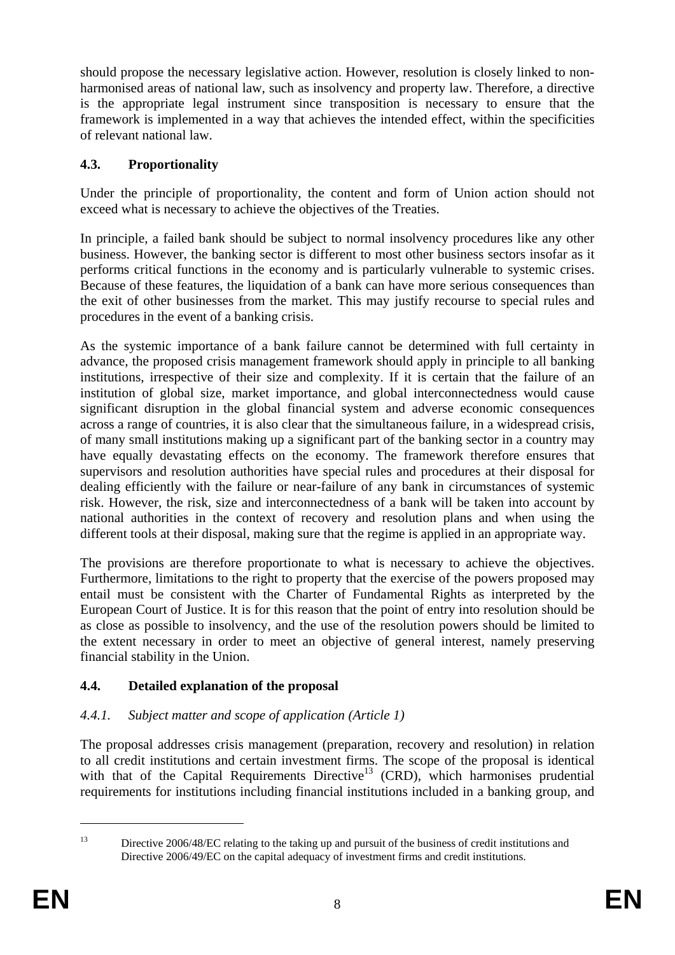should propose the necessary legislative action. However, resolution is closely linked to nonharmonised areas of national law, such as insolvency and property law. Therefore, a directive is the appropriate legal instrument since transposition is necessary to ensure that the framework is implemented in a way that achieves the intended effect, within the specificities of relevant national law.

## **4.3. Proportionality**

Under the principle of proportionality, the content and form of Union action should not exceed what is necessary to achieve the objectives of the Treaties.

In principle, a failed bank should be subject to normal insolvency procedures like any other business. However, the banking sector is different to most other business sectors insofar as it performs critical functions in the economy and is particularly vulnerable to systemic crises. Because of these features, the liquidation of a bank can have more serious consequences than the exit of other businesses from the market. This may justify recourse to special rules and procedures in the event of a banking crisis.

As the systemic importance of a bank failure cannot be determined with full certainty in advance, the proposed crisis management framework should apply in principle to all banking institutions, irrespective of their size and complexity. If it is certain that the failure of an institution of global size, market importance, and global interconnectedness would cause significant disruption in the global financial system and adverse economic consequences across a range of countries, it is also clear that the simultaneous failure, in a widespread crisis, of many small institutions making up a significant part of the banking sector in a country may have equally devastating effects on the economy. The framework therefore ensures that supervisors and resolution authorities have special rules and procedures at their disposal for dealing efficiently with the failure or near-failure of any bank in circumstances of systemic risk. However, the risk, size and interconnectedness of a bank will be taken into account by national authorities in the context of recovery and resolution plans and when using the different tools at their disposal, making sure that the regime is applied in an appropriate way.

The provisions are therefore proportionate to what is necessary to achieve the objectives. Furthermore, limitations to the right to property that the exercise of the powers proposed may entail must be consistent with the Charter of Fundamental Rights as interpreted by the European Court of Justice. It is for this reason that the point of entry into resolution should be as close as possible to insolvency, and the use of the resolution powers should be limited to the extent necessary in order to meet an objective of general interest, namely preserving financial stability in the Union.

# **4.4. Detailed explanation of the proposal**

## *4.4.1. Subject matter and scope of application (Article 1)*

The proposal addresses crisis management (preparation, recovery and resolution) in relation to all credit institutions and certain investment firms. The scope of the proposal is identical with that of the Capital Requirements Directive<sup>13</sup> (CRD), which harmonises prudential requirements for institutions including financial institutions included in a banking group, and

<u>.</u>

<sup>&</sup>lt;sup>13</sup> Directive 2006/48/EC relating to the taking up and pursuit of the business of credit institutions and Directive 2006/49/EC on the capital adequacy of investment firms and credit institutions.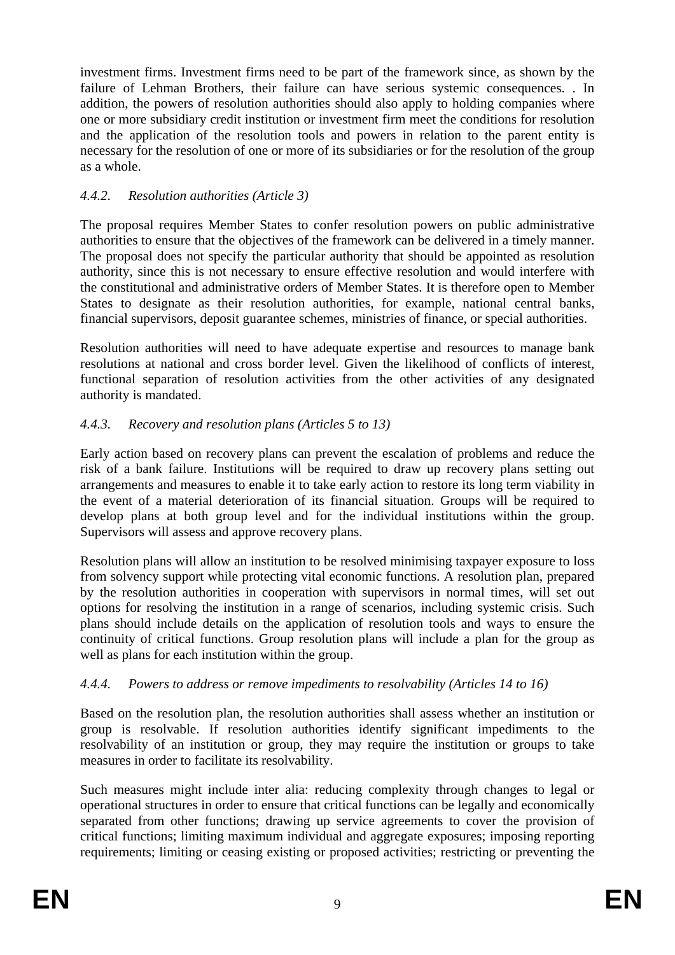investment firms. Investment firms need to be part of the framework since, as shown by the failure of Lehman Brothers, their failure can have serious systemic consequences. . In addition, the powers of resolution authorities should also apply to holding companies where one or more subsidiary credit institution or investment firm meet the conditions for resolution and the application of the resolution tools and powers in relation to the parent entity is necessary for the resolution of one or more of its subsidiaries or for the resolution of the group as a whole.

## *4.4.2. Resolution authorities (Article 3)*

The proposal requires Member States to confer resolution powers on public administrative authorities to ensure that the objectives of the framework can be delivered in a timely manner. The proposal does not specify the particular authority that should be appointed as resolution authority, since this is not necessary to ensure effective resolution and would interfere with the constitutional and administrative orders of Member States. It is therefore open to Member States to designate as their resolution authorities, for example, national central banks, financial supervisors, deposit guarantee schemes, ministries of finance, or special authorities.

Resolution authorities will need to have adequate expertise and resources to manage bank resolutions at national and cross border level. Given the likelihood of conflicts of interest, functional separation of resolution activities from the other activities of any designated authority is mandated.

## *4.4.3. Recovery and resolution plans (Articles 5 to 13)*

Early action based on recovery plans can prevent the escalation of problems and reduce the risk of a bank failure. Institutions will be required to draw up recovery plans setting out arrangements and measures to enable it to take early action to restore its long term viability in the event of a material deterioration of its financial situation. Groups will be required to develop plans at both group level and for the individual institutions within the group. Supervisors will assess and approve recovery plans.

Resolution plans will allow an institution to be resolved minimising taxpayer exposure to loss from solvency support while protecting vital economic functions. A resolution plan, prepared by the resolution authorities in cooperation with supervisors in normal times, will set out options for resolving the institution in a range of scenarios, including systemic crisis. Such plans should include details on the application of resolution tools and ways to ensure the continuity of critical functions. Group resolution plans will include a plan for the group as well as plans for each institution within the group.

## *4.4.4. Powers to address or remove impediments to resolvability (Articles 14 to 16)*

Based on the resolution plan, the resolution authorities shall assess whether an institution or group is resolvable. If resolution authorities identify significant impediments to the resolvability of an institution or group, they may require the institution or groups to take measures in order to facilitate its resolvability.

Such measures might include inter alia: reducing complexity through changes to legal or operational structures in order to ensure that critical functions can be legally and economically separated from other functions; drawing up service agreements to cover the provision of critical functions; limiting maximum individual and aggregate exposures; imposing reporting requirements; limiting or ceasing existing or proposed activities; restricting or preventing the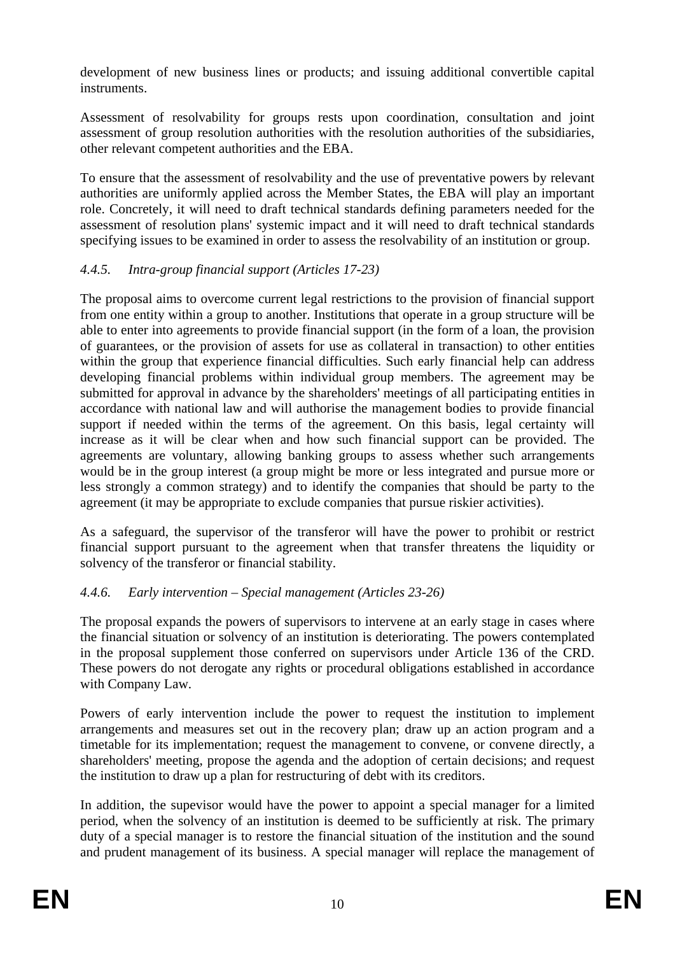development of new business lines or products; and issuing additional convertible capital instruments.

Assessment of resolvability for groups rests upon coordination, consultation and joint assessment of group resolution authorities with the resolution authorities of the subsidiaries, other relevant competent authorities and the EBA.

To ensure that the assessment of resolvability and the use of preventative powers by relevant authorities are uniformly applied across the Member States, the EBA will play an important role. Concretely, it will need to draft technical standards defining parameters needed for the assessment of resolution plans' systemic impact and it will need to draft technical standards specifying issues to be examined in order to assess the resolvability of an institution or group.

## *4.4.5. Intra-group financial support (Articles 17-23)*

The proposal aims to overcome current legal restrictions to the provision of financial support from one entity within a group to another. Institutions that operate in a group structure will be able to enter into agreements to provide financial support (in the form of a loan, the provision of guarantees, or the provision of assets for use as collateral in transaction) to other entities within the group that experience financial difficulties. Such early financial help can address developing financial problems within individual group members. The agreement may be submitted for approval in advance by the shareholders' meetings of all participating entities in accordance with national law and will authorise the management bodies to provide financial support if needed within the terms of the agreement. On this basis, legal certainty will increase as it will be clear when and how such financial support can be provided. The agreements are voluntary, allowing banking groups to assess whether such arrangements would be in the group interest (a group might be more or less integrated and pursue more or less strongly a common strategy) and to identify the companies that should be party to the agreement (it may be appropriate to exclude companies that pursue riskier activities).

As a safeguard, the supervisor of the transferor will have the power to prohibit or restrict financial support pursuant to the agreement when that transfer threatens the liquidity or solvency of the transferor or financial stability.

## *4.4.6. Early intervention – Special management (Articles 23-26)*

The proposal expands the powers of supervisors to intervene at an early stage in cases where the financial situation or solvency of an institution is deteriorating. The powers contemplated in the proposal supplement those conferred on supervisors under Article 136 of the CRD. These powers do not derogate any rights or procedural obligations established in accordance with Company Law.

Powers of early intervention include the power to request the institution to implement arrangements and measures set out in the recovery plan; draw up an action program and a timetable for its implementation; request the management to convene, or convene directly, a shareholders' meeting, propose the agenda and the adoption of certain decisions; and request the institution to draw up a plan for restructuring of debt with its creditors.

In addition, the supevisor would have the power to appoint a special manager for a limited period, when the solvency of an institution is deemed to be sufficiently at risk. The primary duty of a special manager is to restore the financial situation of the institution and the sound and prudent management of its business. A special manager will replace the management of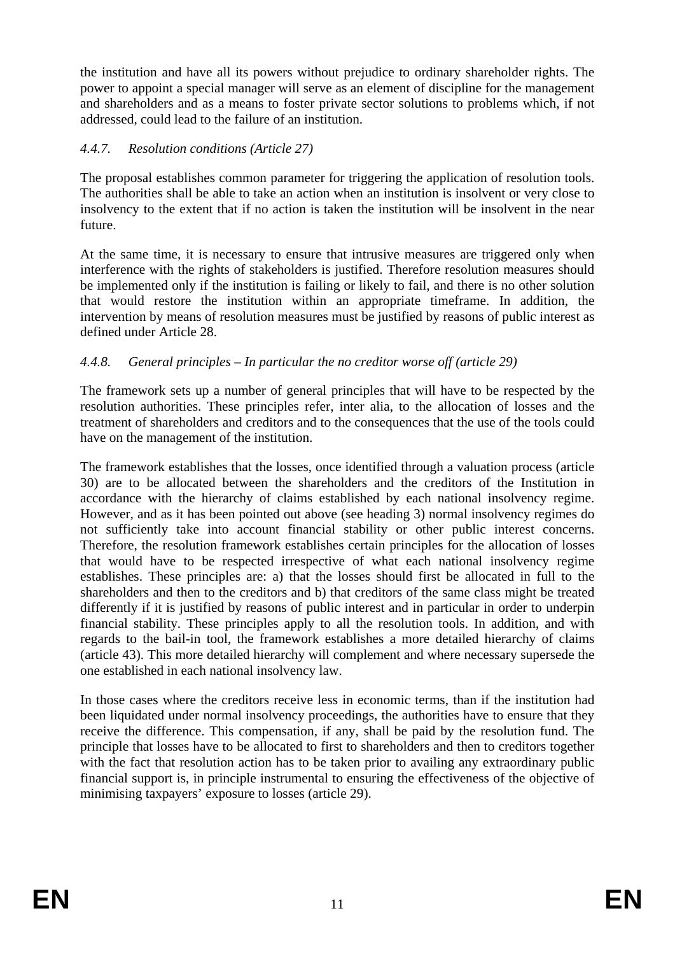the institution and have all its powers without prejudice to ordinary shareholder rights. The power to appoint a special manager will serve as an element of discipline for the management and shareholders and as a means to foster private sector solutions to problems which, if not addressed, could lead to the failure of an institution.

## *4.4.7. Resolution conditions (Article 27)*

The proposal establishes common parameter for triggering the application of resolution tools. The authorities shall be able to take an action when an institution is insolvent or very close to insolvency to the extent that if no action is taken the institution will be insolvent in the near future.

At the same time, it is necessary to ensure that intrusive measures are triggered only when interference with the rights of stakeholders is justified. Therefore resolution measures should be implemented only if the institution is failing or likely to fail, and there is no other solution that would restore the institution within an appropriate timeframe. In addition, the intervention by means of resolution measures must be justified by reasons of public interest as defined under Article 28.

## *4.4.8. General principles – In particular the no creditor worse off (article 29)*

The framework sets up a number of general principles that will have to be respected by the resolution authorities. These principles refer, inter alia, to the allocation of losses and the treatment of shareholders and creditors and to the consequences that the use of the tools could have on the management of the institution.

The framework establishes that the losses, once identified through a valuation process (article 30) are to be allocated between the shareholders and the creditors of the Institution in accordance with the hierarchy of claims established by each national insolvency regime. However, and as it has been pointed out above (see heading 3) normal insolvency regimes do not sufficiently take into account financial stability or other public interest concerns. Therefore, the resolution framework establishes certain principles for the allocation of losses that would have to be respected irrespective of what each national insolvency regime establishes. These principles are: a) that the losses should first be allocated in full to the shareholders and then to the creditors and b) that creditors of the same class might be treated differently if it is justified by reasons of public interest and in particular in order to underpin financial stability. These principles apply to all the resolution tools. In addition, and with regards to the bail-in tool, the framework establishes a more detailed hierarchy of claims (article 43). This more detailed hierarchy will complement and where necessary supersede the one established in each national insolvency law.

In those cases where the creditors receive less in economic terms, than if the institution had been liquidated under normal insolvency proceedings, the authorities have to ensure that they receive the difference. This compensation, if any, shall be paid by the resolution fund. The principle that losses have to be allocated to first to shareholders and then to creditors together with the fact that resolution action has to be taken prior to availing any extraordinary public financial support is, in principle instrumental to ensuring the effectiveness of the objective of minimising taxpayers' exposure to losses (article 29).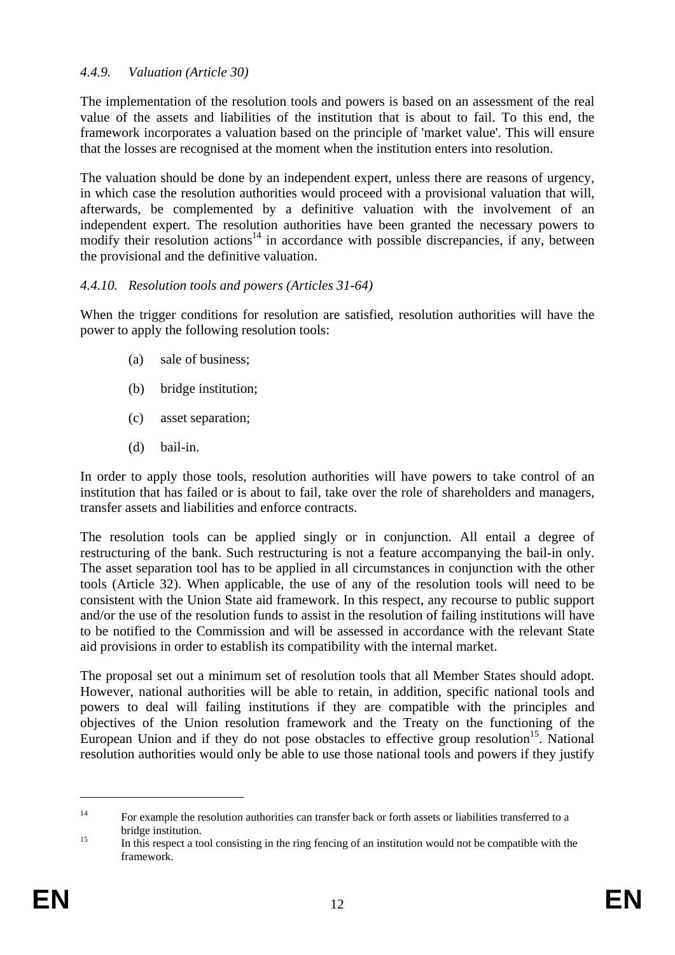### *4.4.9. Valuation (Article 30)*

The implementation of the resolution tools and powers is based on an assessment of the real value of the assets and liabilities of the institution that is about to fail. To this end, the framework incorporates a valuation based on the principle of 'market value'. This will ensure that the losses are recognised at the moment when the institution enters into resolution.

The valuation should be done by an independent expert, unless there are reasons of urgency, in which case the resolution authorities would proceed with a provisional valuation that will, afterwards, be complemented by a definitive valuation with the involvement of an independent expert. The resolution authorities have been granted the necessary powers to modify their resolution actions<sup>14</sup> in accordance with possible discrepancies, if any, between the provisional and the definitive valuation.

#### *4.4.10. Resolution tools and powers (Articles 31-64)*

When the trigger conditions for resolution are satisfied, resolution authorities will have the power to apply the following resolution tools:

- (a) sale of business;
- (b) bridge institution;
- (c) asset separation;
- (d) bail-in.

In order to apply those tools, resolution authorities will have powers to take control of an institution that has failed or is about to fail, take over the role of shareholders and managers, transfer assets and liabilities and enforce contracts.

The resolution tools can be applied singly or in conjunction. All entail a degree of restructuring of the bank. Such restructuring is not a feature accompanying the bail-in only. The asset separation tool has to be applied in all circumstances in conjunction with the other tools (Article 32). When applicable, the use of any of the resolution tools will need to be consistent with the Union State aid framework. In this respect, any recourse to public support and/or the use of the resolution funds to assist in the resolution of failing institutions will have to be notified to the Commission and will be assessed in accordance with the relevant State aid provisions in order to establish its compatibility with the internal market.

The proposal set out a minimum set of resolution tools that all Member States should adopt. However, national authorities will be able to retain, in addition, specific national tools and powers to deal will failing institutions if they are compatible with the principles and objectives of the Union resolution framework and the Treaty on the functioning of the European Union and if they do not pose obstacles to effective group resolution<sup>15</sup>. National resolution authorities would only be able to use those national tools and powers if they justify

<sup>&</sup>lt;sup>14</sup> For example the resolution authorities can transfer back or forth assets or liabilities transferred to a bridge institution.<br><sup>15</sup> In this respect a tool consisting in the ring fencing of an institution would not be compatible with the

framework.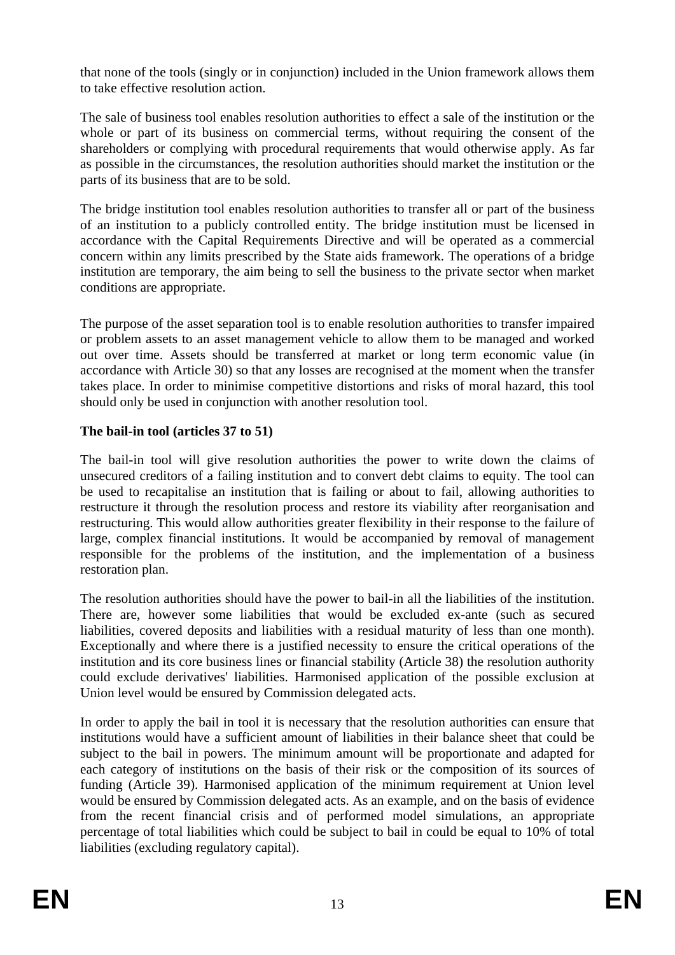that none of the tools (singly or in conjunction) included in the Union framework allows them to take effective resolution action.

The sale of business tool enables resolution authorities to effect a sale of the institution or the whole or part of its business on commercial terms, without requiring the consent of the shareholders or complying with procedural requirements that would otherwise apply. As far as possible in the circumstances, the resolution authorities should market the institution or the parts of its business that are to be sold.

The bridge institution tool enables resolution authorities to transfer all or part of the business of an institution to a publicly controlled entity. The bridge institution must be licensed in accordance with the Capital Requirements Directive and will be operated as a commercial concern within any limits prescribed by the State aids framework. The operations of a bridge institution are temporary, the aim being to sell the business to the private sector when market conditions are appropriate.

The purpose of the asset separation tool is to enable resolution authorities to transfer impaired or problem assets to an asset management vehicle to allow them to be managed and worked out over time. Assets should be transferred at market or long term economic value (in accordance with Article 30) so that any losses are recognised at the moment when the transfer takes place. In order to minimise competitive distortions and risks of moral hazard, this tool should only be used in conjunction with another resolution tool.

## **The bail-in tool (articles 37 to 51)**

The bail-in tool will give resolution authorities the power to write down the claims of unsecured creditors of a failing institution and to convert debt claims to equity. The tool can be used to recapitalise an institution that is failing or about to fail, allowing authorities to restructure it through the resolution process and restore its viability after reorganisation and restructuring. This would allow authorities greater flexibility in their response to the failure of large, complex financial institutions. It would be accompanied by removal of management responsible for the problems of the institution, and the implementation of a business restoration plan.

The resolution authorities should have the power to bail-in all the liabilities of the institution. There are, however some liabilities that would be excluded ex-ante (such as secured liabilities, covered deposits and liabilities with a residual maturity of less than one month). Exceptionally and where there is a justified necessity to ensure the critical operations of the institution and its core business lines or financial stability (Article 38) the resolution authority could exclude derivatives' liabilities. Harmonised application of the possible exclusion at Union level would be ensured by Commission delegated acts.

In order to apply the bail in tool it is necessary that the resolution authorities can ensure that institutions would have a sufficient amount of liabilities in their balance sheet that could be subject to the bail in powers. The minimum amount will be proportionate and adapted for each category of institutions on the basis of their risk or the composition of its sources of funding (Article 39). Harmonised application of the minimum requirement at Union level would be ensured by Commission delegated acts. As an example, and on the basis of evidence from the recent financial crisis and of performed model simulations, an appropriate percentage of total liabilities which could be subject to bail in could be equal to 10% of total liabilities (excluding regulatory capital).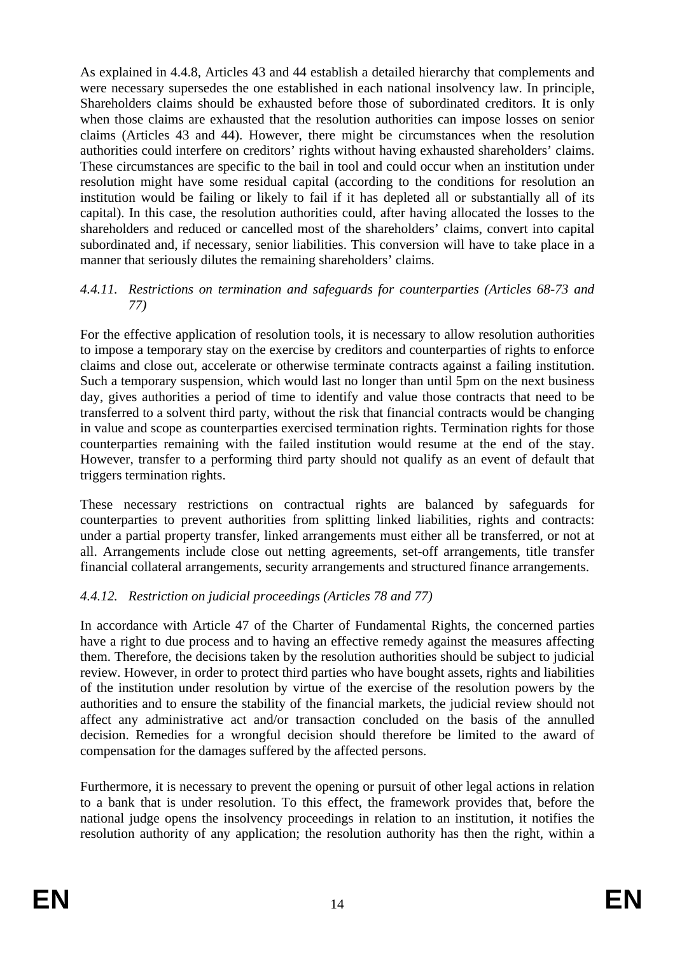As explained in 4.4.8, Articles 43 and 44 establish a detailed hierarchy that complements and were necessary supersedes the one established in each national insolvency law. In principle, Shareholders claims should be exhausted before those of subordinated creditors. It is only when those claims are exhausted that the resolution authorities can impose losses on senior claims (Articles 43 and 44). However, there might be circumstances when the resolution authorities could interfere on creditors' rights without having exhausted shareholders' claims. These circumstances are specific to the bail in tool and could occur when an institution under resolution might have some residual capital (according to the conditions for resolution an institution would be failing or likely to fail if it has depleted all or substantially all of its capital). In this case, the resolution authorities could, after having allocated the losses to the shareholders and reduced or cancelled most of the shareholders' claims, convert into capital subordinated and, if necessary, senior liabilities. This conversion will have to take place in a manner that seriously dilutes the remaining shareholders' claims.

#### *4.4.11. Restrictions on termination and safeguards for counterparties (Articles 68-73 and 77)*

For the effective application of resolution tools, it is necessary to allow resolution authorities to impose a temporary stay on the exercise by creditors and counterparties of rights to enforce claims and close out, accelerate or otherwise terminate contracts against a failing institution. Such a temporary suspension, which would last no longer than until 5pm on the next business day, gives authorities a period of time to identify and value those contracts that need to be transferred to a solvent third party, without the risk that financial contracts would be changing in value and scope as counterparties exercised termination rights. Termination rights for those counterparties remaining with the failed institution would resume at the end of the stay. However, transfer to a performing third party should not qualify as an event of default that triggers termination rights.

These necessary restrictions on contractual rights are balanced by safeguards for counterparties to prevent authorities from splitting linked liabilities, rights and contracts: under a partial property transfer, linked arrangements must either all be transferred, or not at all. Arrangements include close out netting agreements, set-off arrangements, title transfer financial collateral arrangements, security arrangements and structured finance arrangements.

## *4.4.12. Restriction on judicial proceedings (Articles 78 and 77)*

In accordance with Article 47 of the Charter of Fundamental Rights, the concerned parties have a right to due process and to having an effective remedy against the measures affecting them. Therefore, the decisions taken by the resolution authorities should be subject to judicial review. However, in order to protect third parties who have bought assets, rights and liabilities of the institution under resolution by virtue of the exercise of the resolution powers by the authorities and to ensure the stability of the financial markets, the judicial review should not affect any administrative act and/or transaction concluded on the basis of the annulled decision. Remedies for a wrongful decision should therefore be limited to the award of compensation for the damages suffered by the affected persons.

Furthermore, it is necessary to prevent the opening or pursuit of other legal actions in relation to a bank that is under resolution. To this effect, the framework provides that, before the national judge opens the insolvency proceedings in relation to an institution, it notifies the resolution authority of any application; the resolution authority has then the right, within a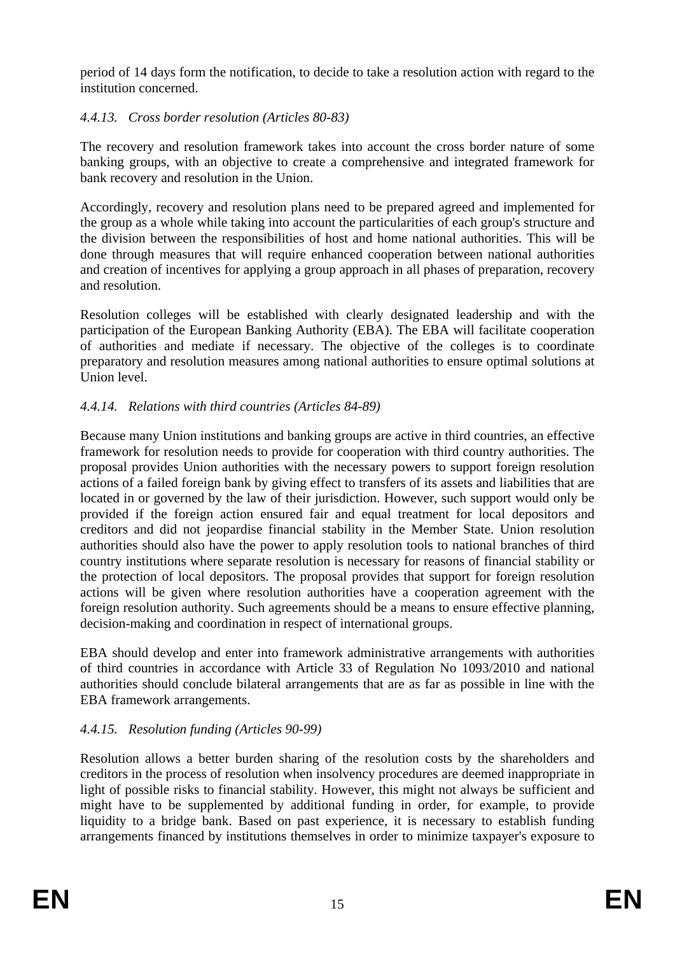period of 14 days form the notification, to decide to take a resolution action with regard to the institution concerned.

## *4.4.13. Cross border resolution (Articles 80-83)*

The recovery and resolution framework takes into account the cross border nature of some banking groups, with an objective to create a comprehensive and integrated framework for bank recovery and resolution in the Union.

Accordingly, recovery and resolution plans need to be prepared agreed and implemented for the group as a whole while taking into account the particularities of each group's structure and the division between the responsibilities of host and home national authorities. This will be done through measures that will require enhanced cooperation between national authorities and creation of incentives for applying a group approach in all phases of preparation, recovery and resolution.

Resolution colleges will be established with clearly designated leadership and with the participation of the European Banking Authority (EBA). The EBA will facilitate cooperation of authorities and mediate if necessary. The objective of the colleges is to coordinate preparatory and resolution measures among national authorities to ensure optimal solutions at Union level.

## *4.4.14. Relations with third countries (Articles 84-89)*

Because many Union institutions and banking groups are active in third countries, an effective framework for resolution needs to provide for cooperation with third country authorities. The proposal provides Union authorities with the necessary powers to support foreign resolution actions of a failed foreign bank by giving effect to transfers of its assets and liabilities that are located in or governed by the law of their jurisdiction. However, such support would only be provided if the foreign action ensured fair and equal treatment for local depositors and creditors and did not jeopardise financial stability in the Member State. Union resolution authorities should also have the power to apply resolution tools to national branches of third country institutions where separate resolution is necessary for reasons of financial stability or the protection of local depositors. The proposal provides that support for foreign resolution actions will be given where resolution authorities have a cooperation agreement with the foreign resolution authority. Such agreements should be a means to ensure effective planning, decision-making and coordination in respect of international groups.

EBA should develop and enter into framework administrative arrangements with authorities of third countries in accordance with Article 33 of Regulation No 1093/2010 and national authorities should conclude bilateral arrangements that are as far as possible in line with the EBA framework arrangements.

# *4.4.15. Resolution funding (Articles 90-99)*

Resolution allows a better burden sharing of the resolution costs by the shareholders and creditors in the process of resolution when insolvency procedures are deemed inappropriate in light of possible risks to financial stability. However, this might not always be sufficient and might have to be supplemented by additional funding in order, for example, to provide liquidity to a bridge bank. Based on past experience, it is necessary to establish funding arrangements financed by institutions themselves in order to minimize taxpayer's exposure to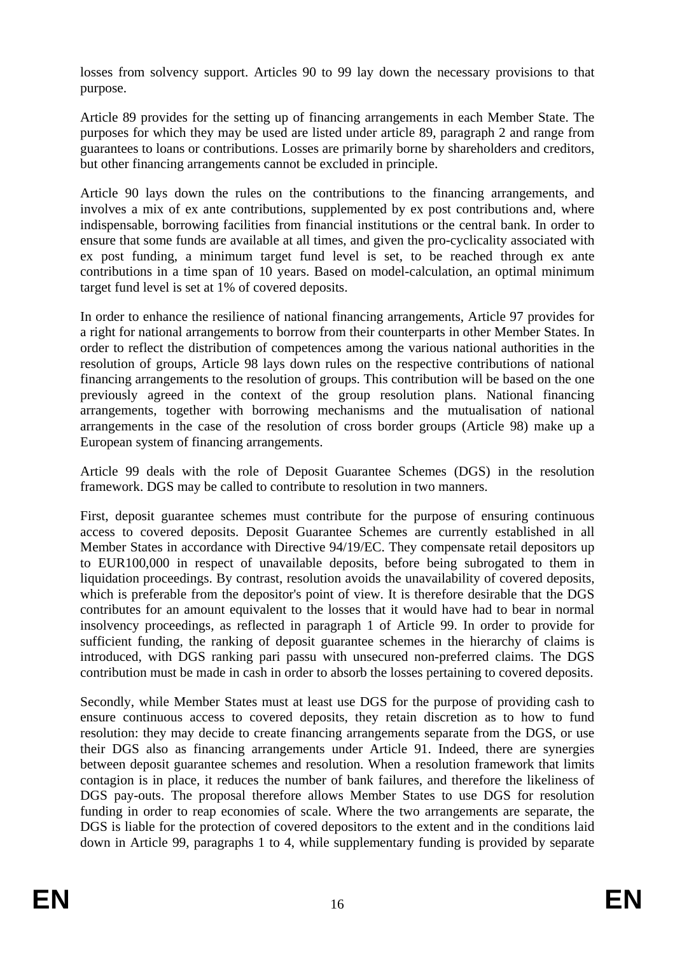losses from solvency support. Articles 90 to 99 lay down the necessary provisions to that purpose.

Article 89 provides for the setting up of financing arrangements in each Member State. The purposes for which they may be used are listed under article 89, paragraph 2 and range from guarantees to loans or contributions. Losses are primarily borne by shareholders and creditors, but other financing arrangements cannot be excluded in principle.

Article 90 lays down the rules on the contributions to the financing arrangements, and involves a mix of ex ante contributions, supplemented by ex post contributions and, where indispensable, borrowing facilities from financial institutions or the central bank. In order to ensure that some funds are available at all times, and given the pro-cyclicality associated with ex post funding, a minimum target fund level is set, to be reached through ex ante contributions in a time span of 10 years. Based on model-calculation, an optimal minimum target fund level is set at 1% of covered deposits.

In order to enhance the resilience of national financing arrangements, Article 97 provides for a right for national arrangements to borrow from their counterparts in other Member States. In order to reflect the distribution of competences among the various national authorities in the resolution of groups, Article 98 lays down rules on the respective contributions of national financing arrangements to the resolution of groups. This contribution will be based on the one previously agreed in the context of the group resolution plans. National financing arrangements, together with borrowing mechanisms and the mutualisation of national arrangements in the case of the resolution of cross border groups (Article 98) make up a European system of financing arrangements.

Article 99 deals with the role of Deposit Guarantee Schemes (DGS) in the resolution framework. DGS may be called to contribute to resolution in two manners.

First, deposit guarantee schemes must contribute for the purpose of ensuring continuous access to covered deposits. Deposit Guarantee Schemes are currently established in all Member States in accordance with Directive 94/19/EC. They compensate retail depositors up to EUR100,000 in respect of unavailable deposits, before being subrogated to them in liquidation proceedings. By contrast, resolution avoids the unavailability of covered deposits, which is preferable from the depositor's point of view. It is therefore desirable that the DGS contributes for an amount equivalent to the losses that it would have had to bear in normal insolvency proceedings, as reflected in paragraph 1 of Article 99. In order to provide for sufficient funding, the ranking of deposit guarantee schemes in the hierarchy of claims is introduced, with DGS ranking pari passu with unsecured non-preferred claims. The DGS contribution must be made in cash in order to absorb the losses pertaining to covered deposits.

Secondly, while Member States must at least use DGS for the purpose of providing cash to ensure continuous access to covered deposits, they retain discretion as to how to fund resolution: they may decide to create financing arrangements separate from the DGS, or use their DGS also as financing arrangements under Article 91. Indeed, there are synergies between deposit guarantee schemes and resolution. When a resolution framework that limits contagion is in place, it reduces the number of bank failures, and therefore the likeliness of DGS pay-outs. The proposal therefore allows Member States to use DGS for resolution funding in order to reap economies of scale. Where the two arrangements are separate, the DGS is liable for the protection of covered depositors to the extent and in the conditions laid down in Article 99, paragraphs 1 to 4, while supplementary funding is provided by separate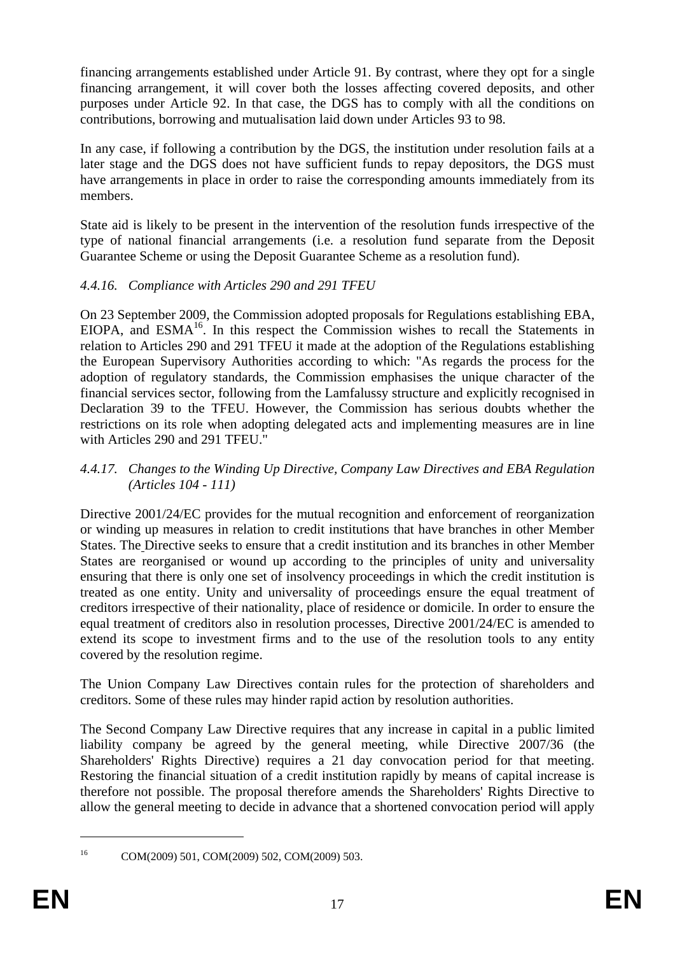financing arrangements established under Article 91. By contrast, where they opt for a single financing arrangement, it will cover both the losses affecting covered deposits, and other purposes under Article 92. In that case, the DGS has to comply with all the conditions on contributions, borrowing and mutualisation laid down under Articles 93 to 98.

In any case, if following a contribution by the DGS, the institution under resolution fails at a later stage and the DGS does not have sufficient funds to repay depositors, the DGS must have arrangements in place in order to raise the corresponding amounts immediately from its members.

State aid is likely to be present in the intervention of the resolution funds irrespective of the type of national financial arrangements (i.e. a resolution fund separate from the Deposit Guarantee Scheme or using the Deposit Guarantee Scheme as a resolution fund).

## *4.4.16. Compliance with Articles 290 and 291 TFEU*

On 23 September 2009, the Commission adopted proposals for Regulations establishing EBA, EIOPA, and  $ESMA<sup>16</sup>$ . In this respect the Commission wishes to recall the Statements in relation to Articles 290 and 291 TFEU it made at the adoption of the Regulations establishing the European Supervisory Authorities according to which: "As regards the process for the adoption of regulatory standards, the Commission emphasises the unique character of the financial services sector, following from the Lamfalussy structure and explicitly recognised in Declaration 39 to the TFEU. However, the Commission has serious doubts whether the restrictions on its role when adopting delegated acts and implementing measures are in line with Articles 290 and 291 TFEU."

### *4.4.17. Changes to the Winding Up Directive, Company Law Directives and EBA Regulation (Articles 104 - 111)*

Directive 2001/24/EC provides for the mutual recognition and enforcement of reorganization or winding up measures in relation to credit institutions that have branches in other Member States. The Directive seeks to ensure that a credit institution and its branches in other Member States are reorganised or wound up according to the principles of unity and universality ensuring that there is only one set of insolvency proceedings in which the credit institution is treated as one entity. Unity and universality of proceedings ensure the equal treatment of creditors irrespective of their nationality, place of residence or domicile. In order to ensure the equal treatment of creditors also in resolution processes, Directive 2001/24/EC is amended to extend its scope to investment firms and to the use of the resolution tools to any entity covered by the resolution regime.

The Union Company Law Directives contain rules for the protection of shareholders and creditors. Some of these rules may hinder rapid action by resolution authorities.

The Second Company Law Directive requires that any increase in capital in a public limited liability company be agreed by the general meeting, while Directive 2007/36 (the Shareholders' Rights Directive) requires a 21 day convocation period for that meeting. Restoring the financial situation of a credit institution rapidly by means of capital increase is therefore not possible. The proposal therefore amends the Shareholders' Rights Directive to allow the general meeting to decide in advance that a shortened convocation period will apply

<sup>1</sup> 

<sup>16</sup> COM(2009) 501, COM(2009) 502, COM(2009) 503.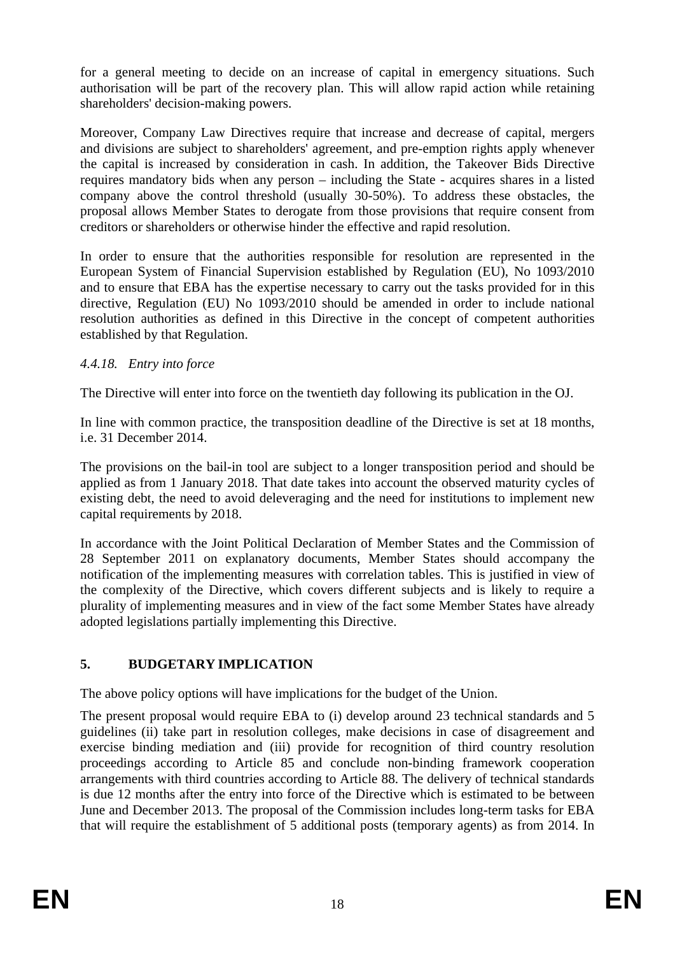for a general meeting to decide on an increase of capital in emergency situations. Such authorisation will be part of the recovery plan. This will allow rapid action while retaining shareholders' decision-making powers.

Moreover, Company Law Directives require that increase and decrease of capital, mergers and divisions are subject to shareholders' agreement, and pre-emption rights apply whenever the capital is increased by consideration in cash. In addition, the Takeover Bids Directive requires mandatory bids when any person – including the State - acquires shares in a listed company above the control threshold (usually 30-50%). To address these obstacles, the proposal allows Member States to derogate from those provisions that require consent from creditors or shareholders or otherwise hinder the effective and rapid resolution.

In order to ensure that the authorities responsible for resolution are represented in the European System of Financial Supervision established by Regulation (EU), No 1093/2010 and to ensure that EBA has the expertise necessary to carry out the tasks provided for in this directive, Regulation (EU) No 1093/2010 should be amended in order to include national resolution authorities as defined in this Directive in the concept of competent authorities established by that Regulation.

## *4.4.18. Entry into force*

The Directive will enter into force on the twentieth day following its publication in the OJ.

In line with common practice, the transposition deadline of the Directive is set at 18 months, i.e. 31 December 2014.

The provisions on the bail-in tool are subject to a longer transposition period and should be applied as from 1 January 2018. That date takes into account the observed maturity cycles of existing debt, the need to avoid deleveraging and the need for institutions to implement new capital requirements by 2018.

In accordance with the Joint Political Declaration of Member States and the Commission of 28 September 2011 on explanatory documents, Member States should accompany the notification of the implementing measures with correlation tables. This is justified in view of the complexity of the Directive, which covers different subjects and is likely to require a plurality of implementing measures and in view of the fact some Member States have already adopted legislations partially implementing this Directive.

# **5. BUDGETARY IMPLICATION**

The above policy options will have implications for the budget of the Union.

The present proposal would require EBA to (i) develop around 23 technical standards and 5 guidelines (ii) take part in resolution colleges, make decisions in case of disagreement and exercise binding mediation and (iii) provide for recognition of third country resolution proceedings according to Article 85 and conclude non-binding framework cooperation arrangements with third countries according to Article 88. The delivery of technical standards is due 12 months after the entry into force of the Directive which is estimated to be between June and December 2013. The proposal of the Commission includes long-term tasks for EBA that will require the establishment of 5 additional posts (temporary agents) as from 2014. In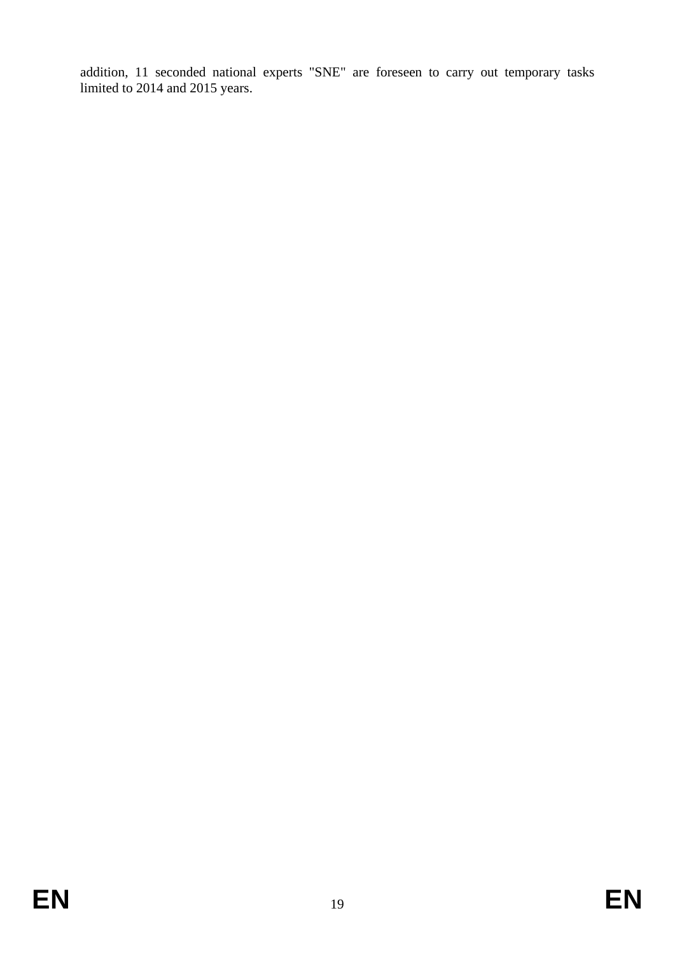addition, 11 seconded national experts "SNE" are foreseen to carry out temporary tasks limited to 2014 and 2015 years.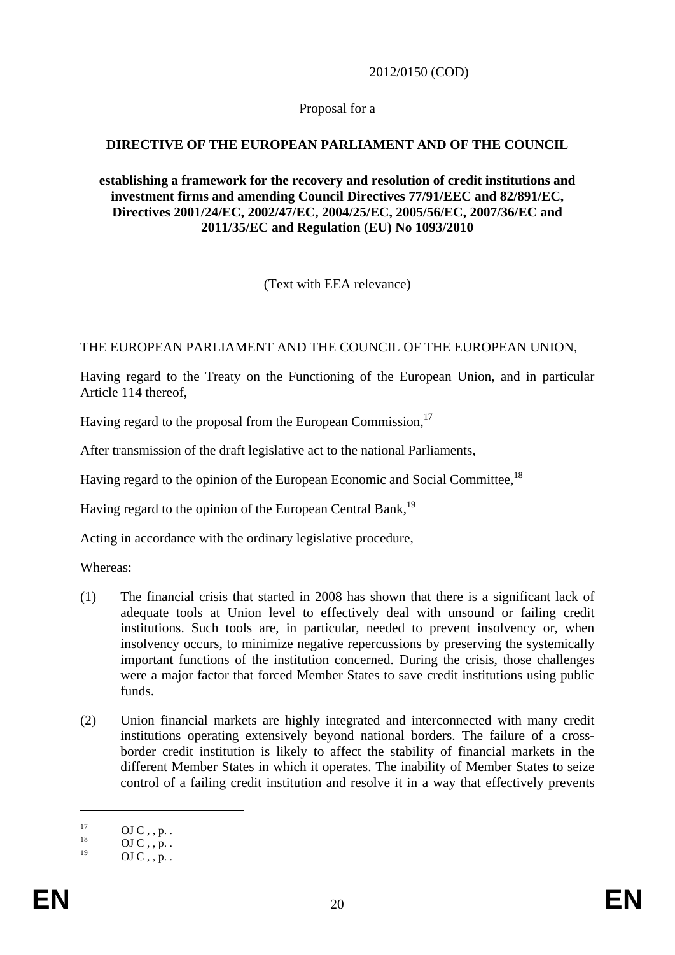2012/0150 (COD)

#### Proposal for a

## **DIRECTIVE OF THE EUROPEAN PARLIAMENT AND OF THE COUNCIL**

#### **establishing a framework for the recovery and resolution of credit institutions and investment firms and amending Council Directives 77/91/EEC and 82/891/EC, Directives 2001/24/EC, 2002/47/EC, 2004/25/EC, 2005/56/EC, 2007/36/EC and 2011/35/EC and Regulation (EU) No 1093/2010**

(Text with EEA relevance)

#### THE EUROPEAN PARLIAMENT AND THE COUNCIL OF THE EUROPEAN UNION,

Having regard to the Treaty on the Functioning of the European Union, and in particular Article 114 thereof,

Having regard to the proposal from the European Commission,<sup>17</sup>

After transmission of the draft legislative act to the national Parliaments,

Having regard to the opinion of the European Economic and Social Committee,<sup>18</sup>

Having regard to the opinion of the European Central Bank.<sup>19</sup>

Acting in accordance with the ordinary legislative procedure,

Whereas:

- (1) The financial crisis that started in 2008 has shown that there is a significant lack of adequate tools at Union level to effectively deal with unsound or failing credit institutions. Such tools are, in particular, needed to prevent insolvency or, when insolvency occurs, to minimize negative repercussions by preserving the systemically important functions of the institution concerned. During the crisis, those challenges were a major factor that forced Member States to save credit institutions using public funds.
- (2) Union financial markets are highly integrated and interconnected with many credit institutions operating extensively beyond national borders. The failure of a crossborder credit institution is likely to affect the stability of financial markets in the different Member States in which it operates. The inability of Member States to seize control of a failing credit institution and resolve it in a way that effectively prevents

 $^{17}_{18}$  OJ C, , p. .

 $^{18}$  OJ C , , p. .

 $OJ C$ , , p. .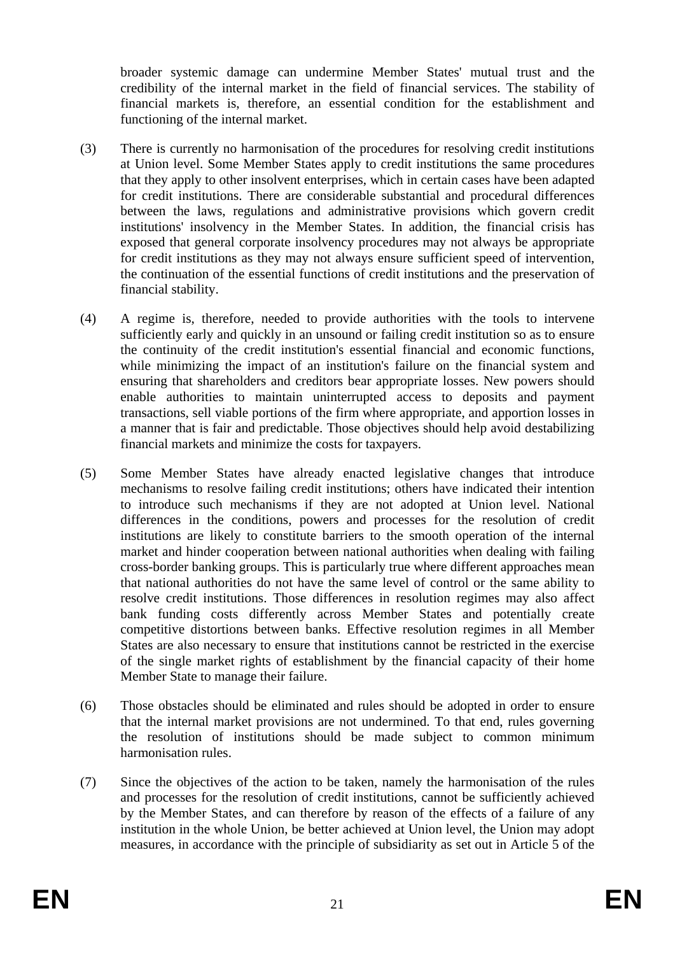broader systemic damage can undermine Member States' mutual trust and the credibility of the internal market in the field of financial services. The stability of financial markets is, therefore, an essential condition for the establishment and functioning of the internal market.

- (3) There is currently no harmonisation of the procedures for resolving credit institutions at Union level. Some Member States apply to credit institutions the same procedures that they apply to other insolvent enterprises, which in certain cases have been adapted for credit institutions. There are considerable substantial and procedural differences between the laws, regulations and administrative provisions which govern credit institutions' insolvency in the Member States. In addition, the financial crisis has exposed that general corporate insolvency procedures may not always be appropriate for credit institutions as they may not always ensure sufficient speed of intervention, the continuation of the essential functions of credit institutions and the preservation of financial stability.
- (4) A regime is, therefore, needed to provide authorities with the tools to intervene sufficiently early and quickly in an unsound or failing credit institution so as to ensure the continuity of the credit institution's essential financial and economic functions, while minimizing the impact of an institution's failure on the financial system and ensuring that shareholders and creditors bear appropriate losses. New powers should enable authorities to maintain uninterrupted access to deposits and payment transactions, sell viable portions of the firm where appropriate, and apportion losses in a manner that is fair and predictable. Those objectives should help avoid destabilizing financial markets and minimize the costs for taxpayers.
- (5) Some Member States have already enacted legislative changes that introduce mechanisms to resolve failing credit institutions; others have indicated their intention to introduce such mechanisms if they are not adopted at Union level. National differences in the conditions, powers and processes for the resolution of credit institutions are likely to constitute barriers to the smooth operation of the internal market and hinder cooperation between national authorities when dealing with failing cross-border banking groups. This is particularly true where different approaches mean that national authorities do not have the same level of control or the same ability to resolve credit institutions. Those differences in resolution regimes may also affect bank funding costs differently across Member States and potentially create competitive distortions between banks. Effective resolution regimes in all Member States are also necessary to ensure that institutions cannot be restricted in the exercise of the single market rights of establishment by the financial capacity of their home Member State to manage their failure.
- (6) Those obstacles should be eliminated and rules should be adopted in order to ensure that the internal market provisions are not undermined. To that end, rules governing the resolution of institutions should be made subject to common minimum harmonisation rules.
- (7) Since the objectives of the action to be taken, namely the harmonisation of the rules and processes for the resolution of credit institutions, cannot be sufficiently achieved by the Member States, and can therefore by reason of the effects of a failure of any institution in the whole Union, be better achieved at Union level, the Union may adopt measures, in accordance with the principle of subsidiarity as set out in Article 5 of the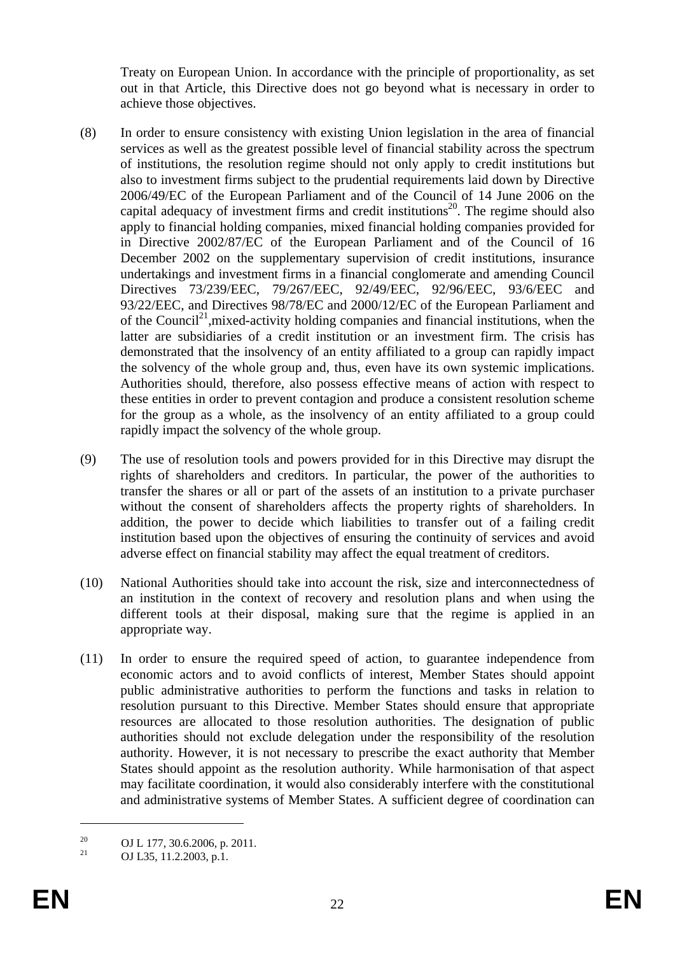Treaty on European Union. In accordance with the principle of proportionality, as set out in that Article, this Directive does not go beyond what is necessary in order to achieve those objectives.

- (8) In order to ensure consistency with existing Union legislation in the area of financial services as well as the greatest possible level of financial stability across the spectrum of institutions, the resolution regime should not only apply to credit institutions but also to investment firms subject to the prudential requirements laid down by Directive 2006/49/EC of the European Parliament and of the Council of 14 June 2006 on the capital adequacy of investment firms and credit institutions<sup>20</sup>. The regime should also apply to financial holding companies, mixed financial holding companies provided for in Directive 2002/87/EC of the European Parliament and of the Council of 16 December 2002 on the supplementary supervision of credit institutions, insurance undertakings and investment firms in a financial conglomerate and amending Council Directives 73/239/EEC, 79/267/EEC, 92/49/EEC, 92/96/EEC, 93/6/EEC and 93/22/EEC, and Directives 98/78/EC and 2000/12/EC of the European Parliament and of the Council<sup>21</sup>, mixed-activity holding companies and financial institutions, when the latter are subsidiaries of a credit institution or an investment firm. The crisis has demonstrated that the insolvency of an entity affiliated to a group can rapidly impact the solvency of the whole group and, thus, even have its own systemic implications. Authorities should, therefore, also possess effective means of action with respect to these entities in order to prevent contagion and produce a consistent resolution scheme for the group as a whole, as the insolvency of an entity affiliated to a group could rapidly impact the solvency of the whole group.
- (9) The use of resolution tools and powers provided for in this Directive may disrupt the rights of shareholders and creditors. In particular, the power of the authorities to transfer the shares or all or part of the assets of an institution to a private purchaser without the consent of shareholders affects the property rights of shareholders. In addition, the power to decide which liabilities to transfer out of a failing credit institution based upon the objectives of ensuring the continuity of services and avoid adverse effect on financial stability may affect the equal treatment of creditors.
- (10) National Authorities should take into account the risk, size and interconnectedness of an institution in the context of recovery and resolution plans and when using the different tools at their disposal, making sure that the regime is applied in an appropriate way.
- (11) In order to ensure the required speed of action, to guarantee independence from economic actors and to avoid conflicts of interest, Member States should appoint public administrative authorities to perform the functions and tasks in relation to resolution pursuant to this Directive. Member States should ensure that appropriate resources are allocated to those resolution authorities. The designation of public authorities should not exclude delegation under the responsibility of the resolution authority. However, it is not necessary to prescribe the exact authority that Member States should appoint as the resolution authority. While harmonisation of that aspect may facilitate coordination, it would also considerably interfere with the constitutional and administrative systems of Member States. A sufficient degree of coordination can

<u>.</u>

<sup>&</sup>lt;sup>20</sup> OJ L 177, 30.6.2006, p. 2011.

<sup>21</sup> OJ L35, 11.2.2003, p.1.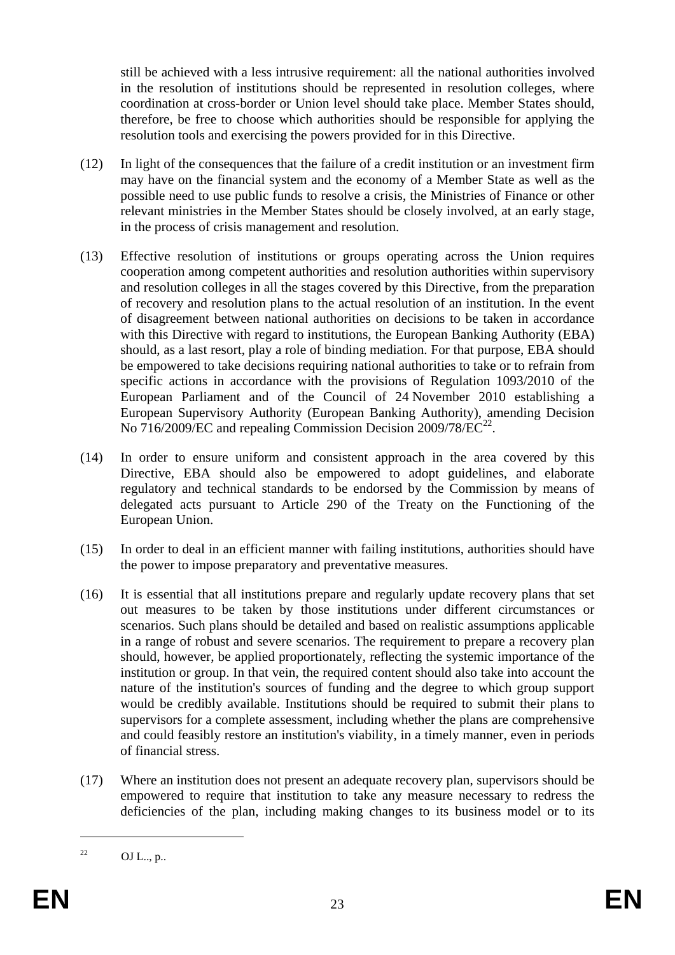still be achieved with a less intrusive requirement: all the national authorities involved in the resolution of institutions should be represented in resolution colleges, where coordination at cross-border or Union level should take place. Member States should, therefore, be free to choose which authorities should be responsible for applying the resolution tools and exercising the powers provided for in this Directive.

- (12) In light of the consequences that the failure of a credit institution or an investment firm may have on the financial system and the economy of a Member State as well as the possible need to use public funds to resolve a crisis, the Ministries of Finance or other relevant ministries in the Member States should be closely involved, at an early stage, in the process of crisis management and resolution.
- (13) Effective resolution of institutions or groups operating across the Union requires cooperation among competent authorities and resolution authorities within supervisory and resolution colleges in all the stages covered by this Directive, from the preparation of recovery and resolution plans to the actual resolution of an institution. In the event of disagreement between national authorities on decisions to be taken in accordance with this Directive with regard to institutions, the European Banking Authority (EBA) should, as a last resort, play a role of binding mediation. For that purpose, EBA should be empowered to take decisions requiring national authorities to take or to refrain from specific actions in accordance with the provisions of Regulation 1093/2010 of the European Parliament and of the Council of 24 November 2010 establishing a European Supervisory Authority (European Banking Authority), amending Decision No 716/2009/EC and repealing Commission Decision  $2009/78/EC^{22}$ .
- (14) In order to ensure uniform and consistent approach in the area covered by this Directive, EBA should also be empowered to adopt guidelines, and elaborate regulatory and technical standards to be endorsed by the Commission by means of delegated acts pursuant to Article 290 of the Treaty on the Functioning of the European Union.
- (15) In order to deal in an efficient manner with failing institutions, authorities should have the power to impose preparatory and preventative measures.
- (16) It is essential that all institutions prepare and regularly update recovery plans that set out measures to be taken by those institutions under different circumstances or scenarios. Such plans should be detailed and based on realistic assumptions applicable in a range of robust and severe scenarios. The requirement to prepare a recovery plan should, however, be applied proportionately, reflecting the systemic importance of the institution or group. In that vein, the required content should also take into account the nature of the institution's sources of funding and the degree to which group support would be credibly available. Institutions should be required to submit their plans to supervisors for a complete assessment, including whether the plans are comprehensive and could feasibly restore an institution's viability, in a timely manner, even in periods of financial stress.
- (17) Where an institution does not present an adequate recovery plan, supervisors should be empowered to require that institution to take any measure necessary to redress the deficiencies of the plan, including making changes to its business model or to its

<sup>&</sup>lt;sup>22</sup> OJ L.., p..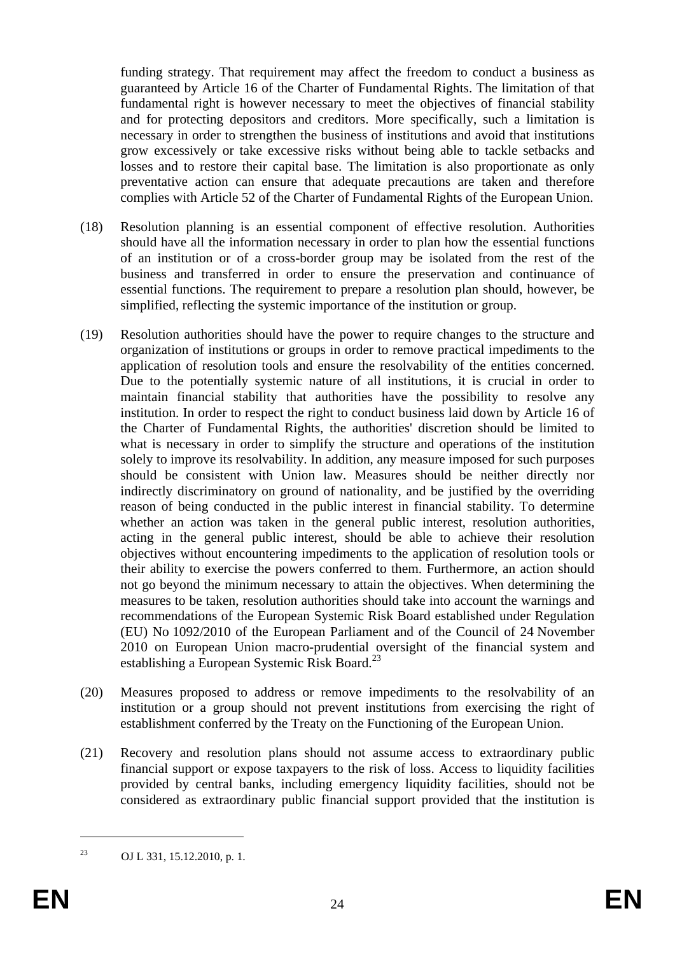funding strategy. That requirement may affect the freedom to conduct a business as guaranteed by Article 16 of the Charter of Fundamental Rights. The limitation of that fundamental right is however necessary to meet the objectives of financial stability and for protecting depositors and creditors. More specifically, such a limitation is necessary in order to strengthen the business of institutions and avoid that institutions grow excessively or take excessive risks without being able to tackle setbacks and losses and to restore their capital base. The limitation is also proportionate as only preventative action can ensure that adequate precautions are taken and therefore complies with Article 52 of the Charter of Fundamental Rights of the European Union.

- (18) Resolution planning is an essential component of effective resolution. Authorities should have all the information necessary in order to plan how the essential functions of an institution or of a cross-border group may be isolated from the rest of the business and transferred in order to ensure the preservation and continuance of essential functions. The requirement to prepare a resolution plan should, however, be simplified, reflecting the systemic importance of the institution or group.
- (19) Resolution authorities should have the power to require changes to the structure and organization of institutions or groups in order to remove practical impediments to the application of resolution tools and ensure the resolvability of the entities concerned. Due to the potentially systemic nature of all institutions, it is crucial in order to maintain financial stability that authorities have the possibility to resolve any institution. In order to respect the right to conduct business laid down by Article 16 of the Charter of Fundamental Rights, the authorities' discretion should be limited to what is necessary in order to simplify the structure and operations of the institution solely to improve its resolvability. In addition, any measure imposed for such purposes should be consistent with Union law. Measures should be neither directly nor indirectly discriminatory on ground of nationality, and be justified by the overriding reason of being conducted in the public interest in financial stability. To determine whether an action was taken in the general public interest, resolution authorities, acting in the general public interest, should be able to achieve their resolution objectives without encountering impediments to the application of resolution tools or their ability to exercise the powers conferred to them. Furthermore, an action should not go beyond the minimum necessary to attain the objectives. When determining the measures to be taken, resolution authorities should take into account the warnings and recommendations of the European Systemic Risk Board established under Regulation (EU) No 1092/2010 of the European Parliament and of the Council of 24 November 2010 on European Union macro-prudential oversight of the financial system and establishing a European Systemic Risk Board.<sup>23</sup>
- (20) Measures proposed to address or remove impediments to the resolvability of an institution or a group should not prevent institutions from exercising the right of establishment conferred by the Treaty on the Functioning of the European Union.
- (21) Recovery and resolution plans should not assume access to extraordinary public financial support or expose taxpayers to the risk of loss. Access to liquidity facilities provided by central banks, including emergency liquidity facilities, should not be considered as extraordinary public financial support provided that the institution is

<sup>23</sup> OJ L 331, 15.12.2010, p. 1.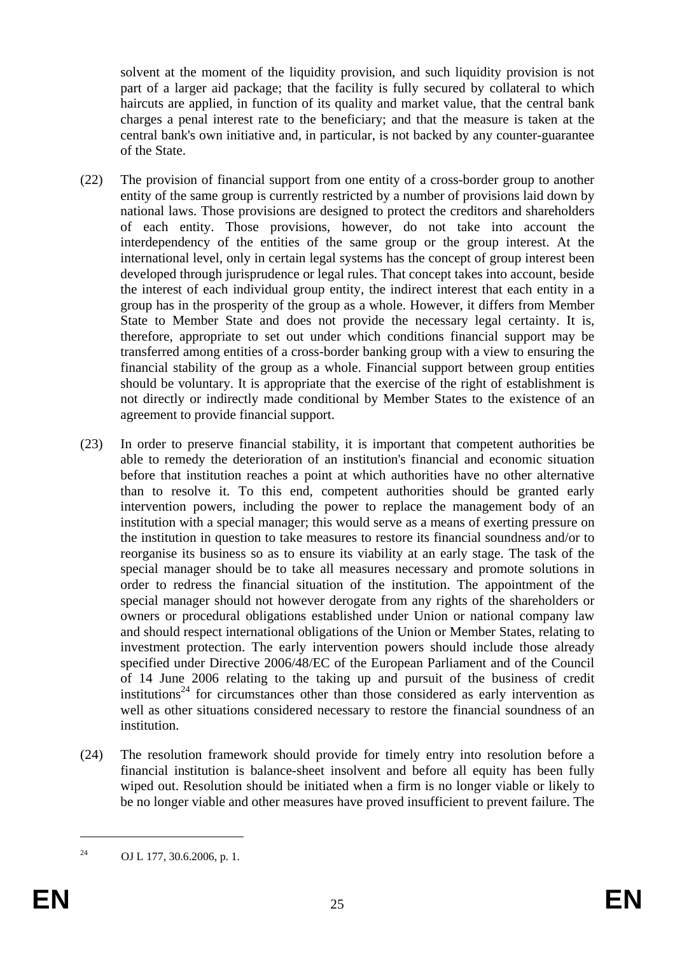solvent at the moment of the liquidity provision, and such liquidity provision is not part of a larger aid package; that the facility is fully secured by collateral to which haircuts are applied, in function of its quality and market value, that the central bank charges a penal interest rate to the beneficiary; and that the measure is taken at the central bank's own initiative and, in particular, is not backed by any counter-guarantee of the State.

- (22) The provision of financial support from one entity of a cross-border group to another entity of the same group is currently restricted by a number of provisions laid down by national laws. Those provisions are designed to protect the creditors and shareholders of each entity. Those provisions, however, do not take into account the interdependency of the entities of the same group or the group interest. At the international level, only in certain legal systems has the concept of group interest been developed through jurisprudence or legal rules. That concept takes into account, beside the interest of each individual group entity, the indirect interest that each entity in a group has in the prosperity of the group as a whole. However, it differs from Member State to Member State and does not provide the necessary legal certainty. It is, therefore, appropriate to set out under which conditions financial support may be transferred among entities of a cross-border banking group with a view to ensuring the financial stability of the group as a whole. Financial support between group entities should be voluntary. It is appropriate that the exercise of the right of establishment is not directly or indirectly made conditional by Member States to the existence of an agreement to provide financial support.
- (23) In order to preserve financial stability, it is important that competent authorities be able to remedy the deterioration of an institution's financial and economic situation before that institution reaches a point at which authorities have no other alternative than to resolve it. To this end, competent authorities should be granted early intervention powers, including the power to replace the management body of an institution with a special manager; this would serve as a means of exerting pressure on the institution in question to take measures to restore its financial soundness and/or to reorganise its business so as to ensure its viability at an early stage. The task of the special manager should be to take all measures necessary and promote solutions in order to redress the financial situation of the institution. The appointment of the special manager should not however derogate from any rights of the shareholders or owners or procedural obligations established under Union or national company law and should respect international obligations of the Union or Member States, relating to investment protection. The early intervention powers should include those already specified under Directive 2006/48/EC of the European Parliament and of the Council of 14 June 2006 relating to the taking up and pursuit of the business of credit institutions<sup>24</sup> for circumstances other than those considered as early intervention as well as other situations considered necessary to restore the financial soundness of an institution.
- (24) The resolution framework should provide for timely entry into resolution before a financial institution is balance-sheet insolvent and before all equity has been fully wiped out. Resolution should be initiated when a firm is no longer viable or likely to be no longer viable and other measures have proved insufficient to prevent failure. The

<sup>24</sup> OJ L 177, 30.6.2006, p. 1.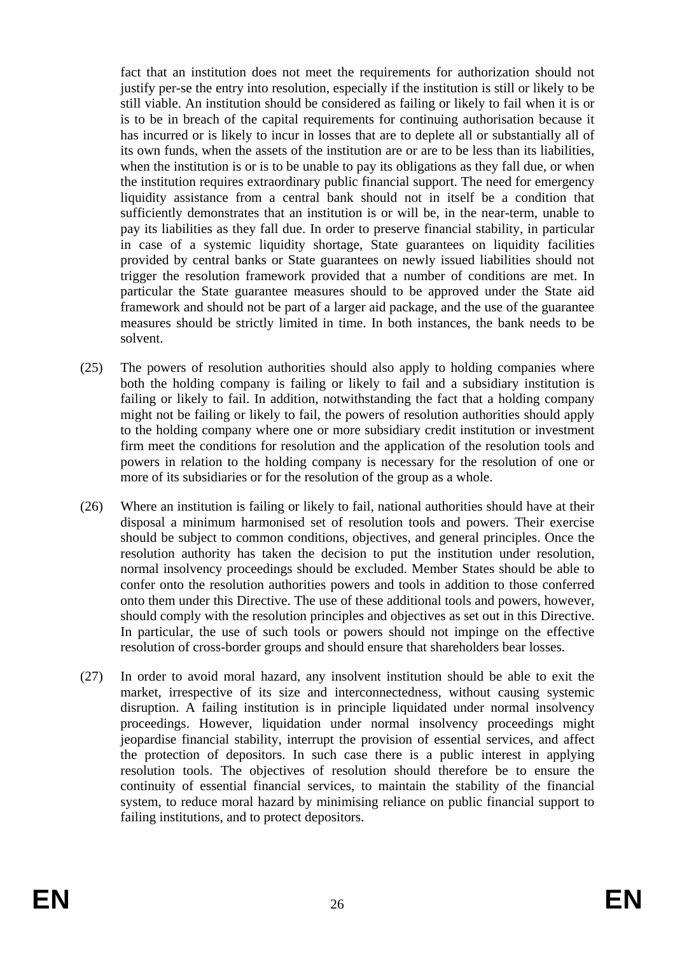fact that an institution does not meet the requirements for authorization should not justify per-se the entry into resolution, especially if the institution is still or likely to be still viable. An institution should be considered as failing or likely to fail when it is or is to be in breach of the capital requirements for continuing authorisation because it has incurred or is likely to incur in losses that are to deplete all or substantially all of its own funds, when the assets of the institution are or are to be less than its liabilities, when the institution is or is to be unable to pay its obligations as they fall due, or when the institution requires extraordinary public financial support. The need for emergency liquidity assistance from a central bank should not in itself be a condition that sufficiently demonstrates that an institution is or will be, in the near-term, unable to pay its liabilities as they fall due. In order to preserve financial stability, in particular in case of a systemic liquidity shortage, State guarantees on liquidity facilities provided by central banks or State guarantees on newly issued liabilities should not trigger the resolution framework provided that a number of conditions are met. In particular the State guarantee measures should to be approved under the State aid framework and should not be part of a larger aid package, and the use of the guarantee measures should be strictly limited in time. In both instances, the bank needs to be solvent.

- (25) The powers of resolution authorities should also apply to holding companies where both the holding company is failing or likely to fail and a subsidiary institution is failing or likely to fail. In addition, notwithstanding the fact that a holding company might not be failing or likely to fail, the powers of resolution authorities should apply to the holding company where one or more subsidiary credit institution or investment firm meet the conditions for resolution and the application of the resolution tools and powers in relation to the holding company is necessary for the resolution of one or more of its subsidiaries or for the resolution of the group as a whole.
- (26) Where an institution is failing or likely to fail, national authorities should have at their disposal a minimum harmonised set of resolution tools and powers. Their exercise should be subject to common conditions, objectives, and general principles. Once the resolution authority has taken the decision to put the institution under resolution, normal insolvency proceedings should be excluded. Member States should be able to confer onto the resolution authorities powers and tools in addition to those conferred onto them under this Directive. The use of these additional tools and powers, however, should comply with the resolution principles and objectives as set out in this Directive. In particular, the use of such tools or powers should not impinge on the effective resolution of cross-border groups and should ensure that shareholders bear losses.
- (27) In order to avoid moral hazard, any insolvent institution should be able to exit the market, irrespective of its size and interconnectedness, without causing systemic disruption. A failing institution is in principle liquidated under normal insolvency proceedings. However, liquidation under normal insolvency proceedings might jeopardise financial stability, interrupt the provision of essential services, and affect the protection of depositors. In such case there is a public interest in applying resolution tools. The objectives of resolution should therefore be to ensure the continuity of essential financial services, to maintain the stability of the financial system, to reduce moral hazard by minimising reliance on public financial support to failing institutions, and to protect depositors.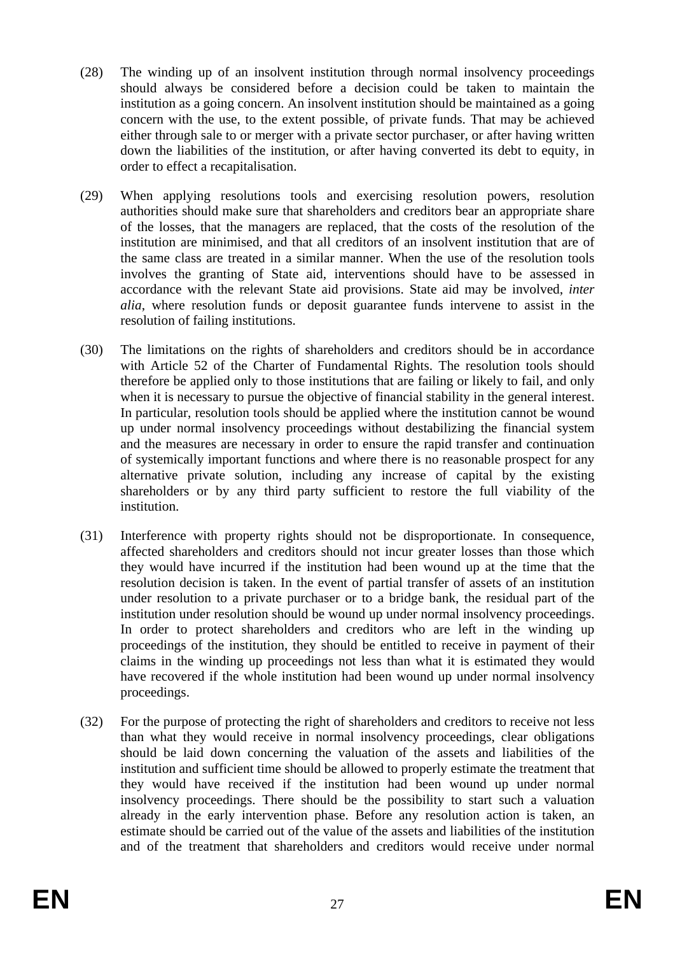- (28) The winding up of an insolvent institution through normal insolvency proceedings should always be considered before a decision could be taken to maintain the institution as a going concern. An insolvent institution should be maintained as a going concern with the use, to the extent possible, of private funds. That may be achieved either through sale to or merger with a private sector purchaser, or after having written down the liabilities of the institution, or after having converted its debt to equity, in order to effect a recapitalisation.
- (29) When applying resolutions tools and exercising resolution powers, resolution authorities should make sure that shareholders and creditors bear an appropriate share of the losses, that the managers are replaced, that the costs of the resolution of the institution are minimised, and that all creditors of an insolvent institution that are of the same class are treated in a similar manner. When the use of the resolution tools involves the granting of State aid, interventions should have to be assessed in accordance with the relevant State aid provisions. State aid may be involved, *inter alia*, where resolution funds or deposit guarantee funds intervene to assist in the resolution of failing institutions.
- (30) The limitations on the rights of shareholders and creditors should be in accordance with Article 52 of the Charter of Fundamental Rights. The resolution tools should therefore be applied only to those institutions that are failing or likely to fail, and only when it is necessary to pursue the objective of financial stability in the general interest. In particular, resolution tools should be applied where the institution cannot be wound up under normal insolvency proceedings without destabilizing the financial system and the measures are necessary in order to ensure the rapid transfer and continuation of systemically important functions and where there is no reasonable prospect for any alternative private solution, including any increase of capital by the existing shareholders or by any third party sufficient to restore the full viability of the institution.
- (31) Interference with property rights should not be disproportionate. In consequence, affected shareholders and creditors should not incur greater losses than those which they would have incurred if the institution had been wound up at the time that the resolution decision is taken. In the event of partial transfer of assets of an institution under resolution to a private purchaser or to a bridge bank, the residual part of the institution under resolution should be wound up under normal insolvency proceedings. In order to protect shareholders and creditors who are left in the winding up proceedings of the institution, they should be entitled to receive in payment of their claims in the winding up proceedings not less than what it is estimated they would have recovered if the whole institution had been wound up under normal insolvency proceedings.
- (32) For the purpose of protecting the right of shareholders and creditors to receive not less than what they would receive in normal insolvency proceedings, clear obligations should be laid down concerning the valuation of the assets and liabilities of the institution and sufficient time should be allowed to properly estimate the treatment that they would have received if the institution had been wound up under normal insolvency proceedings. There should be the possibility to start such a valuation already in the early intervention phase. Before any resolution action is taken, an estimate should be carried out of the value of the assets and liabilities of the institution and of the treatment that shareholders and creditors would receive under normal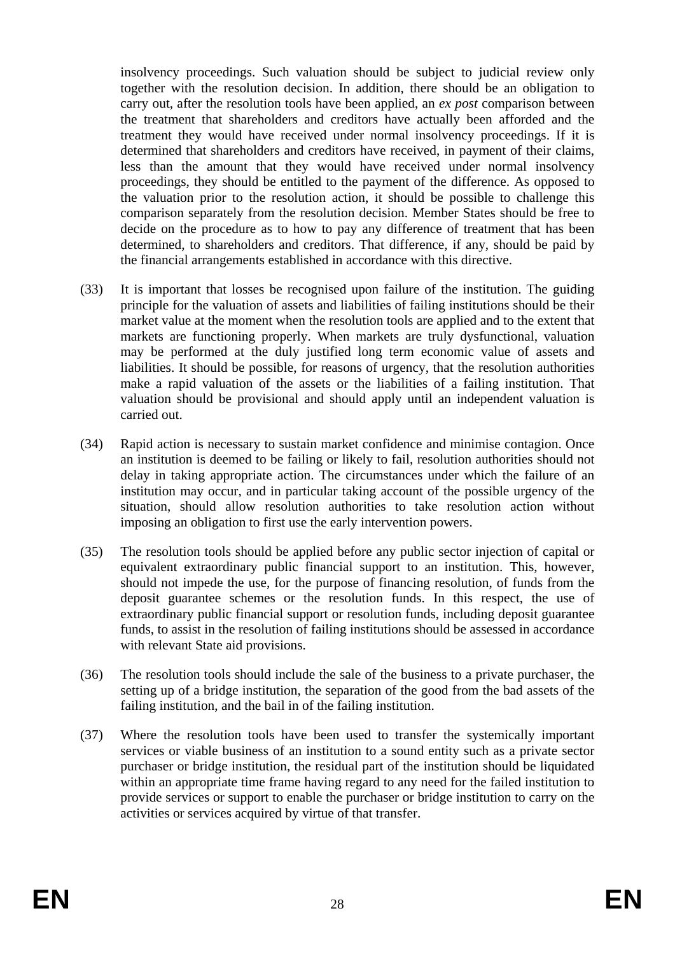insolvency proceedings. Such valuation should be subject to judicial review only together with the resolution decision. In addition, there should be an obligation to carry out, after the resolution tools have been applied, an *ex post* comparison between the treatment that shareholders and creditors have actually been afforded and the treatment they would have received under normal insolvency proceedings. If it is determined that shareholders and creditors have received, in payment of their claims, less than the amount that they would have received under normal insolvency proceedings, they should be entitled to the payment of the difference. As opposed to the valuation prior to the resolution action, it should be possible to challenge this comparison separately from the resolution decision. Member States should be free to decide on the procedure as to how to pay any difference of treatment that has been determined, to shareholders and creditors. That difference, if any, should be paid by the financial arrangements established in accordance with this directive.

- (33) It is important that losses be recognised upon failure of the institution. The guiding principle for the valuation of assets and liabilities of failing institutions should be their market value at the moment when the resolution tools are applied and to the extent that markets are functioning properly. When markets are truly dysfunctional, valuation may be performed at the duly justified long term economic value of assets and liabilities. It should be possible, for reasons of urgency, that the resolution authorities make a rapid valuation of the assets or the liabilities of a failing institution. That valuation should be provisional and should apply until an independent valuation is carried out.
- (34) Rapid action is necessary to sustain market confidence and minimise contagion. Once an institution is deemed to be failing or likely to fail, resolution authorities should not delay in taking appropriate action. The circumstances under which the failure of an institution may occur, and in particular taking account of the possible urgency of the situation, should allow resolution authorities to take resolution action without imposing an obligation to first use the early intervention powers.
- (35) The resolution tools should be applied before any public sector injection of capital or equivalent extraordinary public financial support to an institution. This, however, should not impede the use, for the purpose of financing resolution, of funds from the deposit guarantee schemes or the resolution funds. In this respect, the use of extraordinary public financial support or resolution funds, including deposit guarantee funds, to assist in the resolution of failing institutions should be assessed in accordance with relevant State aid provisions.
- (36) The resolution tools should include the sale of the business to a private purchaser, the setting up of a bridge institution, the separation of the good from the bad assets of the failing institution, and the bail in of the failing institution.
- (37) Where the resolution tools have been used to transfer the systemically important services or viable business of an institution to a sound entity such as a private sector purchaser or bridge institution, the residual part of the institution should be liquidated within an appropriate time frame having regard to any need for the failed institution to provide services or support to enable the purchaser or bridge institution to carry on the activities or services acquired by virtue of that transfer.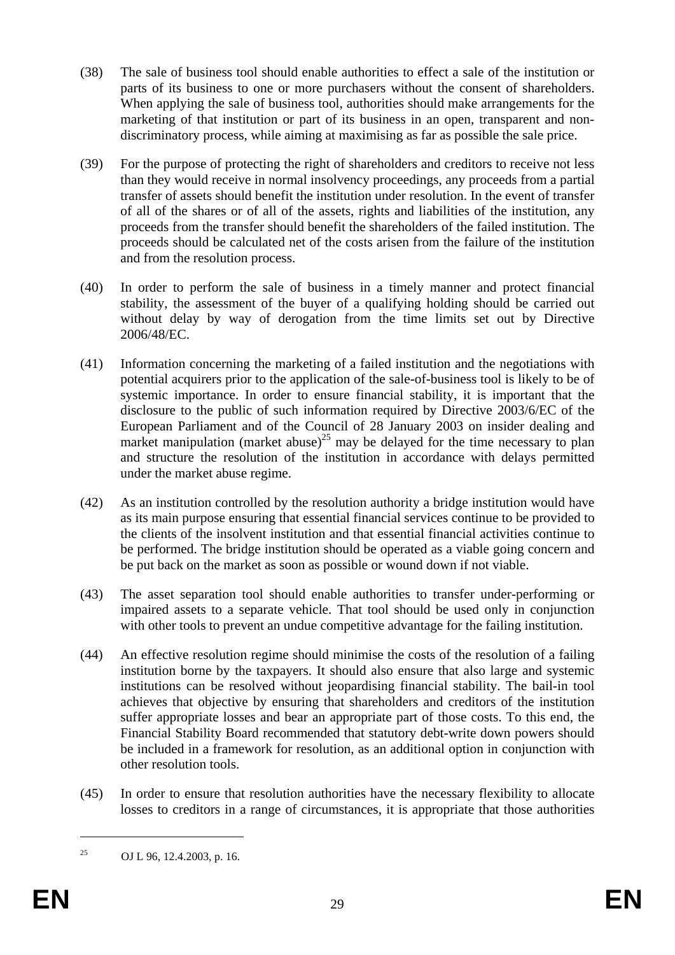- (38) The sale of business tool should enable authorities to effect a sale of the institution or parts of its business to one or more purchasers without the consent of shareholders. When applying the sale of business tool, authorities should make arrangements for the marketing of that institution or part of its business in an open, transparent and nondiscriminatory process, while aiming at maximising as far as possible the sale price.
- (39) For the purpose of protecting the right of shareholders and creditors to receive not less than they would receive in normal insolvency proceedings, any proceeds from a partial transfer of assets should benefit the institution under resolution. In the event of transfer of all of the shares or of all of the assets, rights and liabilities of the institution, any proceeds from the transfer should benefit the shareholders of the failed institution. The proceeds should be calculated net of the costs arisen from the failure of the institution and from the resolution process.
- (40) In order to perform the sale of business in a timely manner and protect financial stability, the assessment of the buyer of a qualifying holding should be carried out without delay by way of derogation from the time limits set out by Directive 2006/48/EC.
- (41) Information concerning the marketing of a failed institution and the negotiations with potential acquirers prior to the application of the sale-of-business tool is likely to be of systemic importance. In order to ensure financial stability, it is important that the disclosure to the public of such information required by Directive 2003/6/EC of the European Parliament and of the Council of 28 January 2003 on insider dealing and market manipulation (market abuse)<sup>25</sup> may be delayed for the time necessary to plan and structure the resolution of the institution in accordance with delays permitted under the market abuse regime.
- (42) As an institution controlled by the resolution authority a bridge institution would have as its main purpose ensuring that essential financial services continue to be provided to the clients of the insolvent institution and that essential financial activities continue to be performed. The bridge institution should be operated as a viable going concern and be put back on the market as soon as possible or wound down if not viable.
- (43) The asset separation tool should enable authorities to transfer under-performing or impaired assets to a separate vehicle. That tool should be used only in conjunction with other tools to prevent an undue competitive advantage for the failing institution.
- (44) An effective resolution regime should minimise the costs of the resolution of a failing institution borne by the taxpayers. It should also ensure that also large and systemic institutions can be resolved without jeopardising financial stability. The bail-in tool achieves that objective by ensuring that shareholders and creditors of the institution suffer appropriate losses and bear an appropriate part of those costs. To this end, the Financial Stability Board recommended that statutory debt-write down powers should be included in a framework for resolution, as an additional option in conjunction with other resolution tools.
- (45) In order to ensure that resolution authorities have the necessary flexibility to allocate losses to creditors in a range of circumstances, it is appropriate that those authorities

<sup>&</sup>lt;sup>25</sup> OJ L 96, 12.4.2003, p. 16.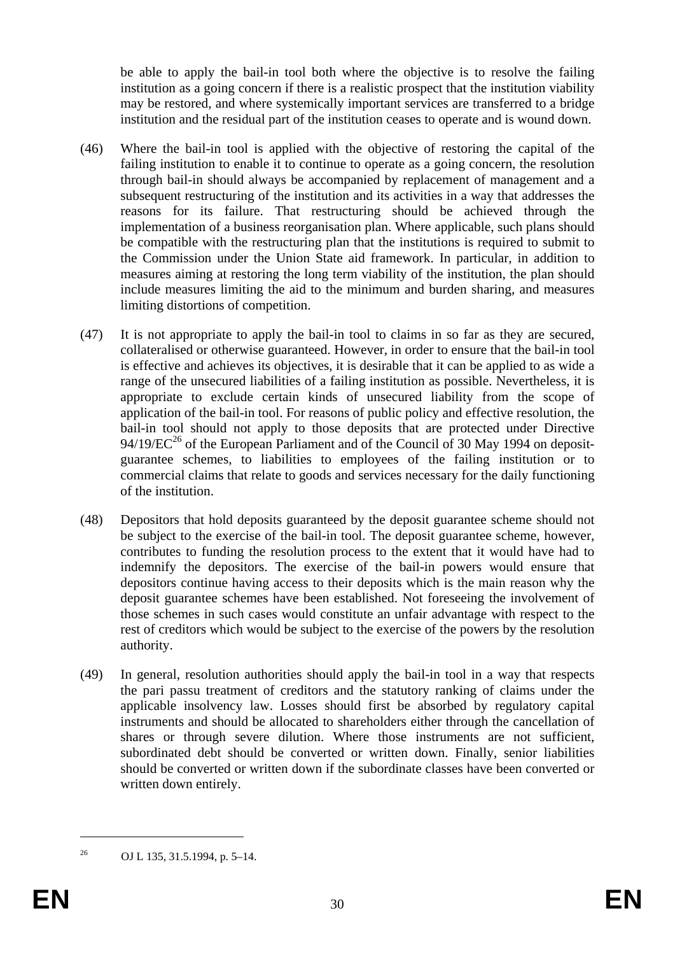be able to apply the bail-in tool both where the objective is to resolve the failing institution as a going concern if there is a realistic prospect that the institution viability may be restored, and where systemically important services are transferred to a bridge institution and the residual part of the institution ceases to operate and is wound down.

- (46) Where the bail-in tool is applied with the objective of restoring the capital of the failing institution to enable it to continue to operate as a going concern, the resolution through bail-in should always be accompanied by replacement of management and a subsequent restructuring of the institution and its activities in a way that addresses the reasons for its failure. That restructuring should be achieved through the implementation of a business reorganisation plan. Where applicable, such plans should be compatible with the restructuring plan that the institutions is required to submit to the Commission under the Union State aid framework. In particular, in addition to measures aiming at restoring the long term viability of the institution, the plan should include measures limiting the aid to the minimum and burden sharing, and measures limiting distortions of competition.
- (47) It is not appropriate to apply the bail-in tool to claims in so far as they are secured, collateralised or otherwise guaranteed. However, in order to ensure that the bail-in tool is effective and achieves its objectives, it is desirable that it can be applied to as wide a range of the unsecured liabilities of a failing institution as possible. Nevertheless, it is appropriate to exclude certain kinds of unsecured liability from the scope of application of the bail-in tool. For reasons of public policy and effective resolution, the bail-in tool should not apply to those deposits that are protected under Directive  $94/19/EC^{26}$  of the European Parliament and of the Council of 30 May 1994 on depositguarantee schemes, to liabilities to employees of the failing institution or to commercial claims that relate to goods and services necessary for the daily functioning of the institution.
- (48) Depositors that hold deposits guaranteed by the deposit guarantee scheme should not be subject to the exercise of the bail-in tool. The deposit guarantee scheme, however, contributes to funding the resolution process to the extent that it would have had to indemnify the depositors. The exercise of the bail-in powers would ensure that depositors continue having access to their deposits which is the main reason why the deposit guarantee schemes have been established. Not foreseeing the involvement of those schemes in such cases would constitute an unfair advantage with respect to the rest of creditors which would be subject to the exercise of the powers by the resolution authority.
- (49) In general, resolution authorities should apply the bail-in tool in a way that respects the pari passu treatment of creditors and the statutory ranking of claims under the applicable insolvency law. Losses should first be absorbed by regulatory capital instruments and should be allocated to shareholders either through the cancellation of shares or through severe dilution. Where those instruments are not sufficient, subordinated debt should be converted or written down. Finally, senior liabilities should be converted or written down if the subordinate classes have been converted or written down entirely.

<sup>26</sup> OJ L 135, 31.5.1994, p. 5–14.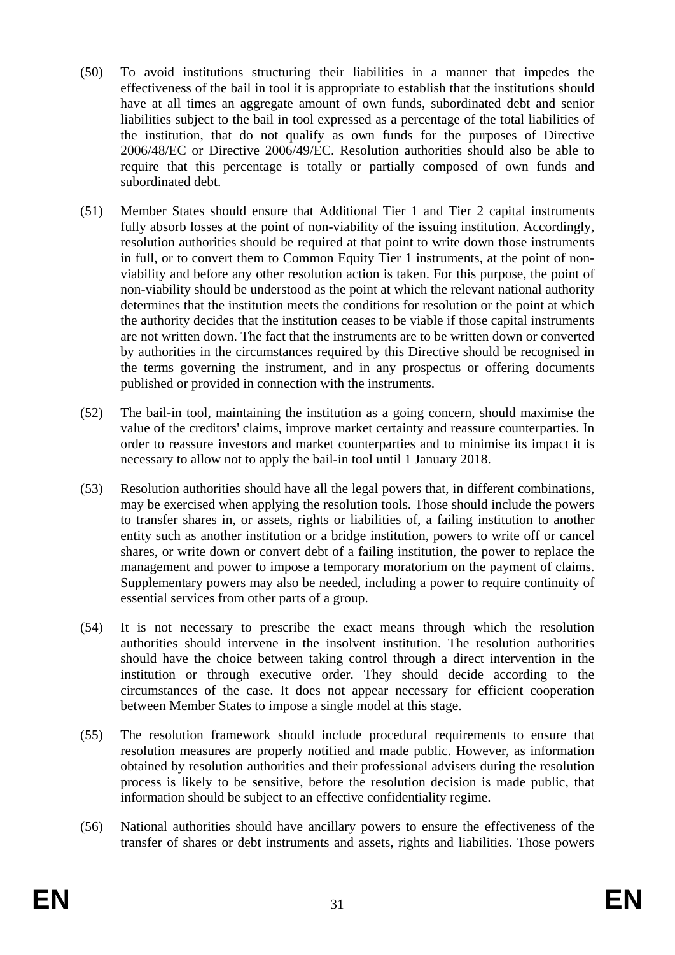- (50) To avoid institutions structuring their liabilities in a manner that impedes the effectiveness of the bail in tool it is appropriate to establish that the institutions should have at all times an aggregate amount of own funds, subordinated debt and senior liabilities subject to the bail in tool expressed as a percentage of the total liabilities of the institution, that do not qualify as own funds for the purposes of Directive 2006/48/EC or Directive 2006/49/EC. Resolution authorities should also be able to require that this percentage is totally or partially composed of own funds and subordinated debt.
- (51) Member States should ensure that Additional Tier 1 and Tier 2 capital instruments fully absorb losses at the point of non-viability of the issuing institution. Accordingly, resolution authorities should be required at that point to write down those instruments in full, or to convert them to Common Equity Tier 1 instruments, at the point of nonviability and before any other resolution action is taken. For this purpose, the point of non-viability should be understood as the point at which the relevant national authority determines that the institution meets the conditions for resolution or the point at which the authority decides that the institution ceases to be viable if those capital instruments are not written down. The fact that the instruments are to be written down or converted by authorities in the circumstances required by this Directive should be recognised in the terms governing the instrument, and in any prospectus or offering documents published or provided in connection with the instruments.
- (52) The bail-in tool, maintaining the institution as a going concern, should maximise the value of the creditors' claims, improve market certainty and reassure counterparties. In order to reassure investors and market counterparties and to minimise its impact it is necessary to allow not to apply the bail-in tool until 1 January 2018.
- (53) Resolution authorities should have all the legal powers that, in different combinations, may be exercised when applying the resolution tools. Those should include the powers to transfer shares in, or assets, rights or liabilities of, a failing institution to another entity such as another institution or a bridge institution, powers to write off or cancel shares, or write down or convert debt of a failing institution, the power to replace the management and power to impose a temporary moratorium on the payment of claims. Supplementary powers may also be needed, including a power to require continuity of essential services from other parts of a group.
- (54) It is not necessary to prescribe the exact means through which the resolution authorities should intervene in the insolvent institution. The resolution authorities should have the choice between taking control through a direct intervention in the institution or through executive order. They should decide according to the circumstances of the case. It does not appear necessary for efficient cooperation between Member States to impose a single model at this stage.
- (55) The resolution framework should include procedural requirements to ensure that resolution measures are properly notified and made public. However, as information obtained by resolution authorities and their professional advisers during the resolution process is likely to be sensitive, before the resolution decision is made public, that information should be subject to an effective confidentiality regime.
- (56) National authorities should have ancillary powers to ensure the effectiveness of the transfer of shares or debt instruments and assets, rights and liabilities. Those powers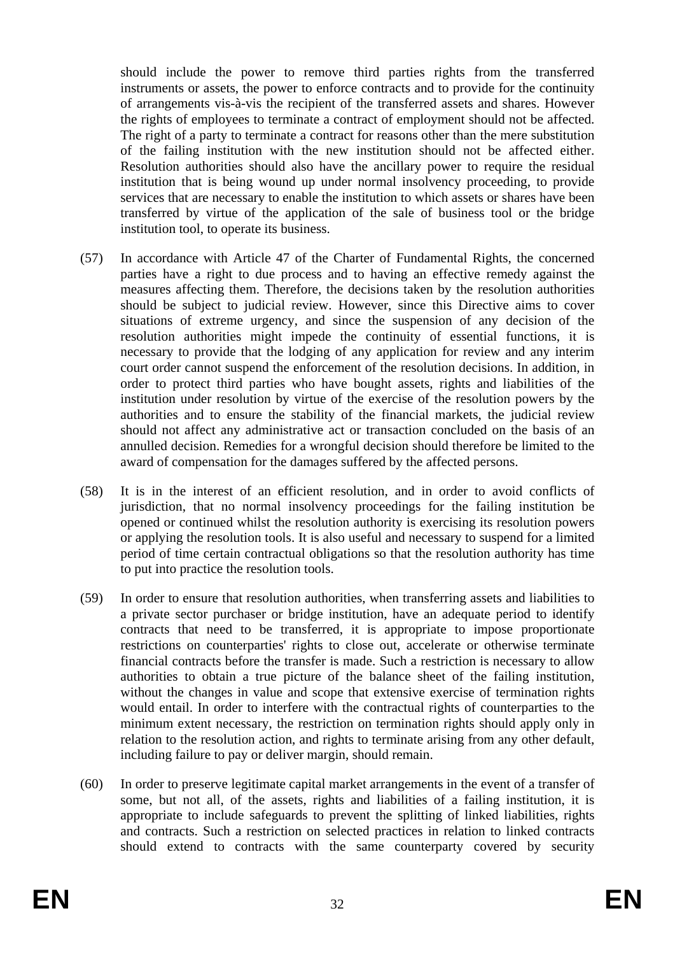should include the power to remove third parties rights from the transferred instruments or assets, the power to enforce contracts and to provide for the continuity of arrangements vis-à-vis the recipient of the transferred assets and shares. However the rights of employees to terminate a contract of employment should not be affected. The right of a party to terminate a contract for reasons other than the mere substitution of the failing institution with the new institution should not be affected either. Resolution authorities should also have the ancillary power to require the residual institution that is being wound up under normal insolvency proceeding, to provide services that are necessary to enable the institution to which assets or shares have been transferred by virtue of the application of the sale of business tool or the bridge institution tool, to operate its business.

- (57) In accordance with Article 47 of the Charter of Fundamental Rights, the concerned parties have a right to due process and to having an effective remedy against the measures affecting them. Therefore, the decisions taken by the resolution authorities should be subject to judicial review. However, since this Directive aims to cover situations of extreme urgency, and since the suspension of any decision of the resolution authorities might impede the continuity of essential functions, it is necessary to provide that the lodging of any application for review and any interim court order cannot suspend the enforcement of the resolution decisions. In addition, in order to protect third parties who have bought assets, rights and liabilities of the institution under resolution by virtue of the exercise of the resolution powers by the authorities and to ensure the stability of the financial markets, the judicial review should not affect any administrative act or transaction concluded on the basis of an annulled decision. Remedies for a wrongful decision should therefore be limited to the award of compensation for the damages suffered by the affected persons.
- (58) It is in the interest of an efficient resolution, and in order to avoid conflicts of jurisdiction, that no normal insolvency proceedings for the failing institution be opened or continued whilst the resolution authority is exercising its resolution powers or applying the resolution tools. It is also useful and necessary to suspend for a limited period of time certain contractual obligations so that the resolution authority has time to put into practice the resolution tools.
- (59) In order to ensure that resolution authorities, when transferring assets and liabilities to a private sector purchaser or bridge institution, have an adequate period to identify contracts that need to be transferred, it is appropriate to impose proportionate restrictions on counterparties' rights to close out, accelerate or otherwise terminate financial contracts before the transfer is made. Such a restriction is necessary to allow authorities to obtain a true picture of the balance sheet of the failing institution, without the changes in value and scope that extensive exercise of termination rights would entail. In order to interfere with the contractual rights of counterparties to the minimum extent necessary, the restriction on termination rights should apply only in relation to the resolution action, and rights to terminate arising from any other default, including failure to pay or deliver margin, should remain.
- (60) In order to preserve legitimate capital market arrangements in the event of a transfer of some, but not all, of the assets, rights and liabilities of a failing institution, it is appropriate to include safeguards to prevent the splitting of linked liabilities, rights and contracts. Such a restriction on selected practices in relation to linked contracts should extend to contracts with the same counterparty covered by security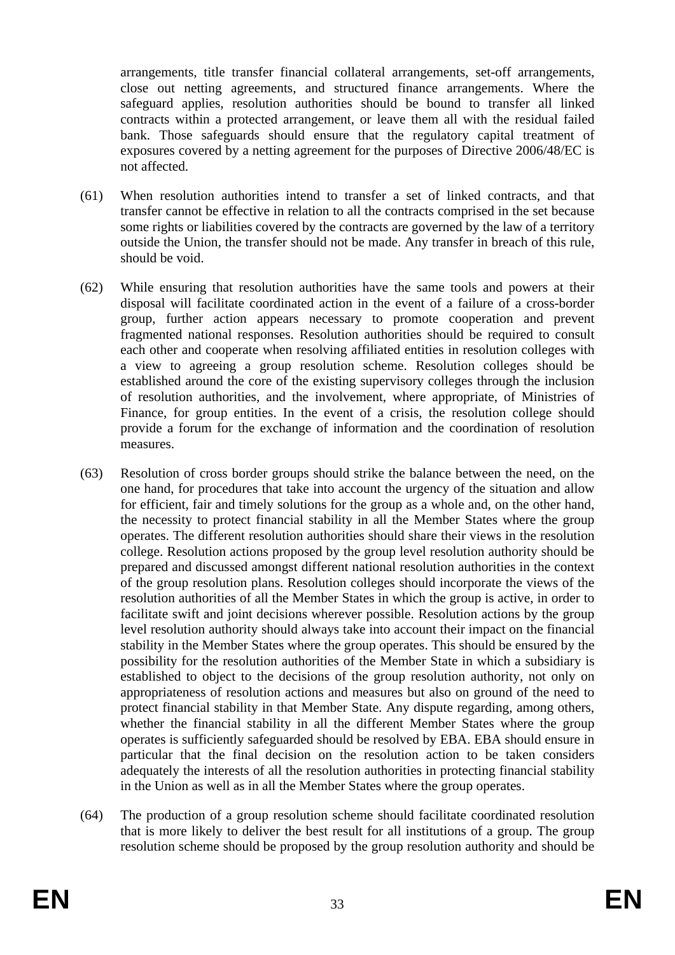arrangements, title transfer financial collateral arrangements, set-off arrangements, close out netting agreements, and structured finance arrangements. Where the safeguard applies, resolution authorities should be bound to transfer all linked contracts within a protected arrangement, or leave them all with the residual failed bank. Those safeguards should ensure that the regulatory capital treatment of exposures covered by a netting agreement for the purposes of Directive 2006/48/EC is not affected.

- (61) When resolution authorities intend to transfer a set of linked contracts, and that transfer cannot be effective in relation to all the contracts comprised in the set because some rights or liabilities covered by the contracts are governed by the law of a territory outside the Union, the transfer should not be made. Any transfer in breach of this rule, should be void.
- (62) While ensuring that resolution authorities have the same tools and powers at their disposal will facilitate coordinated action in the event of a failure of a cross-border group, further action appears necessary to promote cooperation and prevent fragmented national responses. Resolution authorities should be required to consult each other and cooperate when resolving affiliated entities in resolution colleges with a view to agreeing a group resolution scheme. Resolution colleges should be established around the core of the existing supervisory colleges through the inclusion of resolution authorities, and the involvement, where appropriate, of Ministries of Finance, for group entities. In the event of a crisis, the resolution college should provide a forum for the exchange of information and the coordination of resolution measures.
- (63) Resolution of cross border groups should strike the balance between the need, on the one hand, for procedures that take into account the urgency of the situation and allow for efficient, fair and timely solutions for the group as a whole and, on the other hand, the necessity to protect financial stability in all the Member States where the group operates. The different resolution authorities should share their views in the resolution college. Resolution actions proposed by the group level resolution authority should be prepared and discussed amongst different national resolution authorities in the context of the group resolution plans. Resolution colleges should incorporate the views of the resolution authorities of all the Member States in which the group is active, in order to facilitate swift and joint decisions wherever possible. Resolution actions by the group level resolution authority should always take into account their impact on the financial stability in the Member States where the group operates. This should be ensured by the possibility for the resolution authorities of the Member State in which a subsidiary is established to object to the decisions of the group resolution authority, not only on appropriateness of resolution actions and measures but also on ground of the need to protect financial stability in that Member State. Any dispute regarding, among others, whether the financial stability in all the different Member States where the group operates is sufficiently safeguarded should be resolved by EBA. EBA should ensure in particular that the final decision on the resolution action to be taken considers adequately the interests of all the resolution authorities in protecting financial stability in the Union as well as in all the Member States where the group operates.
- (64) The production of a group resolution scheme should facilitate coordinated resolution that is more likely to deliver the best result for all institutions of a group. The group resolution scheme should be proposed by the group resolution authority and should be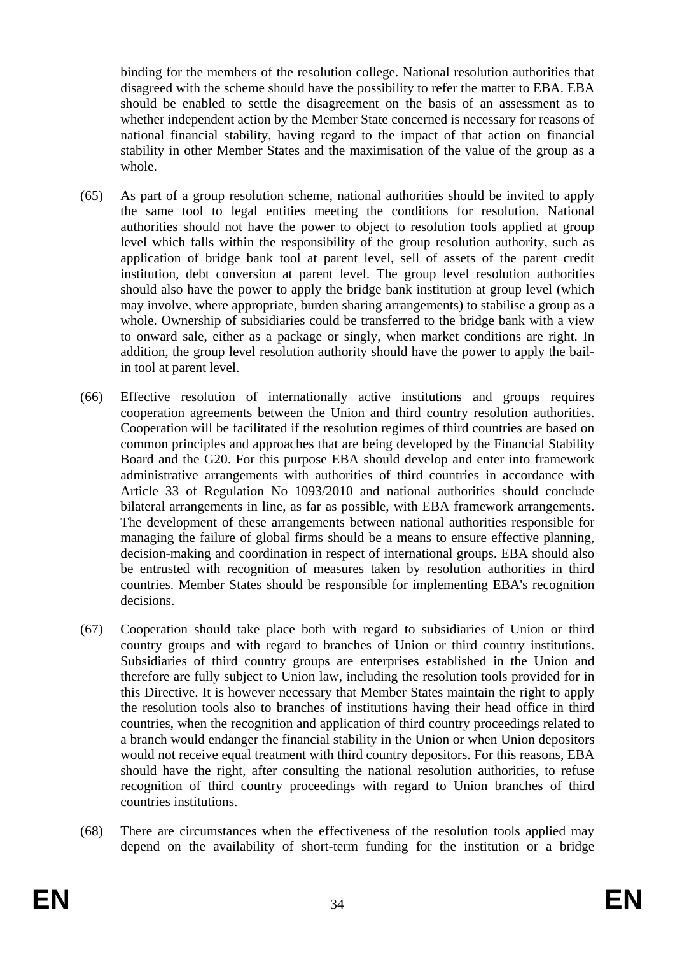binding for the members of the resolution college. National resolution authorities that disagreed with the scheme should have the possibility to refer the matter to EBA. EBA should be enabled to settle the disagreement on the basis of an assessment as to whether independent action by the Member State concerned is necessary for reasons of national financial stability, having regard to the impact of that action on financial stability in other Member States and the maximisation of the value of the group as a whole.

- (65) As part of a group resolution scheme, national authorities should be invited to apply the same tool to legal entities meeting the conditions for resolution. National authorities should not have the power to object to resolution tools applied at group level which falls within the responsibility of the group resolution authority, such as application of bridge bank tool at parent level, sell of assets of the parent credit institution, debt conversion at parent level. The group level resolution authorities should also have the power to apply the bridge bank institution at group level (which may involve, where appropriate, burden sharing arrangements) to stabilise a group as a whole. Ownership of subsidiaries could be transferred to the bridge bank with a view to onward sale, either as a package or singly, when market conditions are right. In addition, the group level resolution authority should have the power to apply the bailin tool at parent level.
- (66) Effective resolution of internationally active institutions and groups requires cooperation agreements between the Union and third country resolution authorities. Cooperation will be facilitated if the resolution regimes of third countries are based on common principles and approaches that are being developed by the Financial Stability Board and the G20. For this purpose EBA should develop and enter into framework administrative arrangements with authorities of third countries in accordance with Article 33 of Regulation No 1093/2010 and national authorities should conclude bilateral arrangements in line, as far as possible, with EBA framework arrangements. The development of these arrangements between national authorities responsible for managing the failure of global firms should be a means to ensure effective planning, decision-making and coordination in respect of international groups. EBA should also be entrusted with recognition of measures taken by resolution authorities in third countries. Member States should be responsible for implementing EBA's recognition decisions.
- (67) Cooperation should take place both with regard to subsidiaries of Union or third country groups and with regard to branches of Union or third country institutions. Subsidiaries of third country groups are enterprises established in the Union and therefore are fully subject to Union law, including the resolution tools provided for in this Directive. It is however necessary that Member States maintain the right to apply the resolution tools also to branches of institutions having their head office in third countries, when the recognition and application of third country proceedings related to a branch would endanger the financial stability in the Union or when Union depositors would not receive equal treatment with third country depositors. For this reasons, EBA should have the right, after consulting the national resolution authorities, to refuse recognition of third country proceedings with regard to Union branches of third countries institutions.
- (68) There are circumstances when the effectiveness of the resolution tools applied may depend on the availability of short-term funding for the institution or a bridge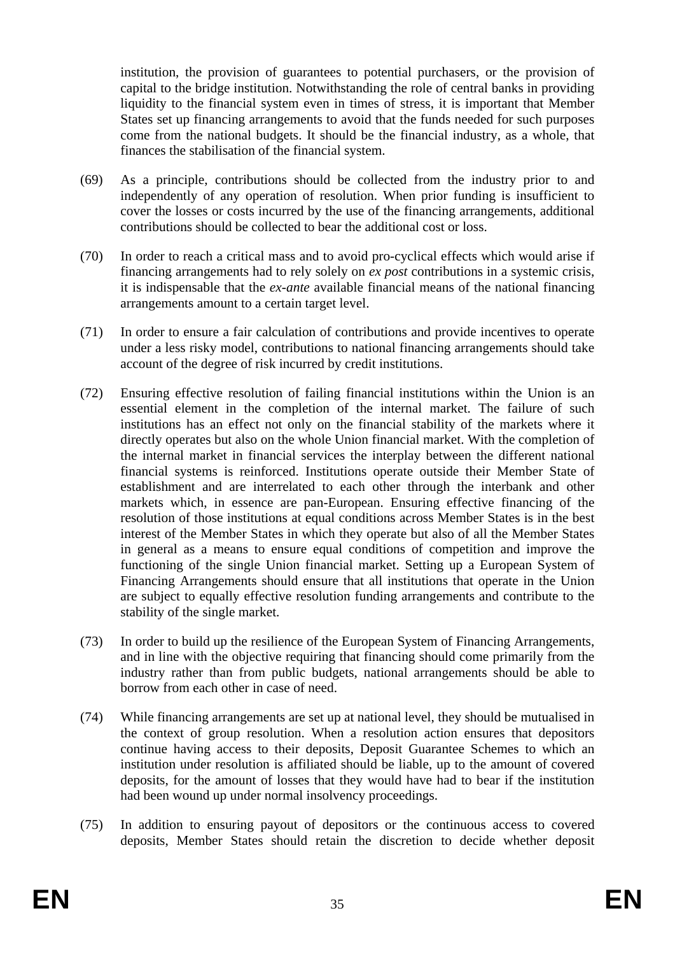institution, the provision of guarantees to potential purchasers, or the provision of capital to the bridge institution. Notwithstanding the role of central banks in providing liquidity to the financial system even in times of stress, it is important that Member States set up financing arrangements to avoid that the funds needed for such purposes come from the national budgets. It should be the financial industry, as a whole, that finances the stabilisation of the financial system.

- (69) As a principle, contributions should be collected from the industry prior to and independently of any operation of resolution. When prior funding is insufficient to cover the losses or costs incurred by the use of the financing arrangements, additional contributions should be collected to bear the additional cost or loss.
- (70) In order to reach a critical mass and to avoid pro-cyclical effects which would arise if financing arrangements had to rely solely on *ex post* contributions in a systemic crisis, it is indispensable that the *ex-ante* available financial means of the national financing arrangements amount to a certain target level.
- (71) In order to ensure a fair calculation of contributions and provide incentives to operate under a less risky model, contributions to national financing arrangements should take account of the degree of risk incurred by credit institutions.
- (72) Ensuring effective resolution of failing financial institutions within the Union is an essential element in the completion of the internal market. The failure of such institutions has an effect not only on the financial stability of the markets where it directly operates but also on the whole Union financial market. With the completion of the internal market in financial services the interplay between the different national financial systems is reinforced. Institutions operate outside their Member State of establishment and are interrelated to each other through the interbank and other markets which, in essence are pan-European. Ensuring effective financing of the resolution of those institutions at equal conditions across Member States is in the best interest of the Member States in which they operate but also of all the Member States in general as a means to ensure equal conditions of competition and improve the functioning of the single Union financial market. Setting up a European System of Financing Arrangements should ensure that all institutions that operate in the Union are subject to equally effective resolution funding arrangements and contribute to the stability of the single market.
- (73) In order to build up the resilience of the European System of Financing Arrangements, and in line with the objective requiring that financing should come primarily from the industry rather than from public budgets, national arrangements should be able to borrow from each other in case of need.
- (74) While financing arrangements are set up at national level, they should be mutualised in the context of group resolution. When a resolution action ensures that depositors continue having access to their deposits, Deposit Guarantee Schemes to which an institution under resolution is affiliated should be liable, up to the amount of covered deposits, for the amount of losses that they would have had to bear if the institution had been wound up under normal insolvency proceedings.
- (75) In addition to ensuring payout of depositors or the continuous access to covered deposits, Member States should retain the discretion to decide whether deposit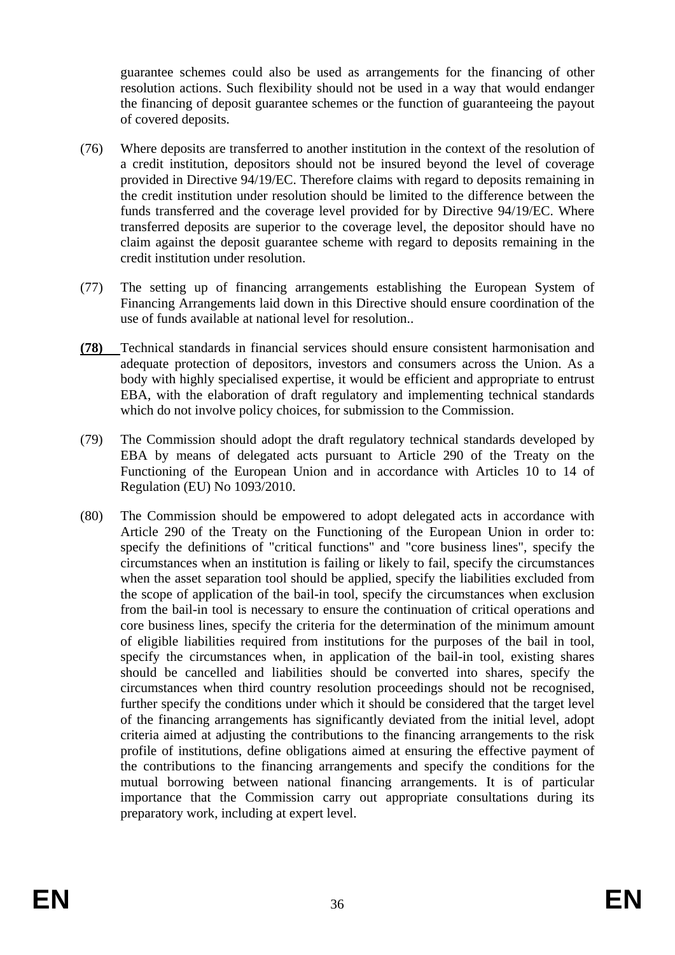guarantee schemes could also be used as arrangements for the financing of other resolution actions. Such flexibility should not be used in a way that would endanger the financing of deposit guarantee schemes or the function of guaranteeing the payout of covered deposits.

- (76) Where deposits are transferred to another institution in the context of the resolution of a credit institution, depositors should not be insured beyond the level of coverage provided in Directive 94/19/EC. Therefore claims with regard to deposits remaining in the credit institution under resolution should be limited to the difference between the funds transferred and the coverage level provided for by Directive 94/19/EC. Where transferred deposits are superior to the coverage level, the depositor should have no claim against the deposit guarantee scheme with regard to deposits remaining in the credit institution under resolution.
- (77) The setting up of financing arrangements establishing the European System of Financing Arrangements laid down in this Directive should ensure coordination of the use of funds available at national level for resolution..
- **(78)** Technical standards in financial services should ensure consistent harmonisation and adequate protection of depositors, investors and consumers across the Union. As a body with highly specialised expertise, it would be efficient and appropriate to entrust EBA, with the elaboration of draft regulatory and implementing technical standards which do not involve policy choices, for submission to the Commission.
- (79) The Commission should adopt the draft regulatory technical standards developed by EBA by means of delegated acts pursuant to Article 290 of the Treaty on the Functioning of the European Union and in accordance with Articles 10 to 14 of Regulation (EU) No 1093/2010.
- (80) The Commission should be empowered to adopt delegated acts in accordance with Article 290 of the Treaty on the Functioning of the European Union in order to: specify the definitions of "critical functions" and "core business lines", specify the circumstances when an institution is failing or likely to fail, specify the circumstances when the asset separation tool should be applied, specify the liabilities excluded from the scope of application of the bail-in tool, specify the circumstances when exclusion from the bail-in tool is necessary to ensure the continuation of critical operations and core business lines, specify the criteria for the determination of the minimum amount of eligible liabilities required from institutions for the purposes of the bail in tool, specify the circumstances when, in application of the bail-in tool, existing shares should be cancelled and liabilities should be converted into shares, specify the circumstances when third country resolution proceedings should not be recognised, further specify the conditions under which it should be considered that the target level of the financing arrangements has significantly deviated from the initial level, adopt criteria aimed at adjusting the contributions to the financing arrangements to the risk profile of institutions, define obligations aimed at ensuring the effective payment of the contributions to the financing arrangements and specify the conditions for the mutual borrowing between national financing arrangements. It is of particular importance that the Commission carry out appropriate consultations during its preparatory work, including at expert level.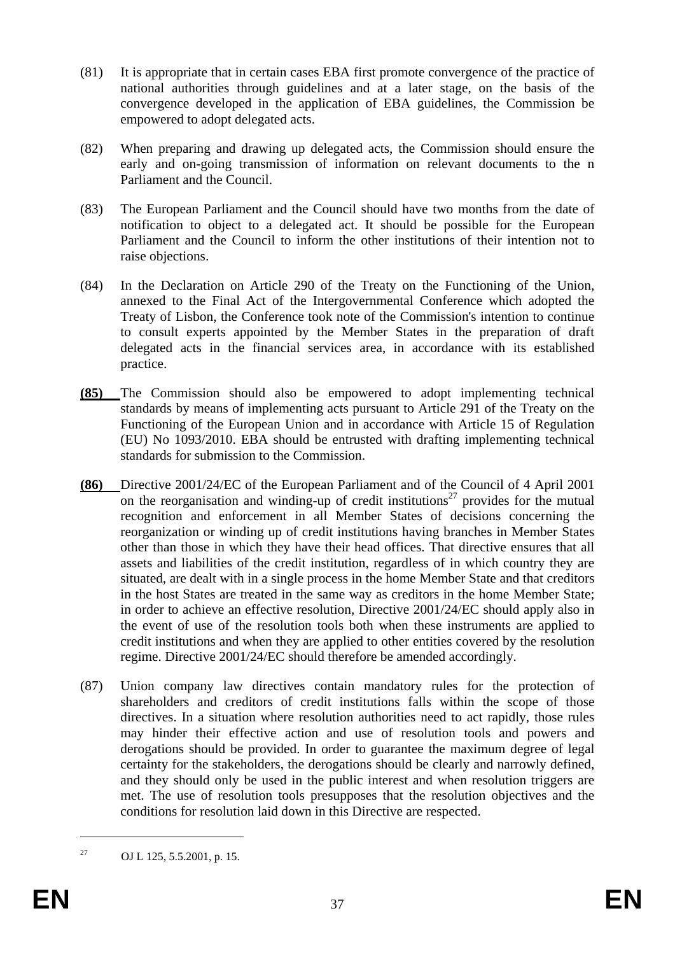- (81) It is appropriate that in certain cases EBA first promote convergence of the practice of national authorities through guidelines and at a later stage, on the basis of the convergence developed in the application of EBA guidelines, the Commission be empowered to adopt delegated acts.
- (82) When preparing and drawing up delegated acts, the Commission should ensure the early and on-going transmission of information on relevant documents to the n Parliament and the Council.
- (83) The European Parliament and the Council should have two months from the date of notification to object to a delegated act. It should be possible for the European Parliament and the Council to inform the other institutions of their intention not to raise objections.
- (84) In the Declaration on Article 290 of the Treaty on the Functioning of the Union, annexed to the Final Act of the Intergovernmental Conference which adopted the Treaty of Lisbon, the Conference took note of the Commission's intention to continue to consult experts appointed by the Member States in the preparation of draft delegated acts in the financial services area, in accordance with its established practice.
- **(85)** The Commission should also be empowered to adopt implementing technical standards by means of implementing acts pursuant to Article 291 of the Treaty on the Functioning of the European Union and in accordance with Article 15 of Regulation (EU) No 1093/2010. EBA should be entrusted with drafting implementing technical standards for submission to the Commission.
- **(86)** Directive 2001/24/EC of the European Parliament and of the Council of 4 April 2001 on the reorganisation and winding-up of credit institutions<sup>27</sup> provides for the mutual recognition and enforcement in all Member States of decisions concerning the reorganization or winding up of credit institutions having branches in Member States other than those in which they have their head offices. That directive ensures that all assets and liabilities of the credit institution, regardless of in which country they are situated, are dealt with in a single process in the home Member State and that creditors in the host States are treated in the same way as creditors in the home Member State; in order to achieve an effective resolution, Directive 2001/24/EC should apply also in the event of use of the resolution tools both when these instruments are applied to credit institutions and when they are applied to other entities covered by the resolution regime. Directive 2001/24/EC should therefore be amended accordingly.
- (87) Union company law directives contain mandatory rules for the protection of shareholders and creditors of credit institutions falls within the scope of those directives. In a situation where resolution authorities need to act rapidly, those rules may hinder their effective action and use of resolution tools and powers and derogations should be provided. In order to guarantee the maximum degree of legal certainty for the stakeholders, the derogations should be clearly and narrowly defined, and they should only be used in the public interest and when resolution triggers are met. The use of resolution tools presupposes that the resolution objectives and the conditions for resolution laid down in this Directive are respected.

<sup>27</sup> OJ L 125, 5.5.2001, p. 15.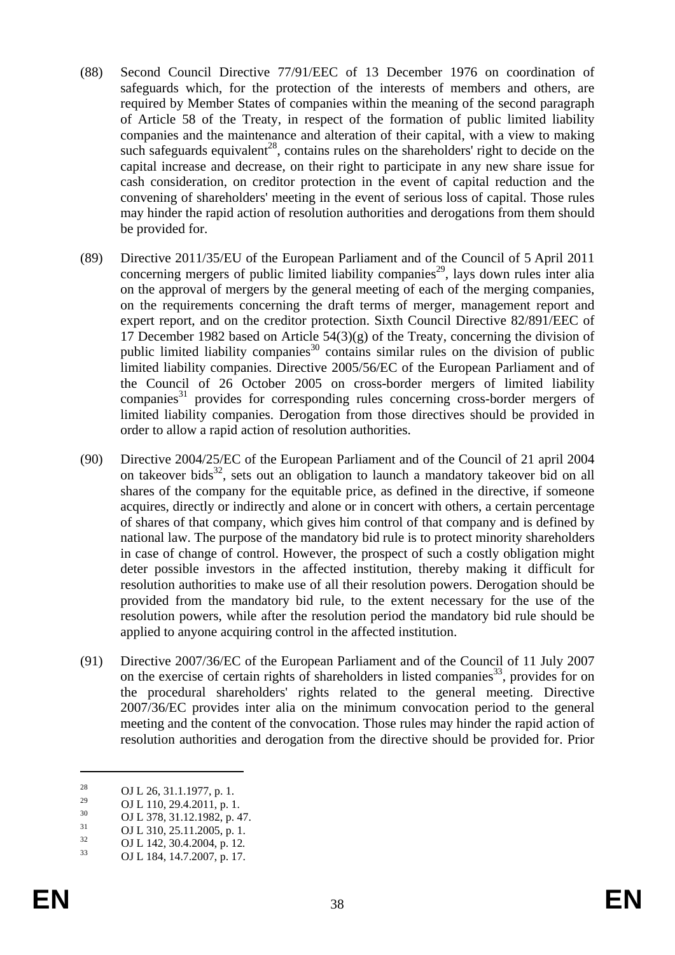- (88) Second Council Directive 77/91/EEC of 13 December 1976 on coordination of safeguards which, for the protection of the interests of members and others, are required by Member States of companies within the meaning of the second paragraph of Article 58 of the Treaty, in respect of the formation of public limited liability companies and the maintenance and alteration of their capital, with a view to making such safeguards equivalent<sup>28</sup>, contains rules on the shareholders' right to decide on the capital increase and decrease, on their right to participate in any new share issue for cash consideration, on creditor protection in the event of capital reduction and the convening of shareholders' meeting in the event of serious loss of capital. Those rules may hinder the rapid action of resolution authorities and derogations from them should be provided for.
- (89) Directive 2011/35/EU of the European Parliament and of the Council of 5 April 2011 concerning mergers of public limited liability companies<sup>29</sup>, lays down rules inter alia on the approval of mergers by the general meeting of each of the merging companies, on the requirements concerning the draft terms of merger, management report and expert report, and on the creditor protection. Sixth Council Directive 82/891/EEC of 17 December 1982 based on Article 54(3)(g) of the Treaty, concerning the division of public limited liability companies<sup>30</sup> contains similar rules on the division of public limited liability companies. Directive 2005/56/EC of the European Parliament and of the Council of 26 October 2005 on cross-border mergers of limited liability companies $31$  provides for corresponding rules concerning cross-border mergers of limited liability companies. Derogation from those directives should be provided in order to allow a rapid action of resolution authorities.
- (90) Directive 2004/25/EC of the European Parliament and of the Council of 21 april 2004 on takeover bids $32$ , sets out an obligation to launch a mandatory takeover bid on all shares of the company for the equitable price, as defined in the directive, if someone acquires, directly or indirectly and alone or in concert with others, a certain percentage of shares of that company, which gives him control of that company and is defined by national law. The purpose of the mandatory bid rule is to protect minority shareholders in case of change of control. However, the prospect of such a costly obligation might deter possible investors in the affected institution, thereby making it difficult for resolution authorities to make use of all their resolution powers. Derogation should be provided from the mandatory bid rule, to the extent necessary for the use of the resolution powers, while after the resolution period the mandatory bid rule should be applied to anyone acquiring control in the affected institution.
- (91) Directive 2007/36/EC of the European Parliament and of the Council of 11 July 2007 on the exercise of certain rights of shareholders in listed companies<sup>33</sup>, provides for on the procedural shareholders' rights related to the general meeting. Directive 2007/36/EC provides inter alia on the minimum convocation period to the general meeting and the content of the convocation. Those rules may hinder the rapid action of resolution authorities and derogation from the directive should be provided for. Prior

<sup>&</sup>lt;sup>28</sup> OJ L 26, 31.1.1977, p. 1.<br>
<sup>29</sup> OJ L 110, 20, 1.2011

<sup>&</sup>lt;sup>29</sup> OJ L 110, 29.4.2011, p. 1.<br>
<sup>30</sup> OJ L 279, 21, 12, 1992

 $^{30}$  OJ L 378, 31.12.1982, p. 47.<br> $^{31}$  OJ L 310, 35, 11, 2005, p. 1.

 $^{31}$  OJ L 310, 25.11.2005, p. 1.<br> $^{32}$  OJ L 142, 20.4.2004, 12

<sup>32</sup> OJ L 142, 30.4.2004, p. 12*.* 33 OJ L 184, 14.7.2007, p. 17.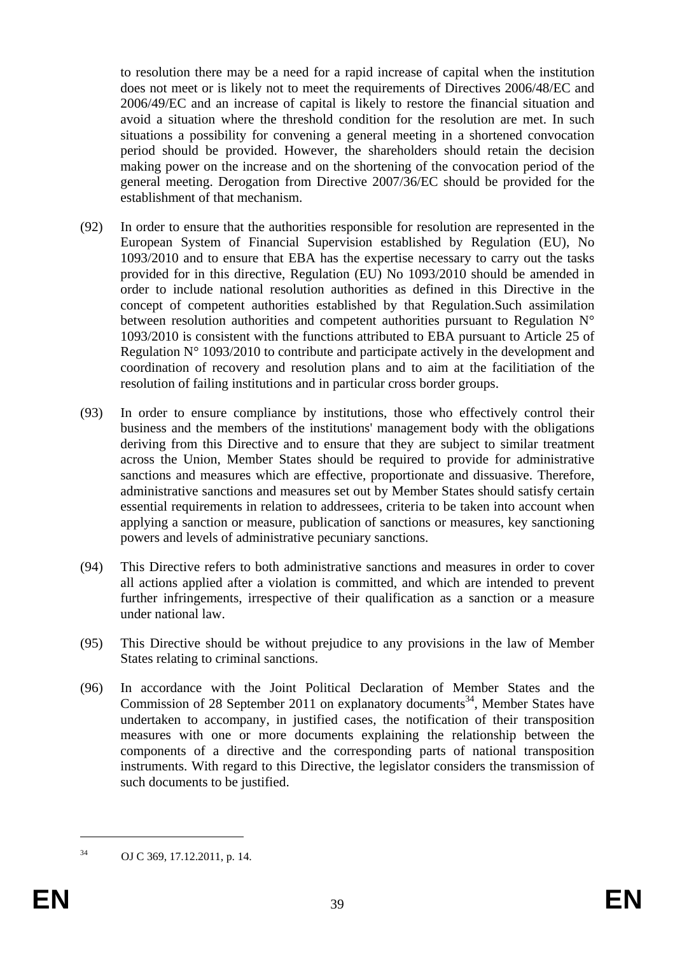to resolution there may be a need for a rapid increase of capital when the institution does not meet or is likely not to meet the requirements of Directives 2006/48/EC and 2006/49/EC and an increase of capital is likely to restore the financial situation and avoid a situation where the threshold condition for the resolution are met. In such situations a possibility for convening a general meeting in a shortened convocation period should be provided. However, the shareholders should retain the decision making power on the increase and on the shortening of the convocation period of the general meeting. Derogation from Directive 2007/36/EC should be provided for the establishment of that mechanism.

- (92) In order to ensure that the authorities responsible for resolution are represented in the European System of Financial Supervision established by Regulation (EU), No 1093/2010 and to ensure that EBA has the expertise necessary to carry out the tasks provided for in this directive, Regulation (EU) No 1093/2010 should be amended in order to include national resolution authorities as defined in this Directive in the concept of competent authorities established by that Regulation.Such assimilation between resolution authorities and competent authorities pursuant to Regulation N° 1093/2010 is consistent with the functions attributed to EBA pursuant to Article 25 of Regulation  $N^{\circ}$  1093/2010 to contribute and participate actively in the development and coordination of recovery and resolution plans and to aim at the facilitiation of the resolution of failing institutions and in particular cross border groups.
- (93) In order to ensure compliance by institutions, those who effectively control their business and the members of the institutions' management body with the obligations deriving from this Directive and to ensure that they are subject to similar treatment across the Union, Member States should be required to provide for administrative sanctions and measures which are effective, proportionate and dissuasive. Therefore, administrative sanctions and measures set out by Member States should satisfy certain essential requirements in relation to addressees, criteria to be taken into account when applying a sanction or measure, publication of sanctions or measures, key sanctioning powers and levels of administrative pecuniary sanctions.
- (94) This Directive refers to both administrative sanctions and measures in order to cover all actions applied after a violation is committed, and which are intended to prevent further infringements, irrespective of their qualification as a sanction or a measure under national law.
- (95) This Directive should be without prejudice to any provisions in the law of Member States relating to criminal sanctions.
- (96) In accordance with the Joint Political Declaration of Member States and the Commission of 28 September 2011 on explanatory documents<sup>34</sup>, Member States have undertaken to accompany, in justified cases, the notification of their transposition measures with one or more documents explaining the relationship between the components of a directive and the corresponding parts of national transposition instruments. With regard to this Directive, the legislator considers the transmission of such documents to be justified.

<sup>34</sup> OJ C 369, 17.12.2011, p. 14.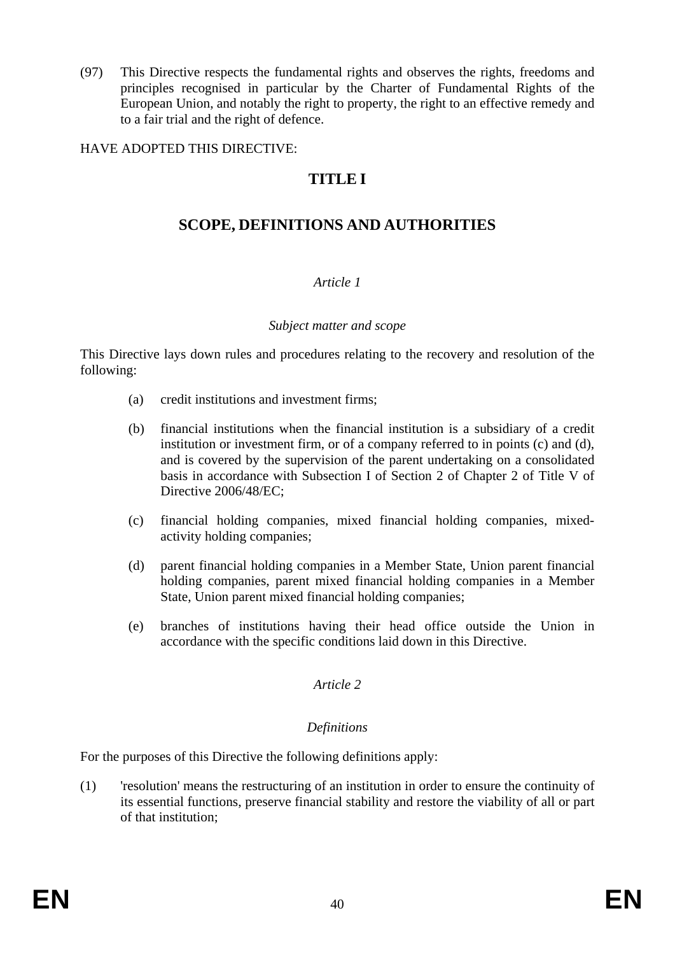(97) This Directive respects the fundamental rights and observes the rights, freedoms and principles recognised in particular by the Charter of Fundamental Rights of the European Union, and notably the right to property, the right to an effective remedy and to a fair trial and the right of defence.

#### HAVE ADOPTED THIS DIRECTIVE:

# **TITLE I**

# **SCOPE, DEFINITIONS AND AUTHORITIES**

#### *Article 1*

#### *Subject matter and scope*

This Directive lays down rules and procedures relating to the recovery and resolution of the following:

- (a) credit institutions and investment firms;
- (b) financial institutions when the financial institution is a subsidiary of a credit institution or investment firm, or of a company referred to in points (c) and (d), and is covered by the supervision of the parent undertaking on a consolidated basis in accordance with Subsection I of Section 2 of Chapter 2 of Title V of Directive 2006/48/EC;
- (c) financial holding companies, mixed financial holding companies, mixedactivity holding companies;
- (d) parent financial holding companies in a Member State, Union parent financial holding companies, parent mixed financial holding companies in a Member State, Union parent mixed financial holding companies;
- (e) branches of institutions having their head office outside the Union in accordance with the specific conditions laid down in this Directive.

#### *Article 2*

#### *Definitions*

For the purposes of this Directive the following definitions apply:

(1) 'resolution' means the restructuring of an institution in order to ensure the continuity of its essential functions, preserve financial stability and restore the viability of all or part of that institution;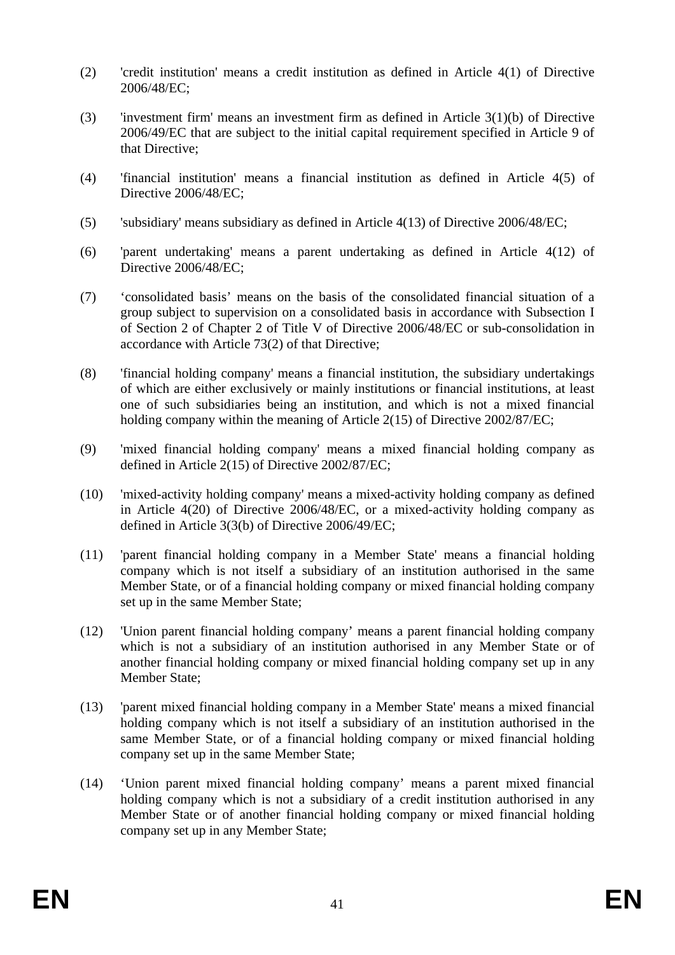- (2) 'credit institution' means a credit institution as defined in Article 4(1) of Directive 2006/48/EC;
- (3) 'investment firm' means an investment firm as defined in Article 3(1)(b) of Directive 2006/49/EC that are subject to the initial capital requirement specified in Article 9 of that Directive;
- (4) 'financial institution' means a financial institution as defined in Article 4(5) of Directive 2006/48/EC;
- (5) 'subsidiary' means subsidiary as defined in Article 4(13) of Directive 2006/48/EC;
- (6) 'parent undertaking' means a parent undertaking as defined in Article 4(12) of Directive 2006/48/EC;
- (7) 'consolidated basis' means on the basis of the consolidated financial situation of a group subject to supervision on a consolidated basis in accordance with Subsection I of Section 2 of Chapter 2 of Title V of Directive 2006/48/EC or sub-consolidation in accordance with Article 73(2) of that Directive;
- (8) 'financial holding company' means a financial institution, the subsidiary undertakings of which are either exclusively or mainly institutions or financial institutions, at least one of such subsidiaries being an institution, and which is not a mixed financial holding company within the meaning of Article 2(15) of Directive 2002/87/EC;
- (9) 'mixed financial holding company' means a mixed financial holding company as defined in Article 2(15) of Directive 2002/87/EC;
- (10) 'mixed-activity holding company' means a mixed-activity holding company as defined in Article 4(20) of Directive 2006/48/EC, or a mixed-activity holding company as defined in Article 3(3(b) of Directive 2006/49/EC;
- (11) 'parent financial holding company in a Member State' means a financial holding company which is not itself a subsidiary of an institution authorised in the same Member State, or of a financial holding company or mixed financial holding company set up in the same Member State;
- (12) 'Union parent financial holding company' means a parent financial holding company which is not a subsidiary of an institution authorised in any Member State or of another financial holding company or mixed financial holding company set up in any Member State;
- (13) 'parent mixed financial holding company in a Member State' means a mixed financial holding company which is not itself a subsidiary of an institution authorised in the same Member State, or of a financial holding company or mixed financial holding company set up in the same Member State;
- (14) 'Union parent mixed financial holding company' means a parent mixed financial holding company which is not a subsidiary of a credit institution authorised in any Member State or of another financial holding company or mixed financial holding company set up in any Member State;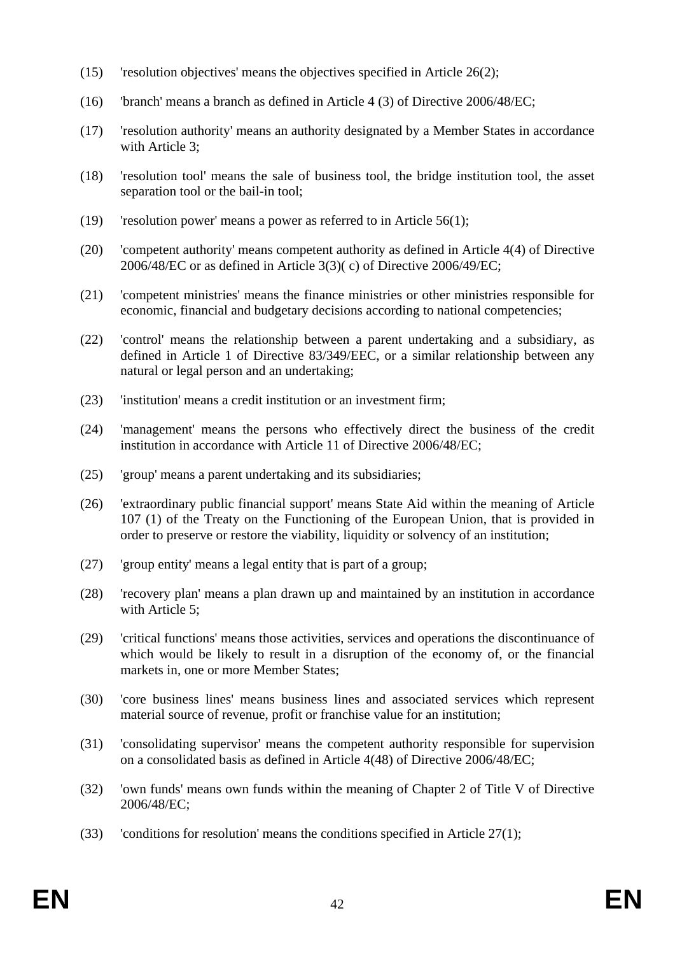- (15) 'resolution objectives' means the objectives specified in Article 26(2);
- (16) 'branch' means a branch as defined in Article 4 (3) of Directive 2006/48/EC;
- (17) 'resolution authority' means an authority designated by a Member States in accordance with Article 3;
- (18) 'resolution tool' means the sale of business tool, the bridge institution tool, the asset separation tool or the bail-in tool;
- (19) 'resolution power' means a power as referred to in Article 56(1);
- (20) 'competent authority' means competent authority as defined in Article 4(4) of Directive 2006/48/EC or as defined in Article 3(3)( c) of Directive 2006/49/EC;
- (21) 'competent ministries' means the finance ministries or other ministries responsible for economic, financial and budgetary decisions according to national competencies;
- (22) 'control' means the relationship between a parent undertaking and a subsidiary, as defined in Article 1 of Directive 83/349/EEC, or a similar relationship between any natural or legal person and an undertaking;
- (23) 'institution' means a credit institution or an investment firm;
- (24) 'management' means the persons who effectively direct the business of the credit institution in accordance with Article 11 of Directive 2006/48/EC;
- (25) 'group' means a parent undertaking and its subsidiaries;
- (26) 'extraordinary public financial support' means State Aid within the meaning of Article 107 (1) of the Treaty on the Functioning of the European Union, that is provided in order to preserve or restore the viability, liquidity or solvency of an institution;
- (27) 'group entity' means a legal entity that is part of a group;
- (28) 'recovery plan' means a plan drawn up and maintained by an institution in accordance with Article 5;
- (29) 'critical functions' means those activities, services and operations the discontinuance of which would be likely to result in a disruption of the economy of, or the financial markets in, one or more Member States;
- (30) 'core business lines' means business lines and associated services which represent material source of revenue, profit or franchise value for an institution;
- (31) 'consolidating supervisor' means the competent authority responsible for supervision on a consolidated basis as defined in Article 4(48) of Directive 2006/48/EC;
- (32) 'own funds' means own funds within the meaning of Chapter 2 of Title V of Directive 2006/48/EC;
- (33) 'conditions for resolution' means the conditions specified in Article  $27(1)$ ;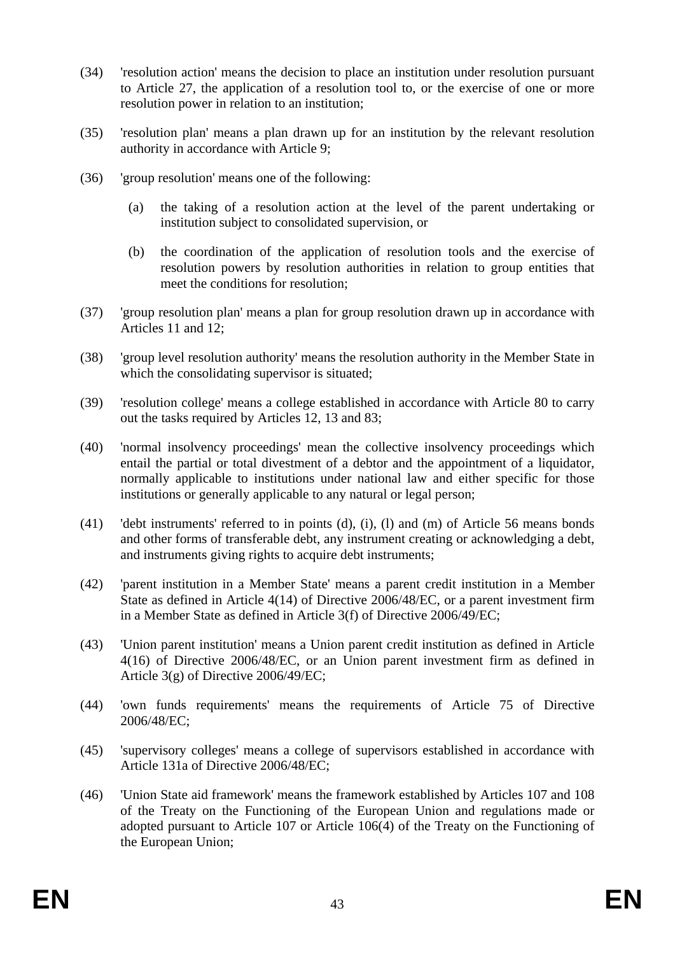- (34) 'resolution action' means the decision to place an institution under resolution pursuant to Article 27, the application of a resolution tool to, or the exercise of one or more resolution power in relation to an institution;
- (35) 'resolution plan' means a plan drawn up for an institution by the relevant resolution authority in accordance with Article 9;
- (36) 'group resolution' means one of the following:
	- (a) the taking of a resolution action at the level of the parent undertaking or institution subject to consolidated supervision, or
	- (b) the coordination of the application of resolution tools and the exercise of resolution powers by resolution authorities in relation to group entities that meet the conditions for resolution;
- (37) 'group resolution plan' means a plan for group resolution drawn up in accordance with Articles 11 and 12;
- (38) 'group level resolution authority' means the resolution authority in the Member State in which the consolidating supervisor is situated;
- (39) 'resolution college' means a college established in accordance with Article 80 to carry out the tasks required by Articles 12, 13 and 83;
- (40) 'normal insolvency proceedings' mean the collective insolvency proceedings which entail the partial or total divestment of a debtor and the appointment of a liquidator, normally applicable to institutions under national law and either specific for those institutions or generally applicable to any natural or legal person;
- (41) 'debt instruments' referred to in points (d), (i), (l) and (m) of Article 56 means bonds and other forms of transferable debt, any instrument creating or acknowledging a debt, and instruments giving rights to acquire debt instruments;
- (42) 'parent institution in a Member State' means a parent credit institution in a Member State as defined in Article 4(14) of Directive 2006/48/EC, or a parent investment firm in a Member State as defined in Article 3(f) of Directive 2006/49/EC;
- (43) 'Union parent institution' means a Union parent credit institution as defined in Article 4(16) of Directive 2006/48/EC, or an Union parent investment firm as defined in Article 3(g) of Directive 2006/49/EC;
- (44) 'own funds requirements' means the requirements of Article 75 of Directive 2006/48/EC;
- (45) 'supervisory colleges' means a college of supervisors established in accordance with Article 131a of Directive 2006/48/EC;
- (46) 'Union State aid framework' means the framework established by Articles 107 and 108 of the Treaty on the Functioning of the European Union and regulations made or adopted pursuant to Article 107 or Article 106(4) of the Treaty on the Functioning of the European Union;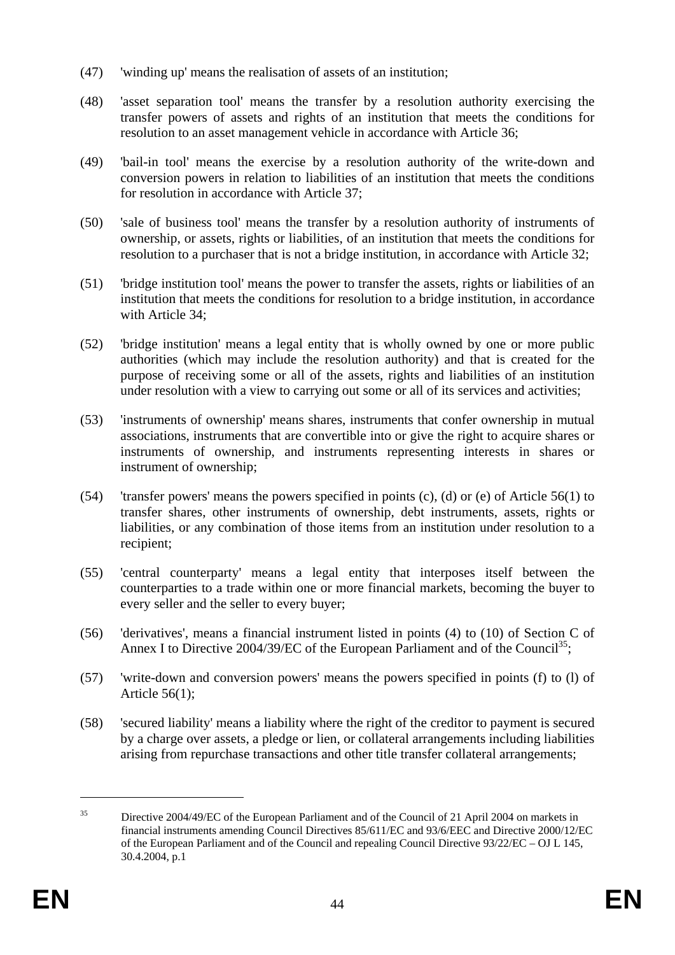- (47) 'winding up' means the realisation of assets of an institution;
- (48) 'asset separation tool' means the transfer by a resolution authority exercising the transfer powers of assets and rights of an institution that meets the conditions for resolution to an asset management vehicle in accordance with Article 36;
- (49) 'bail-in tool' means the exercise by a resolution authority of the write-down and conversion powers in relation to liabilities of an institution that meets the conditions for resolution in accordance with Article 37;
- (50) 'sale of business tool' means the transfer by a resolution authority of instruments of ownership, or assets, rights or liabilities, of an institution that meets the conditions for resolution to a purchaser that is not a bridge institution, in accordance with Article 32;
- (51) 'bridge institution tool' means the power to transfer the assets, rights or liabilities of an institution that meets the conditions for resolution to a bridge institution, in accordance with Article 34;
- (52) 'bridge institution' means a legal entity that is wholly owned by one or more public authorities (which may include the resolution authority) and that is created for the purpose of receiving some or all of the assets, rights and liabilities of an institution under resolution with a view to carrying out some or all of its services and activities;
- (53) 'instruments of ownership' means shares, instruments that confer ownership in mutual associations, instruments that are convertible into or give the right to acquire shares or instruments of ownership, and instruments representing interests in shares or instrument of ownership;
- (54) 'transfer powers' means the powers specified in points (c), (d) or (e) of Article 56(1) to transfer shares, other instruments of ownership, debt instruments, assets, rights or liabilities, or any combination of those items from an institution under resolution to a recipient;
- (55) 'central counterparty' means a legal entity that interposes itself between the counterparties to a trade within one or more financial markets, becoming the buyer to every seller and the seller to every buyer;
- (56) 'derivatives', means a financial instrument listed in points (4) to (10) of Section C of Annex I to Directive 2004/39/EC of the European Parliament and of the Council<sup>35</sup>;
- (57) 'write-down and conversion powers' means the powers specified in points (f) to (l) of Article 56(1);
- (58) 'secured liability' means a liability where the right of the creditor to payment is secured by a charge over assets, a pledge or lien, or collateral arrangements including liabilities arising from repurchase transactions and other title transfer collateral arrangements;

<sup>&</sup>lt;sup>35</sup> Directive 2004/49/EC of the European Parliament and of the Council of 21 April 2004 on markets in financial instruments amending Council Directives 85/611/EC and 93/6/EEC and Directive 2000/12/EC of the European Parliament and of the Council and repealing Council Directive 93/22/EC – OJ L 145, 30.4.2004, p.1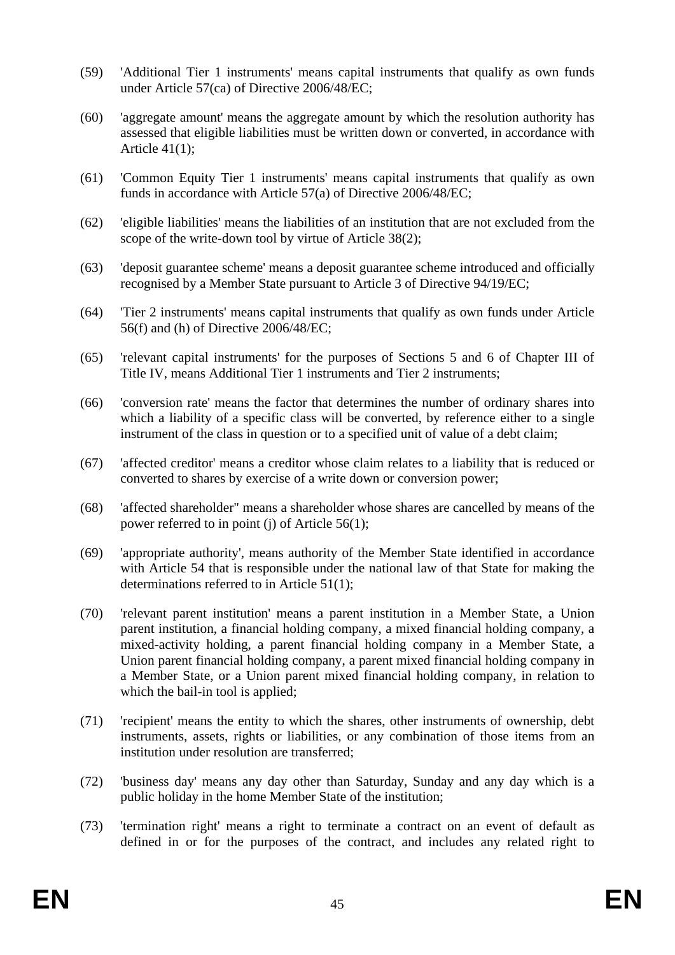- (59) 'Additional Tier 1 instruments' means capital instruments that qualify as own funds under Article 57(ca) of Directive 2006/48/EC;
- (60) 'aggregate amount' means the aggregate amount by which the resolution authority has assessed that eligible liabilities must be written down or converted, in accordance with Article 41(1);
- (61) 'Common Equity Tier 1 instruments' means capital instruments that qualify as own funds in accordance with Article 57(a) of Directive 2006/48/EC;
- (62) 'eligible liabilities' means the liabilities of an institution that are not excluded from the scope of the write-down tool by virtue of Article 38(2);
- (63) 'deposit guarantee scheme' means a deposit guarantee scheme introduced and officially recognised by a Member State pursuant to Article 3 of Directive 94/19/EC;
- (64) 'Tier 2 instruments' means capital instruments that qualify as own funds under Article 56(f) and (h) of Directive 2006/48/EC;
- (65) 'relevant capital instruments' for the purposes of Sections 5 and 6 of Chapter III of Title IV, means Additional Tier 1 instruments and Tier 2 instruments;
- (66) 'conversion rate' means the factor that determines the number of ordinary shares into which a liability of a specific class will be converted, by reference either to a single instrument of the class in question or to a specified unit of value of a debt claim;
- (67) 'affected creditor' means a creditor whose claim relates to a liability that is reduced or converted to shares by exercise of a write down or conversion power;
- (68) 'affected shareholder" means a shareholder whose shares are cancelled by means of the power referred to in point (j) of Article 56(1);
- (69) 'appropriate authority', means authority of the Member State identified in accordance with Article 54 that is responsible under the national law of that State for making the determinations referred to in Article 51(1);
- (70) 'relevant parent institution' means a parent institution in a Member State, a Union parent institution, a financial holding company, a mixed financial holding company, a mixed-activity holding, a parent financial holding company in a Member State, a Union parent financial holding company, a parent mixed financial holding company in a Member State, or a Union parent mixed financial holding company, in relation to which the bail-in tool is applied;
- (71) 'recipient' means the entity to which the shares, other instruments of ownership, debt instruments, assets, rights or liabilities, or any combination of those items from an institution under resolution are transferred;
- (72) 'business day' means any day other than Saturday, Sunday and any day which is a public holiday in the home Member State of the institution;
- (73) 'termination right' means a right to terminate a contract on an event of default as defined in or for the purposes of the contract, and includes any related right to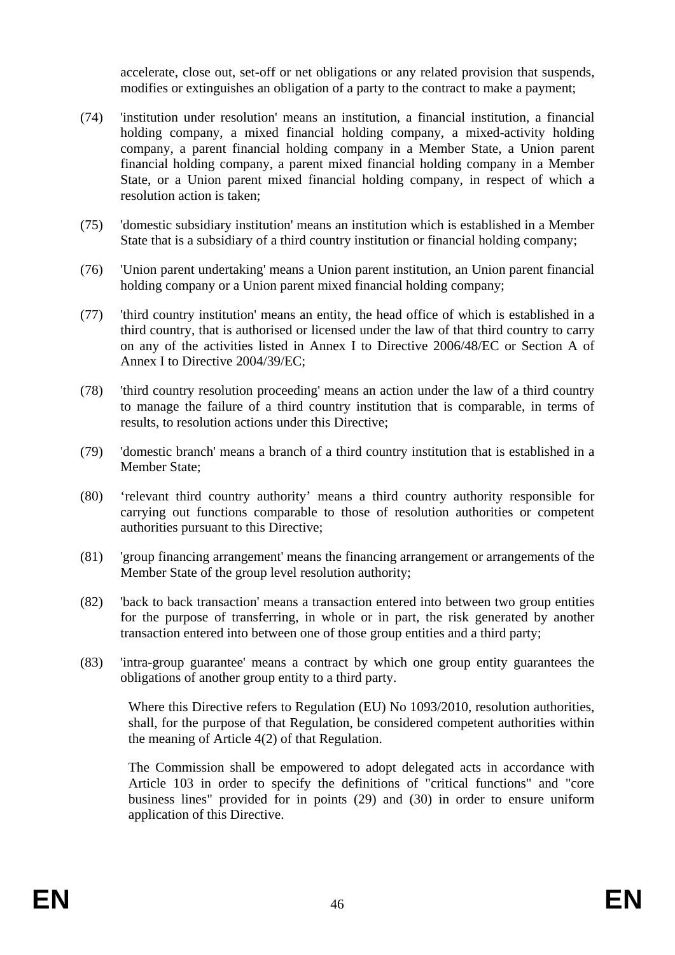accelerate, close out, set-off or net obligations or any related provision that suspends, modifies or extinguishes an obligation of a party to the contract to make a payment;

- (74) 'institution under resolution' means an institution, a financial institution, a financial holding company, a mixed financial holding company, a mixed-activity holding company, a parent financial holding company in a Member State, a Union parent financial holding company, a parent mixed financial holding company in a Member State, or a Union parent mixed financial holding company, in respect of which a resolution action is taken;
- (75) 'domestic subsidiary institution' means an institution which is established in a Member State that is a subsidiary of a third country institution or financial holding company;
- (76) 'Union parent undertaking' means a Union parent institution, an Union parent financial holding company or a Union parent mixed financial holding company;
- (77) 'third country institution' means an entity, the head office of which is established in a third country, that is authorised or licensed under the law of that third country to carry on any of the activities listed in Annex I to Directive 2006/48/EC or Section A of Annex I to Directive 2004/39/EC;
- (78) 'third country resolution proceeding' means an action under the law of a third country to manage the failure of a third country institution that is comparable, in terms of results, to resolution actions under this Directive;
- (79) 'domestic branch' means a branch of a third country institution that is established in a Member State;
- (80) 'relevant third country authority' means a third country authority responsible for carrying out functions comparable to those of resolution authorities or competent authorities pursuant to this Directive;
- (81) 'group financing arrangement' means the financing arrangement or arrangements of the Member State of the group level resolution authority;
- (82) 'back to back transaction' means a transaction entered into between two group entities for the purpose of transferring, in whole or in part, the risk generated by another transaction entered into between one of those group entities and a third party;
- (83) 'intra-group guarantee' means a contract by which one group entity guarantees the obligations of another group entity to a third party.

Where this Directive refers to Regulation (EU) No 1093/2010, resolution authorities, shall, for the purpose of that Regulation, be considered competent authorities within the meaning of Article 4(2) of that Regulation.

The Commission shall be empowered to adopt delegated acts in accordance with Article 103 in order to specify the definitions of "critical functions" and "core business lines" provided for in points (29) and (30) in order to ensure uniform application of this Directive.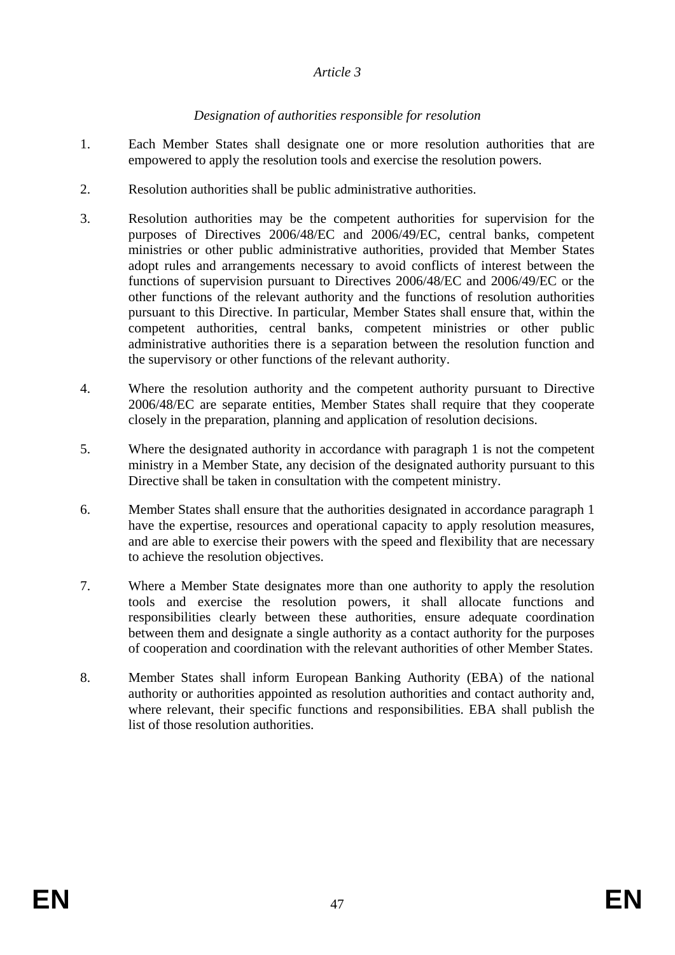#### *Article 3*

## *Designation of authorities responsible for resolution*

- 1. Each Member States shall designate one or more resolution authorities that are empowered to apply the resolution tools and exercise the resolution powers.
- 2. Resolution authorities shall be public administrative authorities.
- 3. Resolution authorities may be the competent authorities for supervision for the purposes of Directives 2006/48/EC and 2006/49/EC, central banks, competent ministries or other public administrative authorities, provided that Member States adopt rules and arrangements necessary to avoid conflicts of interest between the functions of supervision pursuant to Directives 2006/48/EC and 2006/49/EC or the other functions of the relevant authority and the functions of resolution authorities pursuant to this Directive. In particular, Member States shall ensure that, within the competent authorities, central banks, competent ministries or other public administrative authorities there is a separation between the resolution function and the supervisory or other functions of the relevant authority.
- 4. Where the resolution authority and the competent authority pursuant to Directive 2006/48/EC are separate entities, Member States shall require that they cooperate closely in the preparation, planning and application of resolution decisions.
- 5. Where the designated authority in accordance with paragraph 1 is not the competent ministry in a Member State, any decision of the designated authority pursuant to this Directive shall be taken in consultation with the competent ministry.
- 6. Member States shall ensure that the authorities designated in accordance paragraph 1 have the expertise, resources and operational capacity to apply resolution measures, and are able to exercise their powers with the speed and flexibility that are necessary to achieve the resolution objectives.
- 7. Where a Member State designates more than one authority to apply the resolution tools and exercise the resolution powers, it shall allocate functions and responsibilities clearly between these authorities, ensure adequate coordination between them and designate a single authority as a contact authority for the purposes of cooperation and coordination with the relevant authorities of other Member States.
- 8. Member States shall inform European Banking Authority (EBA) of the national authority or authorities appointed as resolution authorities and contact authority and, where relevant, their specific functions and responsibilities. EBA shall publish the list of those resolution authorities.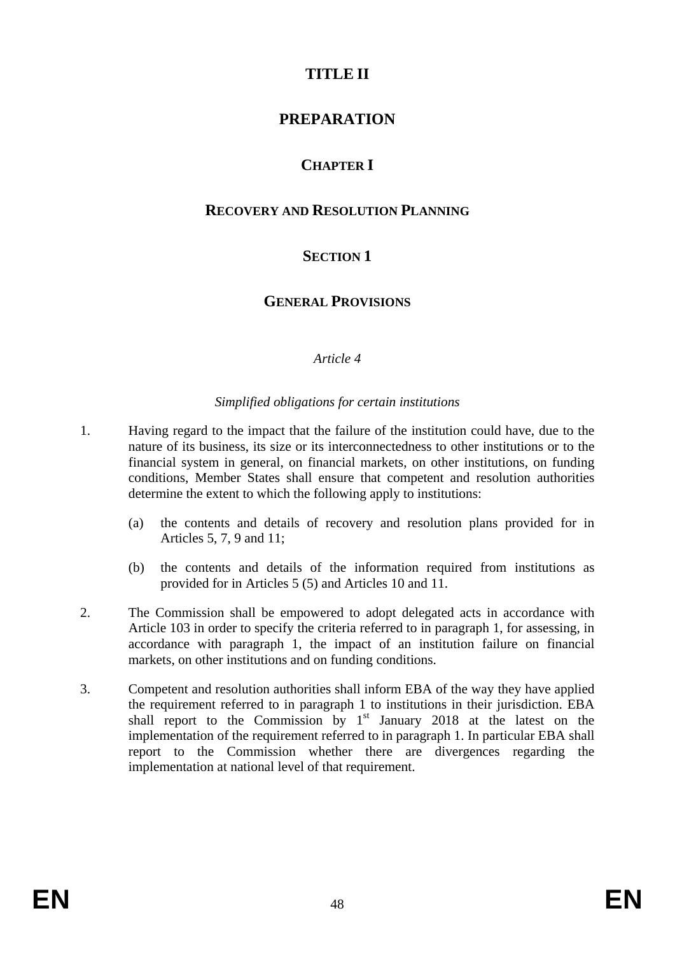# **TITLE II**

# **PREPARATION**

# **CHAPTER I**

# **RECOVERY AND RESOLUTION PLANNING**

# **SECTION 1**

# **GENERAL PROVISIONS**

## *Article 4*

#### *Simplified obligations for certain institutions*

- 1. Having regard to the impact that the failure of the institution could have, due to the nature of its business, its size or its interconnectedness to other institutions or to the financial system in general, on financial markets, on other institutions, on funding conditions, Member States shall ensure that competent and resolution authorities determine the extent to which the following apply to institutions:
	- (a) the contents and details of recovery and resolution plans provided for in Articles 5, 7, 9 and 11;
	- (b) the contents and details of the information required from institutions as provided for in Articles 5 (5) and Articles 10 and 11.
- 2. The Commission shall be empowered to adopt delegated acts in accordance with Article 103 in order to specify the criteria referred to in paragraph 1, for assessing, in accordance with paragraph 1, the impact of an institution failure on financial markets, on other institutions and on funding conditions.
- 3. Competent and resolution authorities shall inform EBA of the way they have applied the requirement referred to in paragraph 1 to institutions in their jurisdiction. EBA shall report to the Commission by  $1<sup>st</sup>$  January 2018 at the latest on the implementation of the requirement referred to in paragraph 1. In particular EBA shall report to the Commission whether there are divergences regarding the implementation at national level of that requirement.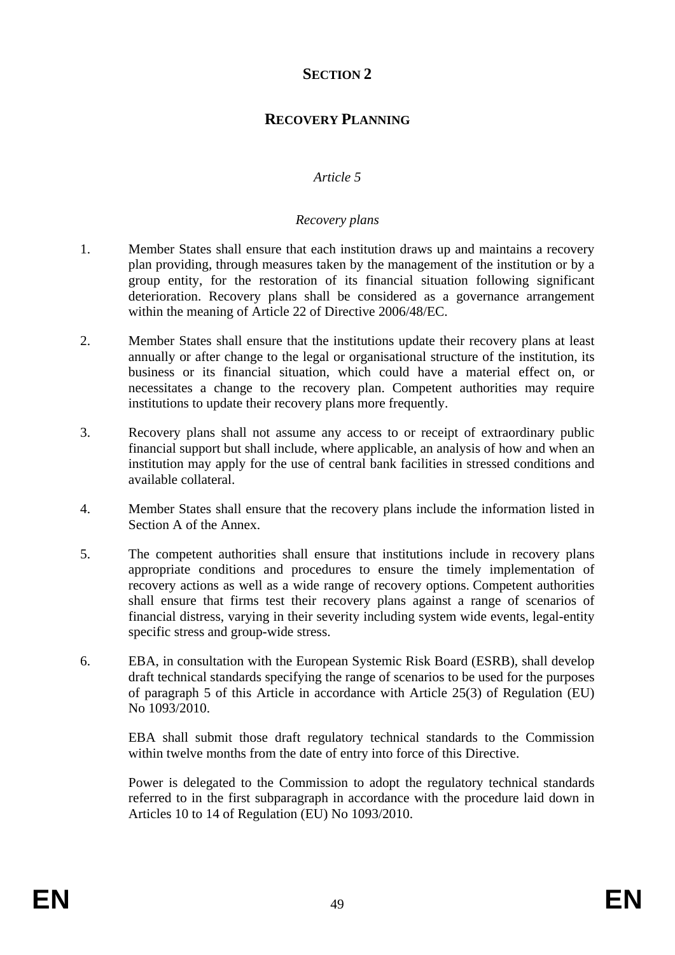# **SECTION 2**

# **RECOVERY PLANNING**

## *Article 5*

#### *Recovery plans*

- 1. Member States shall ensure that each institution draws up and maintains a recovery plan providing, through measures taken by the management of the institution or by a group entity, for the restoration of its financial situation following significant deterioration. Recovery plans shall be considered as a governance arrangement within the meaning of Article 22 of Directive 2006/48/EC.
- 2. Member States shall ensure that the institutions update their recovery plans at least annually or after change to the legal or organisational structure of the institution, its business or its financial situation, which could have a material effect on, or necessitates a change to the recovery plan. Competent authorities may require institutions to update their recovery plans more frequently.
- 3. Recovery plans shall not assume any access to or receipt of extraordinary public financial support but shall include, where applicable, an analysis of how and when an institution may apply for the use of central bank facilities in stressed conditions and available collateral.
- 4. Member States shall ensure that the recovery plans include the information listed in Section A of the Annex.
- 5. The competent authorities shall ensure that institutions include in recovery plans appropriate conditions and procedures to ensure the timely implementation of recovery actions as well as a wide range of recovery options. Competent authorities shall ensure that firms test their recovery plans against a range of scenarios of financial distress, varying in their severity including system wide events, legal-entity specific stress and group-wide stress.
- 6. EBA, in consultation with the European Systemic Risk Board (ESRB), shall develop draft technical standards specifying the range of scenarios to be used for the purposes of paragraph 5 of this Article in accordance with Article 25(3) of Regulation (EU) No 1093/2010.

EBA shall submit those draft regulatory technical standards to the Commission within twelve months from the date of entry into force of this Directive.

Power is delegated to the Commission to adopt the regulatory technical standards referred to in the first subparagraph in accordance with the procedure laid down in Articles 10 to 14 of Regulation (EU) No 1093/2010.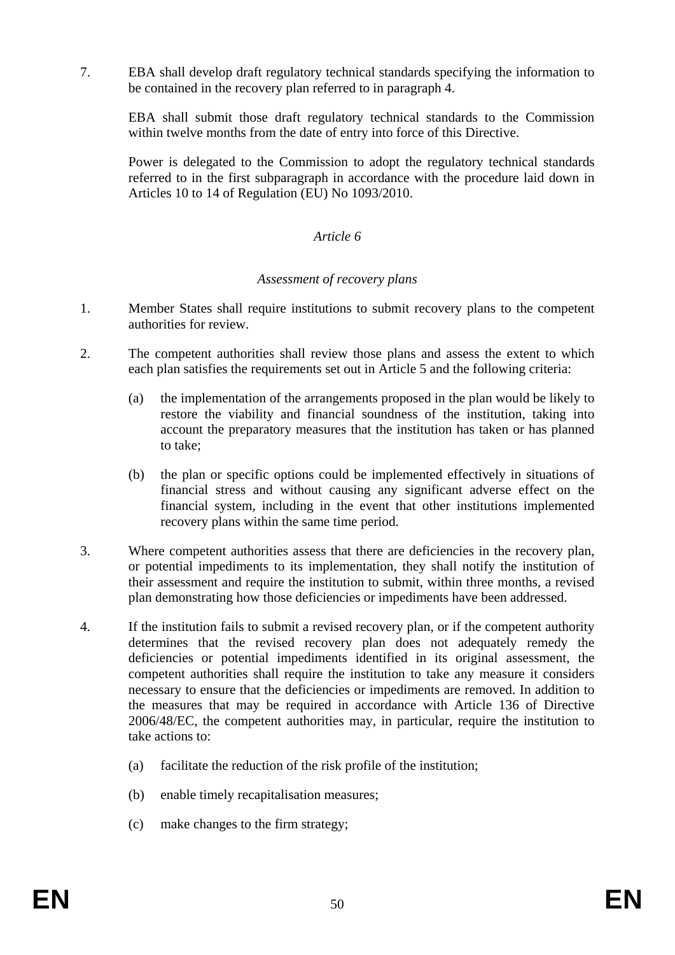7. EBA shall develop draft regulatory technical standards specifying the information to be contained in the recovery plan referred to in paragraph 4.

EBA shall submit those draft regulatory technical standards to the Commission within twelve months from the date of entry into force of this Directive.

Power is delegated to the Commission to adopt the regulatory technical standards referred to in the first subparagraph in accordance with the procedure laid down in Articles 10 to 14 of Regulation (EU) No 1093/2010.

#### *Article 6*

#### *Assessment of recovery plans*

- 1. Member States shall require institutions to submit recovery plans to the competent authorities for review.
- 2. The competent authorities shall review those plans and assess the extent to which each plan satisfies the requirements set out in Article 5 and the following criteria:
	- (a) the implementation of the arrangements proposed in the plan would be likely to restore the viability and financial soundness of the institution, taking into account the preparatory measures that the institution has taken or has planned to take;
	- (b) the plan or specific options could be implemented effectively in situations of financial stress and without causing any significant adverse effect on the financial system, including in the event that other institutions implemented recovery plans within the same time period.
- 3. Where competent authorities assess that there are deficiencies in the recovery plan, or potential impediments to its implementation, they shall notify the institution of their assessment and require the institution to submit, within three months, a revised plan demonstrating how those deficiencies or impediments have been addressed.
- 4. If the institution fails to submit a revised recovery plan, or if the competent authority determines that the revised recovery plan does not adequately remedy the deficiencies or potential impediments identified in its original assessment, the competent authorities shall require the institution to take any measure it considers necessary to ensure that the deficiencies or impediments are removed. In addition to the measures that may be required in accordance with Article 136 of Directive 2006/48/EC, the competent authorities may, in particular, require the institution to take actions to:
	- (a) facilitate the reduction of the risk profile of the institution;
	- (b) enable timely recapitalisation measures;
	- (c) make changes to the firm strategy;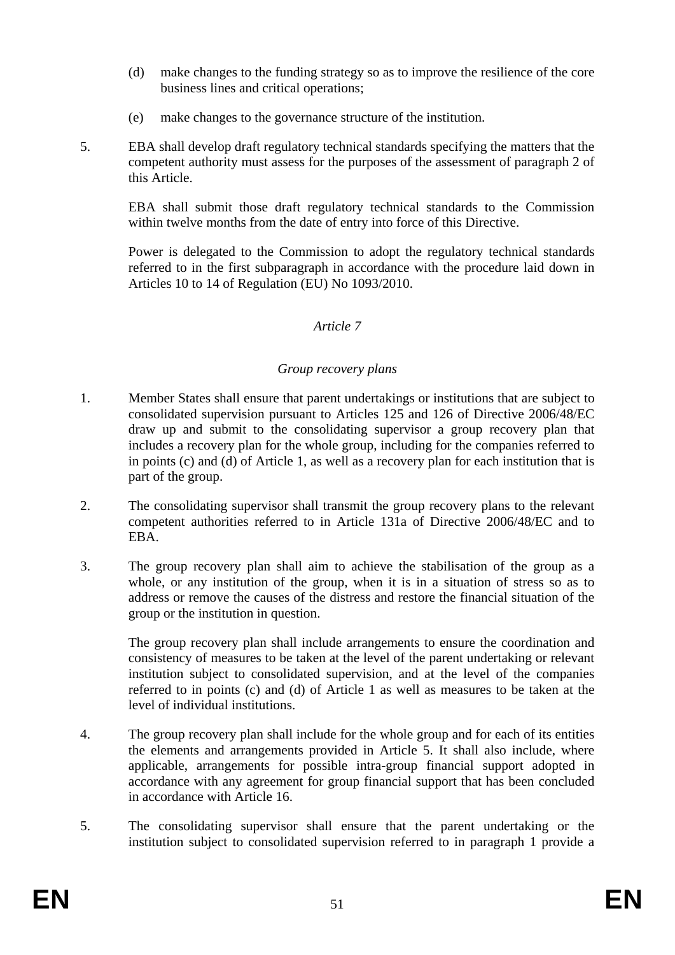- (d) make changes to the funding strategy so as to improve the resilience of the core business lines and critical operations;
- (e) make changes to the governance structure of the institution.
- 5. EBA shall develop draft regulatory technical standards specifying the matters that the competent authority must assess for the purposes of the assessment of paragraph 2 of this Article.

EBA shall submit those draft regulatory technical standards to the Commission within twelve months from the date of entry into force of this Directive.

Power is delegated to the Commission to adopt the regulatory technical standards referred to in the first subparagraph in accordance with the procedure laid down in Articles 10 to 14 of Regulation (EU) No 1093/2010.

#### *Article 7*

#### *Group recovery plans*

- 1. Member States shall ensure that parent undertakings or institutions that are subject to consolidated supervision pursuant to Articles 125 and 126 of Directive 2006/48/EC draw up and submit to the consolidating supervisor a group recovery plan that includes a recovery plan for the whole group, including for the companies referred to in points (c) and (d) of Article 1, as well as a recovery plan for each institution that is part of the group.
- 2. The consolidating supervisor shall transmit the group recovery plans to the relevant competent authorities referred to in Article 131a of Directive 2006/48/EC and to EBA.
- 3. The group recovery plan shall aim to achieve the stabilisation of the group as a whole, or any institution of the group, when it is in a situation of stress so as to address or remove the causes of the distress and restore the financial situation of the group or the institution in question.

The group recovery plan shall include arrangements to ensure the coordination and consistency of measures to be taken at the level of the parent undertaking or relevant institution subject to consolidated supervision, and at the level of the companies referred to in points (c) and (d) of Article 1 as well as measures to be taken at the level of individual institutions.

- 4. The group recovery plan shall include for the whole group and for each of its entities the elements and arrangements provided in Article 5. It shall also include, where applicable, arrangements for possible intra-group financial support adopted in accordance with any agreement for group financial support that has been concluded in accordance with Article 16.
- 5. The consolidating supervisor shall ensure that the parent undertaking or the institution subject to consolidated supervision referred to in paragraph 1 provide a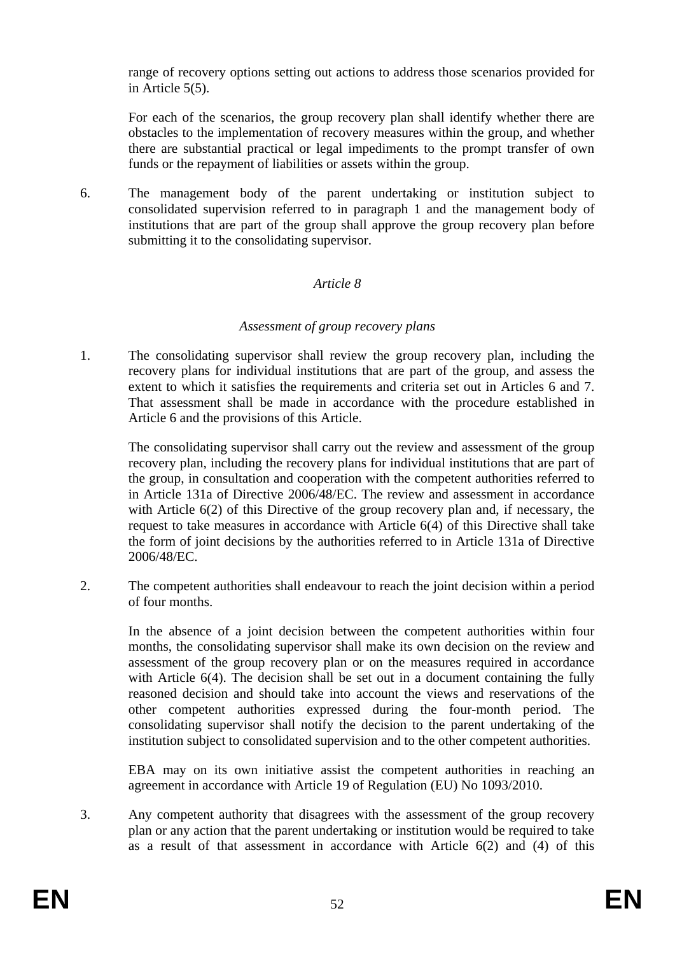range of recovery options setting out actions to address those scenarios provided for in Article 5(5).

For each of the scenarios, the group recovery plan shall identify whether there are obstacles to the implementation of recovery measures within the group, and whether there are substantial practical or legal impediments to the prompt transfer of own funds or the repayment of liabilities or assets within the group.

6. The management body of the parent undertaking or institution subject to consolidated supervision referred to in paragraph 1 and the management body of institutions that are part of the group shall approve the group recovery plan before submitting it to the consolidating supervisor.

## *Article 8*

#### *Assessment of group recovery plans*

1. The consolidating supervisor shall review the group recovery plan, including the recovery plans for individual institutions that are part of the group, and assess the extent to which it satisfies the requirements and criteria set out in Articles 6 and 7. That assessment shall be made in accordance with the procedure established in Article 6 and the provisions of this Article.

The consolidating supervisor shall carry out the review and assessment of the group recovery plan, including the recovery plans for individual institutions that are part of the group, in consultation and cooperation with the competent authorities referred to in Article 131a of Directive 2006/48/EC. The review and assessment in accordance with Article 6(2) of this Directive of the group recovery plan and, if necessary, the request to take measures in accordance with Article 6(4) of this Directive shall take the form of joint decisions by the authorities referred to in Article 131a of Directive 2006/48/EC.

2. The competent authorities shall endeavour to reach the joint decision within a period of four months.

In the absence of a joint decision between the competent authorities within four months, the consolidating supervisor shall make its own decision on the review and assessment of the group recovery plan or on the measures required in accordance with Article 6(4). The decision shall be set out in a document containing the fully reasoned decision and should take into account the views and reservations of the other competent authorities expressed during the four-month period. The consolidating supervisor shall notify the decision to the parent undertaking of the institution subject to consolidated supervision and to the other competent authorities.

EBA may on its own initiative assist the competent authorities in reaching an agreement in accordance with Article 19 of Regulation (EU) No 1093/2010.

3. Any competent authority that disagrees with the assessment of the group recovery plan or any action that the parent undertaking or institution would be required to take as a result of that assessment in accordance with Article 6(2) and (4) of this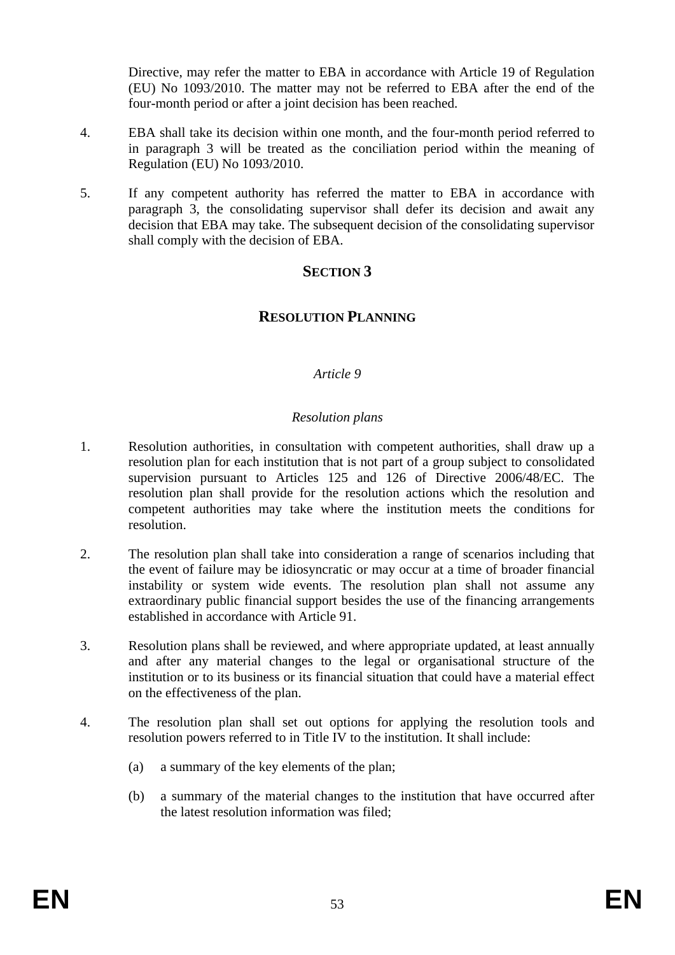Directive, may refer the matter to EBA in accordance with Article 19 of Regulation (EU) No 1093/2010. The matter may not be referred to EBA after the end of the four-month period or after a joint decision has been reached.

- 4. EBA shall take its decision within one month, and the four-month period referred to in paragraph 3 will be treated as the conciliation period within the meaning of Regulation (EU) No 1093/2010.
- 5. If any competent authority has referred the matter to EBA in accordance with paragraph 3, the consolidating supervisor shall defer its decision and await any decision that EBA may take. The subsequent decision of the consolidating supervisor shall comply with the decision of EBA.

# **SECTION 3**

# **RESOLUTION PLANNING**

#### *Article 9*

#### *Resolution plans*

- 1. Resolution authorities, in consultation with competent authorities, shall draw up a resolution plan for each institution that is not part of a group subject to consolidated supervision pursuant to Articles 125 and 126 of Directive 2006/48/EC. The resolution plan shall provide for the resolution actions which the resolution and competent authorities may take where the institution meets the conditions for resolution.
- 2. The resolution plan shall take into consideration a range of scenarios including that the event of failure may be idiosyncratic or may occur at a time of broader financial instability or system wide events. The resolution plan shall not assume any extraordinary public financial support besides the use of the financing arrangements established in accordance with Article 91.
- 3. Resolution plans shall be reviewed, and where appropriate updated, at least annually and after any material changes to the legal or organisational structure of the institution or to its business or its financial situation that could have a material effect on the effectiveness of the plan.
- 4. The resolution plan shall set out options for applying the resolution tools and resolution powers referred to in Title IV to the institution. It shall include:
	- (a) a summary of the key elements of the plan;
	- (b) a summary of the material changes to the institution that have occurred after the latest resolution information was filed;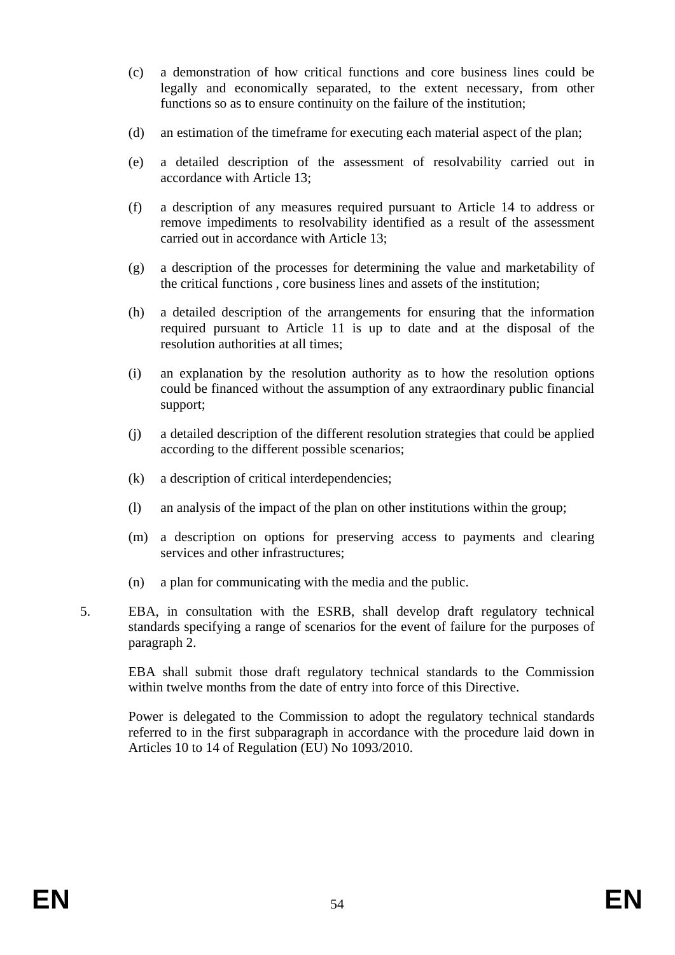- (c) a demonstration of how critical functions and core business lines could be legally and economically separated, to the extent necessary, from other functions so as to ensure continuity on the failure of the institution;
- (d) an estimation of the timeframe for executing each material aspect of the plan;
- (e) a detailed description of the assessment of resolvability carried out in accordance with Article 13;
- (f) a description of any measures required pursuant to Article 14 to address or remove impediments to resolvability identified as a result of the assessment carried out in accordance with Article 13;
- (g) a description of the processes for determining the value and marketability of the critical functions , core business lines and assets of the institution;
- (h) a detailed description of the arrangements for ensuring that the information required pursuant to Article 11 is up to date and at the disposal of the resolution authorities at all times;
- (i) an explanation by the resolution authority as to how the resolution options could be financed without the assumption of any extraordinary public financial support;
- (j) a detailed description of the different resolution strategies that could be applied according to the different possible scenarios;
- (k) a description of critical interdependencies;
- (l) an analysis of the impact of the plan on other institutions within the group;
- (m) a description on options for preserving access to payments and clearing services and other infrastructures;
- (n) a plan for communicating with the media and the public.
- 5. EBA, in consultation with the ESRB, shall develop draft regulatory technical standards specifying a range of scenarios for the event of failure for the purposes of paragraph 2.

EBA shall submit those draft regulatory technical standards to the Commission within twelve months from the date of entry into force of this Directive.

Power is delegated to the Commission to adopt the regulatory technical standards referred to in the first subparagraph in accordance with the procedure laid down in Articles 10 to 14 of Regulation (EU) No 1093/2010.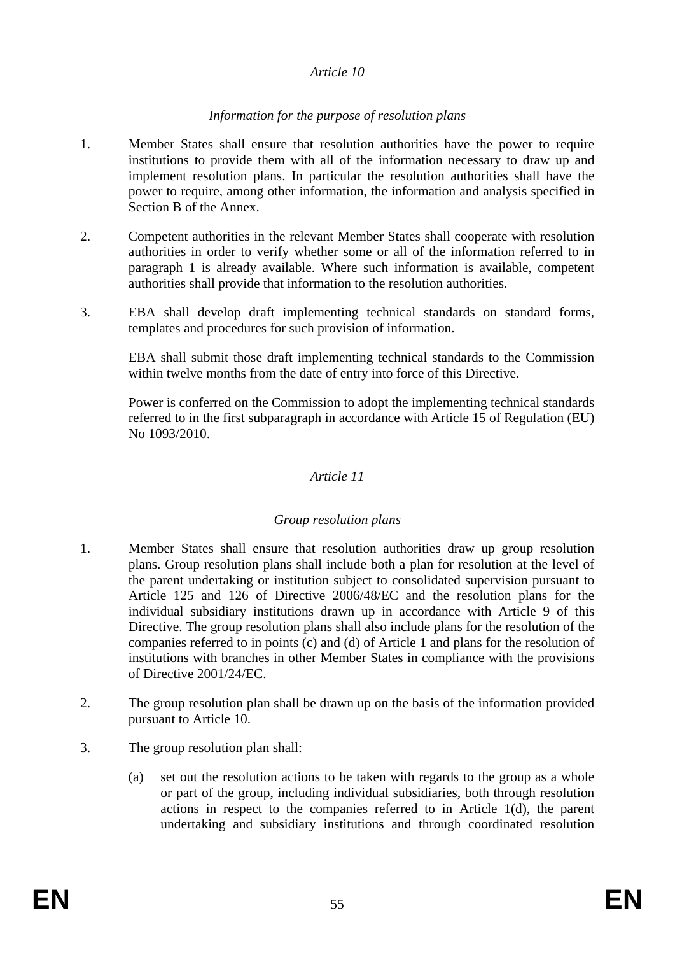#### *Article 10*

#### *Information for the purpose of resolution plans*

- 1. Member States shall ensure that resolution authorities have the power to require institutions to provide them with all of the information necessary to draw up and implement resolution plans. In particular the resolution authorities shall have the power to require, among other information, the information and analysis specified in Section B of the Annex.
- 2. Competent authorities in the relevant Member States shall cooperate with resolution authorities in order to verify whether some or all of the information referred to in paragraph 1 is already available. Where such information is available, competent authorities shall provide that information to the resolution authorities.
- 3. EBA shall develop draft implementing technical standards on standard forms, templates and procedures for such provision of information.

EBA shall submit those draft implementing technical standards to the Commission within twelve months from the date of entry into force of this Directive.

Power is conferred on the Commission to adopt the implementing technical standards referred to in the first subparagraph in accordance with Article 15 of Regulation (EU) No 1093/2010.

#### *Article 11*

#### *Group resolution plans*

- 1. Member States shall ensure that resolution authorities draw up group resolution plans. Group resolution plans shall include both a plan for resolution at the level of the parent undertaking or institution subject to consolidated supervision pursuant to Article 125 and 126 of Directive 2006/48/EC and the resolution plans for the individual subsidiary institutions drawn up in accordance with Article 9 of this Directive. The group resolution plans shall also include plans for the resolution of the companies referred to in points (c) and (d) of Article 1 and plans for the resolution of institutions with branches in other Member States in compliance with the provisions of Directive 2001/24/EC.
- 2. The group resolution plan shall be drawn up on the basis of the information provided pursuant to Article 10.
- 3. The group resolution plan shall:
	- (a) set out the resolution actions to be taken with regards to the group as a whole or part of the group, including individual subsidiaries, both through resolution actions in respect to the companies referred to in Article 1(d), the parent undertaking and subsidiary institutions and through coordinated resolution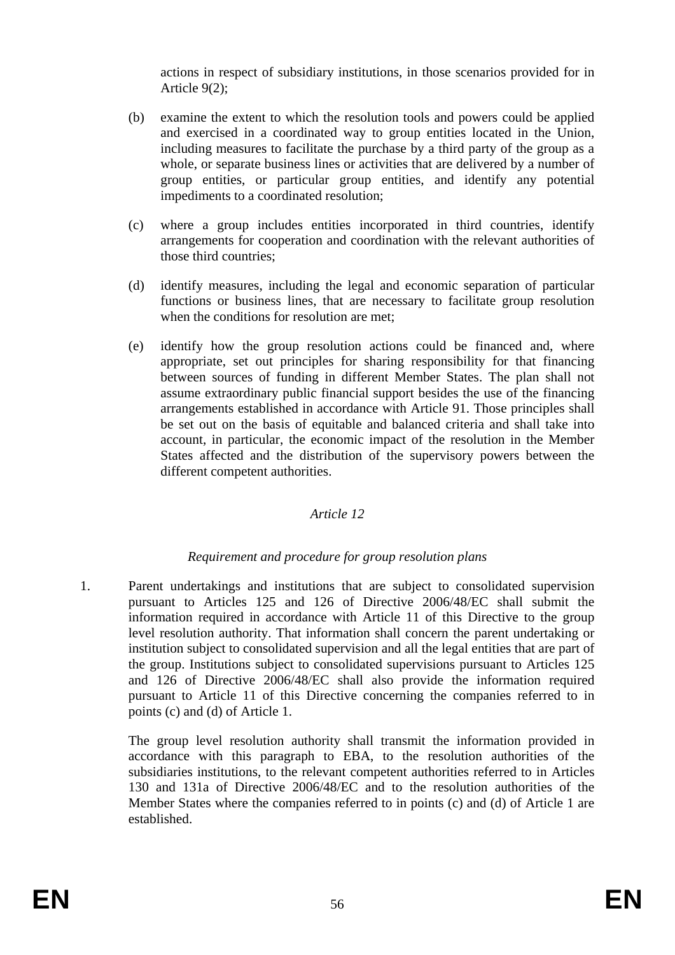actions in respect of subsidiary institutions, in those scenarios provided for in Article 9(2);

- (b) examine the extent to which the resolution tools and powers could be applied and exercised in a coordinated way to group entities located in the Union, including measures to facilitate the purchase by a third party of the group as a whole, or separate business lines or activities that are delivered by a number of group entities, or particular group entities, and identify any potential impediments to a coordinated resolution;
- (c) where a group includes entities incorporated in third countries, identify arrangements for cooperation and coordination with the relevant authorities of those third countries;
- (d) identify measures, including the legal and economic separation of particular functions or business lines, that are necessary to facilitate group resolution when the conditions for resolution are met;
- (e) identify how the group resolution actions could be financed and, where appropriate, set out principles for sharing responsibility for that financing between sources of funding in different Member States. The plan shall not assume extraordinary public financial support besides the use of the financing arrangements established in accordance with Article 91. Those principles shall be set out on the basis of equitable and balanced criteria and shall take into account, in particular, the economic impact of the resolution in the Member States affected and the distribution of the supervisory powers between the different competent authorities.

## *Article 12*

## *Requirement and procedure for group resolution plans*

1. Parent undertakings and institutions that are subject to consolidated supervision pursuant to Articles 125 and 126 of Directive 2006/48/EC shall submit the information required in accordance with Article 11 of this Directive to the group level resolution authority. That information shall concern the parent undertaking or institution subject to consolidated supervision and all the legal entities that are part of the group. Institutions subject to consolidated supervisions pursuant to Articles 125 and 126 of Directive 2006/48/EC shall also provide the information required pursuant to Article 11 of this Directive concerning the companies referred to in points (c) and (d) of Article 1.

The group level resolution authority shall transmit the information provided in accordance with this paragraph to EBA, to the resolution authorities of the subsidiaries institutions, to the relevant competent authorities referred to in Articles 130 and 131a of Directive 2006/48/EC and to the resolution authorities of the Member States where the companies referred to in points (c) and (d) of Article 1 are established.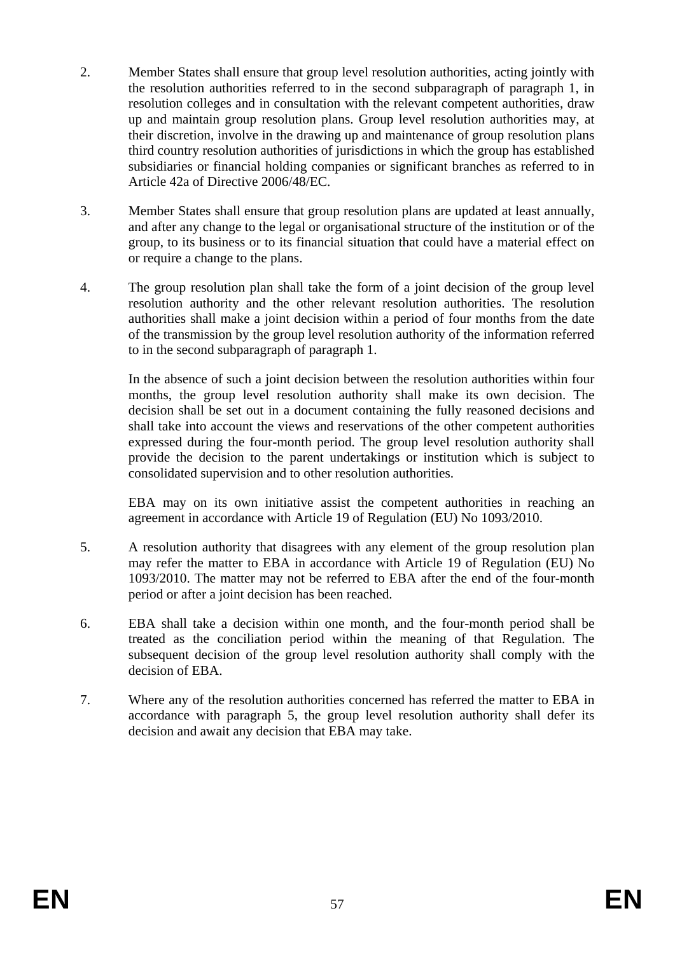- 2. Member States shall ensure that group level resolution authorities, acting jointly with the resolution authorities referred to in the second subparagraph of paragraph 1, in resolution colleges and in consultation with the relevant competent authorities, draw up and maintain group resolution plans. Group level resolution authorities may, at their discretion, involve in the drawing up and maintenance of group resolution plans third country resolution authorities of jurisdictions in which the group has established subsidiaries or financial holding companies or significant branches as referred to in Article 42a of Directive 2006/48/EC.
- 3. Member States shall ensure that group resolution plans are updated at least annually, and after any change to the legal or organisational structure of the institution or of the group, to its business or to its financial situation that could have a material effect on or require a change to the plans.
- 4. The group resolution plan shall take the form of a joint decision of the group level resolution authority and the other relevant resolution authorities. The resolution authorities shall make a joint decision within a period of four months from the date of the transmission by the group level resolution authority of the information referred to in the second subparagraph of paragraph 1.

In the absence of such a joint decision between the resolution authorities within four months, the group level resolution authority shall make its own decision. The decision shall be set out in a document containing the fully reasoned decisions and shall take into account the views and reservations of the other competent authorities expressed during the four-month period. The group level resolution authority shall provide the decision to the parent undertakings or institution which is subject to consolidated supervision and to other resolution authorities.

EBA may on its own initiative assist the competent authorities in reaching an agreement in accordance with Article 19 of Regulation (EU) No 1093/2010.

- 5. A resolution authority that disagrees with any element of the group resolution plan may refer the matter to EBA in accordance with Article 19 of Regulation (EU) No 1093/2010. The matter may not be referred to EBA after the end of the four-month period or after a joint decision has been reached.
- 6. EBA shall take a decision within one month, and the four-month period shall be treated as the conciliation period within the meaning of that Regulation. The subsequent decision of the group level resolution authority shall comply with the decision of EBA.
- 7. Where any of the resolution authorities concerned has referred the matter to EBA in accordance with paragraph 5, the group level resolution authority shall defer its decision and await any decision that EBA may take.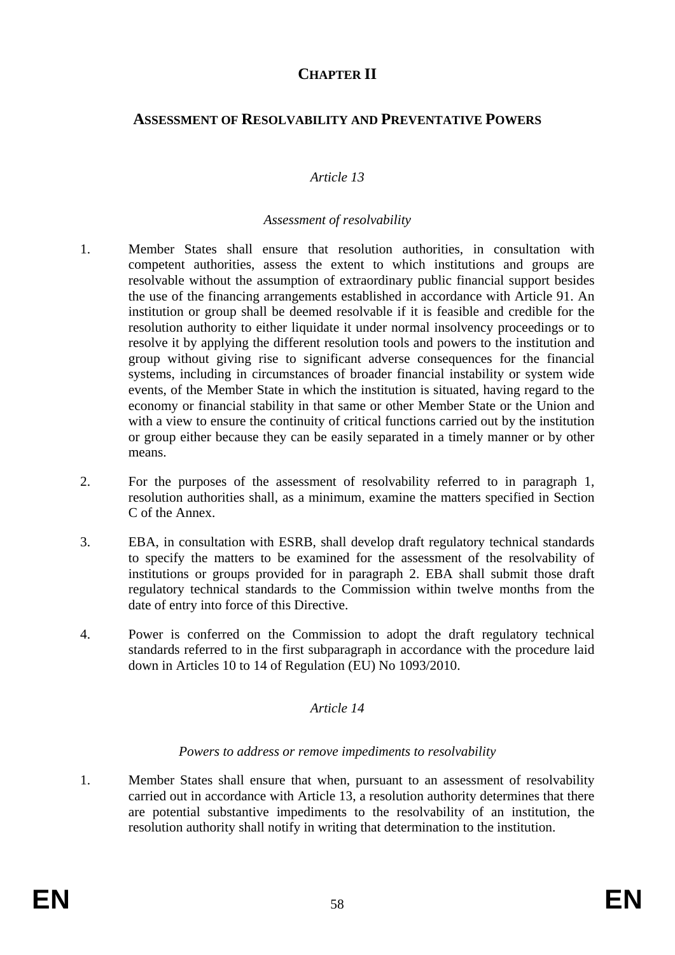# **CHAPTER II**

# **ASSESSMENT OF RESOLVABILITY AND PREVENTATIVE POWERS**

## *Article 13*

#### *Assessment of resolvability*

- 1. Member States shall ensure that resolution authorities, in consultation with competent authorities, assess the extent to which institutions and groups are resolvable without the assumption of extraordinary public financial support besides the use of the financing arrangements established in accordance with Article 91. An institution or group shall be deemed resolvable if it is feasible and credible for the resolution authority to either liquidate it under normal insolvency proceedings or to resolve it by applying the different resolution tools and powers to the institution and group without giving rise to significant adverse consequences for the financial systems, including in circumstances of broader financial instability or system wide events, of the Member State in which the institution is situated, having regard to the economy or financial stability in that same or other Member State or the Union and with a view to ensure the continuity of critical functions carried out by the institution or group either because they can be easily separated in a timely manner or by other means.
- 2. For the purposes of the assessment of resolvability referred to in paragraph 1, resolution authorities shall, as a minimum, examine the matters specified in Section C of the Annex.
- 3. EBA, in consultation with ESRB, shall develop draft regulatory technical standards to specify the matters to be examined for the assessment of the resolvability of institutions or groups provided for in paragraph 2. EBA shall submit those draft regulatory technical standards to the Commission within twelve months from the date of entry into force of this Directive.
- 4. Power is conferred on the Commission to adopt the draft regulatory technical standards referred to in the first subparagraph in accordance with the procedure laid down in Articles 10 to 14 of Regulation (EU) No 1093/2010.

#### *Article 14*

#### *Powers to address or remove impediments to resolvability*

1. Member States shall ensure that when, pursuant to an assessment of resolvability carried out in accordance with Article 13, a resolution authority determines that there are potential substantive impediments to the resolvability of an institution, the resolution authority shall notify in writing that determination to the institution.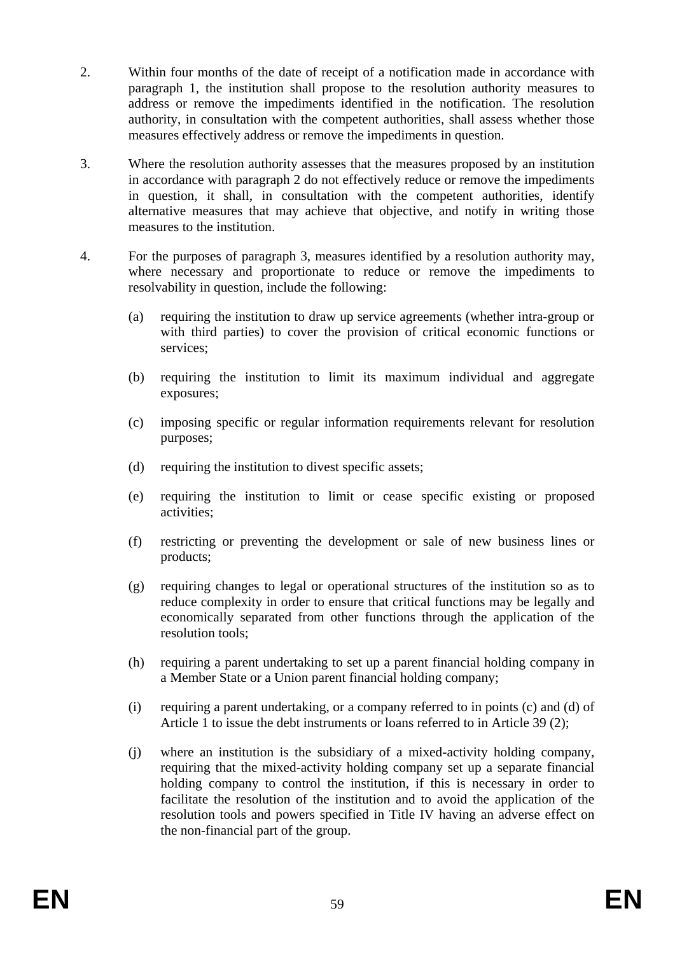- 2. Within four months of the date of receipt of a notification made in accordance with paragraph 1, the institution shall propose to the resolution authority measures to address or remove the impediments identified in the notification. The resolution authority, in consultation with the competent authorities, shall assess whether those measures effectively address or remove the impediments in question.
- 3. Where the resolution authority assesses that the measures proposed by an institution in accordance with paragraph 2 do not effectively reduce or remove the impediments in question, it shall, in consultation with the competent authorities, identify alternative measures that may achieve that objective, and notify in writing those measures to the institution.
- 4. For the purposes of paragraph 3, measures identified by a resolution authority may, where necessary and proportionate to reduce or remove the impediments to resolvability in question, include the following:
	- (a) requiring the institution to draw up service agreements (whether intra-group or with third parties) to cover the provision of critical economic functions or services;
	- (b) requiring the institution to limit its maximum individual and aggregate exposures;
	- (c) imposing specific or regular information requirements relevant for resolution purposes;
	- (d) requiring the institution to divest specific assets;
	- (e) requiring the institution to limit or cease specific existing or proposed activities;
	- (f) restricting or preventing the development or sale of new business lines or products;
	- (g) requiring changes to legal or operational structures of the institution so as to reduce complexity in order to ensure that critical functions may be legally and economically separated from other functions through the application of the resolution tools;
	- (h) requiring a parent undertaking to set up a parent financial holding company in a Member State or a Union parent financial holding company;
	- (i) requiring a parent undertaking, or a company referred to in points (c) and (d) of Article 1 to issue the debt instruments or loans referred to in Article 39 (2);
	- (j) where an institution is the subsidiary of a mixed-activity holding company, requiring that the mixed-activity holding company set up a separate financial holding company to control the institution, if this is necessary in order to facilitate the resolution of the institution and to avoid the application of the resolution tools and powers specified in Title IV having an adverse effect on the non-financial part of the group.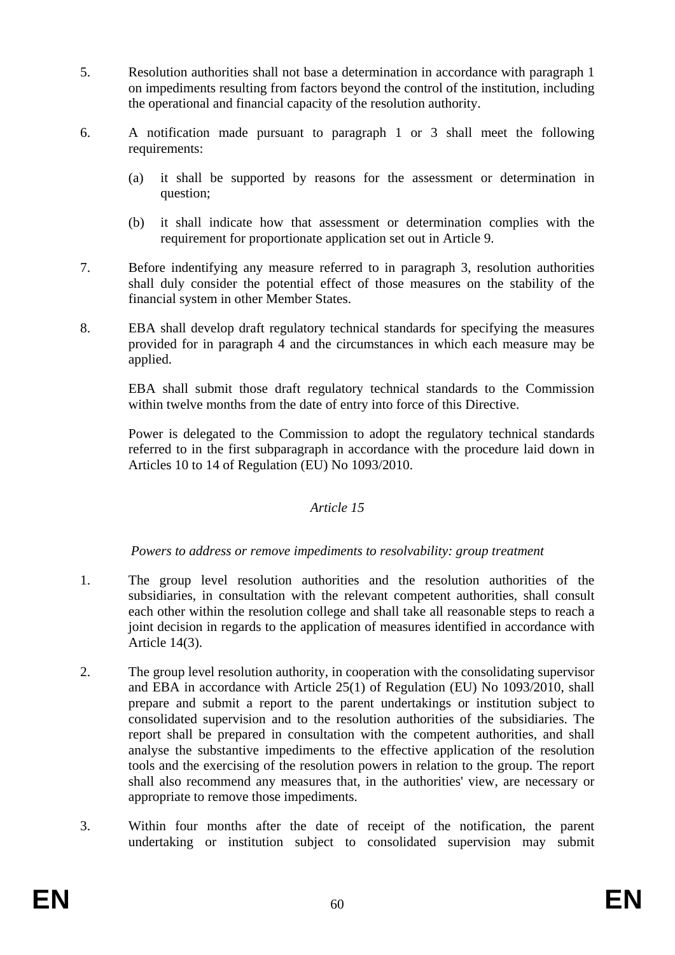- 5. Resolution authorities shall not base a determination in accordance with paragraph 1 on impediments resulting from factors beyond the control of the institution, including the operational and financial capacity of the resolution authority.
- 6. A notification made pursuant to paragraph 1 or 3 shall meet the following requirements:
	- (a) it shall be supported by reasons for the assessment or determination in question;
	- (b) it shall indicate how that assessment or determination complies with the requirement for proportionate application set out in Article 9.
- 7. Before indentifying any measure referred to in paragraph 3, resolution authorities shall duly consider the potential effect of those measures on the stability of the financial system in other Member States.
- 8. EBA shall develop draft regulatory technical standards for specifying the measures provided for in paragraph 4 and the circumstances in which each measure may be applied.

EBA shall submit those draft regulatory technical standards to the Commission within twelve months from the date of entry into force of this Directive.

Power is delegated to the Commission to adopt the regulatory technical standards referred to in the first subparagraph in accordance with the procedure laid down in Articles 10 to 14 of Regulation (EU) No 1093/2010.

## *Article 15*

## *Powers to address or remove impediments to resolvability: group treatment*

- 1. The group level resolution authorities and the resolution authorities of the subsidiaries, in consultation with the relevant competent authorities, shall consult each other within the resolution college and shall take all reasonable steps to reach a joint decision in regards to the application of measures identified in accordance with Article 14(3).
- 2. The group level resolution authority, in cooperation with the consolidating supervisor and EBA in accordance with Article 25(1) of Regulation (EU) No 1093/2010, shall prepare and submit a report to the parent undertakings or institution subject to consolidated supervision and to the resolution authorities of the subsidiaries. The report shall be prepared in consultation with the competent authorities, and shall analyse the substantive impediments to the effective application of the resolution tools and the exercising of the resolution powers in relation to the group. The report shall also recommend any measures that, in the authorities' view, are necessary or appropriate to remove those impediments.
- 3. Within four months after the date of receipt of the notification, the parent undertaking or institution subject to consolidated supervision may submit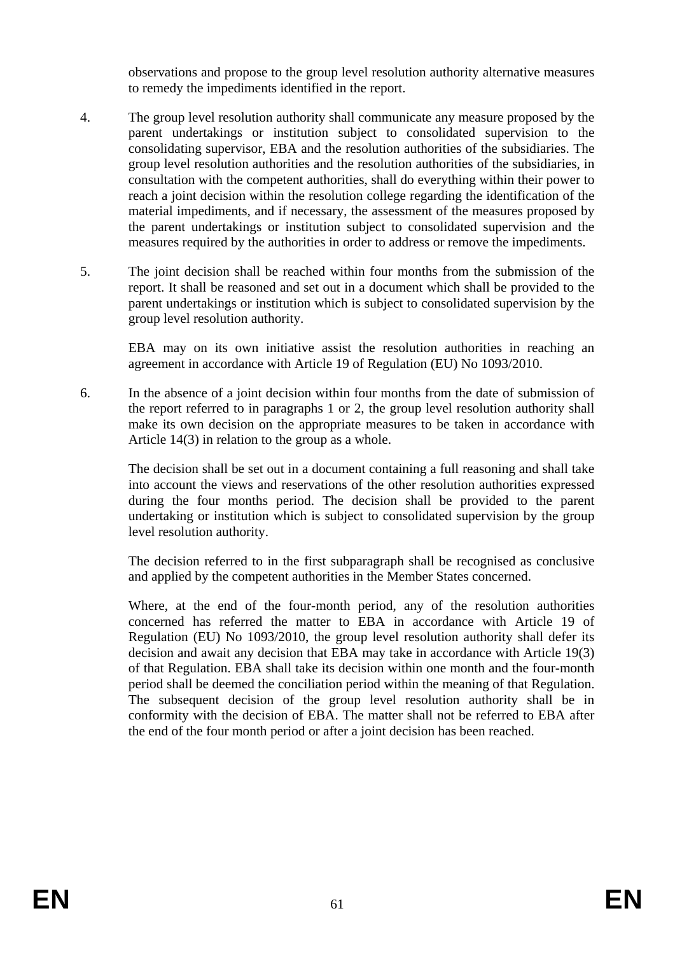observations and propose to the group level resolution authority alternative measures to remedy the impediments identified in the report.

- 4. The group level resolution authority shall communicate any measure proposed by the parent undertakings or institution subject to consolidated supervision to the consolidating supervisor, EBA and the resolution authorities of the subsidiaries. The group level resolution authorities and the resolution authorities of the subsidiaries, in consultation with the competent authorities, shall do everything within their power to reach a joint decision within the resolution college regarding the identification of the material impediments, and if necessary, the assessment of the measures proposed by the parent undertakings or institution subject to consolidated supervision and the measures required by the authorities in order to address or remove the impediments.
- 5. The joint decision shall be reached within four months from the submission of the report. It shall be reasoned and set out in a document which shall be provided to the parent undertakings or institution which is subject to consolidated supervision by the group level resolution authority.

EBA may on its own initiative assist the resolution authorities in reaching an agreement in accordance with Article 19 of Regulation (EU) No 1093/2010.

6. In the absence of a joint decision within four months from the date of submission of the report referred to in paragraphs 1 or 2, the group level resolution authority shall make its own decision on the appropriate measures to be taken in accordance with Article 14(3) in relation to the group as a whole.

The decision shall be set out in a document containing a full reasoning and shall take into account the views and reservations of the other resolution authorities expressed during the four months period. The decision shall be provided to the parent undertaking or institution which is subject to consolidated supervision by the group level resolution authority.

The decision referred to in the first subparagraph shall be recognised as conclusive and applied by the competent authorities in the Member States concerned.

Where, at the end of the four-month period, any of the resolution authorities concerned has referred the matter to EBA in accordance with Article 19 of Regulation (EU) No 1093/2010, the group level resolution authority shall defer its decision and await any decision that EBA may take in accordance with Article 19(3) of that Regulation. EBA shall take its decision within one month and the four-month period shall be deemed the conciliation period within the meaning of that Regulation. The subsequent decision of the group level resolution authority shall be in conformity with the decision of EBA. The matter shall not be referred to EBA after the end of the four month period or after a joint decision has been reached.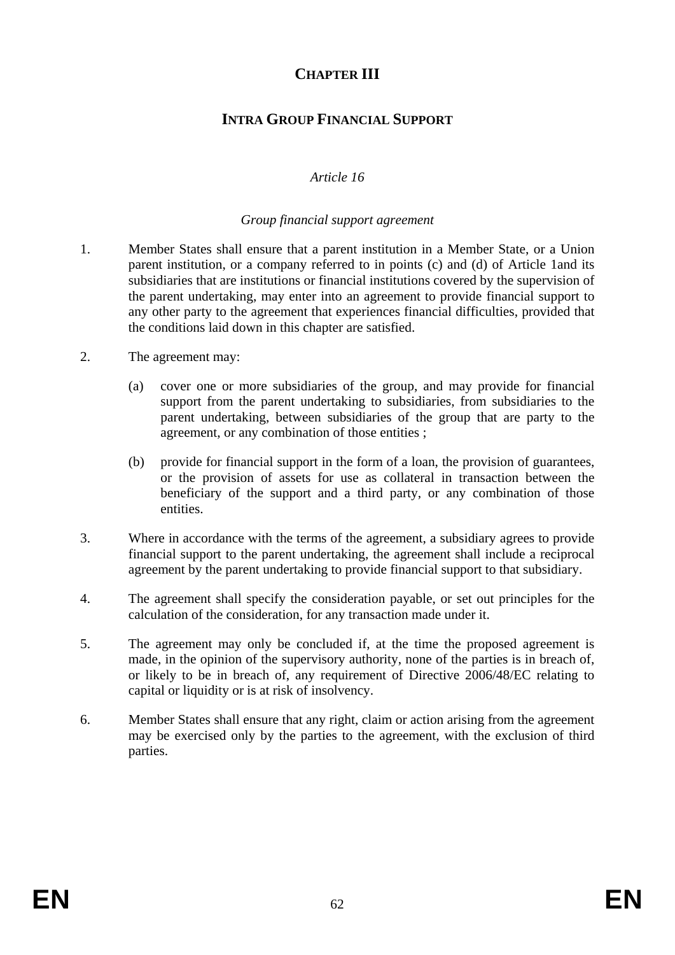# **CHAPTER III**

# **INTRA GROUP FINANCIAL SUPPORT**

# *Article 16*

#### *Group financial support agreement*

- 1. Member States shall ensure that a parent institution in a Member State, or a Union parent institution, or a company referred to in points (c) and (d) of Article 1and its subsidiaries that are institutions or financial institutions covered by the supervision of the parent undertaking, may enter into an agreement to provide financial support to any other party to the agreement that experiences financial difficulties, provided that the conditions laid down in this chapter are satisfied.
- 2. The agreement may:
	- (a) cover one or more subsidiaries of the group, and may provide for financial support from the parent undertaking to subsidiaries, from subsidiaries to the parent undertaking, between subsidiaries of the group that are party to the agreement, or any combination of those entities ;
	- (b) provide for financial support in the form of a loan, the provision of guarantees, or the provision of assets for use as collateral in transaction between the beneficiary of the support and a third party, or any combination of those entities.
- 3. Where in accordance with the terms of the agreement, a subsidiary agrees to provide financial support to the parent undertaking, the agreement shall include a reciprocal agreement by the parent undertaking to provide financial support to that subsidiary.
- 4. The agreement shall specify the consideration payable, or set out principles for the calculation of the consideration, for any transaction made under it.
- 5. The agreement may only be concluded if, at the time the proposed agreement is made, in the opinion of the supervisory authority, none of the parties is in breach of, or likely to be in breach of, any requirement of Directive 2006/48/EC relating to capital or liquidity or is at risk of insolvency.
- 6. Member States shall ensure that any right, claim or action arising from the agreement may be exercised only by the parties to the agreement, with the exclusion of third parties.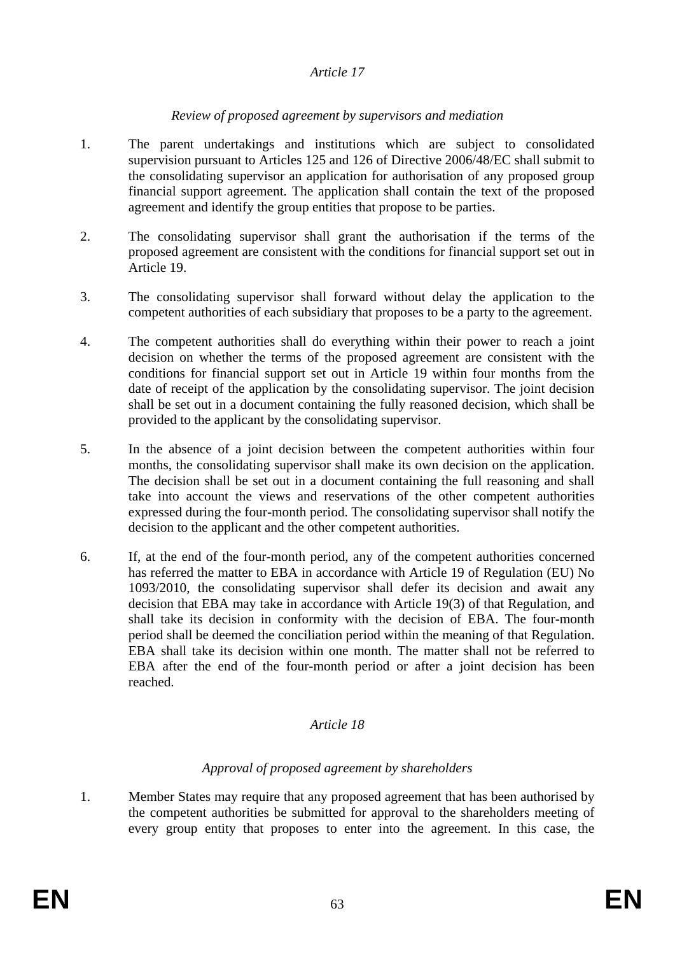## *Article 17*

## *Review of proposed agreement by supervisors and mediation*

- 1. The parent undertakings and institutions which are subject to consolidated supervision pursuant to Articles 125 and 126 of Directive 2006/48/EC shall submit to the consolidating supervisor an application for authorisation of any proposed group financial support agreement. The application shall contain the text of the proposed agreement and identify the group entities that propose to be parties.
- 2. The consolidating supervisor shall grant the authorisation if the terms of the proposed agreement are consistent with the conditions for financial support set out in Article 19.
- 3. The consolidating supervisor shall forward without delay the application to the competent authorities of each subsidiary that proposes to be a party to the agreement.
- 4. The competent authorities shall do everything within their power to reach a joint decision on whether the terms of the proposed agreement are consistent with the conditions for financial support set out in Article 19 within four months from the date of receipt of the application by the consolidating supervisor. The joint decision shall be set out in a document containing the fully reasoned decision, which shall be provided to the applicant by the consolidating supervisor.
- 5. In the absence of a joint decision between the competent authorities within four months, the consolidating supervisor shall make its own decision on the application. The decision shall be set out in a document containing the full reasoning and shall take into account the views and reservations of the other competent authorities expressed during the four-month period. The consolidating supervisor shall notify the decision to the applicant and the other competent authorities.
- 6. If, at the end of the four-month period, any of the competent authorities concerned has referred the matter to EBA in accordance with Article 19 of Regulation (EU) No 1093/2010, the consolidating supervisor shall defer its decision and await any decision that EBA may take in accordance with Article 19(3) of that Regulation, and shall take its decision in conformity with the decision of EBA. The four-month period shall be deemed the conciliation period within the meaning of that Regulation. EBA shall take its decision within one month. The matter shall not be referred to EBA after the end of the four-month period or after a joint decision has been reached.

## *Article 18*

## *Approval of proposed agreement by shareholders*

1. Member States may require that any proposed agreement that has been authorised by the competent authorities be submitted for approval to the shareholders meeting of every group entity that proposes to enter into the agreement. In this case, the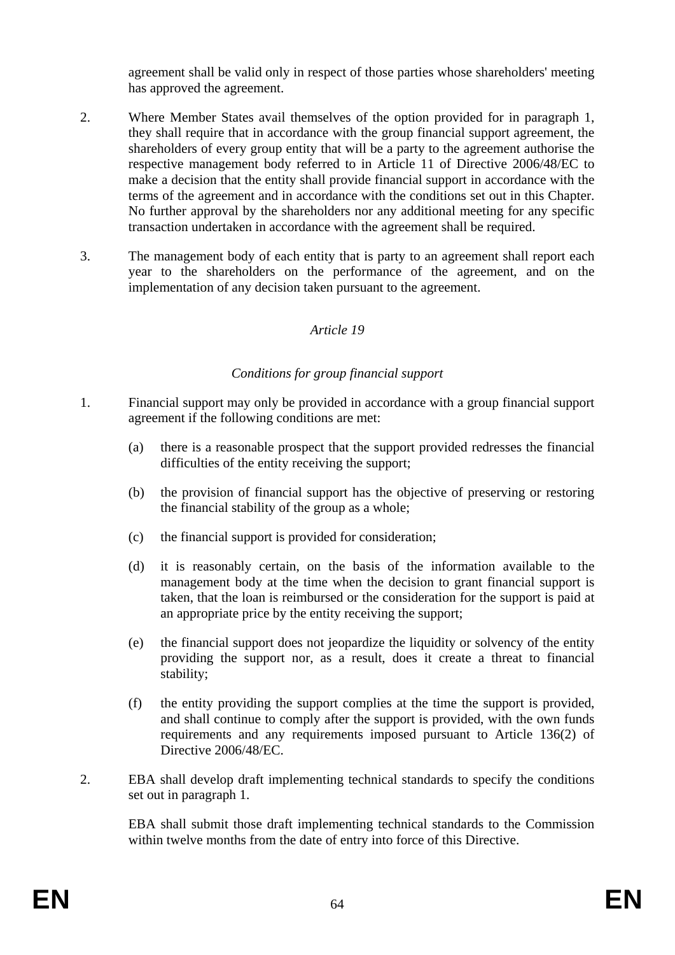agreement shall be valid only in respect of those parties whose shareholders' meeting has approved the agreement.

- 2. Where Member States avail themselves of the option provided for in paragraph 1, they shall require that in accordance with the group financial support agreement, the shareholders of every group entity that will be a party to the agreement authorise the respective management body referred to in Article 11 of Directive 2006/48/EC to make a decision that the entity shall provide financial support in accordance with the terms of the agreement and in accordance with the conditions set out in this Chapter. No further approval by the shareholders nor any additional meeting for any specific transaction undertaken in accordance with the agreement shall be required.
- 3. The management body of each entity that is party to an agreement shall report each year to the shareholders on the performance of the agreement, and on the implementation of any decision taken pursuant to the agreement.

## *Article 19*

## *Conditions for group financial support*

- 1. Financial support may only be provided in accordance with a group financial support agreement if the following conditions are met:
	- (a) there is a reasonable prospect that the support provided redresses the financial difficulties of the entity receiving the support;
	- (b) the provision of financial support has the objective of preserving or restoring the financial stability of the group as a whole;
	- (c) the financial support is provided for consideration;
	- (d) it is reasonably certain, on the basis of the information available to the management body at the time when the decision to grant financial support is taken, that the loan is reimbursed or the consideration for the support is paid at an appropriate price by the entity receiving the support;
	- (e) the financial support does not jeopardize the liquidity or solvency of the entity providing the support nor, as a result, does it create a threat to financial stability;
	- (f) the entity providing the support complies at the time the support is provided, and shall continue to comply after the support is provided, with the own funds requirements and any requirements imposed pursuant to Article 136(2) of Directive 2006/48/EC.
- 2. EBA shall develop draft implementing technical standards to specify the conditions set out in paragraph 1.

EBA shall submit those draft implementing technical standards to the Commission within twelve months from the date of entry into force of this Directive.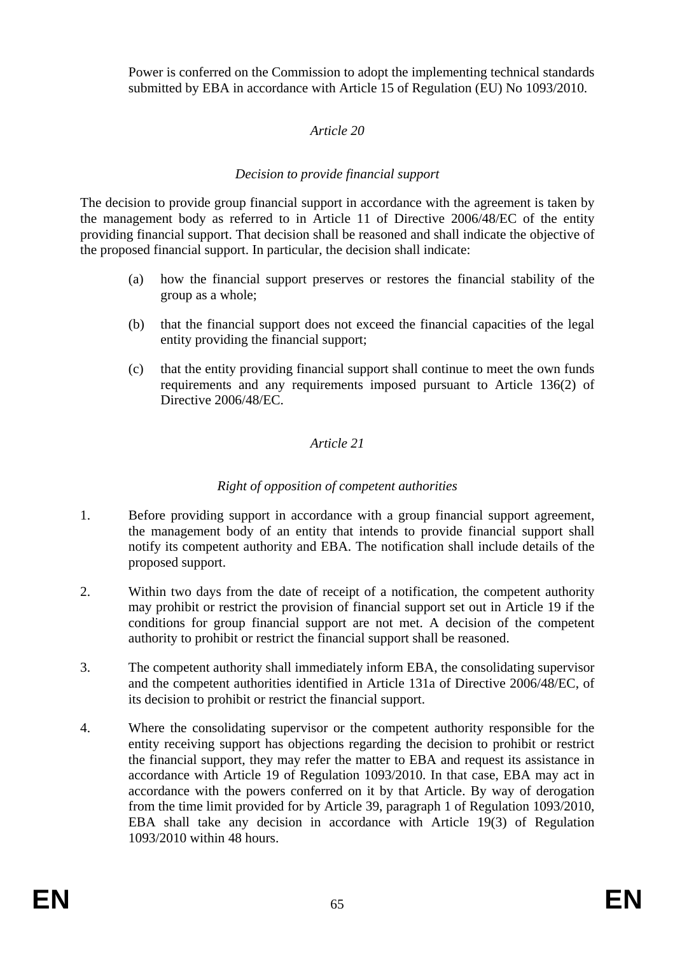Power is conferred on the Commission to adopt the implementing technical standards submitted by EBA in accordance with Article 15 of Regulation (EU) No 1093/2010.

# *Article 20*

# *Decision to provide financial support*

The decision to provide group financial support in accordance with the agreement is taken by the management body as referred to in Article 11 of Directive 2006/48/EC of the entity providing financial support. That decision shall be reasoned and shall indicate the objective of the proposed financial support. In particular, the decision shall indicate:

- (a) how the financial support preserves or restores the financial stability of the group as a whole;
- (b) that the financial support does not exceed the financial capacities of the legal entity providing the financial support;
- (c) that the entity providing financial support shall continue to meet the own funds requirements and any requirements imposed pursuant to Article 136(2) of Directive 2006/48/EC.

## *Article 21*

# *Right of opposition of competent authorities*

- 1. Before providing support in accordance with a group financial support agreement, the management body of an entity that intends to provide financial support shall notify its competent authority and EBA. The notification shall include details of the proposed support.
- 2. Within two days from the date of receipt of a notification, the competent authority may prohibit or restrict the provision of financial support set out in Article 19 if the conditions for group financial support are not met. A decision of the competent authority to prohibit or restrict the financial support shall be reasoned.
- 3. The competent authority shall immediately inform EBA, the consolidating supervisor and the competent authorities identified in Article 131a of Directive 2006/48/EC, of its decision to prohibit or restrict the financial support.
- 4. Where the consolidating supervisor or the competent authority responsible for the entity receiving support has objections regarding the decision to prohibit or restrict the financial support, they may refer the matter to EBA and request its assistance in accordance with Article 19 of Regulation 1093/2010. In that case, EBA may act in accordance with the powers conferred on it by that Article. By way of derogation from the time limit provided for by Article 39, paragraph 1 of Regulation 1093/2010, EBA shall take any decision in accordance with Article 19(3) of Regulation 1093/2010 within 48 hours.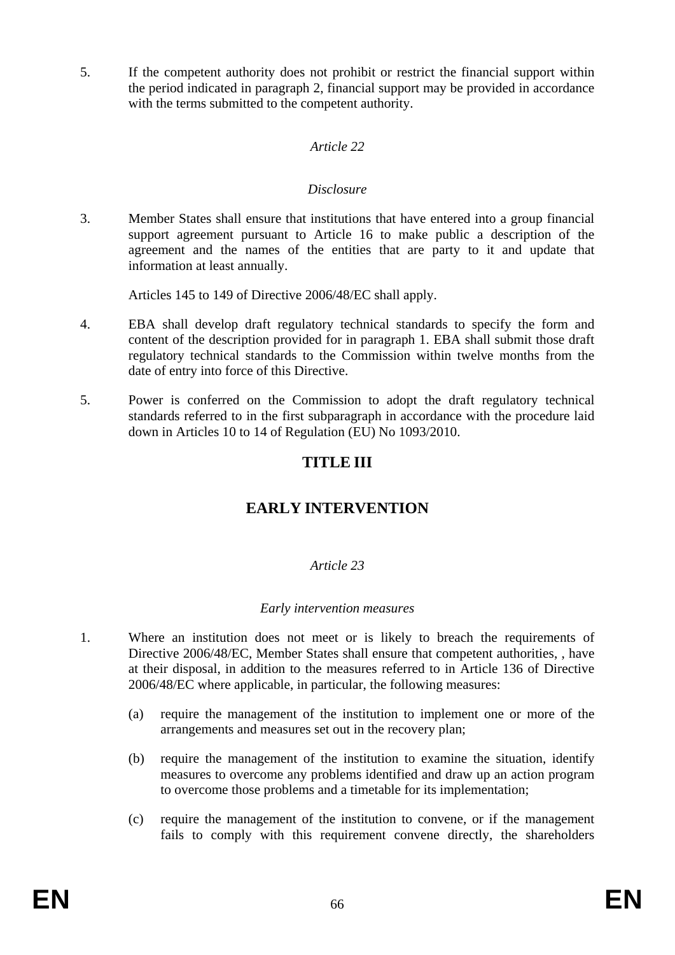5. If the competent authority does not prohibit or restrict the financial support within the period indicated in paragraph 2, financial support may be provided in accordance with the terms submitted to the competent authority.

## *Article 22*

## *Disclosure*

3. Member States shall ensure that institutions that have entered into a group financial support agreement pursuant to Article 16 to make public a description of the agreement and the names of the entities that are party to it and update that information at least annually.

Articles 145 to 149 of Directive 2006/48/EC shall apply.

- 4. EBA shall develop draft regulatory technical standards to specify the form and content of the description provided for in paragraph 1. EBA shall submit those draft regulatory technical standards to the Commission within twelve months from the date of entry into force of this Directive.
- 5. Power is conferred on the Commission to adopt the draft regulatory technical standards referred to in the first subparagraph in accordance with the procedure laid down in Articles 10 to 14 of Regulation (EU) No 1093/2010.

# **TITLE III**

# **EARLY INTERVENTION**

## *Article 23*

#### *Early intervention measures*

- 1. Where an institution does not meet or is likely to breach the requirements of Directive 2006/48/EC, Member States shall ensure that competent authorities, , have at their disposal, in addition to the measures referred to in Article 136 of Directive 2006/48/EC where applicable, in particular, the following measures:
	- (a) require the management of the institution to implement one or more of the arrangements and measures set out in the recovery plan;
	- (b) require the management of the institution to examine the situation, identify measures to overcome any problems identified and draw up an action program to overcome those problems and a timetable for its implementation;
	- (c) require the management of the institution to convene, or if the management fails to comply with this requirement convene directly, the shareholders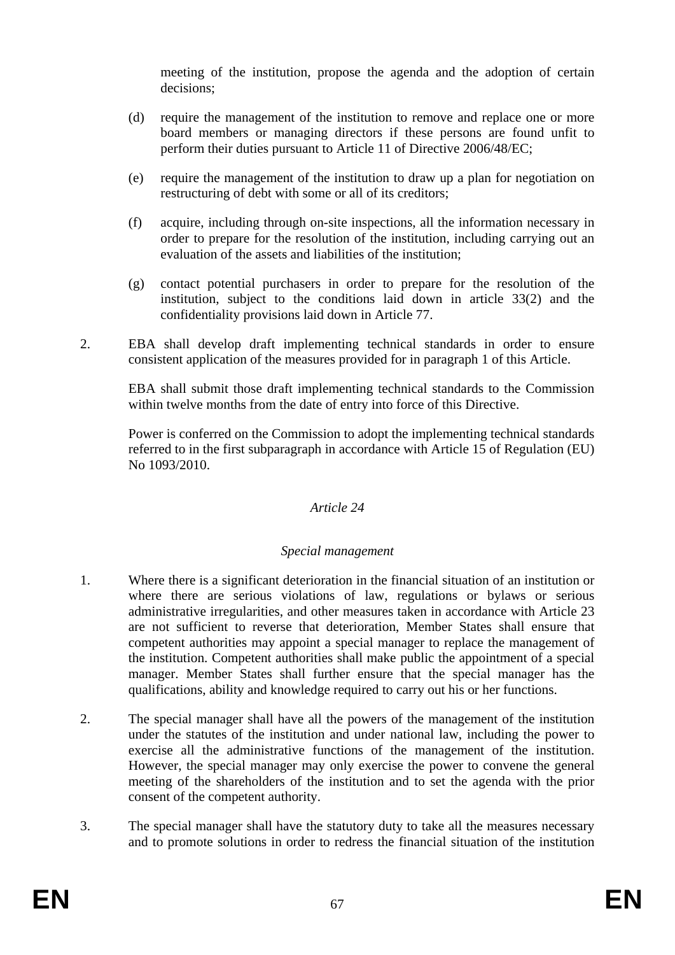meeting of the institution, propose the agenda and the adoption of certain decisions;

- (d) require the management of the institution to remove and replace one or more board members or managing directors if these persons are found unfit to perform their duties pursuant to Article 11 of Directive 2006/48/EC;
- (e) require the management of the institution to draw up a plan for negotiation on restructuring of debt with some or all of its creditors;
- (f) acquire, including through on-site inspections, all the information necessary in order to prepare for the resolution of the institution, including carrying out an evaluation of the assets and liabilities of the institution;
- (g) contact potential purchasers in order to prepare for the resolution of the institution, subject to the conditions laid down in article 33(2) and the confidentiality provisions laid down in Article 77.
- 2. EBA shall develop draft implementing technical standards in order to ensure consistent application of the measures provided for in paragraph 1 of this Article.

EBA shall submit those draft implementing technical standards to the Commission within twelve months from the date of entry into force of this Directive.

Power is conferred on the Commission to adopt the implementing technical standards referred to in the first subparagraph in accordance with Article 15 of Regulation (EU) No 1093/2010.

## *Article 24*

## *Special management*

- 1. Where there is a significant deterioration in the financial situation of an institution or where there are serious violations of law, regulations or bylaws or serious administrative irregularities, and other measures taken in accordance with Article 23 are not sufficient to reverse that deterioration, Member States shall ensure that competent authorities may appoint a special manager to replace the management of the institution. Competent authorities shall make public the appointment of a special manager. Member States shall further ensure that the special manager has the qualifications, ability and knowledge required to carry out his or her functions.
- 2. The special manager shall have all the powers of the management of the institution under the statutes of the institution and under national law, including the power to exercise all the administrative functions of the management of the institution. However, the special manager may only exercise the power to convene the general meeting of the shareholders of the institution and to set the agenda with the prior consent of the competent authority.
- 3. The special manager shall have the statutory duty to take all the measures necessary and to promote solutions in order to redress the financial situation of the institution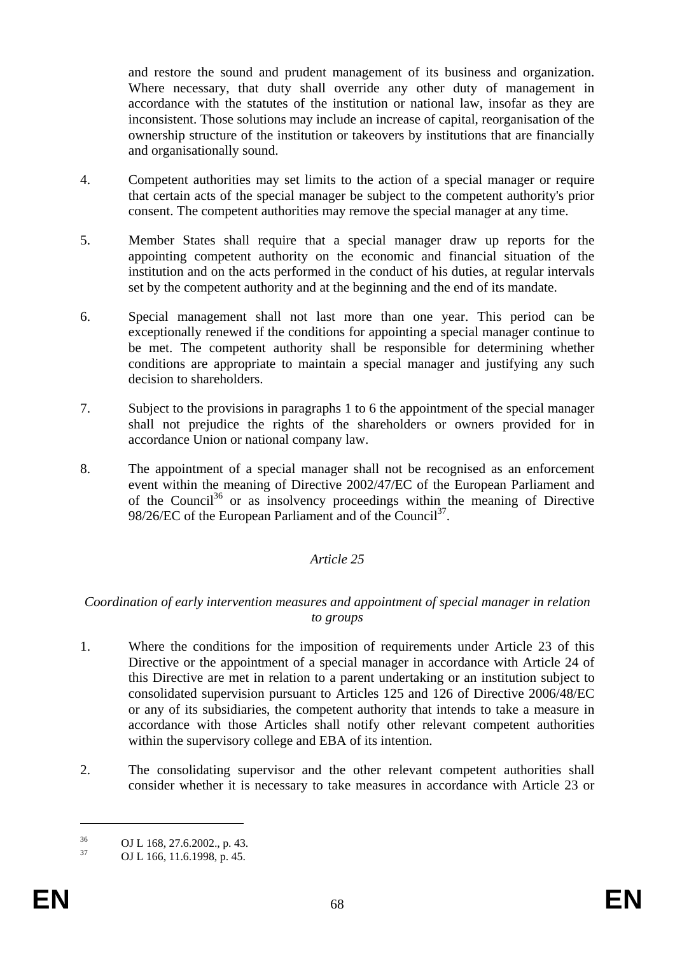and restore the sound and prudent management of its business and organization. Where necessary, that duty shall override any other duty of management in accordance with the statutes of the institution or national law, insofar as they are inconsistent. Those solutions may include an increase of capital, reorganisation of the ownership structure of the institution or takeovers by institutions that are financially and organisationally sound.

- 4. Competent authorities may set limits to the action of a special manager or require that certain acts of the special manager be subject to the competent authority's prior consent. The competent authorities may remove the special manager at any time.
- 5. Member States shall require that a special manager draw up reports for the appointing competent authority on the economic and financial situation of the institution and on the acts performed in the conduct of his duties, at regular intervals set by the competent authority and at the beginning and the end of its mandate.
- 6. Special management shall not last more than one year. This period can be exceptionally renewed if the conditions for appointing a special manager continue to be met. The competent authority shall be responsible for determining whether conditions are appropriate to maintain a special manager and justifying any such decision to shareholders.
- 7. Subject to the provisions in paragraphs 1 to 6 the appointment of the special manager shall not prejudice the rights of the shareholders or owners provided for in accordance Union or national company law.
- 8. The appointment of a special manager shall not be recognised as an enforcement event within the meaning of Directive 2002/47/EC of the European Parliament and of the Council<sup>36</sup> or as insolvency proceedings within the meaning of Directive 98/26/EC of the European Parliament and of the Council<sup>37</sup>.

## *Article 25*

#### *Coordination of early intervention measures and appointment of special manager in relation to groups*

- 1. Where the conditions for the imposition of requirements under Article 23 of this Directive or the appointment of a special manager in accordance with Article 24 of this Directive are met in relation to a parent undertaking or an institution subject to consolidated supervision pursuant to Articles 125 and 126 of Directive 2006/48/EC or any of its subsidiaries, the competent authority that intends to take a measure in accordance with those Articles shall notify other relevant competent authorities within the supervisory college and EBA of its intention.
- 2. The consolidating supervisor and the other relevant competent authorities shall consider whether it is necessary to take measures in accordance with Article 23 or

<u>.</u>

 $^{36}$  OJ L 168, 27.6.2002., p. 43.<br>
OJ L 166, 11.6.1009, p. 45

OJ L 166, 11.6.1998, p. 45.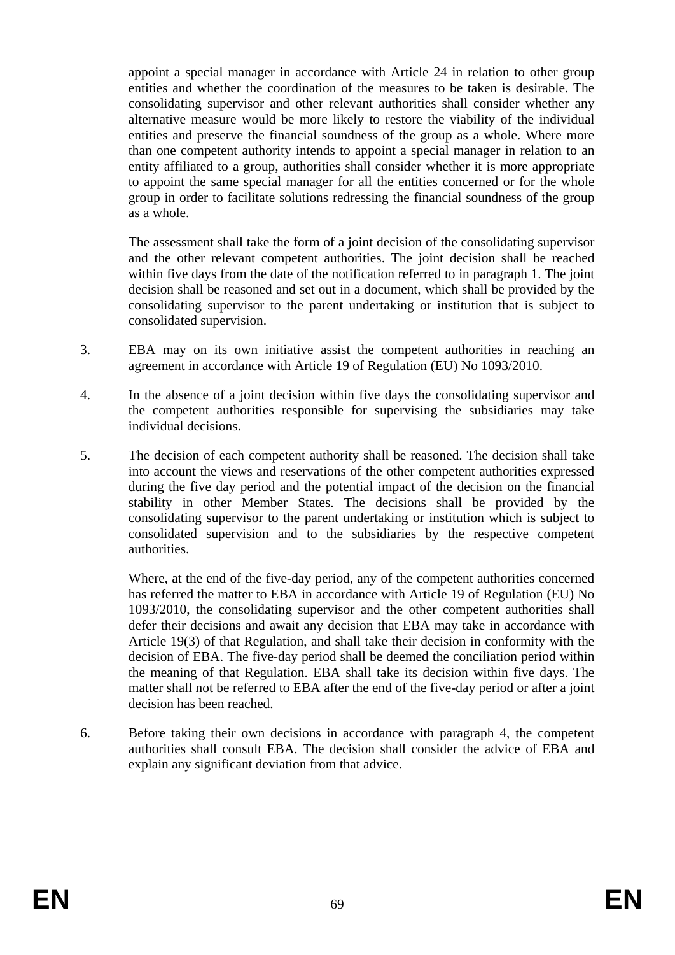appoint a special manager in accordance with Article 24 in relation to other group entities and whether the coordination of the measures to be taken is desirable. The consolidating supervisor and other relevant authorities shall consider whether any alternative measure would be more likely to restore the viability of the individual entities and preserve the financial soundness of the group as a whole. Where more than one competent authority intends to appoint a special manager in relation to an entity affiliated to a group, authorities shall consider whether it is more appropriate to appoint the same special manager for all the entities concerned or for the whole group in order to facilitate solutions redressing the financial soundness of the group as a whole.

The assessment shall take the form of a joint decision of the consolidating supervisor and the other relevant competent authorities. The joint decision shall be reached within five days from the date of the notification referred to in paragraph 1. The joint decision shall be reasoned and set out in a document, which shall be provided by the consolidating supervisor to the parent undertaking or institution that is subject to consolidated supervision.

- 3. EBA may on its own initiative assist the competent authorities in reaching an agreement in accordance with Article 19 of Regulation (EU) No 1093/2010.
- 4. In the absence of a joint decision within five days the consolidating supervisor and the competent authorities responsible for supervising the subsidiaries may take individual decisions.
- 5. The decision of each competent authority shall be reasoned. The decision shall take into account the views and reservations of the other competent authorities expressed during the five day period and the potential impact of the decision on the financial stability in other Member States. The decisions shall be provided by the consolidating supervisor to the parent undertaking or institution which is subject to consolidated supervision and to the subsidiaries by the respective competent authorities.

Where, at the end of the five-day period, any of the competent authorities concerned has referred the matter to EBA in accordance with Article 19 of Regulation (EU) No 1093/2010, the consolidating supervisor and the other competent authorities shall defer their decisions and await any decision that EBA may take in accordance with Article 19(3) of that Regulation, and shall take their decision in conformity with the decision of EBA. The five-day period shall be deemed the conciliation period within the meaning of that Regulation. EBA shall take its decision within five days. The matter shall not be referred to EBA after the end of the five-day period or after a joint decision has been reached.

6. Before taking their own decisions in accordance with paragraph 4, the competent authorities shall consult EBA. The decision shall consider the advice of EBA and explain any significant deviation from that advice.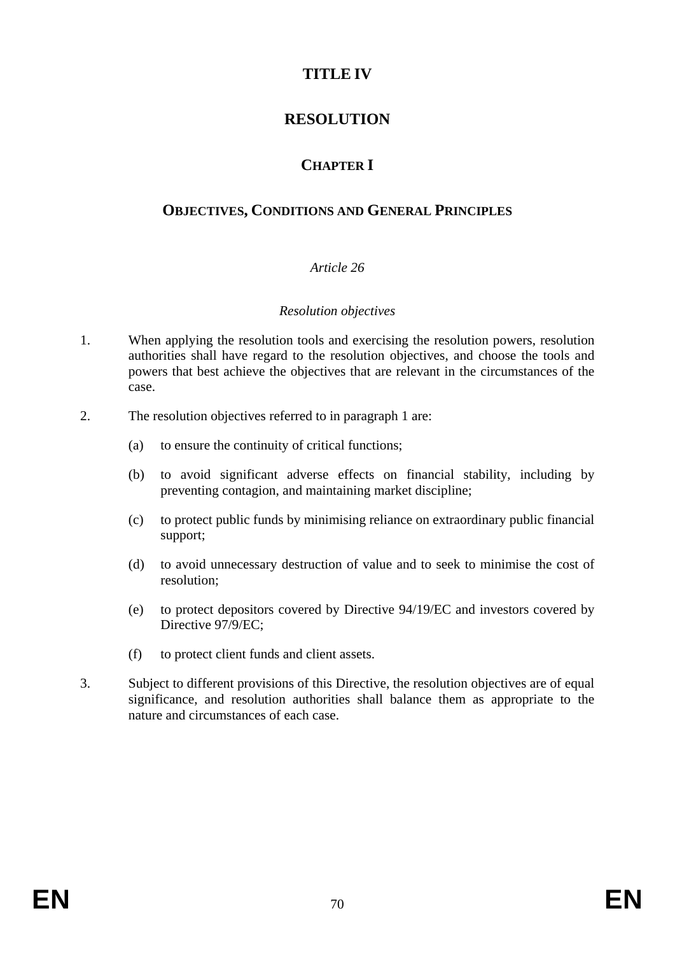# **TITLE IV**

# **RESOLUTION**

# **CHAPTER I**

# **OBJECTIVES, CONDITIONS AND GENERAL PRINCIPLES**

# *Article 26*

#### *Resolution objectives*

- 1. When applying the resolution tools and exercising the resolution powers, resolution authorities shall have regard to the resolution objectives, and choose the tools and powers that best achieve the objectives that are relevant in the circumstances of the case.
- 2. The resolution objectives referred to in paragraph 1 are:
	- (a) to ensure the continuity of critical functions;
	- (b) to avoid significant adverse effects on financial stability, including by preventing contagion, and maintaining market discipline;
	- (c) to protect public funds by minimising reliance on extraordinary public financial support;
	- (d) to avoid unnecessary destruction of value and to seek to minimise the cost of resolution;
	- (e) to protect depositors covered by Directive 94/19/EC and investors covered by Directive 97/9/EC;
	- (f) to protect client funds and client assets.
- 3. Subject to different provisions of this Directive, the resolution objectives are of equal significance, and resolution authorities shall balance them as appropriate to the nature and circumstances of each case.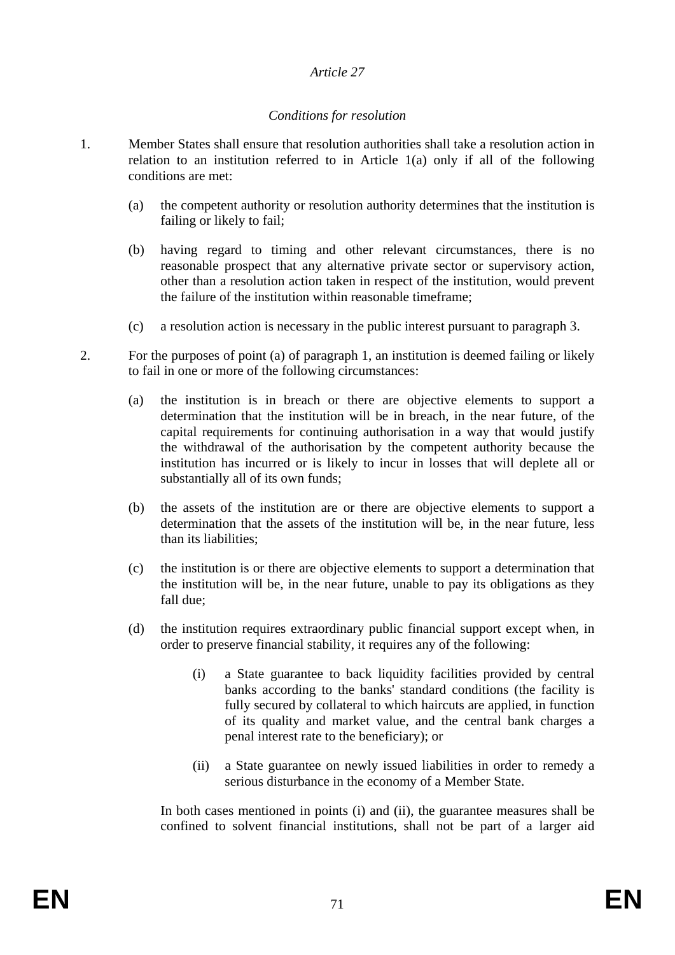#### *Article 27*

#### *Conditions for resolution*

- 1. Member States shall ensure that resolution authorities shall take a resolution action in relation to an institution referred to in Article 1(a) only if all of the following conditions are met:
	- (a) the competent authority or resolution authority determines that the institution is failing or likely to fail;
	- (b) having regard to timing and other relevant circumstances, there is no reasonable prospect that any alternative private sector or supervisory action, other than a resolution action taken in respect of the institution, would prevent the failure of the institution within reasonable timeframe;
	- (c) a resolution action is necessary in the public interest pursuant to paragraph 3.
- 2. For the purposes of point (a) of paragraph 1, an institution is deemed failing or likely to fail in one or more of the following circumstances:
	- (a) the institution is in breach or there are objective elements to support a determination that the institution will be in breach, in the near future, of the capital requirements for continuing authorisation in a way that would justify the withdrawal of the authorisation by the competent authority because the institution has incurred or is likely to incur in losses that will deplete all or substantially all of its own funds;
	- (b) the assets of the institution are or there are objective elements to support a determination that the assets of the institution will be, in the near future, less than its liabilities;
	- (c) the institution is or there are objective elements to support a determination that the institution will be, in the near future, unable to pay its obligations as they fall due;
	- (d) the institution requires extraordinary public financial support except when, in order to preserve financial stability, it requires any of the following:
		- (i) a State guarantee to back liquidity facilities provided by central banks according to the banks' standard conditions (the facility is fully secured by collateral to which haircuts are applied, in function of its quality and market value, and the central bank charges a penal interest rate to the beneficiary); or
		- (ii) a State guarantee on newly issued liabilities in order to remedy a serious disturbance in the economy of a Member State.

In both cases mentioned in points (i) and (ii), the guarantee measures shall be confined to solvent financial institutions, shall not be part of a larger aid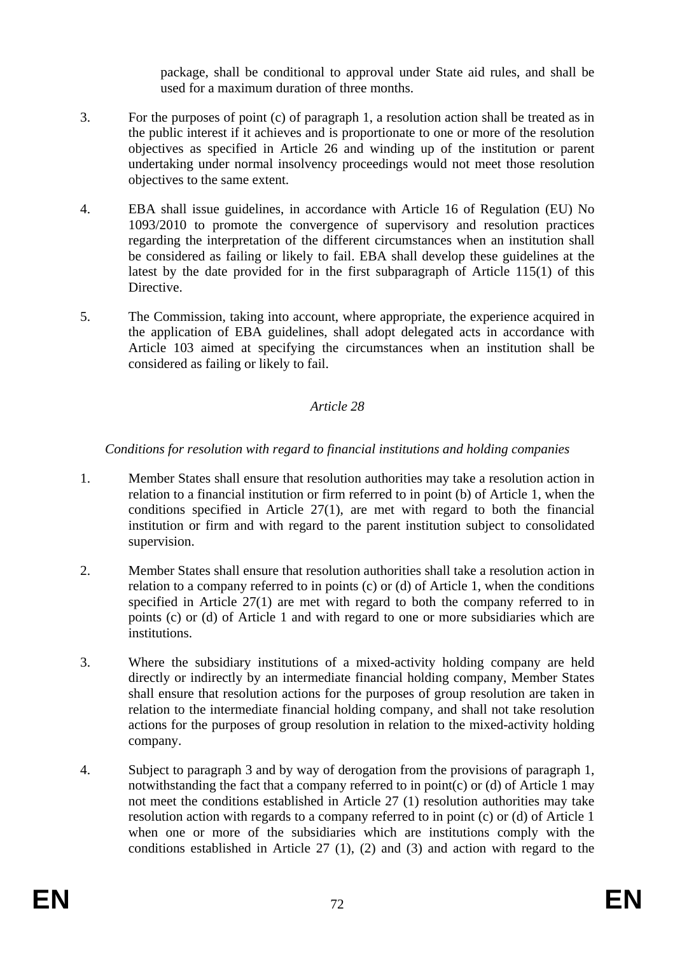package, shall be conditional to approval under State aid rules, and shall be used for a maximum duration of three months.

- 3. For the purposes of point (c) of paragraph 1, a resolution action shall be treated as in the public interest if it achieves and is proportionate to one or more of the resolution objectives as specified in Article 26 and winding up of the institution or parent undertaking under normal insolvency proceedings would not meet those resolution objectives to the same extent.
- 4. EBA shall issue guidelines, in accordance with Article 16 of Regulation (EU) No 1093/2010 to promote the convergence of supervisory and resolution practices regarding the interpretation of the different circumstances when an institution shall be considered as failing or likely to fail. EBA shall develop these guidelines at the latest by the date provided for in the first subparagraph of Article 115(1) of this Directive.
- 5. The Commission, taking into account, where appropriate, the experience acquired in the application of EBA guidelines, shall adopt delegated acts in accordance with Article 103 aimed at specifying the circumstances when an institution shall be considered as failing or likely to fail.

## *Article 28*

## *Conditions for resolution with regard to financial institutions and holding companies*

- 1. Member States shall ensure that resolution authorities may take a resolution action in relation to a financial institution or firm referred to in point (b) of Article 1, when the conditions specified in Article 27(1), are met with regard to both the financial institution or firm and with regard to the parent institution subject to consolidated supervision.
- 2. Member States shall ensure that resolution authorities shall take a resolution action in relation to a company referred to in points (c) or (d) of Article 1, when the conditions specified in Article 27(1) are met with regard to both the company referred to in points (c) or (d) of Article 1 and with regard to one or more subsidiaries which are institutions.
- 3. Where the subsidiary institutions of a mixed-activity holding company are held directly or indirectly by an intermediate financial holding company, Member States shall ensure that resolution actions for the purposes of group resolution are taken in relation to the intermediate financial holding company, and shall not take resolution actions for the purposes of group resolution in relation to the mixed-activity holding company.
- 4. Subject to paragraph 3 and by way of derogation from the provisions of paragraph 1, notwithstanding the fact that a company referred to in point(c) or (d) of Article 1 may not meet the conditions established in Article 27 (1) resolution authorities may take resolution action with regards to a company referred to in point (c) or (d) of Article 1 when one or more of the subsidiaries which are institutions comply with the conditions established in Article 27 (1), (2) and (3) and action with regard to the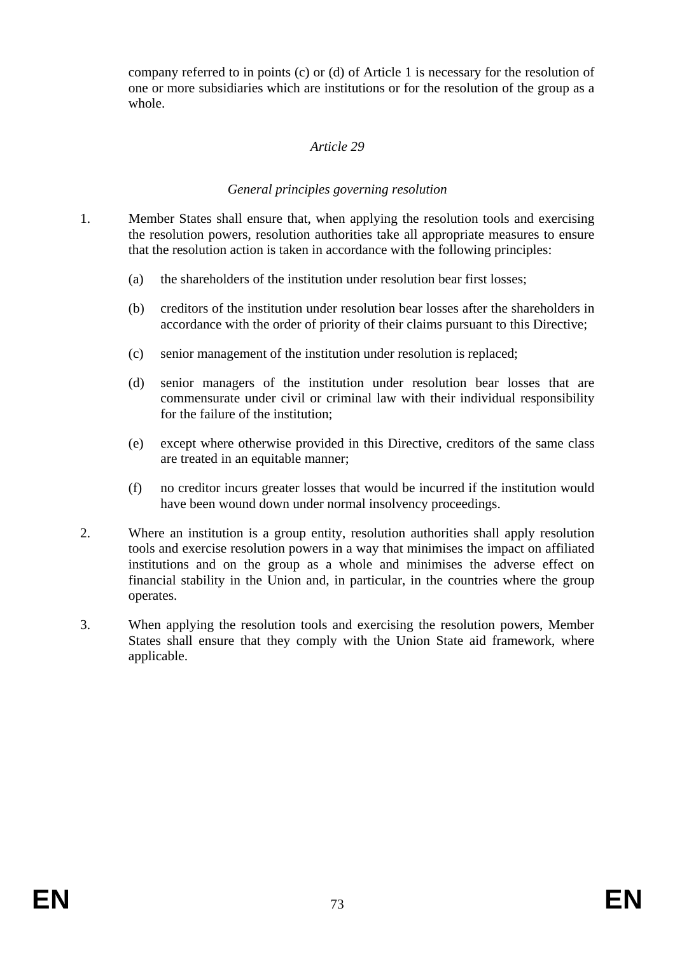company referred to in points (c) or (d) of Article 1 is necessary for the resolution of one or more subsidiaries which are institutions or for the resolution of the group as a whole.

### *Article 29*

#### *General principles governing resolution*

- 1. Member States shall ensure that, when applying the resolution tools and exercising the resolution powers, resolution authorities take all appropriate measures to ensure that the resolution action is taken in accordance with the following principles:
	- (a) the shareholders of the institution under resolution bear first losses;
	- (b) creditors of the institution under resolution bear losses after the shareholders in accordance with the order of priority of their claims pursuant to this Directive;
	- (c) senior management of the institution under resolution is replaced;
	- (d) senior managers of the institution under resolution bear losses that are commensurate under civil or criminal law with their individual responsibility for the failure of the institution;
	- (e) except where otherwise provided in this Directive, creditors of the same class are treated in an equitable manner;
	- (f) no creditor incurs greater losses that would be incurred if the institution would have been wound down under normal insolvency proceedings.
- 2. Where an institution is a group entity, resolution authorities shall apply resolution tools and exercise resolution powers in a way that minimises the impact on affiliated institutions and on the group as a whole and minimises the adverse effect on financial stability in the Union and, in particular, in the countries where the group operates.
- 3. When applying the resolution tools and exercising the resolution powers, Member States shall ensure that they comply with the Union State aid framework, where applicable.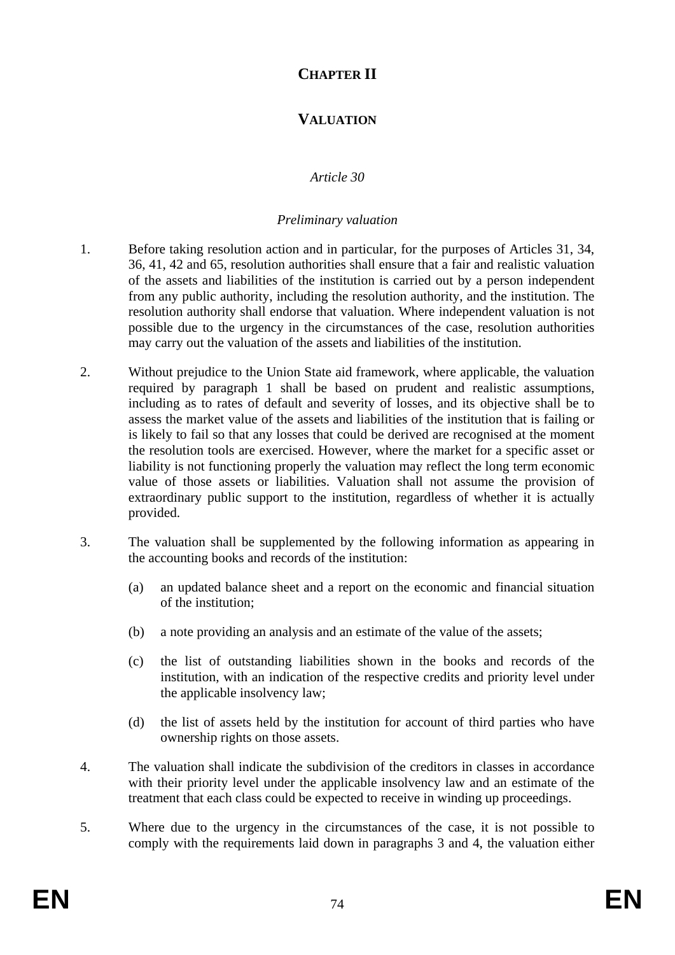# **CHAPTER II**

# **VALUATION**

### *Article 30*

#### *Preliminary valuation*

- 1. Before taking resolution action and in particular, for the purposes of Articles 31, 34, 36, 41, 42 and 65, resolution authorities shall ensure that a fair and realistic valuation of the assets and liabilities of the institution is carried out by a person independent from any public authority, including the resolution authority, and the institution. The resolution authority shall endorse that valuation. Where independent valuation is not possible due to the urgency in the circumstances of the case, resolution authorities may carry out the valuation of the assets and liabilities of the institution.
- 2. Without prejudice to the Union State aid framework, where applicable, the valuation required by paragraph 1 shall be based on prudent and realistic assumptions, including as to rates of default and severity of losses, and its objective shall be to assess the market value of the assets and liabilities of the institution that is failing or is likely to fail so that any losses that could be derived are recognised at the moment the resolution tools are exercised. However, where the market for a specific asset or liability is not functioning properly the valuation may reflect the long term economic value of those assets or liabilities. Valuation shall not assume the provision of extraordinary public support to the institution, regardless of whether it is actually provided.
- 3. The valuation shall be supplemented by the following information as appearing in the accounting books and records of the institution:
	- (a) an updated balance sheet and a report on the economic and financial situation of the institution;
	- (b) a note providing an analysis and an estimate of the value of the assets;
	- (c) the list of outstanding liabilities shown in the books and records of the institution, with an indication of the respective credits and priority level under the applicable insolvency law;
	- (d) the list of assets held by the institution for account of third parties who have ownership rights on those assets.
- 4. The valuation shall indicate the subdivision of the creditors in classes in accordance with their priority level under the applicable insolvency law and an estimate of the treatment that each class could be expected to receive in winding up proceedings.
- 5. Where due to the urgency in the circumstances of the case, it is not possible to comply with the requirements laid down in paragraphs 3 and 4, the valuation either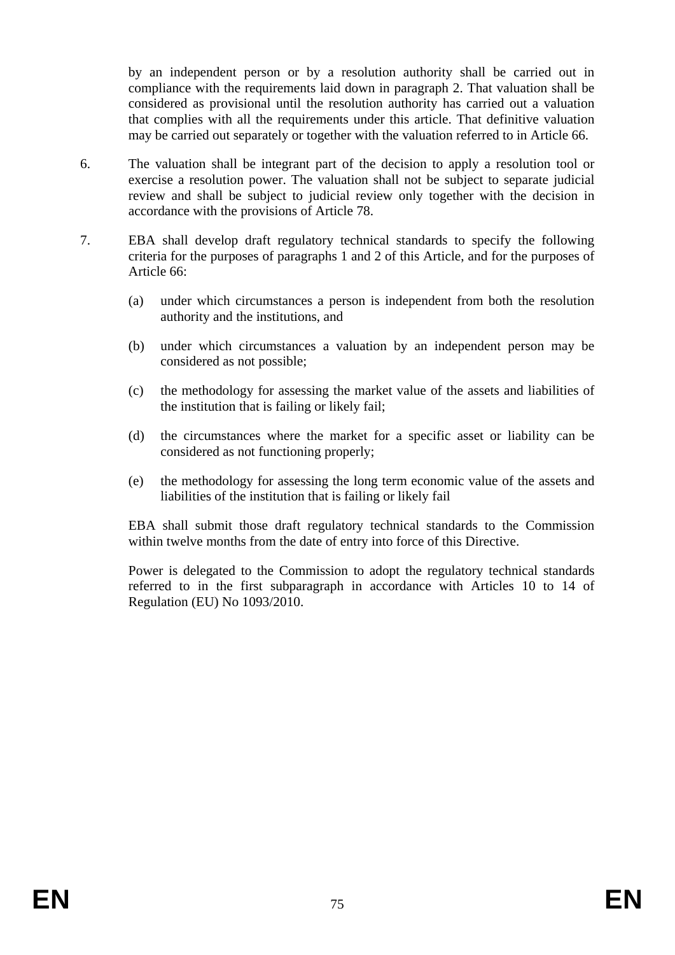by an independent person or by a resolution authority shall be carried out in compliance with the requirements laid down in paragraph 2. That valuation shall be considered as provisional until the resolution authority has carried out a valuation that complies with all the requirements under this article. That definitive valuation may be carried out separately or together with the valuation referred to in Article 66.

- 6. The valuation shall be integrant part of the decision to apply a resolution tool or exercise a resolution power. The valuation shall not be subject to separate judicial review and shall be subject to judicial review only together with the decision in accordance with the provisions of Article 78.
- 7. EBA shall develop draft regulatory technical standards to specify the following criteria for the purposes of paragraphs 1 and 2 of this Article, and for the purposes of Article 66:
	- (a) under which circumstances a person is independent from both the resolution authority and the institutions, and
	- (b) under which circumstances a valuation by an independent person may be considered as not possible;
	- (c) the methodology for assessing the market value of the assets and liabilities of the institution that is failing or likely fail;
	- (d) the circumstances where the market for a specific asset or liability can be considered as not functioning properly;
	- (e) the methodology for assessing the long term economic value of the assets and liabilities of the institution that is failing or likely fail

EBA shall submit those draft regulatory technical standards to the Commission within twelve months from the date of entry into force of this Directive.

Power is delegated to the Commission to adopt the regulatory technical standards referred to in the first subparagraph in accordance with Articles 10 to 14 of Regulation (EU) No 1093/2010.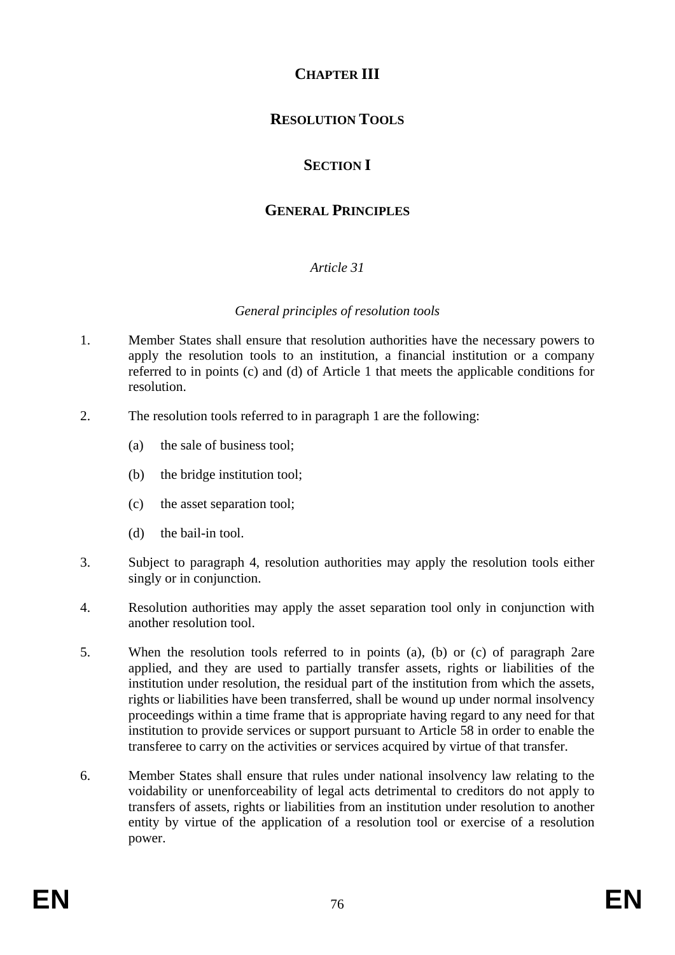# **CHAPTER III**

# **RESOLUTION TOOLS**

# **SECTION I**

# **GENERAL PRINCIPLES**

## *Article 31*

#### *General principles of resolution tools*

- 1. Member States shall ensure that resolution authorities have the necessary powers to apply the resolution tools to an institution, a financial institution or a company referred to in points (c) and (d) of Article 1 that meets the applicable conditions for resolution.
- 2. The resolution tools referred to in paragraph 1 are the following:
	- (a) the sale of business tool;
	- (b) the bridge institution tool;
	- (c) the asset separation tool;
	- (d) the bail-in tool.
- 3. Subject to paragraph 4, resolution authorities may apply the resolution tools either singly or in conjunction.
- 4. Resolution authorities may apply the asset separation tool only in conjunction with another resolution tool.
- 5. When the resolution tools referred to in points (a), (b) or (c) of paragraph 2are applied, and they are used to partially transfer assets, rights or liabilities of the institution under resolution, the residual part of the institution from which the assets, rights or liabilities have been transferred, shall be wound up under normal insolvency proceedings within a time frame that is appropriate having regard to any need for that institution to provide services or support pursuant to Article 58 in order to enable the transferee to carry on the activities or services acquired by virtue of that transfer.
- 6. Member States shall ensure that rules under national insolvency law relating to the voidability or unenforceability of legal acts detrimental to creditors do not apply to transfers of assets, rights or liabilities from an institution under resolution to another entity by virtue of the application of a resolution tool or exercise of a resolution power.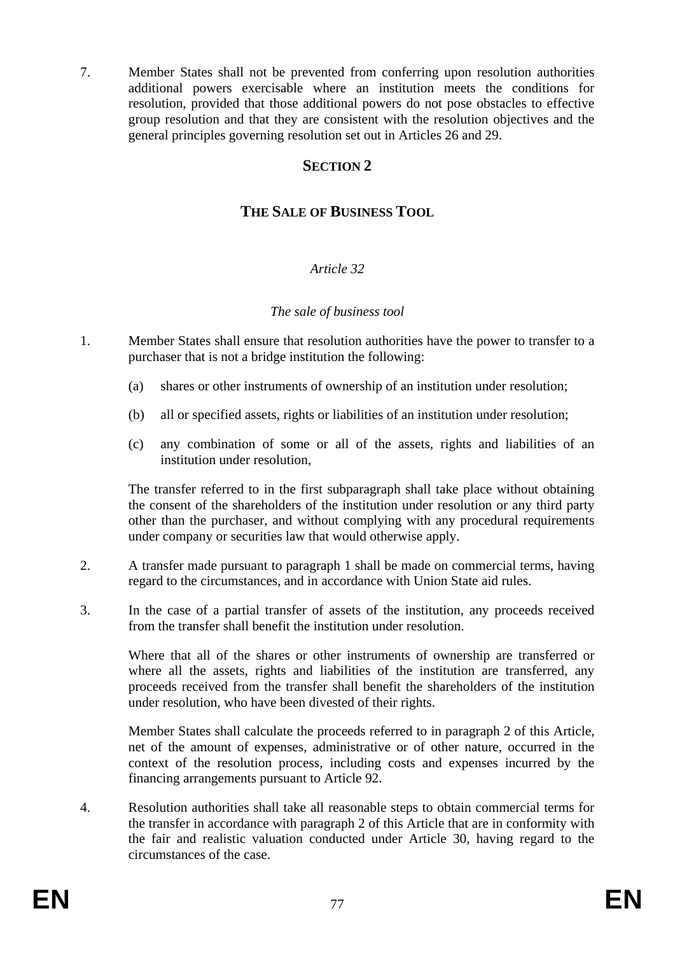7. Member States shall not be prevented from conferring upon resolution authorities additional powers exercisable where an institution meets the conditions for resolution, provided that those additional powers do not pose obstacles to effective group resolution and that they are consistent with the resolution objectives and the general principles governing resolution set out in Articles 26 and 29.

### **SECTION 2**

## **THE SALE OF BUSINESS TOOL**

#### *Article 32*

#### *The sale of business tool*

- 1. Member States shall ensure that resolution authorities have the power to transfer to a purchaser that is not a bridge institution the following:
	- (a) shares or other instruments of ownership of an institution under resolution;
	- (b) all or specified assets, rights or liabilities of an institution under resolution;
	- (c) any combination of some or all of the assets, rights and liabilities of an institution under resolution,

The transfer referred to in the first subparagraph shall take place without obtaining the consent of the shareholders of the institution under resolution or any third party other than the purchaser, and without complying with any procedural requirements under company or securities law that would otherwise apply.

- 2. A transfer made pursuant to paragraph 1 shall be made on commercial terms, having regard to the circumstances, and in accordance with Union State aid rules.
- 3. In the case of a partial transfer of assets of the institution, any proceeds received from the transfer shall benefit the institution under resolution.

Where that all of the shares or other instruments of ownership are transferred or where all the assets, rights and liabilities of the institution are transferred, any proceeds received from the transfer shall benefit the shareholders of the institution under resolution, who have been divested of their rights.

Member States shall calculate the proceeds referred to in paragraph 2 of this Article, net of the amount of expenses, administrative or of other nature, occurred in the context of the resolution process, including costs and expenses incurred by the financing arrangements pursuant to Article 92.

4. Resolution authorities shall take all reasonable steps to obtain commercial terms for the transfer in accordance with paragraph 2 of this Article that are in conformity with the fair and realistic valuation conducted under Article 30, having regard to the circumstances of the case.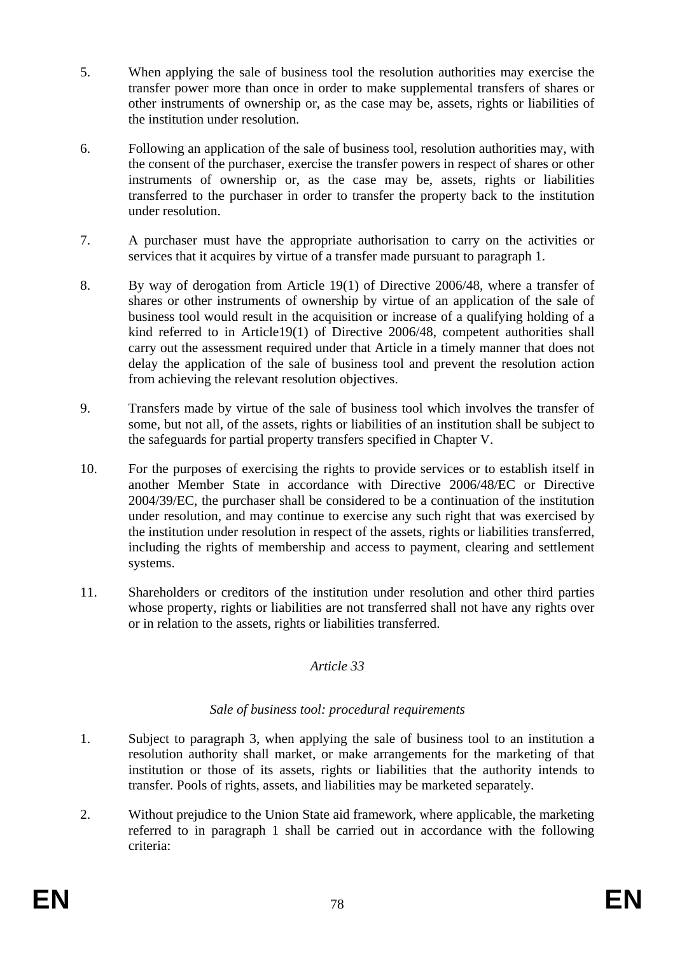- 5. When applying the sale of business tool the resolution authorities may exercise the transfer power more than once in order to make supplemental transfers of shares or other instruments of ownership or, as the case may be, assets, rights or liabilities of the institution under resolution.
- 6. Following an application of the sale of business tool, resolution authorities may, with the consent of the purchaser, exercise the transfer powers in respect of shares or other instruments of ownership or, as the case may be, assets, rights or liabilities transferred to the purchaser in order to transfer the property back to the institution under resolution.
- 7. A purchaser must have the appropriate authorisation to carry on the activities or services that it acquires by virtue of a transfer made pursuant to paragraph 1.
- 8. By way of derogation from Article 19(1) of Directive 2006/48, where a transfer of shares or other instruments of ownership by virtue of an application of the sale of business tool would result in the acquisition or increase of a qualifying holding of a kind referred to in Article19(1) of Directive 2006/48, competent authorities shall carry out the assessment required under that Article in a timely manner that does not delay the application of the sale of business tool and prevent the resolution action from achieving the relevant resolution objectives.
- 9. Transfers made by virtue of the sale of business tool which involves the transfer of some, but not all, of the assets, rights or liabilities of an institution shall be subject to the safeguards for partial property transfers specified in Chapter V.
- 10. For the purposes of exercising the rights to provide services or to establish itself in another Member State in accordance with Directive 2006/48/EC or Directive 2004/39/EC, the purchaser shall be considered to be a continuation of the institution under resolution, and may continue to exercise any such right that was exercised by the institution under resolution in respect of the assets, rights or liabilities transferred, including the rights of membership and access to payment, clearing and settlement systems.
- 11. Shareholders or creditors of the institution under resolution and other third parties whose property, rights or liabilities are not transferred shall not have any rights over or in relation to the assets, rights or liabilities transferred.

#### *Article 33*

#### *Sale of business tool: procedural requirements*

- 1. Subject to paragraph 3, when applying the sale of business tool to an institution a resolution authority shall market, or make arrangements for the marketing of that institution or those of its assets, rights or liabilities that the authority intends to transfer. Pools of rights, assets, and liabilities may be marketed separately.
- 2. Without prejudice to the Union State aid framework, where applicable, the marketing referred to in paragraph 1 shall be carried out in accordance with the following criteria: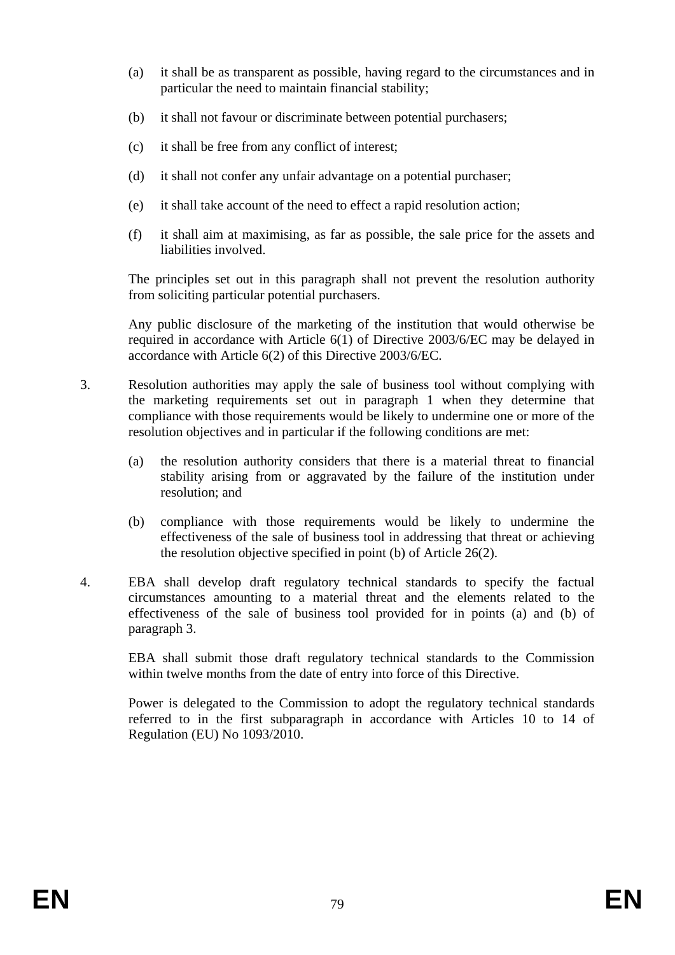- (a) it shall be as transparent as possible, having regard to the circumstances and in particular the need to maintain financial stability;
- (b) it shall not favour or discriminate between potential purchasers;
- (c) it shall be free from any conflict of interest;
- (d) it shall not confer any unfair advantage on a potential purchaser;
- (e) it shall take account of the need to effect a rapid resolution action;
- (f) it shall aim at maximising, as far as possible, the sale price for the assets and liabilities involved.

The principles set out in this paragraph shall not prevent the resolution authority from soliciting particular potential purchasers.

Any public disclosure of the marketing of the institution that would otherwise be required in accordance with Article 6(1) of Directive 2003/6/EC may be delayed in accordance with Article 6(2) of this Directive 2003/6/EC.

- 3. Resolution authorities may apply the sale of business tool without complying with the marketing requirements set out in paragraph 1 when they determine that compliance with those requirements would be likely to undermine one or more of the resolution objectives and in particular if the following conditions are met:
	- (a) the resolution authority considers that there is a material threat to financial stability arising from or aggravated by the failure of the institution under resolution; and
	- (b) compliance with those requirements would be likely to undermine the effectiveness of the sale of business tool in addressing that threat or achieving the resolution objective specified in point (b) of Article 26(2).
- 4. EBA shall develop draft regulatory technical standards to specify the factual circumstances amounting to a material threat and the elements related to the effectiveness of the sale of business tool provided for in points (a) and (b) of paragraph 3.

EBA shall submit those draft regulatory technical standards to the Commission within twelve months from the date of entry into force of this Directive.

Power is delegated to the Commission to adopt the regulatory technical standards referred to in the first subparagraph in accordance with Articles 10 to 14 of Regulation (EU) No 1093/2010.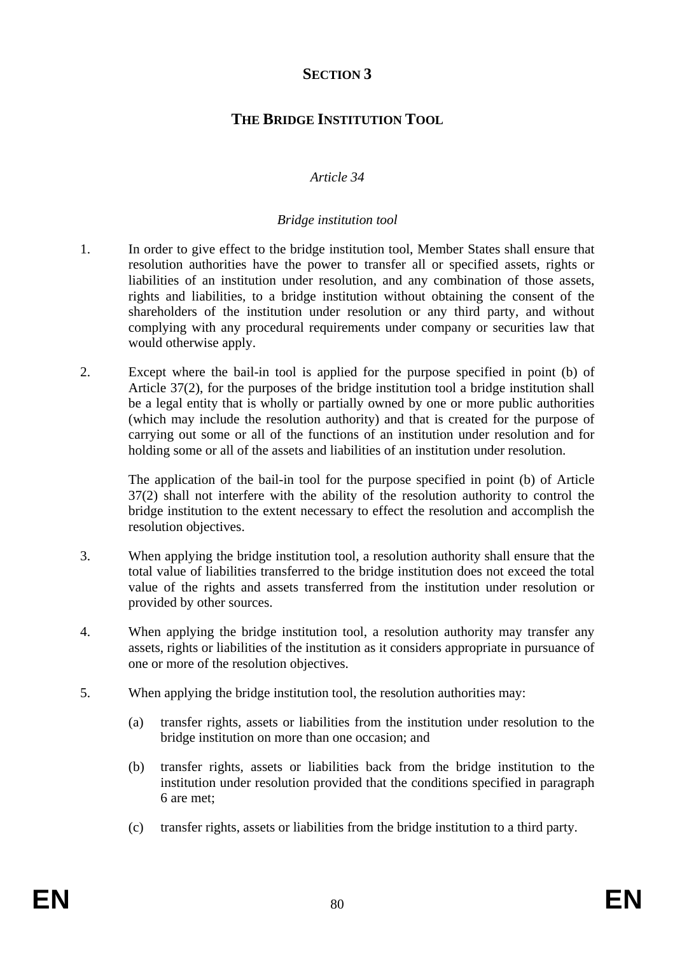# **SECTION 3**

# **THE BRIDGE INSTITUTION TOOL**

## *Article 34*

### *Bridge institution tool*

- 1. In order to give effect to the bridge institution tool, Member States shall ensure that resolution authorities have the power to transfer all or specified assets, rights or liabilities of an institution under resolution, and any combination of those assets, rights and liabilities, to a bridge institution without obtaining the consent of the shareholders of the institution under resolution or any third party, and without complying with any procedural requirements under company or securities law that would otherwise apply.
- 2. Except where the bail-in tool is applied for the purpose specified in point (b) of Article 37(2), for the purposes of the bridge institution tool a bridge institution shall be a legal entity that is wholly or partially owned by one or more public authorities (which may include the resolution authority) and that is created for the purpose of carrying out some or all of the functions of an institution under resolution and for holding some or all of the assets and liabilities of an institution under resolution.

The application of the bail-in tool for the purpose specified in point (b) of Article 37(2) shall not interfere with the ability of the resolution authority to control the bridge institution to the extent necessary to effect the resolution and accomplish the resolution objectives.

- 3. When applying the bridge institution tool, a resolution authority shall ensure that the total value of liabilities transferred to the bridge institution does not exceed the total value of the rights and assets transferred from the institution under resolution or provided by other sources.
- 4. When applying the bridge institution tool, a resolution authority may transfer any assets, rights or liabilities of the institution as it considers appropriate in pursuance of one or more of the resolution objectives.
- 5. When applying the bridge institution tool, the resolution authorities may:
	- (a) transfer rights, assets or liabilities from the institution under resolution to the bridge institution on more than one occasion; and
	- (b) transfer rights, assets or liabilities back from the bridge institution to the institution under resolution provided that the conditions specified in paragraph 6 are met;
	- (c) transfer rights, assets or liabilities from the bridge institution to a third party.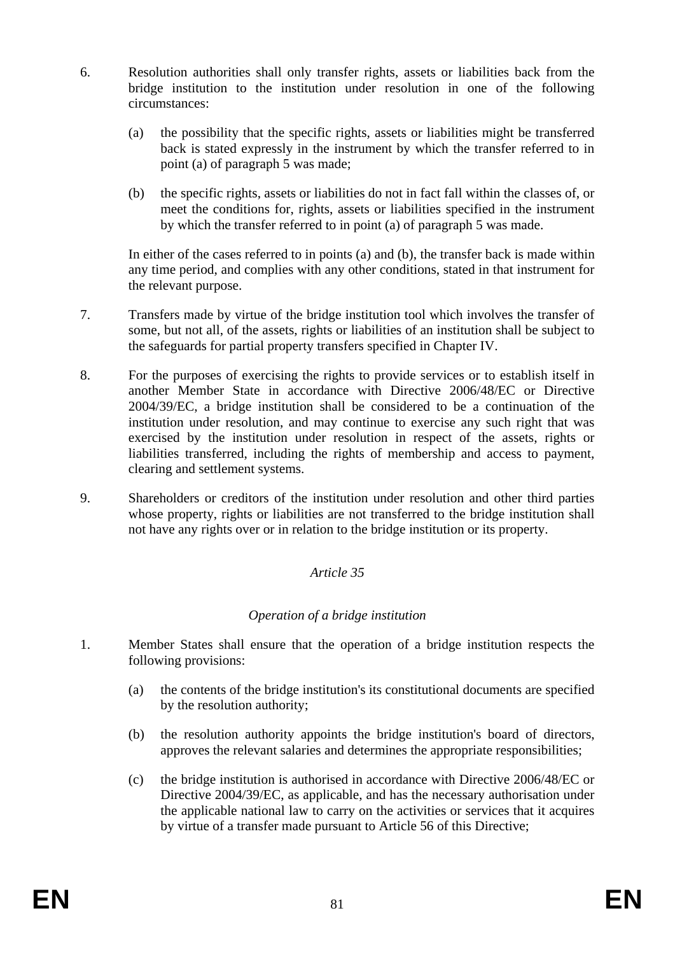- 6. Resolution authorities shall only transfer rights, assets or liabilities back from the bridge institution to the institution under resolution in one of the following circumstances:
	- (a) the possibility that the specific rights, assets or liabilities might be transferred back is stated expressly in the instrument by which the transfer referred to in point (a) of paragraph 5 was made;
	- (b) the specific rights, assets or liabilities do not in fact fall within the classes of, or meet the conditions for, rights, assets or liabilities specified in the instrument by which the transfer referred to in point (a) of paragraph 5 was made.

In either of the cases referred to in points (a) and (b), the transfer back is made within any time period, and complies with any other conditions, stated in that instrument for the relevant purpose.

- 7. Transfers made by virtue of the bridge institution tool which involves the transfer of some, but not all, of the assets, rights or liabilities of an institution shall be subject to the safeguards for partial property transfers specified in Chapter IV.
- 8. For the purposes of exercising the rights to provide services or to establish itself in another Member State in accordance with Directive 2006/48/EC or Directive 2004/39/EC, a bridge institution shall be considered to be a continuation of the institution under resolution, and may continue to exercise any such right that was exercised by the institution under resolution in respect of the assets, rights or liabilities transferred, including the rights of membership and access to payment, clearing and settlement systems.
- 9. Shareholders or creditors of the institution under resolution and other third parties whose property, rights or liabilities are not transferred to the bridge institution shall not have any rights over or in relation to the bridge institution or its property.

#### *Article 35*

#### *Operation of a bridge institution*

- 1. Member States shall ensure that the operation of a bridge institution respects the following provisions:
	- (a) the contents of the bridge institution's its constitutional documents are specified by the resolution authority;
	- (b) the resolution authority appoints the bridge institution's board of directors, approves the relevant salaries and determines the appropriate responsibilities;
	- (c) the bridge institution is authorised in accordance with Directive 2006/48/EC or Directive 2004/39/EC, as applicable, and has the necessary authorisation under the applicable national law to carry on the activities or services that it acquires by virtue of a transfer made pursuant to Article 56 of this Directive;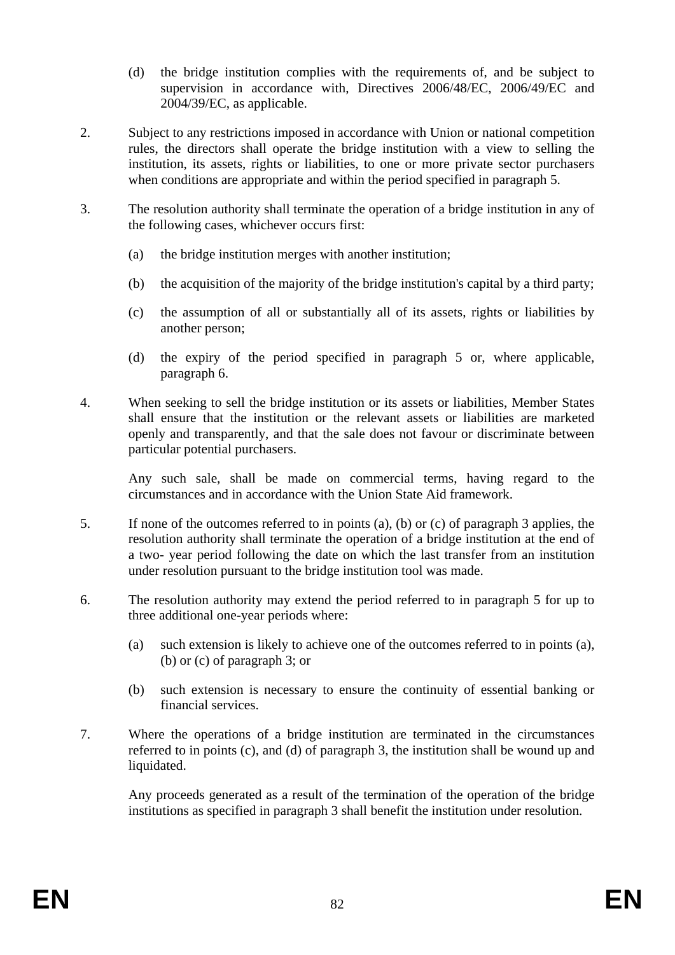- (d) the bridge institution complies with the requirements of, and be subject to supervision in accordance with, Directives 2006/48/EC, 2006/49/EC and 2004/39/EC, as applicable.
- 2. Subject to any restrictions imposed in accordance with Union or national competition rules, the directors shall operate the bridge institution with a view to selling the institution, its assets, rights or liabilities, to one or more private sector purchasers when conditions are appropriate and within the period specified in paragraph 5.
- 3. The resolution authority shall terminate the operation of a bridge institution in any of the following cases, whichever occurs first:
	- (a) the bridge institution merges with another institution;
	- (b) the acquisition of the majority of the bridge institution's capital by a third party;
	- (c) the assumption of all or substantially all of its assets, rights or liabilities by another person;
	- (d) the expiry of the period specified in paragraph 5 or, where applicable, paragraph 6.
- 4. When seeking to sell the bridge institution or its assets or liabilities, Member States shall ensure that the institution or the relevant assets or liabilities are marketed openly and transparently, and that the sale does not favour or discriminate between particular potential purchasers.

Any such sale, shall be made on commercial terms, having regard to the circumstances and in accordance with the Union State Aid framework.

- 5. If none of the outcomes referred to in points (a), (b) or (c) of paragraph 3 applies, the resolution authority shall terminate the operation of a bridge institution at the end of a two- year period following the date on which the last transfer from an institution under resolution pursuant to the bridge institution tool was made.
- 6. The resolution authority may extend the period referred to in paragraph 5 for up to three additional one-year periods where:
	- (a) such extension is likely to achieve one of the outcomes referred to in points (a), (b) or (c) of paragraph 3; or
	- (b) such extension is necessary to ensure the continuity of essential banking or financial services.
- 7. Where the operations of a bridge institution are terminated in the circumstances referred to in points (c), and (d) of paragraph 3, the institution shall be wound up and liquidated.

Any proceeds generated as a result of the termination of the operation of the bridge institutions as specified in paragraph 3 shall benefit the institution under resolution.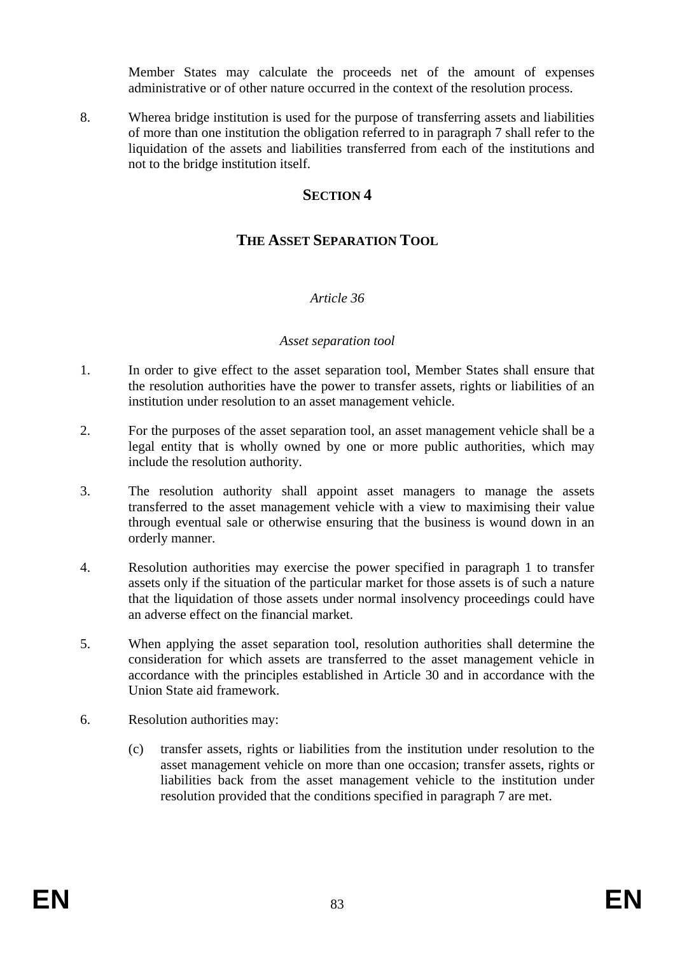Member States may calculate the proceeds net of the amount of expenses administrative or of other nature occurred in the context of the resolution process.

8. Wherea bridge institution is used for the purpose of transferring assets and liabilities of more than one institution the obligation referred to in paragraph 7 shall refer to the liquidation of the assets and liabilities transferred from each of the institutions and not to the bridge institution itself.

## **SECTION 4**

# **THE ASSET SEPARATION TOOL**

#### *Article 36*

#### *Asset separation tool*

- 1. In order to give effect to the asset separation tool, Member States shall ensure that the resolution authorities have the power to transfer assets, rights or liabilities of an institution under resolution to an asset management vehicle.
- 2. For the purposes of the asset separation tool, an asset management vehicle shall be a legal entity that is wholly owned by one or more public authorities, which may include the resolution authority.
- 3. The resolution authority shall appoint asset managers to manage the assets transferred to the asset management vehicle with a view to maximising their value through eventual sale or otherwise ensuring that the business is wound down in an orderly manner.
- 4. Resolution authorities may exercise the power specified in paragraph 1 to transfer assets only if the situation of the particular market for those assets is of such a nature that the liquidation of those assets under normal insolvency proceedings could have an adverse effect on the financial market.
- 5. When applying the asset separation tool, resolution authorities shall determine the consideration for which assets are transferred to the asset management vehicle in accordance with the principles established in Article 30 and in accordance with the Union State aid framework.
- 6. Resolution authorities may:
	- (c) transfer assets, rights or liabilities from the institution under resolution to the asset management vehicle on more than one occasion; transfer assets, rights or liabilities back from the asset management vehicle to the institution under resolution provided that the conditions specified in paragraph 7 are met.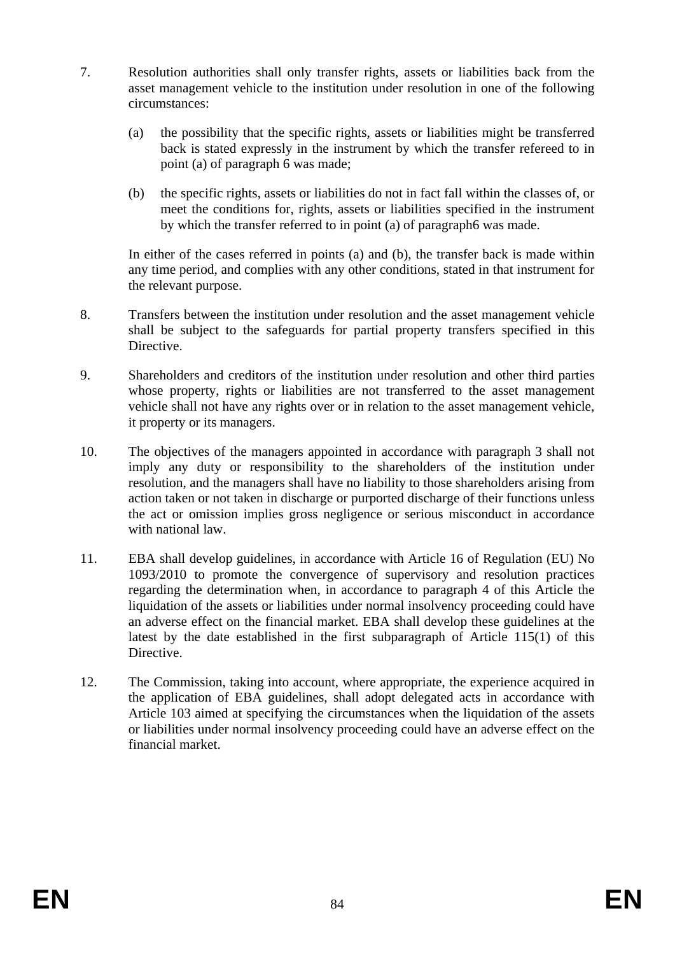- 7. Resolution authorities shall only transfer rights, assets or liabilities back from the asset management vehicle to the institution under resolution in one of the following circumstances:
	- (a) the possibility that the specific rights, assets or liabilities might be transferred back is stated expressly in the instrument by which the transfer refereed to in point (a) of paragraph 6 was made;
	- (b) the specific rights, assets or liabilities do not in fact fall within the classes of, or meet the conditions for, rights, assets or liabilities specified in the instrument by which the transfer referred to in point (a) of paragraph6 was made.

In either of the cases referred in points (a) and (b), the transfer back is made within any time period, and complies with any other conditions, stated in that instrument for the relevant purpose.

- 8. Transfers between the institution under resolution and the asset management vehicle shall be subject to the safeguards for partial property transfers specified in this Directive.
- 9. Shareholders and creditors of the institution under resolution and other third parties whose property, rights or liabilities are not transferred to the asset management vehicle shall not have any rights over or in relation to the asset management vehicle, it property or its managers.
- 10. The objectives of the managers appointed in accordance with paragraph 3 shall not imply any duty or responsibility to the shareholders of the institution under resolution, and the managers shall have no liability to those shareholders arising from action taken or not taken in discharge or purported discharge of their functions unless the act or omission implies gross negligence or serious misconduct in accordance with national law.
- 11. EBA shall develop guidelines, in accordance with Article 16 of Regulation (EU) No 1093/2010 to promote the convergence of supervisory and resolution practices regarding the determination when, in accordance to paragraph 4 of this Article the liquidation of the assets or liabilities under normal insolvency proceeding could have an adverse effect on the financial market. EBA shall develop these guidelines at the latest by the date established in the first subparagraph of Article 115(1) of this Directive.
- 12. The Commission, taking into account, where appropriate, the experience acquired in the application of EBA guidelines, shall adopt delegated acts in accordance with Article 103 aimed at specifying the circumstances when the liquidation of the assets or liabilities under normal insolvency proceeding could have an adverse effect on the financial market.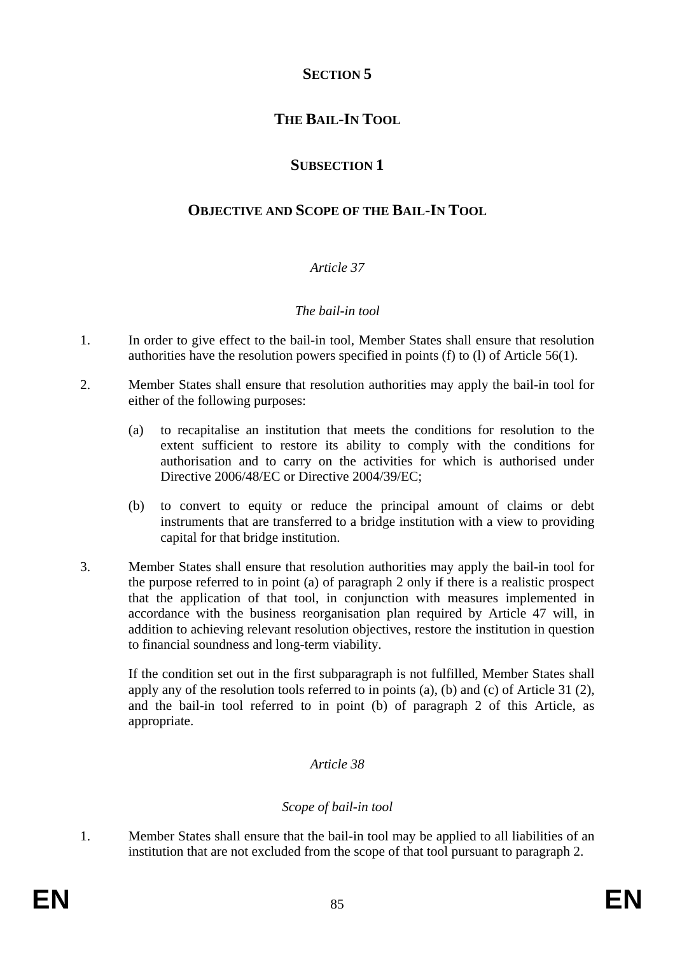# **SECTION 5**

# **THE BAIL-IN TOOL**

# **SUBSECTION 1**

# **OBJECTIVE AND SCOPE OF THE BAIL-IN TOOL**

# *Article 37*

### *The bail-in tool*

- 1. In order to give effect to the bail-in tool, Member States shall ensure that resolution authorities have the resolution powers specified in points (f) to (l) of Article 56(1).
- 2. Member States shall ensure that resolution authorities may apply the bail-in tool for either of the following purposes:
	- (a) to recapitalise an institution that meets the conditions for resolution to the extent sufficient to restore its ability to comply with the conditions for authorisation and to carry on the activities for which is authorised under Directive 2006/48/EC or Directive 2004/39/EC;
	- (b) to convert to equity or reduce the principal amount of claims or debt instruments that are transferred to a bridge institution with a view to providing capital for that bridge institution.
- 3. Member States shall ensure that resolution authorities may apply the bail-in tool for the purpose referred to in point (a) of paragraph 2 only if there is a realistic prospect that the application of that tool, in conjunction with measures implemented in accordance with the business reorganisation plan required by Article 47 will, in addition to achieving relevant resolution objectives, restore the institution in question to financial soundness and long-term viability.

If the condition set out in the first subparagraph is not fulfilled, Member States shall apply any of the resolution tools referred to in points (a), (b) and (c) of Article 31 (2), and the bail-in tool referred to in point (b) of paragraph 2 of this Article, as appropriate.

## *Article 38*

#### *Scope of bail-in tool*

1. Member States shall ensure that the bail-in tool may be applied to all liabilities of an institution that are not excluded from the scope of that tool pursuant to paragraph 2.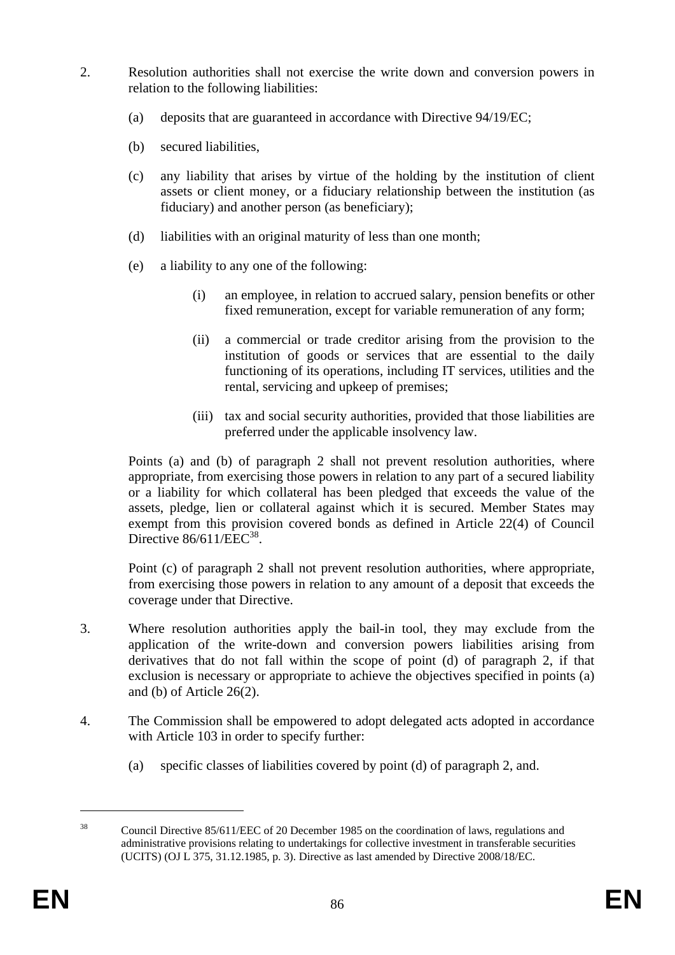- 2. Resolution authorities shall not exercise the write down and conversion powers in relation to the following liabilities:
	- (a) deposits that are guaranteed in accordance with Directive 94/19/EC;
	- (b) secured liabilities,
	- (c) any liability that arises by virtue of the holding by the institution of client assets or client money, or a fiduciary relationship between the institution (as fiduciary) and another person (as beneficiary);
	- (d) liabilities with an original maturity of less than one month;
	- (e) a liability to any one of the following:
		- (i) an employee, in relation to accrued salary, pension benefits or other fixed remuneration, except for variable remuneration of any form;
		- (ii) a commercial or trade creditor arising from the provision to the institution of goods or services that are essential to the daily functioning of its operations, including IT services, utilities and the rental, servicing and upkeep of premises;
		- (iii) tax and social security authorities, provided that those liabilities are preferred under the applicable insolvency law.

Points (a) and (b) of paragraph 2 shall not prevent resolution authorities, where appropriate, from exercising those powers in relation to any part of a secured liability or a liability for which collateral has been pledged that exceeds the value of the assets, pledge, lien or collateral against which it is secured. Member States may exempt from this provision covered bonds as defined in Article 22(4) of Council Directive  $86/611/EEC^{38}$ .

Point (c) of paragraph 2 shall not prevent resolution authorities, where appropriate, from exercising those powers in relation to any amount of a deposit that exceeds the coverage under that Directive.

- 3. Where resolution authorities apply the bail-in tool, they may exclude from the application of the write-down and conversion powers liabilities arising from derivatives that do not fall within the scope of point (d) of paragraph 2, if that exclusion is necessary or appropriate to achieve the objectives specified in points (a) and (b) of Article 26(2).
- 4. The Commission shall be empowered to adopt delegated acts adopted in accordance with Article 103 in order to specify further:
	- (a) specific classes of liabilities covered by point (d) of paragraph 2, and.

1

<sup>38</sup> Council Directive 85/611/EEC of 20 December 1985 on the coordination of laws, regulations and administrative provisions relating to undertakings for collective investment in transferable securities (UCITS) (OJ L 375, 31.12.1985, p. 3). Directive as last amended by Directive 2008/18/EC.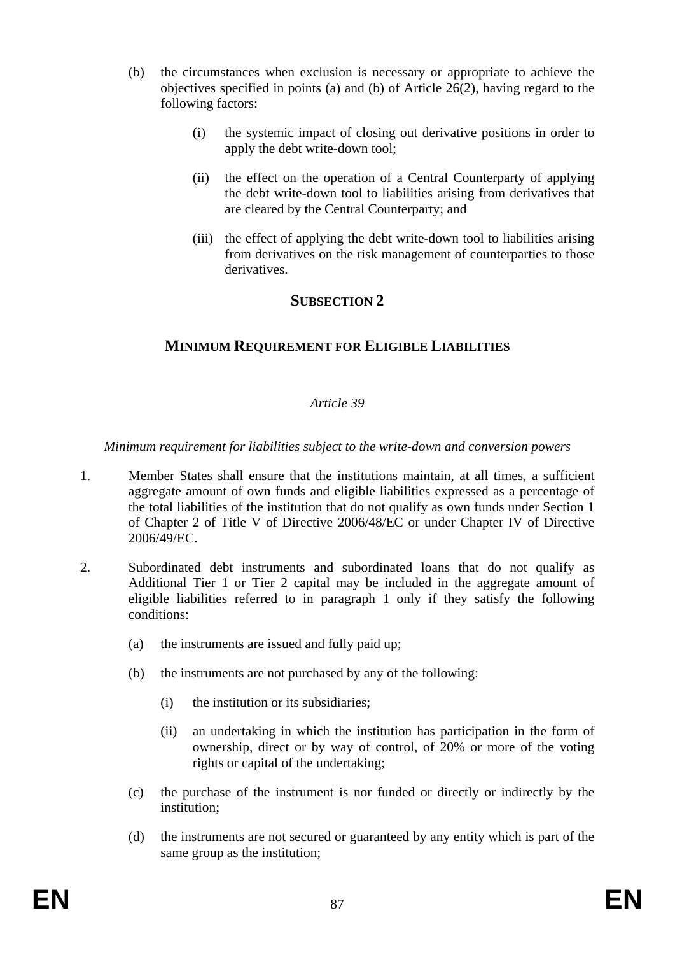- (b) the circumstances when exclusion is necessary or appropriate to achieve the objectives specified in points (a) and (b) of Article 26(2), having regard to the following factors:
	- (i) the systemic impact of closing out derivative positions in order to apply the debt write-down tool;
	- (ii) the effect on the operation of a Central Counterparty of applying the debt write-down tool to liabilities arising from derivatives that are cleared by the Central Counterparty; and
	- (iii) the effect of applying the debt write-down tool to liabilities arising from derivatives on the risk management of counterparties to those derivatives.

## **SUBSECTION 2**

## **MINIMUM REQUIREMENT FOR ELIGIBLE LIABILITIES**

#### *Article 39*

*Minimum requirement for liabilities subject to the write-down and conversion powers* 

- 1. Member States shall ensure that the institutions maintain, at all times, a sufficient aggregate amount of own funds and eligible liabilities expressed as a percentage of the total liabilities of the institution that do not qualify as own funds under Section 1 of Chapter 2 of Title V of Directive 2006/48/EC or under Chapter IV of Directive 2006/49/EC.
- 2. Subordinated debt instruments and subordinated loans that do not qualify as Additional Tier 1 or Tier 2 capital may be included in the aggregate amount of eligible liabilities referred to in paragraph 1 only if they satisfy the following conditions:
	- (a) the instruments are issued and fully paid up;
	- (b) the instruments are not purchased by any of the following:
		- (i) the institution or its subsidiaries;
		- (ii) an undertaking in which the institution has participation in the form of ownership, direct or by way of control, of 20% or more of the voting rights or capital of the undertaking;
	- (c) the purchase of the instrument is nor funded or directly or indirectly by the institution;
	- (d) the instruments are not secured or guaranteed by any entity which is part of the same group as the institution;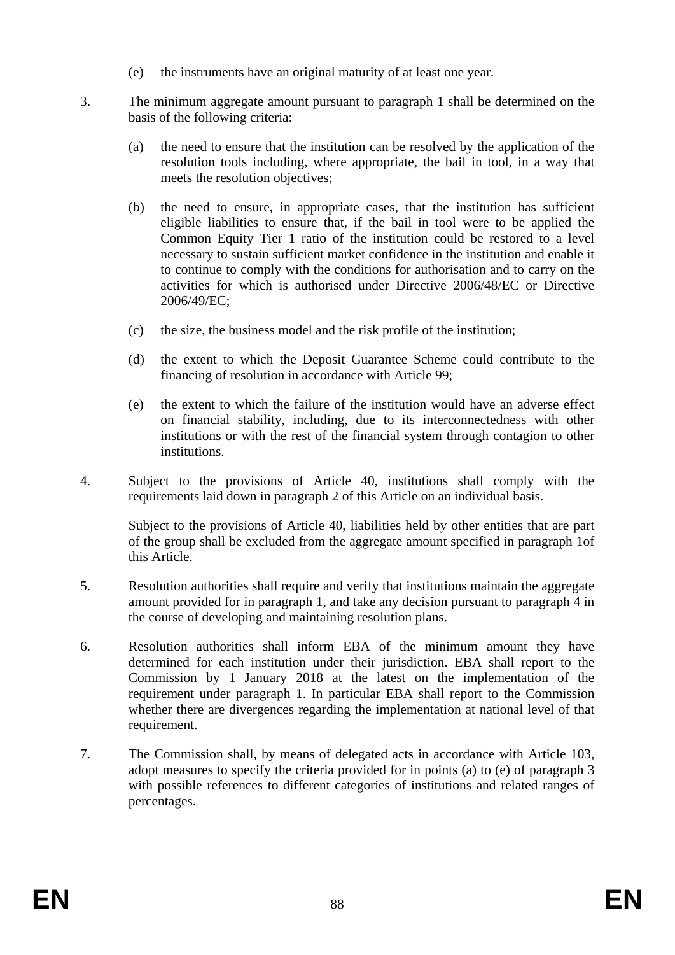- (e) the instruments have an original maturity of at least one year.
- 3. The minimum aggregate amount pursuant to paragraph 1 shall be determined on the basis of the following criteria:
	- (a) the need to ensure that the institution can be resolved by the application of the resolution tools including, where appropriate, the bail in tool, in a way that meets the resolution objectives;
	- (b) the need to ensure, in appropriate cases, that the institution has sufficient eligible liabilities to ensure that, if the bail in tool were to be applied the Common Equity Tier 1 ratio of the institution could be restored to a level necessary to sustain sufficient market confidence in the institution and enable it to continue to comply with the conditions for authorisation and to carry on the activities for which is authorised under Directive 2006/48/EC or Directive 2006/49/EC;
	- (c) the size, the business model and the risk profile of the institution;
	- (d) the extent to which the Deposit Guarantee Scheme could contribute to the financing of resolution in accordance with Article 99;
	- (e) the extent to which the failure of the institution would have an adverse effect on financial stability, including, due to its interconnectedness with other institutions or with the rest of the financial system through contagion to other institutions.
- 4. Subject to the provisions of Article 40, institutions shall comply with the requirements laid down in paragraph 2 of this Article on an individual basis.

Subject to the provisions of Article 40, liabilities held by other entities that are part of the group shall be excluded from the aggregate amount specified in paragraph 1of this Article.

- 5. Resolution authorities shall require and verify that institutions maintain the aggregate amount provided for in paragraph 1, and take any decision pursuant to paragraph 4 in the course of developing and maintaining resolution plans.
- 6. Resolution authorities shall inform EBA of the minimum amount they have determined for each institution under their jurisdiction. EBA shall report to the Commission by 1 January 2018 at the latest on the implementation of the requirement under paragraph 1. In particular EBA shall report to the Commission whether there are divergences regarding the implementation at national level of that requirement.
- 7. The Commission shall, by means of delegated acts in accordance with Article 103, adopt measures to specify the criteria provided for in points (a) to (e) of paragraph 3 with possible references to different categories of institutions and related ranges of percentages.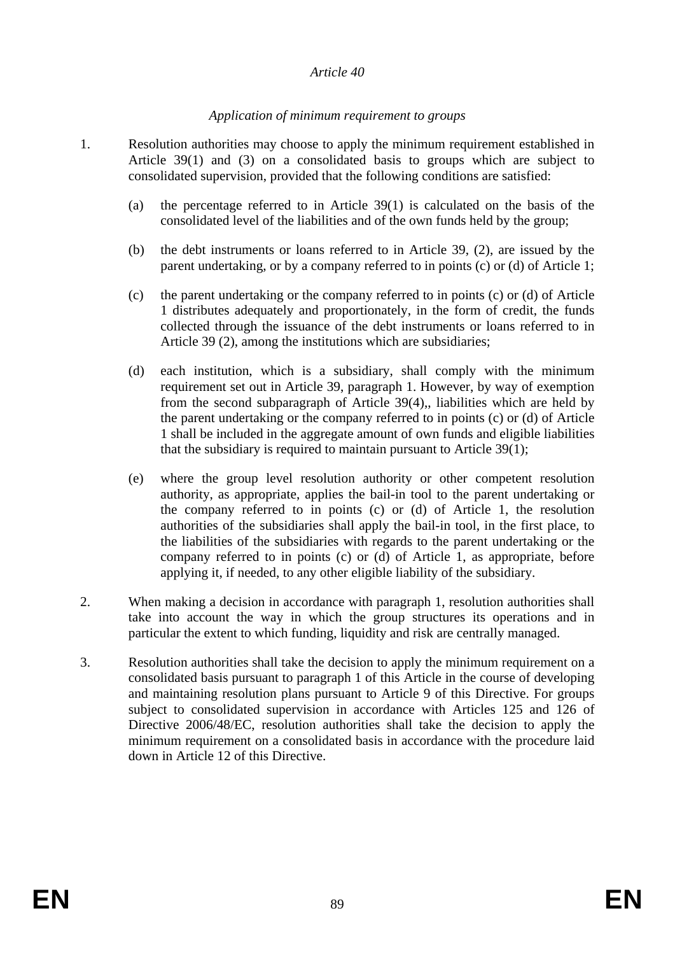#### *Article 40*

#### *Application of minimum requirement to groups*

- 1. Resolution authorities may choose to apply the minimum requirement established in Article 39(1) and (3) on a consolidated basis to groups which are subject to consolidated supervision, provided that the following conditions are satisfied:
	- (a) the percentage referred to in Article 39(1) is calculated on the basis of the consolidated level of the liabilities and of the own funds held by the group;
	- (b) the debt instruments or loans referred to in Article 39, (2), are issued by the parent undertaking, or by a company referred to in points (c) or (d) of Article 1;
	- (c) the parent undertaking or the company referred to in points (c) or (d) of Article 1 distributes adequately and proportionately, in the form of credit, the funds collected through the issuance of the debt instruments or loans referred to in Article 39 (2), among the institutions which are subsidiaries;
	- (d) each institution, which is a subsidiary, shall comply with the minimum requirement set out in Article 39, paragraph 1. However, by way of exemption from the second subparagraph of Article 39(4),, liabilities which are held by the parent undertaking or the company referred to in points (c) or (d) of Article 1 shall be included in the aggregate amount of own funds and eligible liabilities that the subsidiary is required to maintain pursuant to Article 39(1);
	- (e) where the group level resolution authority or other competent resolution authority, as appropriate, applies the bail-in tool to the parent undertaking or the company referred to in points (c) or (d) of Article 1, the resolution authorities of the subsidiaries shall apply the bail-in tool, in the first place, to the liabilities of the subsidiaries with regards to the parent undertaking or the company referred to in points (c) or (d) of Article 1, as appropriate, before applying it, if needed, to any other eligible liability of the subsidiary.
- 2. When making a decision in accordance with paragraph 1, resolution authorities shall take into account the way in which the group structures its operations and in particular the extent to which funding, liquidity and risk are centrally managed.
- 3. Resolution authorities shall take the decision to apply the minimum requirement on a consolidated basis pursuant to paragraph 1 of this Article in the course of developing and maintaining resolution plans pursuant to Article 9 of this Directive. For groups subject to consolidated supervision in accordance with Articles 125 and 126 of Directive 2006/48/EC, resolution authorities shall take the decision to apply the minimum requirement on a consolidated basis in accordance with the procedure laid down in Article 12 of this Directive.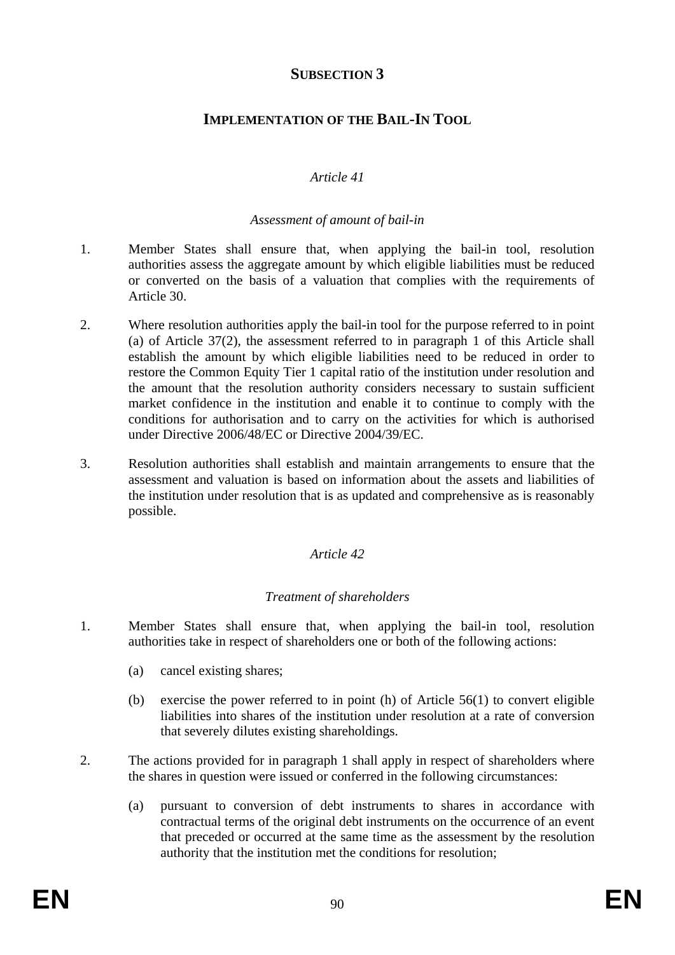# **SUBSECTION 3**

# **IMPLEMENTATION OF THE BAIL-IN TOOL**

#### *Article 41*

#### *Assessment of amount of bail-in*

- 1. Member States shall ensure that, when applying the bail-in tool, resolution authorities assess the aggregate amount by which eligible liabilities must be reduced or converted on the basis of a valuation that complies with the requirements of Article 30.
- 2. Where resolution authorities apply the bail-in tool for the purpose referred to in point (a) of Article 37(2), the assessment referred to in paragraph 1 of this Article shall establish the amount by which eligible liabilities need to be reduced in order to restore the Common Equity Tier 1 capital ratio of the institution under resolution and the amount that the resolution authority considers necessary to sustain sufficient market confidence in the institution and enable it to continue to comply with the conditions for authorisation and to carry on the activities for which is authorised under Directive 2006/48/EC or Directive 2004/39/EC.
- 3. Resolution authorities shall establish and maintain arrangements to ensure that the assessment and valuation is based on information about the assets and liabilities of the institution under resolution that is as updated and comprehensive as is reasonably possible.

#### *Article 42*

#### *Treatment of shareholders*

- 1. Member States shall ensure that, when applying the bail-in tool, resolution authorities take in respect of shareholders one or both of the following actions:
	- (a) cancel existing shares;
	- (b) exercise the power referred to in point (h) of Article 56(1) to convert eligible liabilities into shares of the institution under resolution at a rate of conversion that severely dilutes existing shareholdings.
- 2. The actions provided for in paragraph 1 shall apply in respect of shareholders where the shares in question were issued or conferred in the following circumstances:
	- (a) pursuant to conversion of debt instruments to shares in accordance with contractual terms of the original debt instruments on the occurrence of an event that preceded or occurred at the same time as the assessment by the resolution authority that the institution met the conditions for resolution;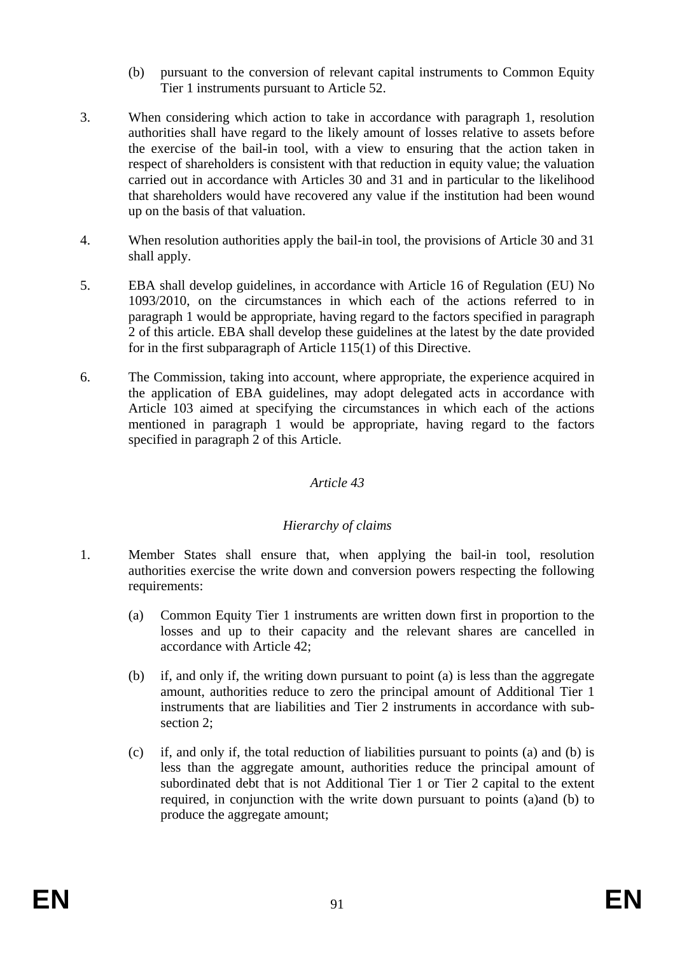- (b) pursuant to the conversion of relevant capital instruments to Common Equity Tier 1 instruments pursuant to Article 52.
- 3. When considering which action to take in accordance with paragraph 1, resolution authorities shall have regard to the likely amount of losses relative to assets before the exercise of the bail-in tool, with a view to ensuring that the action taken in respect of shareholders is consistent with that reduction in equity value; the valuation carried out in accordance with Articles 30 and 31 and in particular to the likelihood that shareholders would have recovered any value if the institution had been wound up on the basis of that valuation.
- 4. When resolution authorities apply the bail-in tool, the provisions of Article 30 and 31 shall apply.
- 5. EBA shall develop guidelines, in accordance with Article 16 of Regulation (EU) No 1093/2010, on the circumstances in which each of the actions referred to in paragraph 1 would be appropriate, having regard to the factors specified in paragraph 2 of this article. EBA shall develop these guidelines at the latest by the date provided for in the first subparagraph of Article 115(1) of this Directive.
- 6. The Commission, taking into account, where appropriate, the experience acquired in the application of EBA guidelines, may adopt delegated acts in accordance with Article 103 aimed at specifying the circumstances in which each of the actions mentioned in paragraph 1 would be appropriate, having regard to the factors specified in paragraph 2 of this Article.

#### *Article 43*

## *Hierarchy of claims*

- 1. Member States shall ensure that, when applying the bail-in tool, resolution authorities exercise the write down and conversion powers respecting the following requirements:
	- (a) Common Equity Tier 1 instruments are written down first in proportion to the losses and up to their capacity and the relevant shares are cancelled in accordance with Article 42;
	- (b) if, and only if, the writing down pursuant to point (a) is less than the aggregate amount, authorities reduce to zero the principal amount of Additional Tier 1 instruments that are liabilities and Tier 2 instruments in accordance with subsection 2;
	- (c) if, and only if, the total reduction of liabilities pursuant to points (a) and (b) is less than the aggregate amount, authorities reduce the principal amount of subordinated debt that is not Additional Tier 1 or Tier 2 capital to the extent required, in conjunction with the write down pursuant to points (a)and (b) to produce the aggregate amount;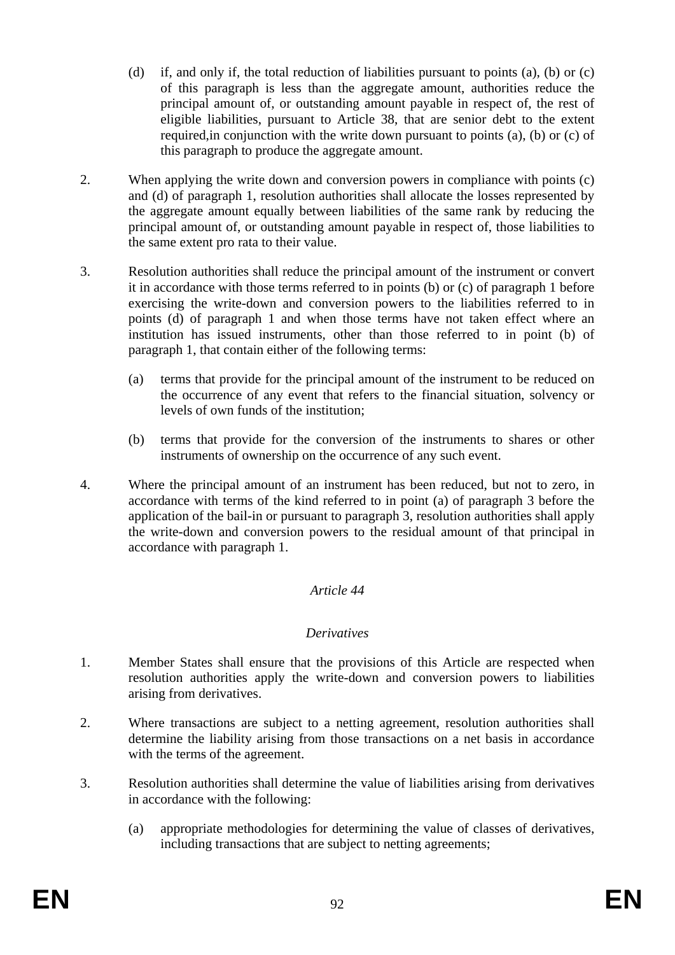- (d) if, and only if, the total reduction of liabilities pursuant to points (a), (b) or (c) of this paragraph is less than the aggregate amount, authorities reduce the principal amount of, or outstanding amount payable in respect of, the rest of eligible liabilities, pursuant to Article 38, that are senior debt to the extent required,in conjunction with the write down pursuant to points (a), (b) or (c) of this paragraph to produce the aggregate amount.
- 2. When applying the write down and conversion powers in compliance with points (c) and (d) of paragraph 1, resolution authorities shall allocate the losses represented by the aggregate amount equally between liabilities of the same rank by reducing the principal amount of, or outstanding amount payable in respect of, those liabilities to the same extent pro rata to their value.
- 3. Resolution authorities shall reduce the principal amount of the instrument or convert it in accordance with those terms referred to in points (b) or (c) of paragraph 1 before exercising the write-down and conversion powers to the liabilities referred to in points (d) of paragraph 1 and when those terms have not taken effect where an institution has issued instruments, other than those referred to in point (b) of paragraph 1, that contain either of the following terms:
	- (a) terms that provide for the principal amount of the instrument to be reduced on the occurrence of any event that refers to the financial situation, solvency or levels of own funds of the institution;
	- (b) terms that provide for the conversion of the instruments to shares or other instruments of ownership on the occurrence of any such event.
- 4. Where the principal amount of an instrument has been reduced, but not to zero, in accordance with terms of the kind referred to in point (a) of paragraph 3 before the application of the bail-in or pursuant to paragraph 3, resolution authorities shall apply the write-down and conversion powers to the residual amount of that principal in accordance with paragraph 1.

#### *Article 44*

#### *Derivatives*

- 1. Member States shall ensure that the provisions of this Article are respected when resolution authorities apply the write-down and conversion powers to liabilities arising from derivatives.
- 2. Where transactions are subject to a netting agreement, resolution authorities shall determine the liability arising from those transactions on a net basis in accordance with the terms of the agreement.
- 3. Resolution authorities shall determine the value of liabilities arising from derivatives in accordance with the following:
	- (a) appropriate methodologies for determining the value of classes of derivatives, including transactions that are subject to netting agreements;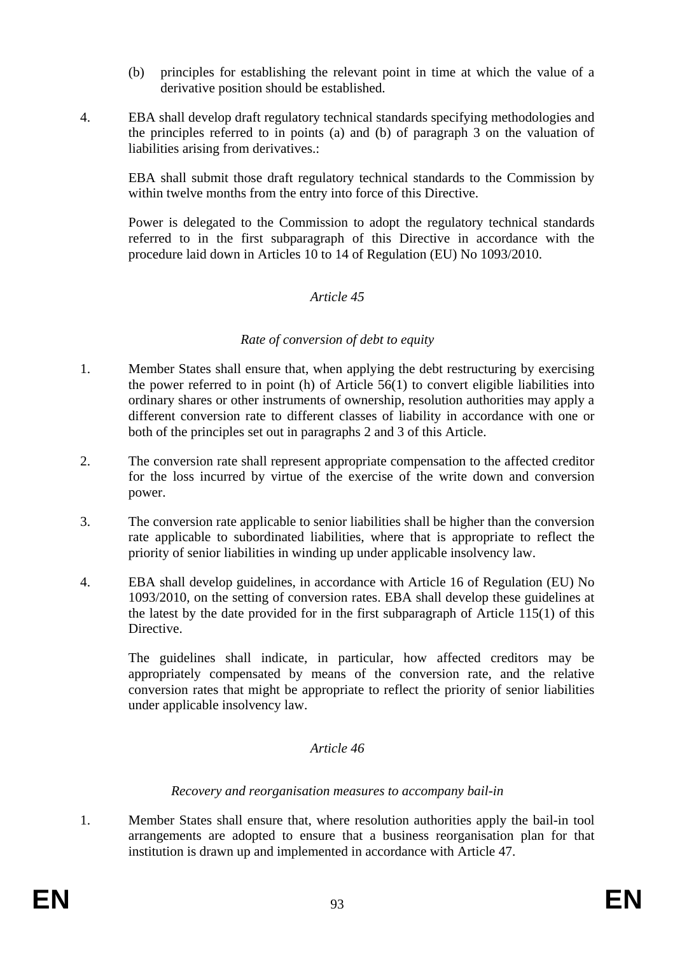- (b) principles for establishing the relevant point in time at which the value of a derivative position should be established.
- 4. EBA shall develop draft regulatory technical standards specifying methodologies and the principles referred to in points (a) and (b) of paragraph 3 on the valuation of liabilities arising from derivatives.:

EBA shall submit those draft regulatory technical standards to the Commission by within twelve months from the entry into force of this Directive.

Power is delegated to the Commission to adopt the regulatory technical standards referred to in the first subparagraph of this Directive in accordance with the procedure laid down in Articles 10 to 14 of Regulation (EU) No 1093/2010.

#### *Article 45*

#### *Rate of conversion of debt to equity*

- 1. Member States shall ensure that, when applying the debt restructuring by exercising the power referred to in point (h) of Article 56(1) to convert eligible liabilities into ordinary shares or other instruments of ownership, resolution authorities may apply a different conversion rate to different classes of liability in accordance with one or both of the principles set out in paragraphs 2 and 3 of this Article.
- 2. The conversion rate shall represent appropriate compensation to the affected creditor for the loss incurred by virtue of the exercise of the write down and conversion power.
- 3. The conversion rate applicable to senior liabilities shall be higher than the conversion rate applicable to subordinated liabilities, where that is appropriate to reflect the priority of senior liabilities in winding up under applicable insolvency law.
- 4. EBA shall develop guidelines, in accordance with Article 16 of Regulation (EU) No 1093/2010, on the setting of conversion rates. EBA shall develop these guidelines at the latest by the date provided for in the first subparagraph of Article 115(1) of this **Directive.**

The guidelines shall indicate, in particular, how affected creditors may be appropriately compensated by means of the conversion rate, and the relative conversion rates that might be appropriate to reflect the priority of senior liabilities under applicable insolvency law.

#### *Article 46*

#### *Recovery and reorganisation measures to accompany bail-in*

1. Member States shall ensure that, where resolution authorities apply the bail-in tool arrangements are adopted to ensure that a business reorganisation plan for that institution is drawn up and implemented in accordance with Article 47.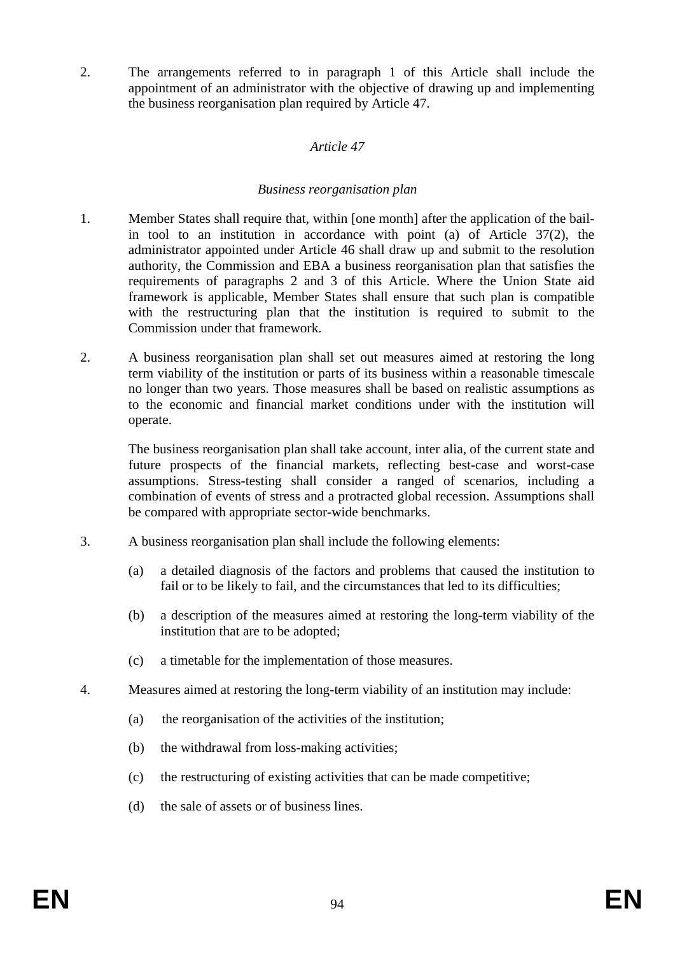2. The arrangements referred to in paragraph 1 of this Article shall include the appointment of an administrator with the objective of drawing up and implementing the business reorganisation plan required by Article 47.

#### *Article 47*

#### *Business reorganisation plan*

- 1. Member States shall require that, within [one month] after the application of the bailin tool to an institution in accordance with point (a) of Article 37(2), the administrator appointed under Article 46 shall draw up and submit to the resolution authority, the Commission and EBA a business reorganisation plan that satisfies the requirements of paragraphs 2 and 3 of this Article. Where the Union State aid framework is applicable, Member States shall ensure that such plan is compatible with the restructuring plan that the institution is required to submit to the Commission under that framework.
- 2. A business reorganisation plan shall set out measures aimed at restoring the long term viability of the institution or parts of its business within a reasonable timescale no longer than two years. Those measures shall be based on realistic assumptions as to the economic and financial market conditions under with the institution will operate.

The business reorganisation plan shall take account, inter alia, of the current state and future prospects of the financial markets, reflecting best-case and worst-case assumptions. Stress-testing shall consider a ranged of scenarios, including a combination of events of stress and a protracted global recession. Assumptions shall be compared with appropriate sector-wide benchmarks.

- 3. A business reorganisation plan shall include the following elements:
	- (a) a detailed diagnosis of the factors and problems that caused the institution to fail or to be likely to fail, and the circumstances that led to its difficulties;
	- (b) a description of the measures aimed at restoring the long-term viability of the institution that are to be adopted;
	- (c) a timetable for the implementation of those measures.
- 4. Measures aimed at restoring the long-term viability of an institution may include:
	- (a) the reorganisation of the activities of the institution;
	- (b) the withdrawal from loss-making activities;
	- (c) the restructuring of existing activities that can be made competitive;
	- (d) the sale of assets or of business lines.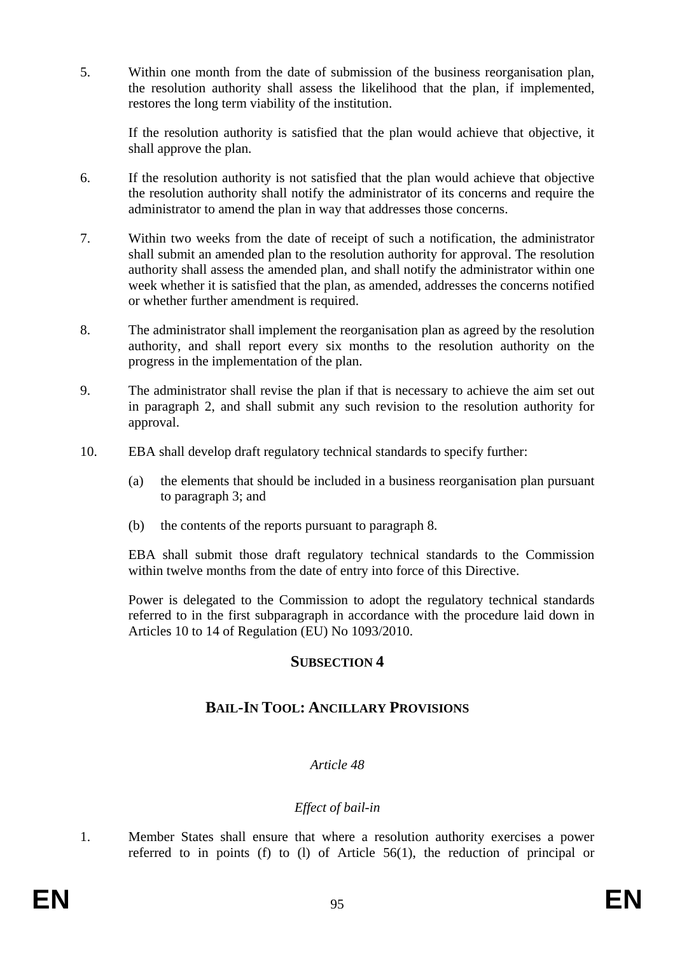5. Within one month from the date of submission of the business reorganisation plan, the resolution authority shall assess the likelihood that the plan, if implemented, restores the long term viability of the institution.

If the resolution authority is satisfied that the plan would achieve that objective, it shall approve the plan.

- 6. If the resolution authority is not satisfied that the plan would achieve that objective the resolution authority shall notify the administrator of its concerns and require the administrator to amend the plan in way that addresses those concerns.
- 7. Within two weeks from the date of receipt of such a notification, the administrator shall submit an amended plan to the resolution authority for approval. The resolution authority shall assess the amended plan, and shall notify the administrator within one week whether it is satisfied that the plan, as amended, addresses the concerns notified or whether further amendment is required.
- 8. The administrator shall implement the reorganisation plan as agreed by the resolution authority, and shall report every six months to the resolution authority on the progress in the implementation of the plan.
- 9. The administrator shall revise the plan if that is necessary to achieve the aim set out in paragraph 2, and shall submit any such revision to the resolution authority for approval.
- 10. EBA shall develop draft regulatory technical standards to specify further:
	- (a) the elements that should be included in a business reorganisation plan pursuant to paragraph 3; and
	- (b) the contents of the reports pursuant to paragraph 8.

EBA shall submit those draft regulatory technical standards to the Commission within twelve months from the date of entry into force of this Directive.

Power is delegated to the Commission to adopt the regulatory technical standards referred to in the first subparagraph in accordance with the procedure laid down in Articles 10 to 14 of Regulation (EU) No 1093/2010.

#### **SUBSECTION 4**

## **BAIL-IN TOOL: ANCILLARY PROVISIONS**

#### *Article 48*

## *Effect of bail-in*

1. Member States shall ensure that where a resolution authority exercises a power referred to in points (f) to (l) of Article 56(1), the reduction of principal or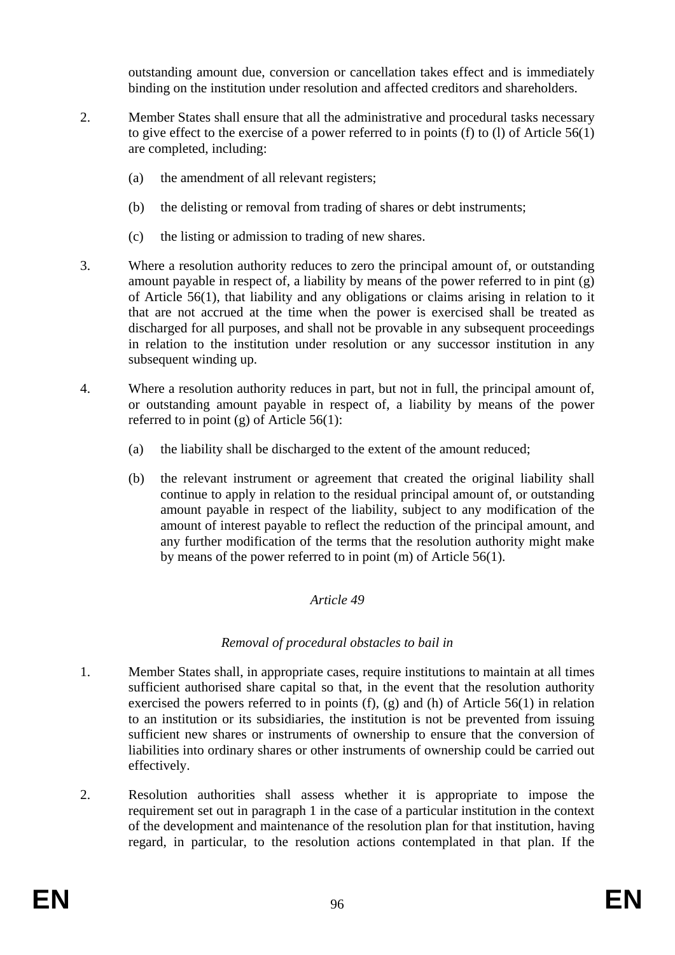outstanding amount due, conversion or cancellation takes effect and is immediately binding on the institution under resolution and affected creditors and shareholders.

- 2. Member States shall ensure that all the administrative and procedural tasks necessary to give effect to the exercise of a power referred to in points (f) to (l) of Article 56(1) are completed, including:
	- (a) the amendment of all relevant registers;
	- (b) the delisting or removal from trading of shares or debt instruments;
	- (c) the listing or admission to trading of new shares.
- 3. Where a resolution authority reduces to zero the principal amount of, or outstanding amount payable in respect of, a liability by means of the power referred to in pint (g) of Article 56(1), that liability and any obligations or claims arising in relation to it that are not accrued at the time when the power is exercised shall be treated as discharged for all purposes, and shall not be provable in any subsequent proceedings in relation to the institution under resolution or any successor institution in any subsequent winding up.
- 4. Where a resolution authority reduces in part, but not in full, the principal amount of, or outstanding amount payable in respect of, a liability by means of the power referred to in point  $(g)$  of Article 56(1):
	- (a) the liability shall be discharged to the extent of the amount reduced;
	- (b) the relevant instrument or agreement that created the original liability shall continue to apply in relation to the residual principal amount of, or outstanding amount payable in respect of the liability, subject to any modification of the amount of interest payable to reflect the reduction of the principal amount, and any further modification of the terms that the resolution authority might make by means of the power referred to in point (m) of Article 56(1).

#### *Article 49*

#### *Removal of procedural obstacles to bail in*

- 1. Member States shall, in appropriate cases, require institutions to maintain at all times sufficient authorised share capital so that, in the event that the resolution authority exercised the powers referred to in points (f), (g) and (h) of Article 56(1) in relation to an institution or its subsidiaries, the institution is not be prevented from issuing sufficient new shares or instruments of ownership to ensure that the conversion of liabilities into ordinary shares or other instruments of ownership could be carried out effectively.
- 2. Resolution authorities shall assess whether it is appropriate to impose the requirement set out in paragraph 1 in the case of a particular institution in the context of the development and maintenance of the resolution plan for that institution, having regard, in particular, to the resolution actions contemplated in that plan. If the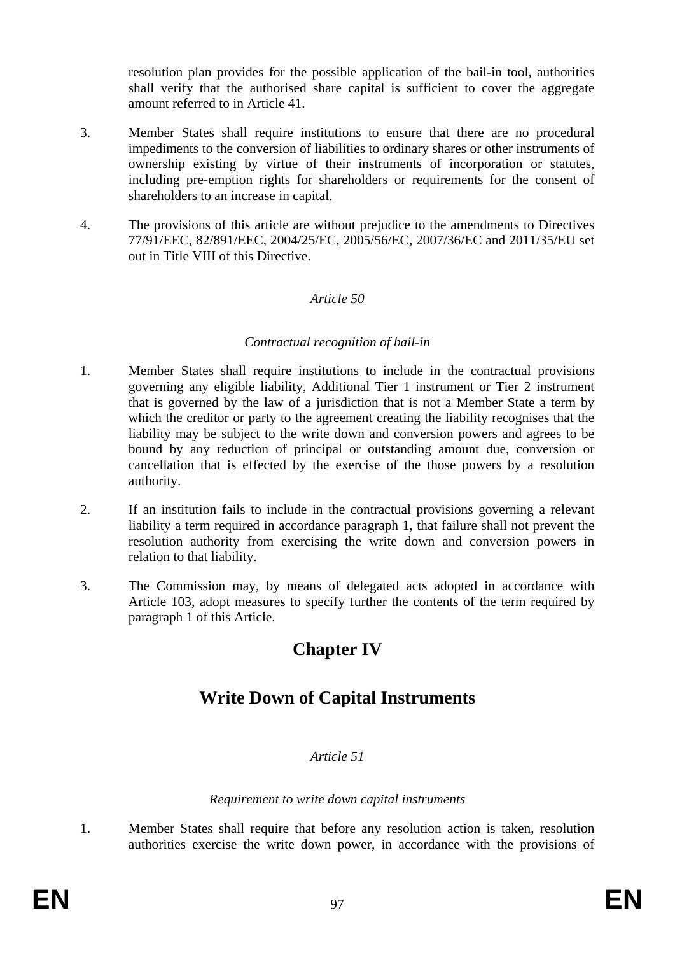resolution plan provides for the possible application of the bail-in tool, authorities shall verify that the authorised share capital is sufficient to cover the aggregate amount referred to in Article 41.

- 3. Member States shall require institutions to ensure that there are no procedural impediments to the conversion of liabilities to ordinary shares or other instruments of ownership existing by virtue of their instruments of incorporation or statutes, including pre-emption rights for shareholders or requirements for the consent of shareholders to an increase in capital.
- 4. The provisions of this article are without prejudice to the amendments to Directives 77/91/EEC, 82/891/EEC, 2004/25/EC, 2005/56/EC, 2007/36/EC and 2011/35/EU set out in Title VIII of this Directive.

#### *Article 50*

#### *Contractual recognition of bail-in*

- 1. Member States shall require institutions to include in the contractual provisions governing any eligible liability, Additional Tier 1 instrument or Tier 2 instrument that is governed by the law of a jurisdiction that is not a Member State a term by which the creditor or party to the agreement creating the liability recognises that the liability may be subject to the write down and conversion powers and agrees to be bound by any reduction of principal or outstanding amount due, conversion or cancellation that is effected by the exercise of the those powers by a resolution authority.
- 2. If an institution fails to include in the contractual provisions governing a relevant liability a term required in accordance paragraph 1, that failure shall not prevent the resolution authority from exercising the write down and conversion powers in relation to that liability.
- 3. The Commission may, by means of delegated acts adopted in accordance with Article 103, adopt measures to specify further the contents of the term required by paragraph 1 of this Article.

# **Chapter IV**

# **Write Down of Capital Instruments**

#### *Article 51*

#### *Requirement to write down capital instruments*

1. Member States shall require that before any resolution action is taken, resolution authorities exercise the write down power, in accordance with the provisions of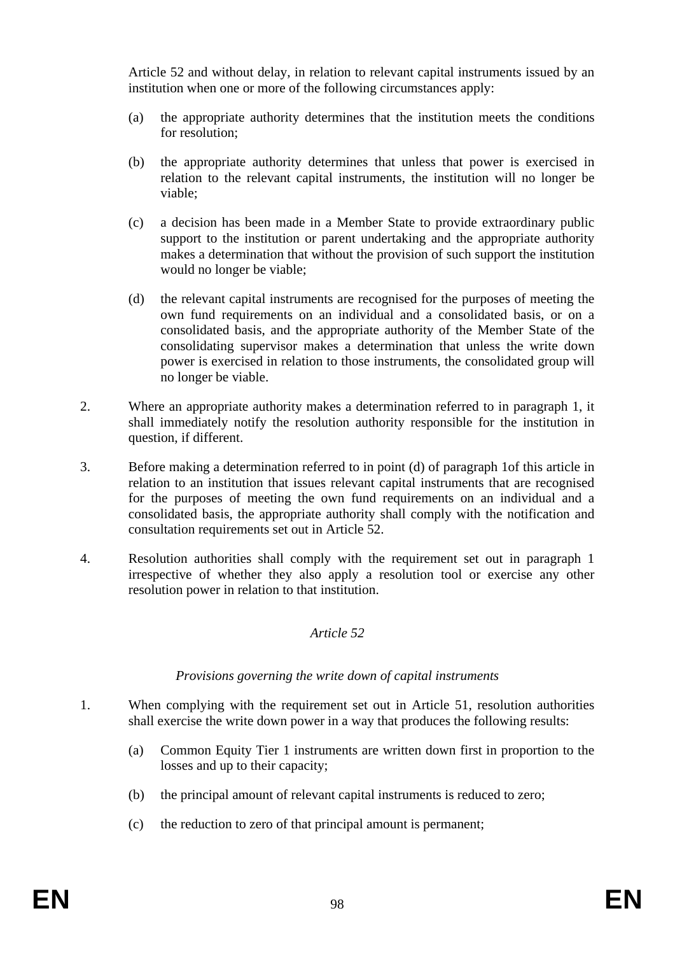Article 52 and without delay, in relation to relevant capital instruments issued by an institution when one or more of the following circumstances apply:

- (a) the appropriate authority determines that the institution meets the conditions for resolution;
- (b) the appropriate authority determines that unless that power is exercised in relation to the relevant capital instruments, the institution will no longer be viable;
- (c) a decision has been made in a Member State to provide extraordinary public support to the institution or parent undertaking and the appropriate authority makes a determination that without the provision of such support the institution would no longer be viable;
- (d) the relevant capital instruments are recognised for the purposes of meeting the own fund requirements on an individual and a consolidated basis, or on a consolidated basis, and the appropriate authority of the Member State of the consolidating supervisor makes a determination that unless the write down power is exercised in relation to those instruments, the consolidated group will no longer be viable.
- 2. Where an appropriate authority makes a determination referred to in paragraph 1, it shall immediately notify the resolution authority responsible for the institution in question, if different.
- 3. Before making a determination referred to in point (d) of paragraph 1of this article in relation to an institution that issues relevant capital instruments that are recognised for the purposes of meeting the own fund requirements on an individual and a consolidated basis, the appropriate authority shall comply with the notification and consultation requirements set out in Article 52.
- 4. Resolution authorities shall comply with the requirement set out in paragraph 1 irrespective of whether they also apply a resolution tool or exercise any other resolution power in relation to that institution.

#### *Article 52*

#### *Provisions governing the write down of capital instruments*

- 1. When complying with the requirement set out in Article 51, resolution authorities shall exercise the write down power in a way that produces the following results:
	- (a) Common Equity Tier 1 instruments are written down first in proportion to the losses and up to their capacity;
	- (b) the principal amount of relevant capital instruments is reduced to zero;
	- (c) the reduction to zero of that principal amount is permanent;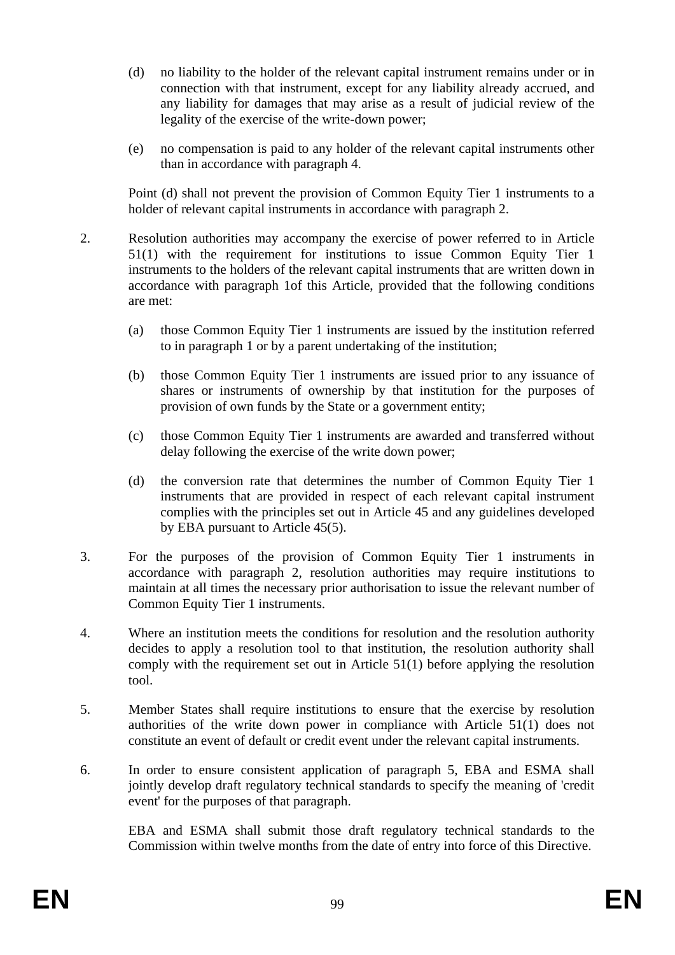- (d) no liability to the holder of the relevant capital instrument remains under or in connection with that instrument, except for any liability already accrued, and any liability for damages that may arise as a result of judicial review of the legality of the exercise of the write-down power;
- (e) no compensation is paid to any holder of the relevant capital instruments other than in accordance with paragraph 4.

Point (d) shall not prevent the provision of Common Equity Tier 1 instruments to a holder of relevant capital instruments in accordance with paragraph 2.

- 2. Resolution authorities may accompany the exercise of power referred to in Article 51(1) with the requirement for institutions to issue Common Equity Tier 1 instruments to the holders of the relevant capital instruments that are written down in accordance with paragraph 1of this Article, provided that the following conditions are met:
	- (a) those Common Equity Tier 1 instruments are issued by the institution referred to in paragraph 1 or by a parent undertaking of the institution;
	- (b) those Common Equity Tier 1 instruments are issued prior to any issuance of shares or instruments of ownership by that institution for the purposes of provision of own funds by the State or a government entity;
	- (c) those Common Equity Tier 1 instruments are awarded and transferred without delay following the exercise of the write down power;
	- (d) the conversion rate that determines the number of Common Equity Tier 1 instruments that are provided in respect of each relevant capital instrument complies with the principles set out in Article 45 and any guidelines developed by EBA pursuant to Article 45(5).
- 3. For the purposes of the provision of Common Equity Tier 1 instruments in accordance with paragraph 2, resolution authorities may require institutions to maintain at all times the necessary prior authorisation to issue the relevant number of Common Equity Tier 1 instruments.
- 4. Where an institution meets the conditions for resolution and the resolution authority decides to apply a resolution tool to that institution, the resolution authority shall comply with the requirement set out in Article 51(1) before applying the resolution tool.
- 5. Member States shall require institutions to ensure that the exercise by resolution authorities of the write down power in compliance with Article 51(1) does not constitute an event of default or credit event under the relevant capital instruments.
- 6. In order to ensure consistent application of paragraph 5, EBA and ESMA shall jointly develop draft regulatory technical standards to specify the meaning of 'credit event' for the purposes of that paragraph.

EBA and ESMA shall submit those draft regulatory technical standards to the Commission within twelve months from the date of entry into force of this Directive.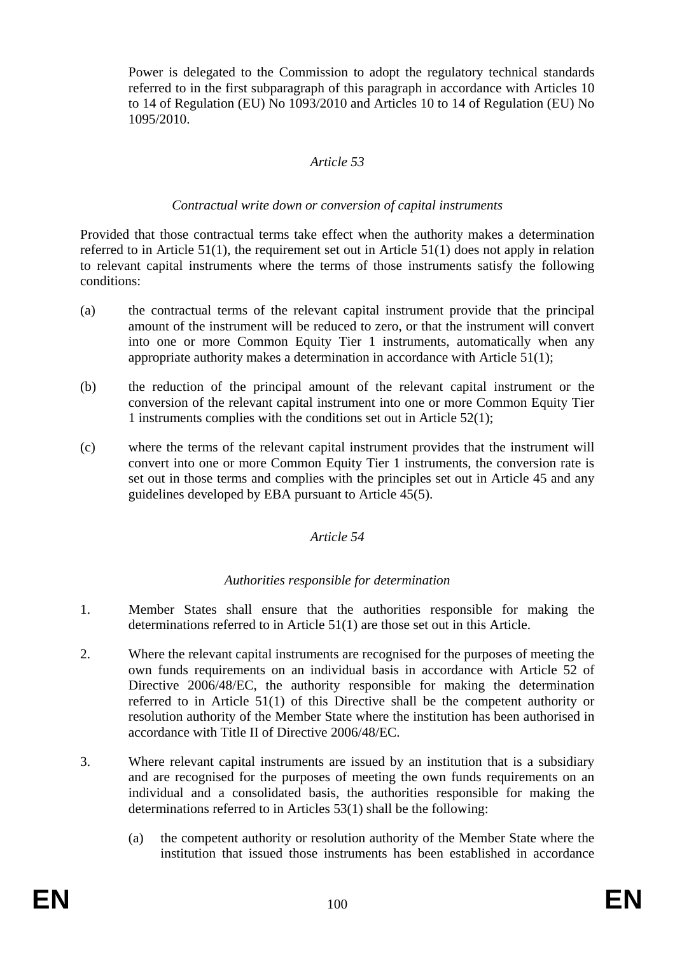Power is delegated to the Commission to adopt the regulatory technical standards referred to in the first subparagraph of this paragraph in accordance with Articles 10 to 14 of Regulation (EU) No 1093/2010 and Articles 10 to 14 of Regulation (EU) No 1095/2010.

#### *Article 53*

#### *Contractual write down or conversion of capital instruments*

Provided that those contractual terms take effect when the authority makes a determination referred to in Article 51(1), the requirement set out in Article 51(1) does not apply in relation to relevant capital instruments where the terms of those instruments satisfy the following conditions:

- (a) the contractual terms of the relevant capital instrument provide that the principal amount of the instrument will be reduced to zero, or that the instrument will convert into one or more Common Equity Tier 1 instruments, automatically when any appropriate authority makes a determination in accordance with Article 51(1);
- (b) the reduction of the principal amount of the relevant capital instrument or the conversion of the relevant capital instrument into one or more Common Equity Tier 1 instruments complies with the conditions set out in Article 52(1);
- (c) where the terms of the relevant capital instrument provides that the instrument will convert into one or more Common Equity Tier 1 instruments, the conversion rate is set out in those terms and complies with the principles set out in Article 45 and any guidelines developed by EBA pursuant to Article 45(5).

#### *Article 54*

#### *Authorities responsible for determination*

- 1. Member States shall ensure that the authorities responsible for making the determinations referred to in Article 51(1) are those set out in this Article.
- 2. Where the relevant capital instruments are recognised for the purposes of meeting the own funds requirements on an individual basis in accordance with Article 52 of Directive 2006/48/EC, the authority responsible for making the determination referred to in Article 51(1) of this Directive shall be the competent authority or resolution authority of the Member State where the institution has been authorised in accordance with Title II of Directive 2006/48/EC.
- 3. Where relevant capital instruments are issued by an institution that is a subsidiary and are recognised for the purposes of meeting the own funds requirements on an individual and a consolidated basis, the authorities responsible for making the determinations referred to in Articles 53(1) shall be the following:
	- (a) the competent authority or resolution authority of the Member State where the institution that issued those instruments has been established in accordance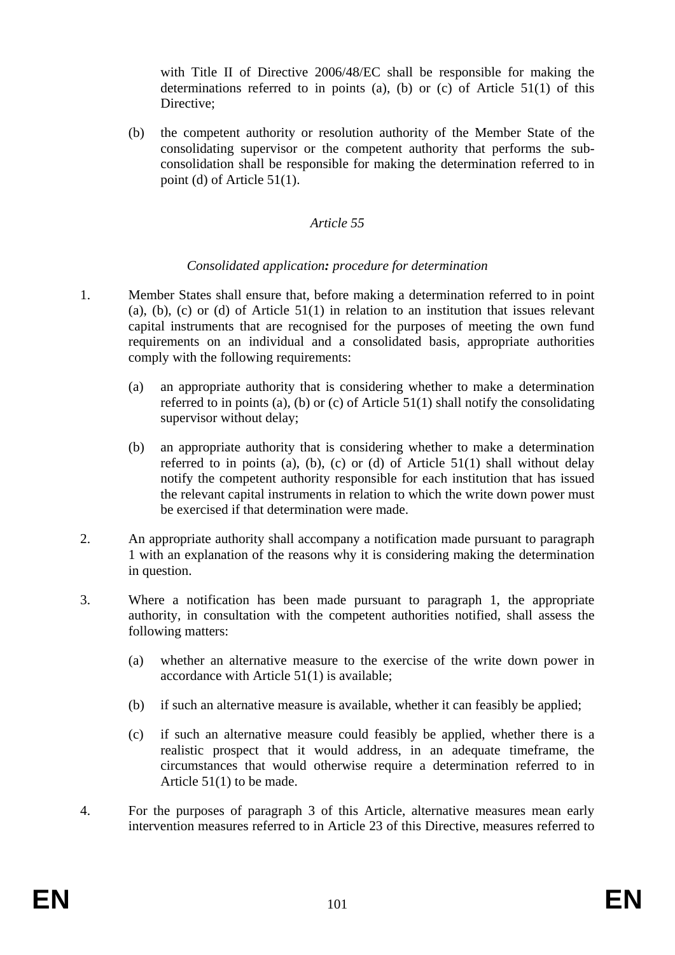with Title II of Directive 2006/48/EC shall be responsible for making the determinations referred to in points (a), (b) or (c) of Article 51(1) of this Directive;

(b) the competent authority or resolution authority of the Member State of the consolidating supervisor or the competent authority that performs the subconsolidation shall be responsible for making the determination referred to in point (d) of Article 51(1).

#### *Article 55*

#### *Consolidated application: procedure for determination*

- 1. Member States shall ensure that, before making a determination referred to in point (a), (b), (c) or (d) of Article 51(1) in relation to an institution that issues relevant capital instruments that are recognised for the purposes of meeting the own fund requirements on an individual and a consolidated basis, appropriate authorities comply with the following requirements:
	- (a) an appropriate authority that is considering whether to make a determination referred to in points (a), (b) or (c) of Article  $51(1)$  shall notify the consolidating supervisor without delay;
	- (b) an appropriate authority that is considering whether to make a determination referred to in points (a), (b), (c) or (d) of Article  $51(1)$  shall without delay notify the competent authority responsible for each institution that has issued the relevant capital instruments in relation to which the write down power must be exercised if that determination were made.
- 2. An appropriate authority shall accompany a notification made pursuant to paragraph 1 with an explanation of the reasons why it is considering making the determination in question.
- 3. Where a notification has been made pursuant to paragraph 1, the appropriate authority, in consultation with the competent authorities notified, shall assess the following matters:
	- (a) whether an alternative measure to the exercise of the write down power in accordance with Article 51(1) is available;
	- (b) if such an alternative measure is available, whether it can feasibly be applied;
	- (c) if such an alternative measure could feasibly be applied, whether there is a realistic prospect that it would address, in an adequate timeframe, the circumstances that would otherwise require a determination referred to in Article 51(1) to be made.
- 4. For the purposes of paragraph 3 of this Article, alternative measures mean early intervention measures referred to in Article 23 of this Directive, measures referred to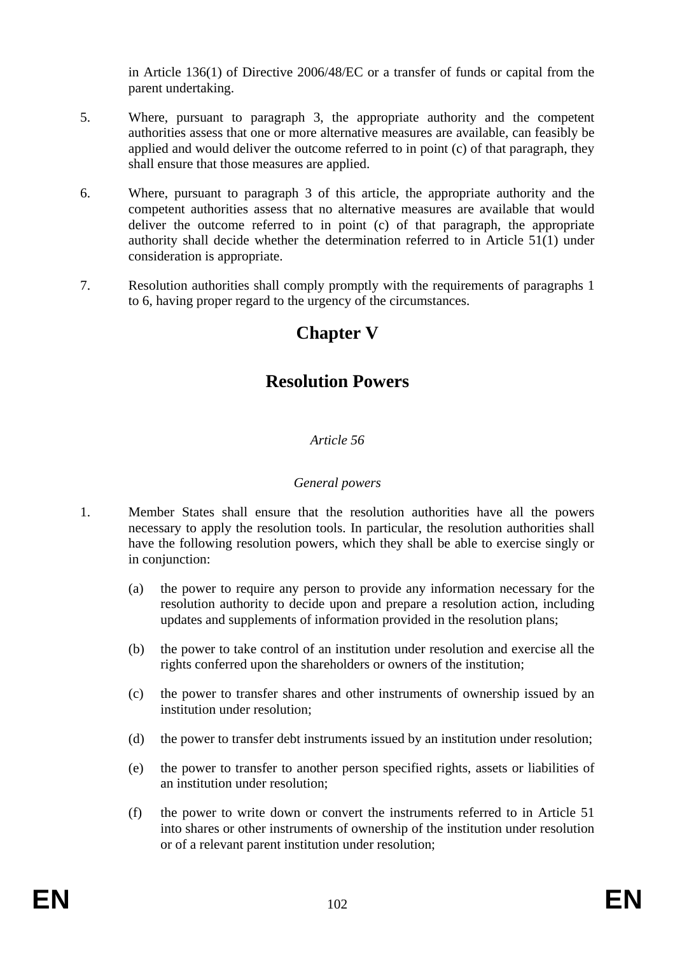in Article 136(1) of Directive 2006/48/EC or a transfer of funds or capital from the parent undertaking.

- 5. Where, pursuant to paragraph 3, the appropriate authority and the competent authorities assess that one or more alternative measures are available, can feasibly be applied and would deliver the outcome referred to in point (c) of that paragraph, they shall ensure that those measures are applied.
- 6. Where, pursuant to paragraph 3 of this article, the appropriate authority and the competent authorities assess that no alternative measures are available that would deliver the outcome referred to in point (c) of that paragraph, the appropriate authority shall decide whether the determination referred to in Article 51(1) under consideration is appropriate.
- 7. Resolution authorities shall comply promptly with the requirements of paragraphs 1 to 6, having proper regard to the urgency of the circumstances.

# **Chapter V**

# **Resolution Powers**

## *Article 56*

#### *General powers*

- 1. Member States shall ensure that the resolution authorities have all the powers necessary to apply the resolution tools. In particular, the resolution authorities shall have the following resolution powers, which they shall be able to exercise singly or in conjunction:
	- (a) the power to require any person to provide any information necessary for the resolution authority to decide upon and prepare a resolution action, including updates and supplements of information provided in the resolution plans;
	- (b) the power to take control of an institution under resolution and exercise all the rights conferred upon the shareholders or owners of the institution;
	- (c) the power to transfer shares and other instruments of ownership issued by an institution under resolution;
	- (d) the power to transfer debt instruments issued by an institution under resolution;
	- (e) the power to transfer to another person specified rights, assets or liabilities of an institution under resolution;
	- (f) the power to write down or convert the instruments referred to in Article 51 into shares or other instruments of ownership of the institution under resolution or of a relevant parent institution under resolution;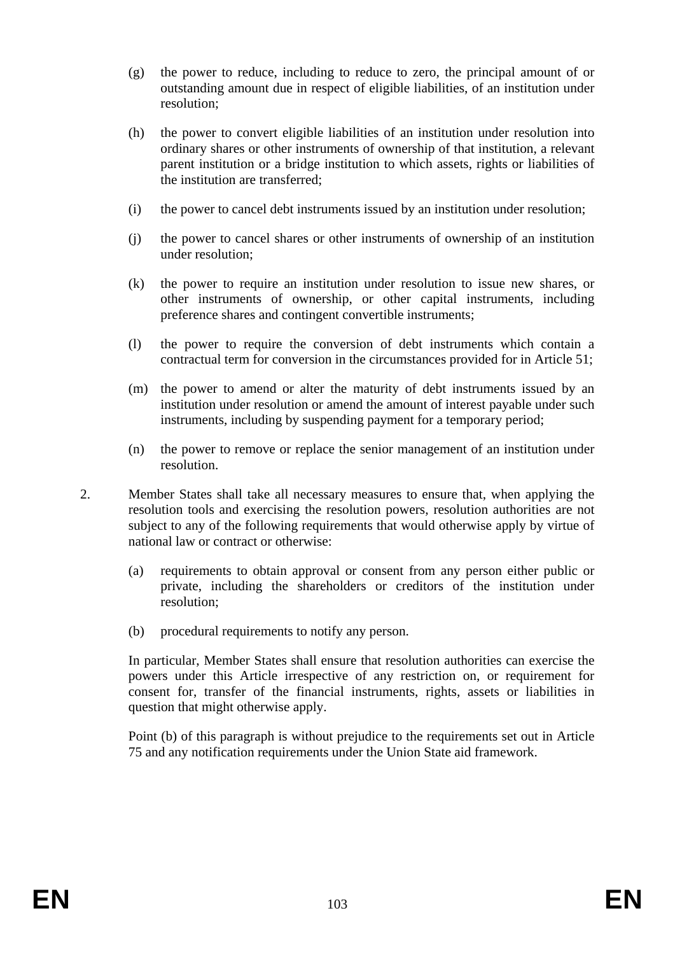- (g) the power to reduce, including to reduce to zero, the principal amount of or outstanding amount due in respect of eligible liabilities, of an institution under resolution;
- (h) the power to convert eligible liabilities of an institution under resolution into ordinary shares or other instruments of ownership of that institution, a relevant parent institution or a bridge institution to which assets, rights or liabilities of the institution are transferred;
- (i) the power to cancel debt instruments issued by an institution under resolution;
- (j) the power to cancel shares or other instruments of ownership of an institution under resolution;
- (k) the power to require an institution under resolution to issue new shares, or other instruments of ownership, or other capital instruments, including preference shares and contingent convertible instruments;
- (l) the power to require the conversion of debt instruments which contain a contractual term for conversion in the circumstances provided for in Article 51;
- (m) the power to amend or alter the maturity of debt instruments issued by an institution under resolution or amend the amount of interest payable under such instruments, including by suspending payment for a temporary period;
- (n) the power to remove or replace the senior management of an institution under resolution.
- 2. Member States shall take all necessary measures to ensure that, when applying the resolution tools and exercising the resolution powers, resolution authorities are not subject to any of the following requirements that would otherwise apply by virtue of national law or contract or otherwise:
	- (a) requirements to obtain approval or consent from any person either public or private, including the shareholders or creditors of the institution under resolution;
	- (b) procedural requirements to notify any person.

In particular, Member States shall ensure that resolution authorities can exercise the powers under this Article irrespective of any restriction on, or requirement for consent for, transfer of the financial instruments, rights, assets or liabilities in question that might otherwise apply.

Point (b) of this paragraph is without prejudice to the requirements set out in Article 75 and any notification requirements under the Union State aid framework.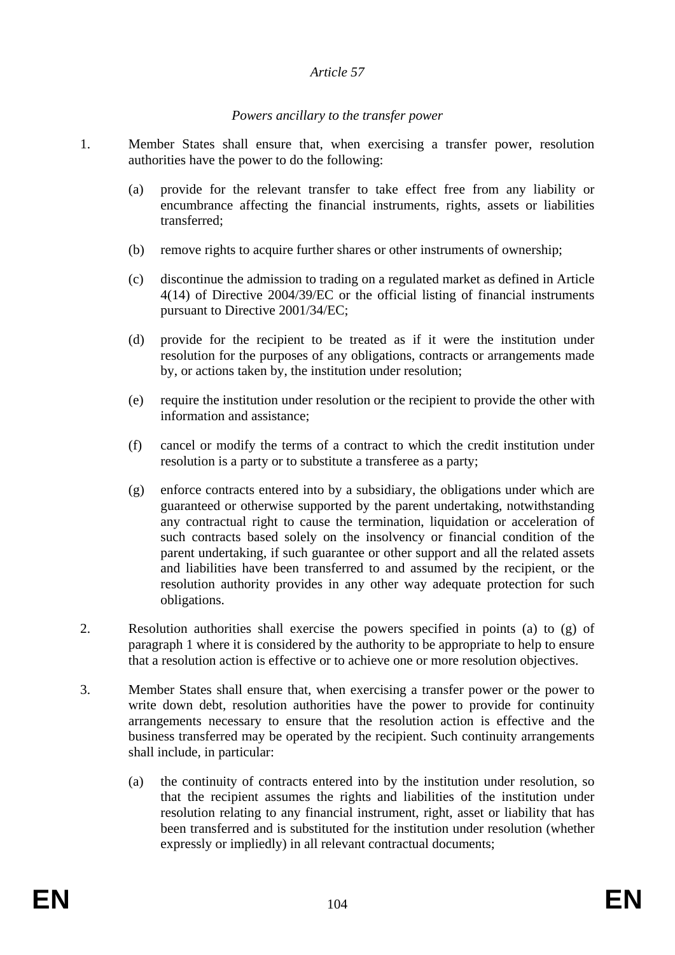#### *Article 57*

#### *Powers ancillary to the transfer power*

- 1. Member States shall ensure that, when exercising a transfer power, resolution authorities have the power to do the following:
	- (a) provide for the relevant transfer to take effect free from any liability or encumbrance affecting the financial instruments, rights, assets or liabilities transferred;
	- (b) remove rights to acquire further shares or other instruments of ownership;
	- (c) discontinue the admission to trading on a regulated market as defined in Article 4(14) of Directive 2004/39/EC or the official listing of financial instruments pursuant to Directive 2001/34/EC;
	- (d) provide for the recipient to be treated as if it were the institution under resolution for the purposes of any obligations, contracts or arrangements made by, or actions taken by, the institution under resolution;
	- (e) require the institution under resolution or the recipient to provide the other with information and assistance;
	- (f) cancel or modify the terms of a contract to which the credit institution under resolution is a party or to substitute a transferee as a party;
	- (g) enforce contracts entered into by a subsidiary, the obligations under which are guaranteed or otherwise supported by the parent undertaking, notwithstanding any contractual right to cause the termination, liquidation or acceleration of such contracts based solely on the insolvency or financial condition of the parent undertaking, if such guarantee or other support and all the related assets and liabilities have been transferred to and assumed by the recipient, or the resolution authority provides in any other way adequate protection for such obligations.
- 2. Resolution authorities shall exercise the powers specified in points (a) to (g) of paragraph 1 where it is considered by the authority to be appropriate to help to ensure that a resolution action is effective or to achieve one or more resolution objectives.
- 3. Member States shall ensure that, when exercising a transfer power or the power to write down debt, resolution authorities have the power to provide for continuity arrangements necessary to ensure that the resolution action is effective and the business transferred may be operated by the recipient. Such continuity arrangements shall include, in particular:
	- (a) the continuity of contracts entered into by the institution under resolution, so that the recipient assumes the rights and liabilities of the institution under resolution relating to any financial instrument, right, asset or liability that has been transferred and is substituted for the institution under resolution (whether expressly or impliedly) in all relevant contractual documents;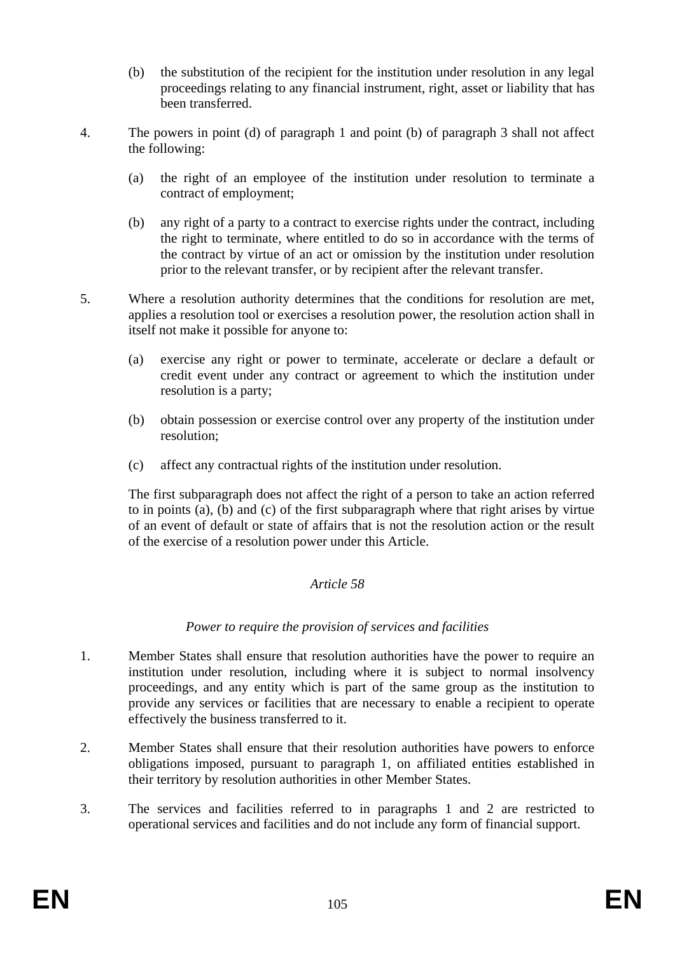- (b) the substitution of the recipient for the institution under resolution in any legal proceedings relating to any financial instrument, right, asset or liability that has been transferred.
- 4. The powers in point (d) of paragraph 1 and point (b) of paragraph 3 shall not affect the following:
	- (a) the right of an employee of the institution under resolution to terminate a contract of employment;
	- (b) any right of a party to a contract to exercise rights under the contract, including the right to terminate, where entitled to do so in accordance with the terms of the contract by virtue of an act or omission by the institution under resolution prior to the relevant transfer, or by recipient after the relevant transfer.
- 5. Where a resolution authority determines that the conditions for resolution are met, applies a resolution tool or exercises a resolution power, the resolution action shall in itself not make it possible for anyone to:
	- (a) exercise any right or power to terminate, accelerate or declare a default or credit event under any contract or agreement to which the institution under resolution is a party;
	- (b) obtain possession or exercise control over any property of the institution under resolution;
	- (c) affect any contractual rights of the institution under resolution.

The first subparagraph does not affect the right of a person to take an action referred to in points (a), (b) and (c) of the first subparagraph where that right arises by virtue of an event of default or state of affairs that is not the resolution action or the result of the exercise of a resolution power under this Article.

#### *Article 58*

#### *Power to require the provision of services and facilities*

- 1. Member States shall ensure that resolution authorities have the power to require an institution under resolution, including where it is subject to normal insolvency proceedings, and any entity which is part of the same group as the institution to provide any services or facilities that are necessary to enable a recipient to operate effectively the business transferred to it.
- 2. Member States shall ensure that their resolution authorities have powers to enforce obligations imposed, pursuant to paragraph 1, on affiliated entities established in their territory by resolution authorities in other Member States.
- 3. The services and facilities referred to in paragraphs 1 and 2 are restricted to operational services and facilities and do not include any form of financial support.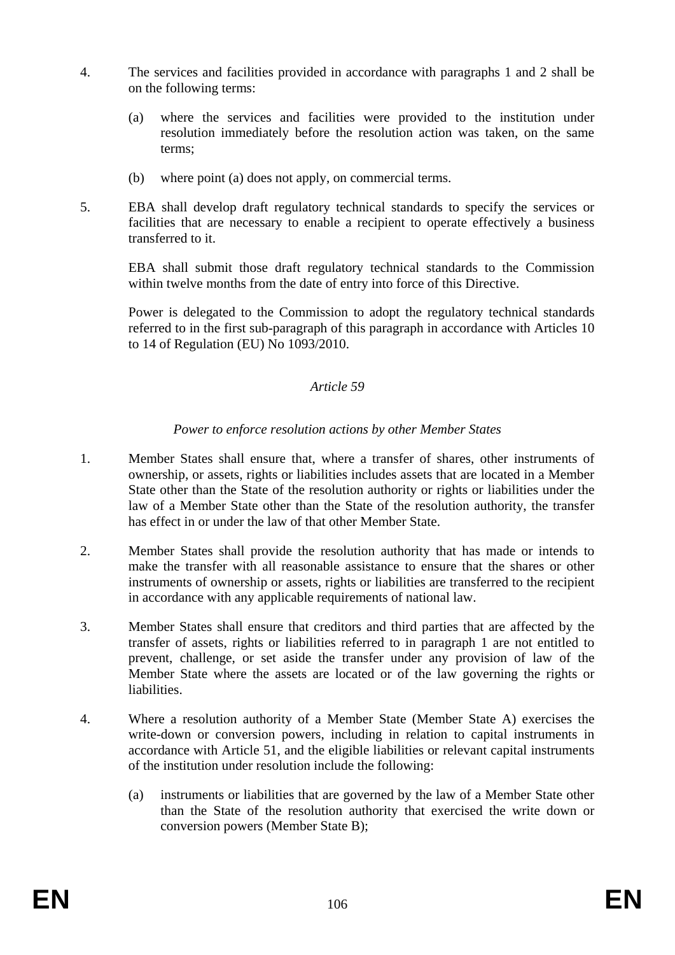- 4. The services and facilities provided in accordance with paragraphs 1 and 2 shall be on the following terms:
	- (a) where the services and facilities were provided to the institution under resolution immediately before the resolution action was taken, on the same terms;
	- (b) where point (a) does not apply, on commercial terms.
- 5. EBA shall develop draft regulatory technical standards to specify the services or facilities that are necessary to enable a recipient to operate effectively a business transferred to it.

EBA shall submit those draft regulatory technical standards to the Commission within twelve months from the date of entry into force of this Directive.

Power is delegated to the Commission to adopt the regulatory technical standards referred to in the first sub-paragraph of this paragraph in accordance with Articles 10 to 14 of Regulation (EU) No 1093/2010.

#### *Article 59*

#### *Power to enforce resolution actions by other Member States*

- 1. Member States shall ensure that, where a transfer of shares, other instruments of ownership, or assets, rights or liabilities includes assets that are located in a Member State other than the State of the resolution authority or rights or liabilities under the law of a Member State other than the State of the resolution authority, the transfer has effect in or under the law of that other Member State.
- 2. Member States shall provide the resolution authority that has made or intends to make the transfer with all reasonable assistance to ensure that the shares or other instruments of ownership or assets, rights or liabilities are transferred to the recipient in accordance with any applicable requirements of national law.
- 3. Member States shall ensure that creditors and third parties that are affected by the transfer of assets, rights or liabilities referred to in paragraph 1 are not entitled to prevent, challenge, or set aside the transfer under any provision of law of the Member State where the assets are located or of the law governing the rights or liabilities.
- 4. Where a resolution authority of a Member State (Member State A) exercises the write-down or conversion powers, including in relation to capital instruments in accordance with Article 51, and the eligible liabilities or relevant capital instruments of the institution under resolution include the following:
	- (a) instruments or liabilities that are governed by the law of a Member State other than the State of the resolution authority that exercised the write down or conversion powers (Member State B);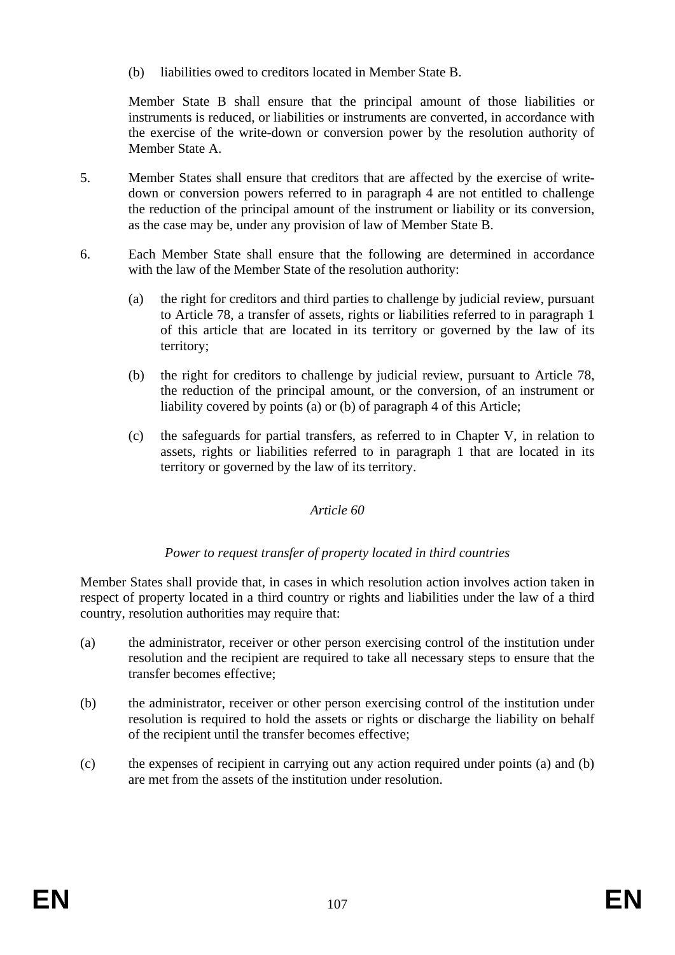(b) liabilities owed to creditors located in Member State B.

Member State B shall ensure that the principal amount of those liabilities or instruments is reduced, or liabilities or instruments are converted, in accordance with the exercise of the write-down or conversion power by the resolution authority of Member State A.

- 5. Member States shall ensure that creditors that are affected by the exercise of writedown or conversion powers referred to in paragraph 4 are not entitled to challenge the reduction of the principal amount of the instrument or liability or its conversion, as the case may be, under any provision of law of Member State B.
- 6. Each Member State shall ensure that the following are determined in accordance with the law of the Member State of the resolution authority:
	- (a) the right for creditors and third parties to challenge by judicial review, pursuant to Article 78, a transfer of assets, rights or liabilities referred to in paragraph 1 of this article that are located in its territory or governed by the law of its territory;
	- (b) the right for creditors to challenge by judicial review, pursuant to Article 78, the reduction of the principal amount, or the conversion, of an instrument or liability covered by points (a) or (b) of paragraph 4 of this Article;
	- (c) the safeguards for partial transfers, as referred to in Chapter V, in relation to assets, rights or liabilities referred to in paragraph 1 that are located in its territory or governed by the law of its territory.

#### *Article 60*

#### *Power to request transfer of property located in third countries*

Member States shall provide that, in cases in which resolution action involves action taken in respect of property located in a third country or rights and liabilities under the law of a third country, resolution authorities may require that:

- (a) the administrator, receiver or other person exercising control of the institution under resolution and the recipient are required to take all necessary steps to ensure that the transfer becomes effective;
- (b) the administrator, receiver or other person exercising control of the institution under resolution is required to hold the assets or rights or discharge the liability on behalf of the recipient until the transfer becomes effective;
- (c) the expenses of recipient in carrying out any action required under points (a) and (b) are met from the assets of the institution under resolution.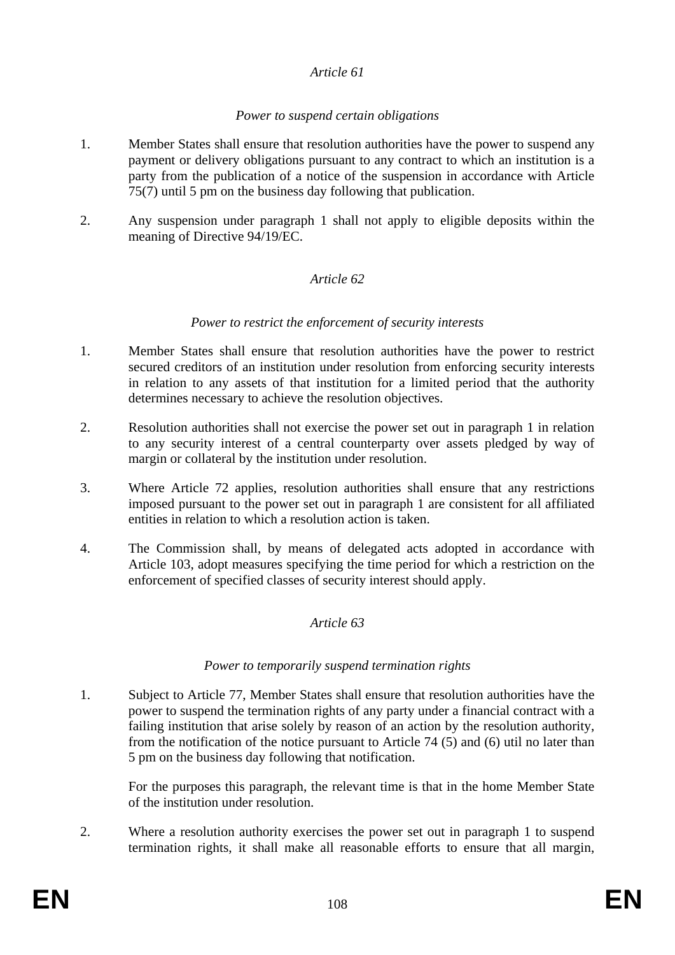#### *Article 61*

#### *Power to suspend certain obligations*

- 1. Member States shall ensure that resolution authorities have the power to suspend any payment or delivery obligations pursuant to any contract to which an institution is a party from the publication of a notice of the suspension in accordance with Article 75(7) until 5 pm on the business day following that publication.
- 2. Any suspension under paragraph 1 shall not apply to eligible deposits within the meaning of Directive 94/19/EC.

#### *Article 62*

#### *Power to restrict the enforcement of security interests*

- 1. Member States shall ensure that resolution authorities have the power to restrict secured creditors of an institution under resolution from enforcing security interests in relation to any assets of that institution for a limited period that the authority determines necessary to achieve the resolution objectives.
- 2. Resolution authorities shall not exercise the power set out in paragraph 1 in relation to any security interest of a central counterparty over assets pledged by way of margin or collateral by the institution under resolution.
- 3. Where Article 72 applies, resolution authorities shall ensure that any restrictions imposed pursuant to the power set out in paragraph 1 are consistent for all affiliated entities in relation to which a resolution action is taken.
- 4. The Commission shall, by means of delegated acts adopted in accordance with Article 103, adopt measures specifying the time period for which a restriction on the enforcement of specified classes of security interest should apply.

#### *Article 63*

#### *Power to temporarily suspend termination rights*

1. Subject to Article 77, Member States shall ensure that resolution authorities have the power to suspend the termination rights of any party under a financial contract with a failing institution that arise solely by reason of an action by the resolution authority, from the notification of the notice pursuant to Article 74 (5) and (6) util no later than 5 pm on the business day following that notification.

For the purposes this paragraph, the relevant time is that in the home Member State of the institution under resolution.

2. Where a resolution authority exercises the power set out in paragraph 1 to suspend termination rights, it shall make all reasonable efforts to ensure that all margin,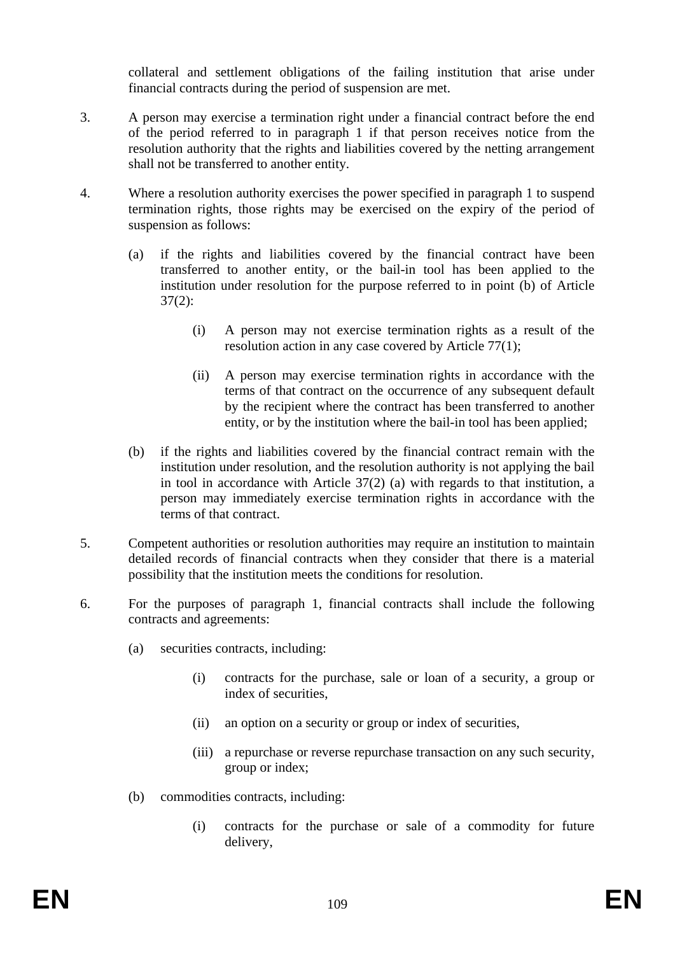collateral and settlement obligations of the failing institution that arise under financial contracts during the period of suspension are met.

- 3. A person may exercise a termination right under a financial contract before the end of the period referred to in paragraph 1 if that person receives notice from the resolution authority that the rights and liabilities covered by the netting arrangement shall not be transferred to another entity.
- 4. Where a resolution authority exercises the power specified in paragraph 1 to suspend termination rights, those rights may be exercised on the expiry of the period of suspension as follows:
	- (a) if the rights and liabilities covered by the financial contract have been transferred to another entity, or the bail-in tool has been applied to the institution under resolution for the purpose referred to in point (b) of Article 37(2):
		- (i) A person may not exercise termination rights as a result of the resolution action in any case covered by Article 77(1);
		- (ii) A person may exercise termination rights in accordance with the terms of that contract on the occurrence of any subsequent default by the recipient where the contract has been transferred to another entity, or by the institution where the bail-in tool has been applied;
	- (b) if the rights and liabilities covered by the financial contract remain with the institution under resolution, and the resolution authority is not applying the bail in tool in accordance with Article 37(2) (a) with regards to that institution, a person may immediately exercise termination rights in accordance with the terms of that contract.
- 5. Competent authorities or resolution authorities may require an institution to maintain detailed records of financial contracts when they consider that there is a material possibility that the institution meets the conditions for resolution.
- 6. For the purposes of paragraph 1, financial contracts shall include the following contracts and agreements:
	- (a) securities contracts, including:
		- (i) contracts for the purchase, sale or loan of a security, a group or index of securities,
		- (ii) an option on a security or group or index of securities,
		- (iii) a repurchase or reverse repurchase transaction on any such security, group or index;
	- (b) commodities contracts, including:
		- (i) contracts for the purchase or sale of a commodity for future delivery,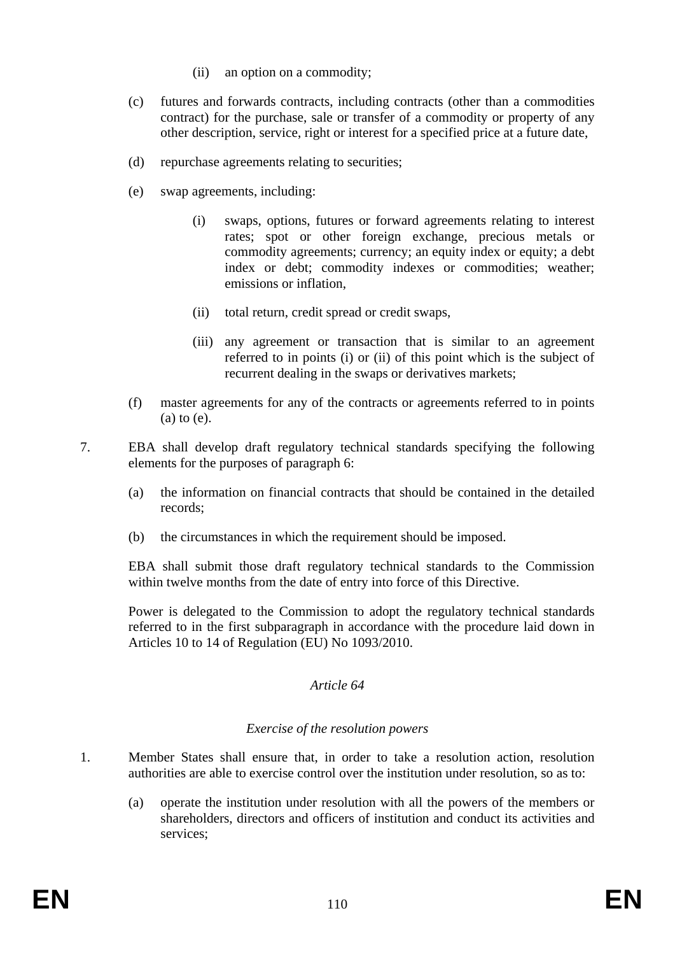- (ii) an option on a commodity;
- (c) futures and forwards contracts, including contracts (other than a commodities contract) for the purchase, sale or transfer of a commodity or property of any other description, service, right or interest for a specified price at a future date,
- (d) repurchase agreements relating to securities;
- (e) swap agreements, including:
	- (i) swaps, options, futures or forward agreements relating to interest rates; spot or other foreign exchange, precious metals or commodity agreements; currency; an equity index or equity; a debt index or debt; commodity indexes or commodities; weather; emissions or inflation,
	- (ii) total return, credit spread or credit swaps,
	- (iii) any agreement or transaction that is similar to an agreement referred to in points (i) or (ii) of this point which is the subject of recurrent dealing in the swaps or derivatives markets;
- (f) master agreements for any of the contracts or agreements referred to in points (a) to (e).
- 7. EBA shall develop draft regulatory technical standards specifying the following elements for the purposes of paragraph 6:
	- (a) the information on financial contracts that should be contained in the detailed records;
	- (b) the circumstances in which the requirement should be imposed.

EBA shall submit those draft regulatory technical standards to the Commission within twelve months from the date of entry into force of this Directive.

Power is delegated to the Commission to adopt the regulatory technical standards referred to in the first subparagraph in accordance with the procedure laid down in Articles 10 to 14 of Regulation (EU) No 1093/2010.

### *Article 64*

### *Exercise of the resolution powers*

- 1. Member States shall ensure that, in order to take a resolution action, resolution authorities are able to exercise control over the institution under resolution, so as to:
	- (a) operate the institution under resolution with all the powers of the members or shareholders, directors and officers of institution and conduct its activities and services;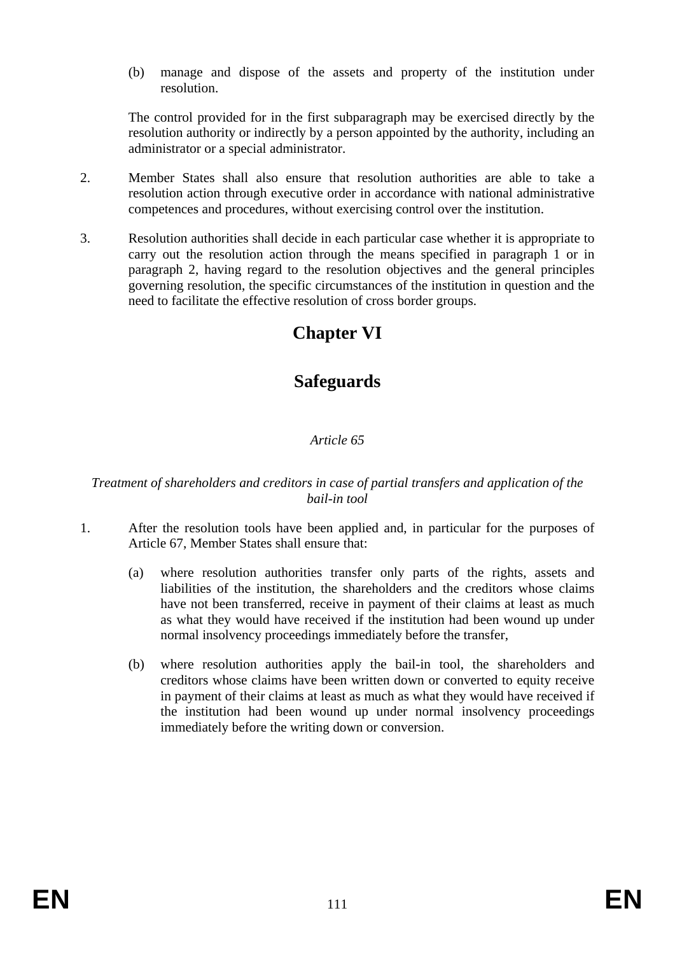(b) manage and dispose of the assets and property of the institution under resolution.

The control provided for in the first subparagraph may be exercised directly by the resolution authority or indirectly by a person appointed by the authority, including an administrator or a special administrator.

- 2. Member States shall also ensure that resolution authorities are able to take a resolution action through executive order in accordance with national administrative competences and procedures, without exercising control over the institution.
- 3. Resolution authorities shall decide in each particular case whether it is appropriate to carry out the resolution action through the means specified in paragraph 1 or in paragraph 2, having regard to the resolution objectives and the general principles governing resolution, the specific circumstances of the institution in question and the need to facilitate the effective resolution of cross border groups.

# **Chapter VI**

# **Safeguards**

### *Article 65*

### *Treatment of shareholders and creditors in case of partial transfers and application of the bail-in tool*

- 1. After the resolution tools have been applied and, in particular for the purposes of Article 67, Member States shall ensure that:
	- (a) where resolution authorities transfer only parts of the rights, assets and liabilities of the institution, the shareholders and the creditors whose claims have not been transferred, receive in payment of their claims at least as much as what they would have received if the institution had been wound up under normal insolvency proceedings immediately before the transfer,
	- (b) where resolution authorities apply the bail-in tool, the shareholders and creditors whose claims have been written down or converted to equity receive in payment of their claims at least as much as what they would have received if the institution had been wound up under normal insolvency proceedings immediately before the writing down or conversion.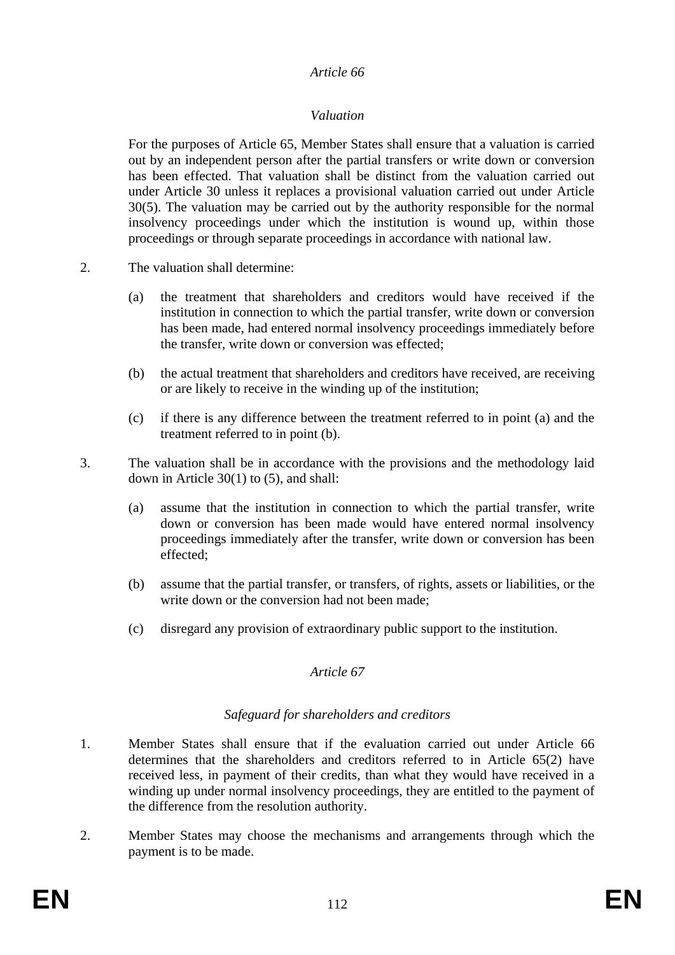### *Valuation*

For the purposes of Article 65, Member States shall ensure that a valuation is carried out by an independent person after the partial transfers or write down or conversion has been effected. That valuation shall be distinct from the valuation carried out under Article 30 unless it replaces a provisional valuation carried out under Article 30(5). The valuation may be carried out by the authority responsible for the normal insolvency proceedings under which the institution is wound up, within those proceedings or through separate proceedings in accordance with national law.

- 2. The valuation shall determine:
	- (a) the treatment that shareholders and creditors would have received if the institution in connection to which the partial transfer, write down or conversion has been made, had entered normal insolvency proceedings immediately before the transfer, write down or conversion was effected;
	- (b) the actual treatment that shareholders and creditors have received, are receiving or are likely to receive in the winding up of the institution;
	- (c) if there is any difference between the treatment referred to in point (a) and the treatment referred to in point (b).
- 3. The valuation shall be in accordance with the provisions and the methodology laid down in Article 30(1) to (5), and shall:
	- (a) assume that the institution in connection to which the partial transfer, write down or conversion has been made would have entered normal insolvency proceedings immediately after the transfer, write down or conversion has been effected;
	- (b) assume that the partial transfer, or transfers, of rights, assets or liabilities, or the write down or the conversion had not been made;
	- (c) disregard any provision of extraordinary public support to the institution.

### *Article 67*

### *Safeguard for shareholders and creditors*

- 1. Member States shall ensure that if the evaluation carried out under Article 66 determines that the shareholders and creditors referred to in Article 65(2) have received less, in payment of their credits, than what they would have received in a winding up under normal insolvency proceedings, they are entitled to the payment of the difference from the resolution authority.
- 2. Member States may choose the mechanisms and arrangements through which the payment is to be made.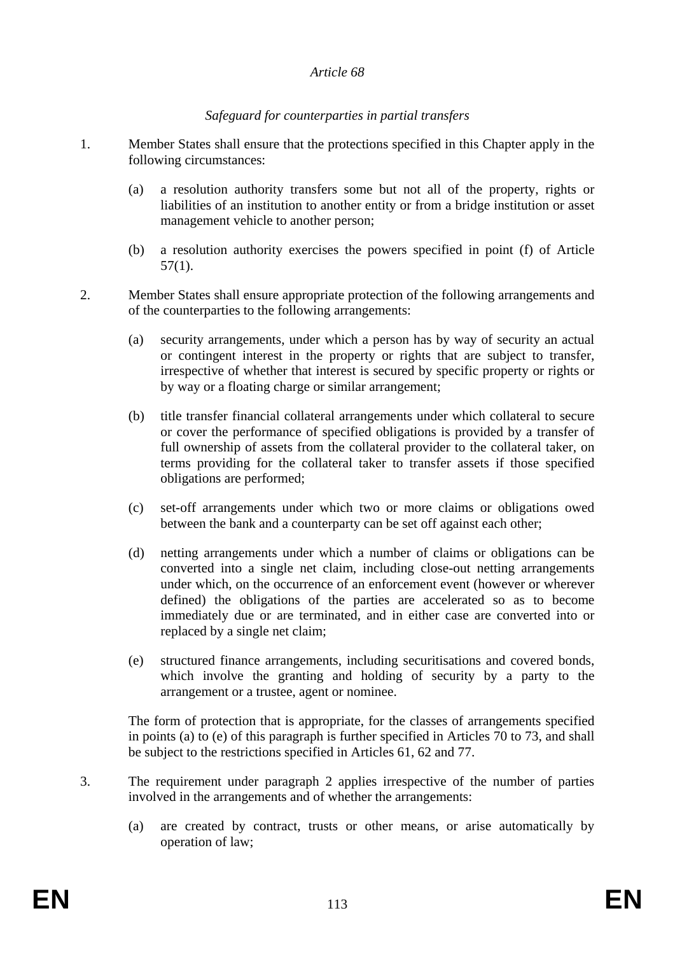### *Safeguard for counterparties in partial transfers*

- 1. Member States shall ensure that the protections specified in this Chapter apply in the following circumstances:
	- (a) a resolution authority transfers some but not all of the property, rights or liabilities of an institution to another entity or from a bridge institution or asset management vehicle to another person;
	- (b) a resolution authority exercises the powers specified in point (f) of Article 57(1).
- 2. Member States shall ensure appropriate protection of the following arrangements and of the counterparties to the following arrangements:
	- (a) security arrangements, under which a person has by way of security an actual or contingent interest in the property or rights that are subject to transfer, irrespective of whether that interest is secured by specific property or rights or by way or a floating charge or similar arrangement;
	- (b) title transfer financial collateral arrangements under which collateral to secure or cover the performance of specified obligations is provided by a transfer of full ownership of assets from the collateral provider to the collateral taker, on terms providing for the collateral taker to transfer assets if those specified obligations are performed;
	- (c) set-off arrangements under which two or more claims or obligations owed between the bank and a counterparty can be set off against each other;
	- (d) netting arrangements under which a number of claims or obligations can be converted into a single net claim, including close-out netting arrangements under which, on the occurrence of an enforcement event (however or wherever defined) the obligations of the parties are accelerated so as to become immediately due or are terminated, and in either case are converted into or replaced by a single net claim;
	- (e) structured finance arrangements, including securitisations and covered bonds, which involve the granting and holding of security by a party to the arrangement or a trustee, agent or nominee.

The form of protection that is appropriate, for the classes of arrangements specified in points (a) to (e) of this paragraph is further specified in Articles 70 to 73, and shall be subject to the restrictions specified in Articles 61, 62 and 77.

- 3. The requirement under paragraph 2 applies irrespective of the number of parties involved in the arrangements and of whether the arrangements:
	- (a) are created by contract, trusts or other means, or arise automatically by operation of law;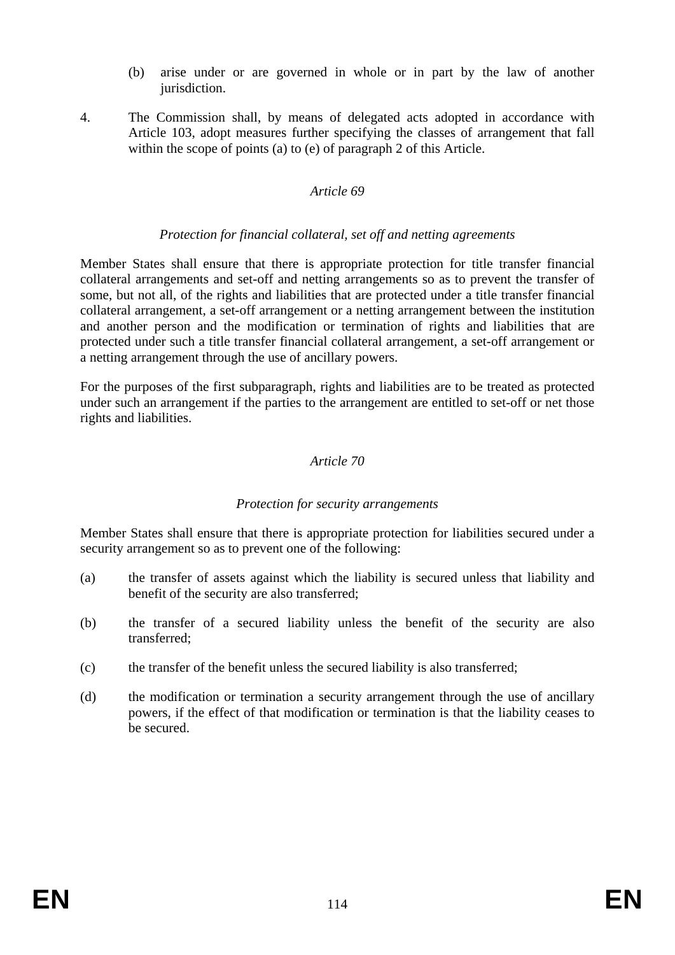- (b) arise under or are governed in whole or in part by the law of another jurisdiction.
- 4. The Commission shall, by means of delegated acts adopted in accordance with Article 103, adopt measures further specifying the classes of arrangement that fall within the scope of points (a) to (e) of paragraph 2 of this Article.

#### *Protection for financial collateral, set off and netting agreements*

Member States shall ensure that there is appropriate protection for title transfer financial collateral arrangements and set-off and netting arrangements so as to prevent the transfer of some, but not all, of the rights and liabilities that are protected under a title transfer financial collateral arrangement, a set-off arrangement or a netting arrangement between the institution and another person and the modification or termination of rights and liabilities that are protected under such a title transfer financial collateral arrangement, a set-off arrangement or a netting arrangement through the use of ancillary powers.

For the purposes of the first subparagraph, rights and liabilities are to be treated as protected under such an arrangement if the parties to the arrangement are entitled to set-off or net those rights and liabilities.

#### *Article 70*

#### *Protection for security arrangements*

Member States shall ensure that there is appropriate protection for liabilities secured under a security arrangement so as to prevent one of the following:

- (a) the transfer of assets against which the liability is secured unless that liability and benefit of the security are also transferred;
- (b) the transfer of a secured liability unless the benefit of the security are also transferred;
- (c) the transfer of the benefit unless the secured liability is also transferred;
- (d) the modification or termination a security arrangement through the use of ancillary powers, if the effect of that modification or termination is that the liability ceases to be secured.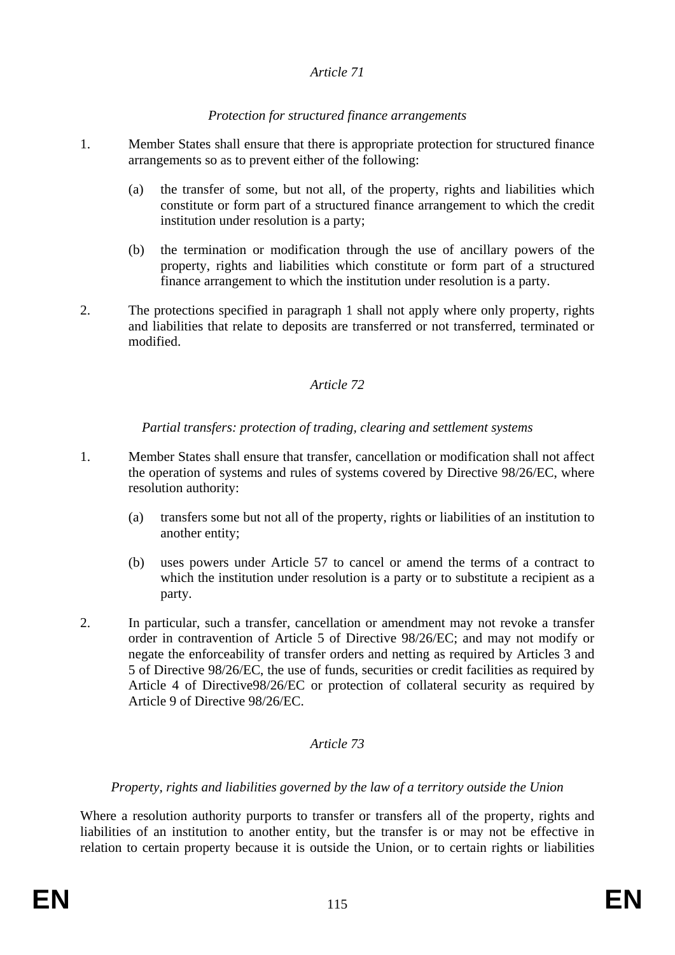### *Protection for structured finance arrangements*

- 1. Member States shall ensure that there is appropriate protection for structured finance arrangements so as to prevent either of the following:
	- (a) the transfer of some, but not all, of the property, rights and liabilities which constitute or form part of a structured finance arrangement to which the credit institution under resolution is a party;
	- (b) the termination or modification through the use of ancillary powers of the property, rights and liabilities which constitute or form part of a structured finance arrangement to which the institution under resolution is a party.
- 2. The protections specified in paragraph 1 shall not apply where only property, rights and liabilities that relate to deposits are transferred or not transferred, terminated or modified.

### *Article 72*

### *Partial transfers: protection of trading, clearing and settlement systems*

- 1. Member States shall ensure that transfer, cancellation or modification shall not affect the operation of systems and rules of systems covered by Directive 98/26/EC, where resolution authority:
	- (a) transfers some but not all of the property, rights or liabilities of an institution to another entity;
	- (b) uses powers under Article 57 to cancel or amend the terms of a contract to which the institution under resolution is a party or to substitute a recipient as a party.
- 2. In particular, such a transfer, cancellation or amendment may not revoke a transfer order in contravention of Article 5 of Directive 98/26/EC; and may not modify or negate the enforceability of transfer orders and netting as required by Articles 3 and 5 of Directive 98/26/EC, the use of funds, securities or credit facilities as required by Article 4 of Directive98/26/EC or protection of collateral security as required by Article 9 of Directive 98/26/EC.

### *Article 73*

### *Property, rights and liabilities governed by the law of a territory outside the Union*

Where a resolution authority purports to transfer or transfers all of the property, rights and liabilities of an institution to another entity, but the transfer is or may not be effective in relation to certain property because it is outside the Union, or to certain rights or liabilities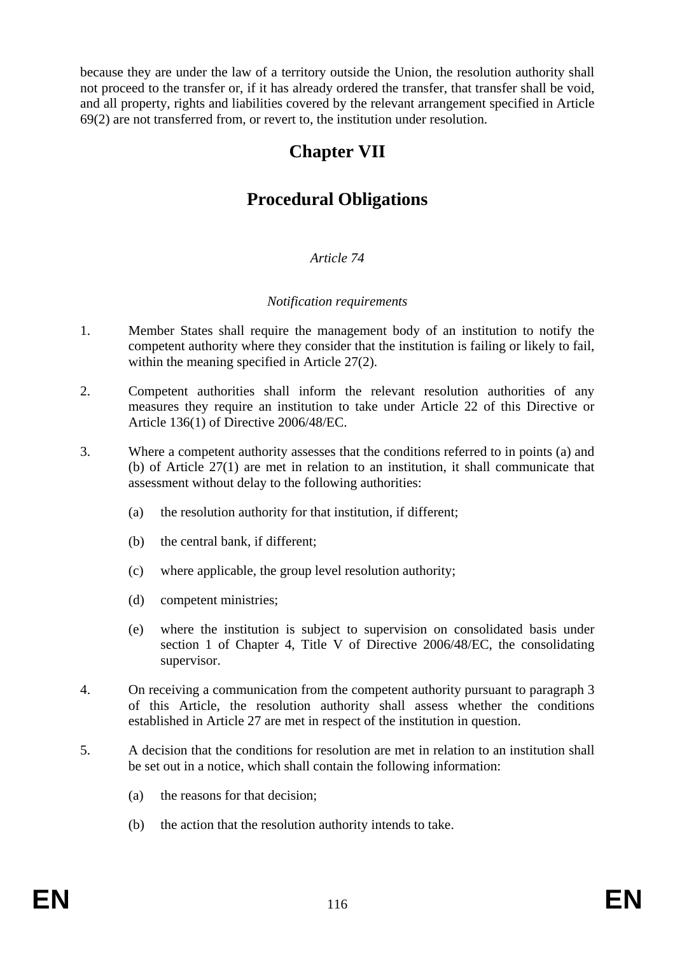because they are under the law of a territory outside the Union, the resolution authority shall not proceed to the transfer or, if it has already ordered the transfer, that transfer shall be void, and all property, rights and liabilities covered by the relevant arrangement specified in Article 69(2) are not transferred from, or revert to, the institution under resolution.

# **Chapter VII**

# **Procedural Obligations**

### *Article 74*

#### *Notification requirements*

- 1. Member States shall require the management body of an institution to notify the competent authority where they consider that the institution is failing or likely to fail, within the meaning specified in Article 27(2).
- 2. Competent authorities shall inform the relevant resolution authorities of any measures they require an institution to take under Article 22 of this Directive or Article 136(1) of Directive 2006/48/EC.
- 3. Where a competent authority assesses that the conditions referred to in points (a) and (b) of Article 27(1) are met in relation to an institution, it shall communicate that assessment without delay to the following authorities:
	- (a) the resolution authority for that institution, if different;
	- (b) the central bank, if different;
	- (c) where applicable, the group level resolution authority;
	- (d) competent ministries;
	- (e) where the institution is subject to supervision on consolidated basis under section 1 of Chapter 4, Title V of Directive 2006/48/EC, the consolidating supervisor.
- 4. On receiving a communication from the competent authority pursuant to paragraph 3 of this Article, the resolution authority shall assess whether the conditions established in Article 27 are met in respect of the institution in question.
- 5. A decision that the conditions for resolution are met in relation to an institution shall be set out in a notice, which shall contain the following information:
	- (a) the reasons for that decision;
	- (b) the action that the resolution authority intends to take.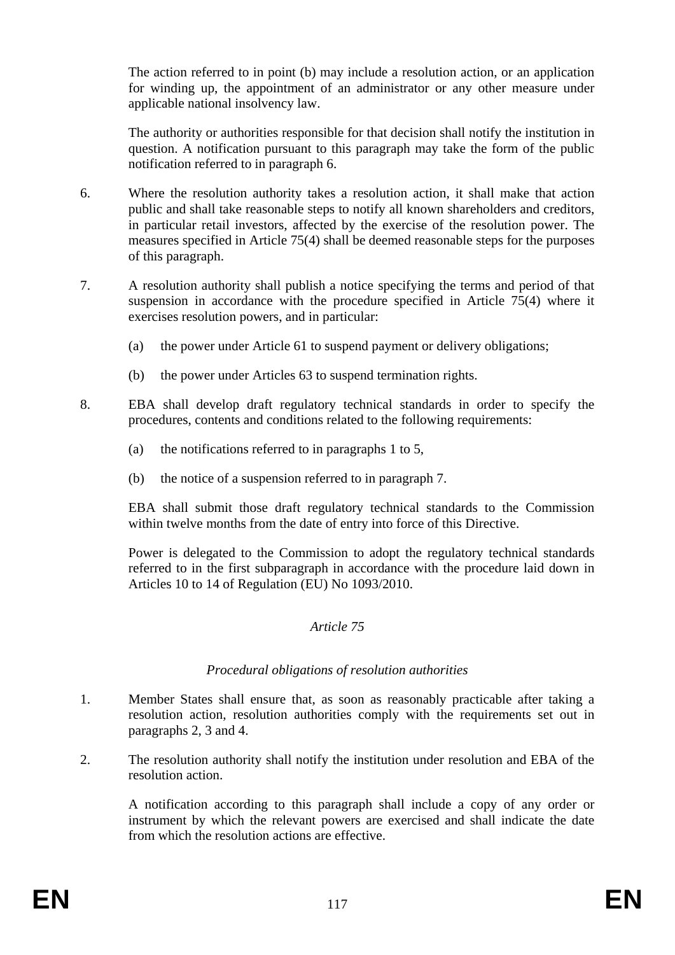The action referred to in point (b) may include a resolution action, or an application for winding up, the appointment of an administrator or any other measure under applicable national insolvency law.

The authority or authorities responsible for that decision shall notify the institution in question. A notification pursuant to this paragraph may take the form of the public notification referred to in paragraph 6.

- 6. Where the resolution authority takes a resolution action, it shall make that action public and shall take reasonable steps to notify all known shareholders and creditors, in particular retail investors, affected by the exercise of the resolution power. The measures specified in Article 75(4) shall be deemed reasonable steps for the purposes of this paragraph.
- 7. A resolution authority shall publish a notice specifying the terms and period of that suspension in accordance with the procedure specified in Article 75(4) where it exercises resolution powers, and in particular:
	- (a) the power under Article 61 to suspend payment or delivery obligations;
	- (b) the power under Articles 63 to suspend termination rights.
- 8. EBA shall develop draft regulatory technical standards in order to specify the procedures, contents and conditions related to the following requirements:
	- (a) the notifications referred to in paragraphs 1 to 5,
	- (b) the notice of a suspension referred to in paragraph 7.

EBA shall submit those draft regulatory technical standards to the Commission within twelve months from the date of entry into force of this Directive.

Power is delegated to the Commission to adopt the regulatory technical standards referred to in the first subparagraph in accordance with the procedure laid down in Articles 10 to 14 of Regulation (EU) No 1093/2010.

### *Article 75*

#### *Procedural obligations of resolution authorities*

- 1. Member States shall ensure that, as soon as reasonably practicable after taking a resolution action, resolution authorities comply with the requirements set out in paragraphs 2, 3 and 4.
- 2. The resolution authority shall notify the institution under resolution and EBA of the resolution action.

A notification according to this paragraph shall include a copy of any order or instrument by which the relevant powers are exercised and shall indicate the date from which the resolution actions are effective.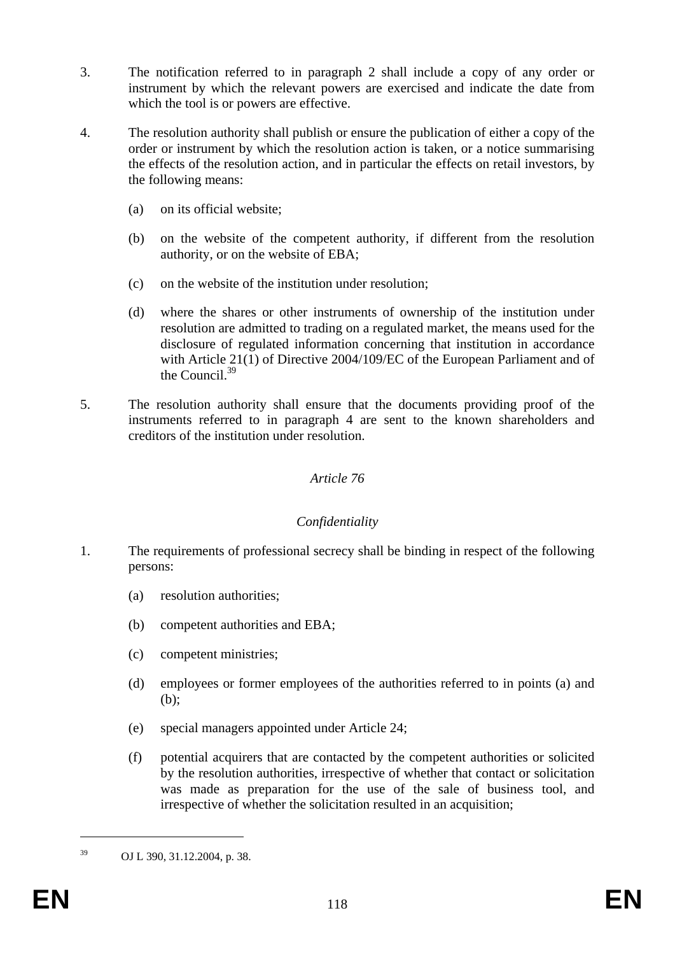- 3. The notification referred to in paragraph 2 shall include a copy of any order or instrument by which the relevant powers are exercised and indicate the date from which the tool is or powers are effective.
- 4. The resolution authority shall publish or ensure the publication of either a copy of the order or instrument by which the resolution action is taken, or a notice summarising the effects of the resolution action, and in particular the effects on retail investors, by the following means:
	- (a) on its official website;
	- (b) on the website of the competent authority, if different from the resolution authority, or on the website of EBA;
	- (c) on the website of the institution under resolution;
	- (d) where the shares or other instruments of ownership of the institution under resolution are admitted to trading on a regulated market, the means used for the disclosure of regulated information concerning that institution in accordance with Article 21(1) of Directive 2004/109/EC of the European Parliament and of the Council.<sup>39</sup>
- 5. The resolution authority shall ensure that the documents providing proof of the instruments referred to in paragraph 4 are sent to the known shareholders and creditors of the institution under resolution.

### *Confidentiality*

- 1. The requirements of professional secrecy shall be binding in respect of the following persons:
	- (a) resolution authorities;
	- (b) competent authorities and EBA;
	- (c) competent ministries;
	- (d) employees or former employees of the authorities referred to in points (a) and (b);
	- (e) special managers appointed under Article 24;
	- (f) potential acquirers that are contacted by the competent authorities or solicited by the resolution authorities, irrespective of whether that contact or solicitation was made as preparation for the use of the sale of business tool, and irrespective of whether the solicitation resulted in an acquisition;

1

<sup>39</sup> OJ L 390, 31.12.2004, p. 38.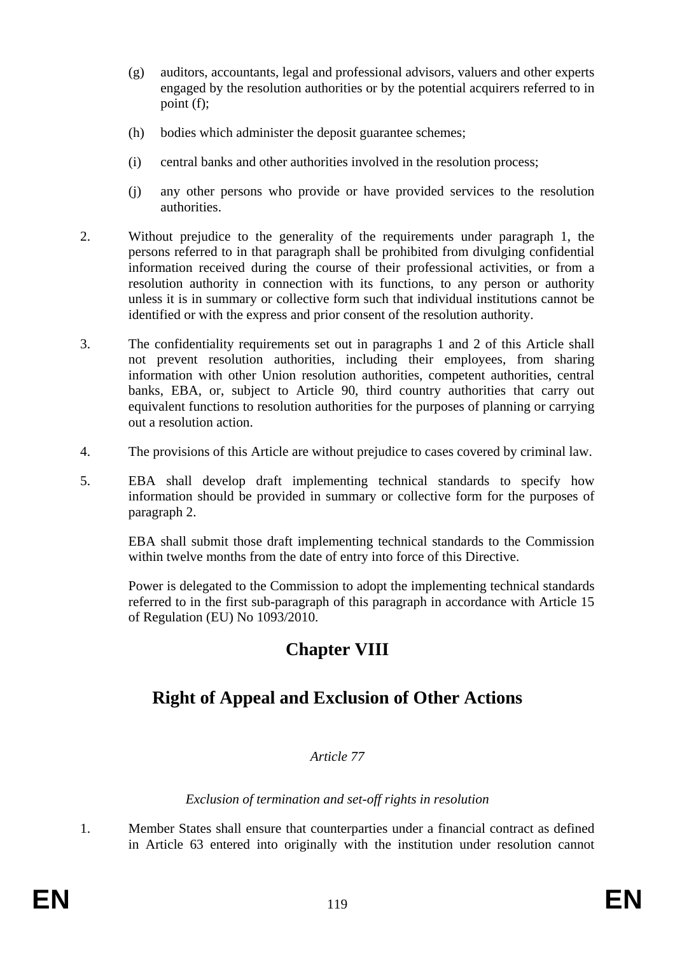- (g) auditors, accountants, legal and professional advisors, valuers and other experts engaged by the resolution authorities or by the potential acquirers referred to in point (f);
- (h) bodies which administer the deposit guarantee schemes;
- (i) central banks and other authorities involved in the resolution process;
- (j) any other persons who provide or have provided services to the resolution authorities.
- 2. Without prejudice to the generality of the requirements under paragraph 1, the persons referred to in that paragraph shall be prohibited from divulging confidential information received during the course of their professional activities, or from a resolution authority in connection with its functions, to any person or authority unless it is in summary or collective form such that individual institutions cannot be identified or with the express and prior consent of the resolution authority.
- 3. The confidentiality requirements set out in paragraphs 1 and 2 of this Article shall not prevent resolution authorities, including their employees, from sharing information with other Union resolution authorities, competent authorities, central banks, EBA, or, subject to Article 90, third country authorities that carry out equivalent functions to resolution authorities for the purposes of planning or carrying out a resolution action.
- 4. The provisions of this Article are without prejudice to cases covered by criminal law.
- 5. EBA shall develop draft implementing technical standards to specify how information should be provided in summary or collective form for the purposes of paragraph 2.

EBA shall submit those draft implementing technical standards to the Commission within twelve months from the date of entry into force of this Directive.

Power is delegated to the Commission to adopt the implementing technical standards referred to in the first sub-paragraph of this paragraph in accordance with Article 15 of Regulation (EU) No 1093/2010.

# **Chapter VIII**

# **Right of Appeal and Exclusion of Other Actions**

### *Article 77*

*Exclusion of termination and set-off rights in resolution* 

1. Member States shall ensure that counterparties under a financial contract as defined in Article 63 entered into originally with the institution under resolution cannot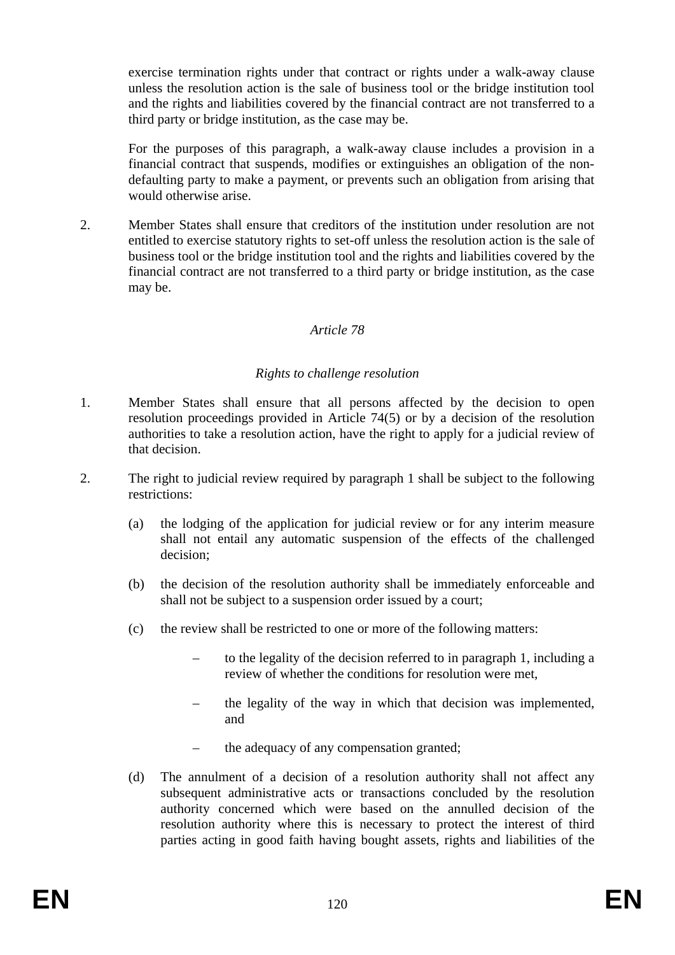exercise termination rights under that contract or rights under a walk-away clause unless the resolution action is the sale of business tool or the bridge institution tool and the rights and liabilities covered by the financial contract are not transferred to a third party or bridge institution, as the case may be.

For the purposes of this paragraph, a walk-away clause includes a provision in a financial contract that suspends, modifies or extinguishes an obligation of the nondefaulting party to make a payment, or prevents such an obligation from arising that would otherwise arise.

2. Member States shall ensure that creditors of the institution under resolution are not entitled to exercise statutory rights to set-off unless the resolution action is the sale of business tool or the bridge institution tool and the rights and liabilities covered by the financial contract are not transferred to a third party or bridge institution, as the case may be.

### *Article 78*

#### *Rights to challenge resolution*

- 1. Member States shall ensure that all persons affected by the decision to open resolution proceedings provided in Article 74(5) or by a decision of the resolution authorities to take a resolution action, have the right to apply for a judicial review of that decision.
- 2. The right to judicial review required by paragraph 1 shall be subject to the following restrictions:
	- (a) the lodging of the application for judicial review or for any interim measure shall not entail any automatic suspension of the effects of the challenged decision;
	- (b) the decision of the resolution authority shall be immediately enforceable and shall not be subject to a suspension order issued by a court;
	- (c) the review shall be restricted to one or more of the following matters:
		- to the legality of the decision referred to in paragraph 1, including a review of whether the conditions for resolution were met,
		- the legality of the way in which that decision was implemented, and
		- the adequacy of any compensation granted;
	- (d) The annulment of a decision of a resolution authority shall not affect any subsequent administrative acts or transactions concluded by the resolution authority concerned which were based on the annulled decision of the resolution authority where this is necessary to protect the interest of third parties acting in good faith having bought assets, rights and liabilities of the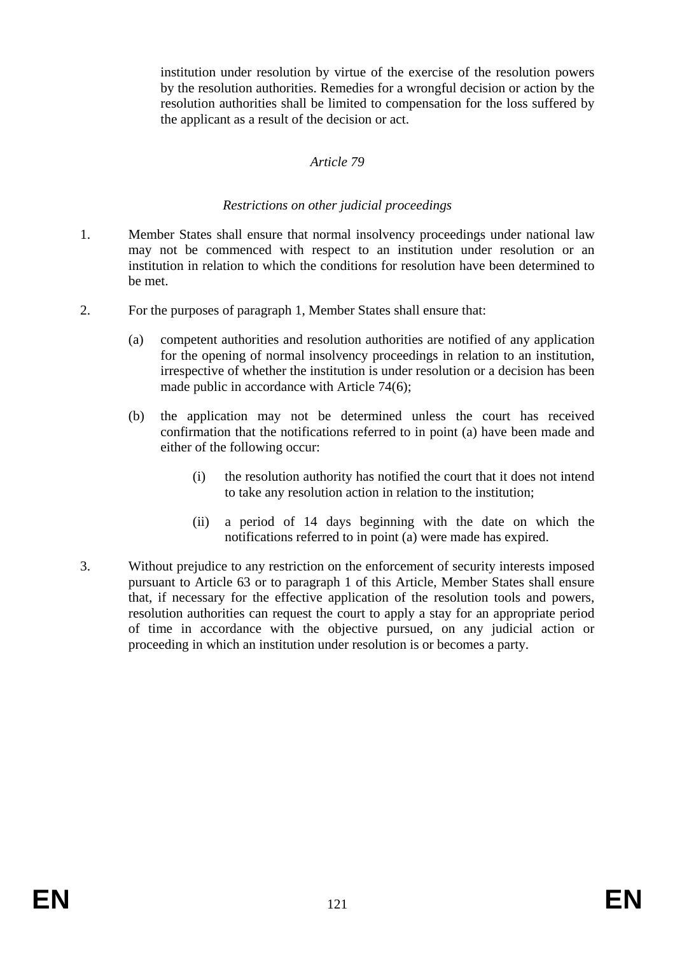institution under resolution by virtue of the exercise of the resolution powers by the resolution authorities. Remedies for a wrongful decision or action by the resolution authorities shall be limited to compensation for the loss suffered by the applicant as a result of the decision or act.

### *Article 79*

#### *Restrictions on other judicial proceedings*

- 1. Member States shall ensure that normal insolvency proceedings under national law may not be commenced with respect to an institution under resolution or an institution in relation to which the conditions for resolution have been determined to be met.
- 2. For the purposes of paragraph 1, Member States shall ensure that:
	- (a) competent authorities and resolution authorities are notified of any application for the opening of normal insolvency proceedings in relation to an institution, irrespective of whether the institution is under resolution or a decision has been made public in accordance with Article 74(6);
	- (b) the application may not be determined unless the court has received confirmation that the notifications referred to in point (a) have been made and either of the following occur:
		- (i) the resolution authority has notified the court that it does not intend to take any resolution action in relation to the institution;
		- (ii) a period of 14 days beginning with the date on which the notifications referred to in point (a) were made has expired.
- 3. Without prejudice to any restriction on the enforcement of security interests imposed pursuant to Article 63 or to paragraph 1 of this Article, Member States shall ensure that, if necessary for the effective application of the resolution tools and powers, resolution authorities can request the court to apply a stay for an appropriate period of time in accordance with the objective pursued, on any judicial action or proceeding in which an institution under resolution is or becomes a party.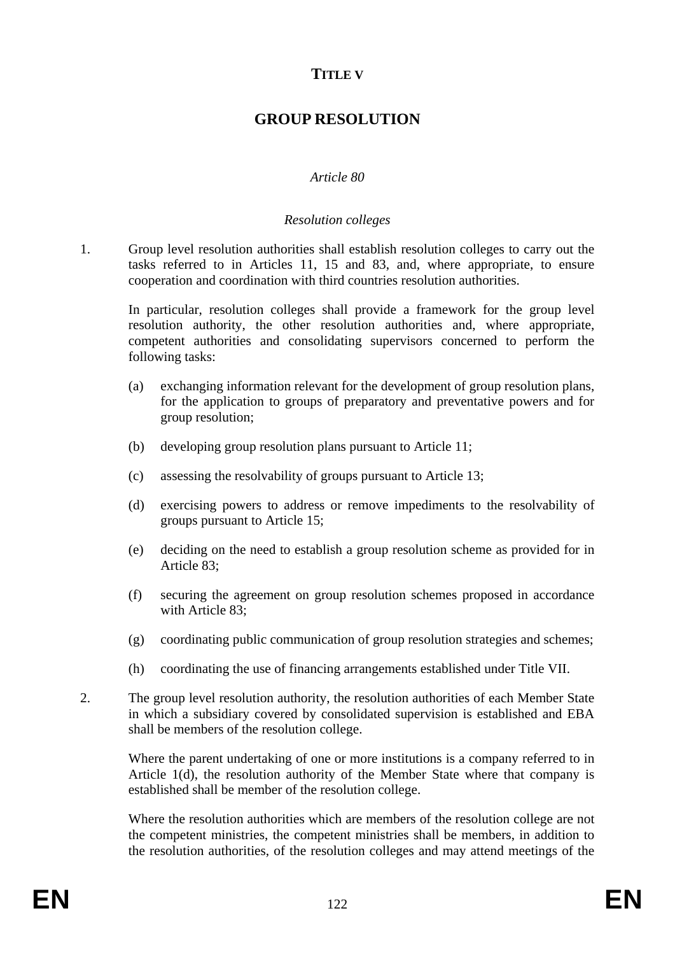## **TITLE V**

## **GROUP RESOLUTION**

### *Article 80*

#### *Resolution colleges*

1. Group level resolution authorities shall establish resolution colleges to carry out the tasks referred to in Articles 11, 15 and 83, and, where appropriate, to ensure cooperation and coordination with third countries resolution authorities.

In particular, resolution colleges shall provide a framework for the group level resolution authority, the other resolution authorities and, where appropriate, competent authorities and consolidating supervisors concerned to perform the following tasks:

- (a) exchanging information relevant for the development of group resolution plans, for the application to groups of preparatory and preventative powers and for group resolution;
- (b) developing group resolution plans pursuant to Article 11;
- (c) assessing the resolvability of groups pursuant to Article 13;
- (d) exercising powers to address or remove impediments to the resolvability of groups pursuant to Article 15;
- (e) deciding on the need to establish a group resolution scheme as provided for in Article 83;
- (f) securing the agreement on group resolution schemes proposed in accordance with Article 83;
- (g) coordinating public communication of group resolution strategies and schemes;
- (h) coordinating the use of financing arrangements established under Title VII.
- 2. The group level resolution authority, the resolution authorities of each Member State in which a subsidiary covered by consolidated supervision is established and EBA shall be members of the resolution college.

Where the parent undertaking of one or more institutions is a company referred to in Article 1(d), the resolution authority of the Member State where that company is established shall be member of the resolution college.

Where the resolution authorities which are members of the resolution college are not the competent ministries, the competent ministries shall be members, in addition to the resolution authorities, of the resolution colleges and may attend meetings of the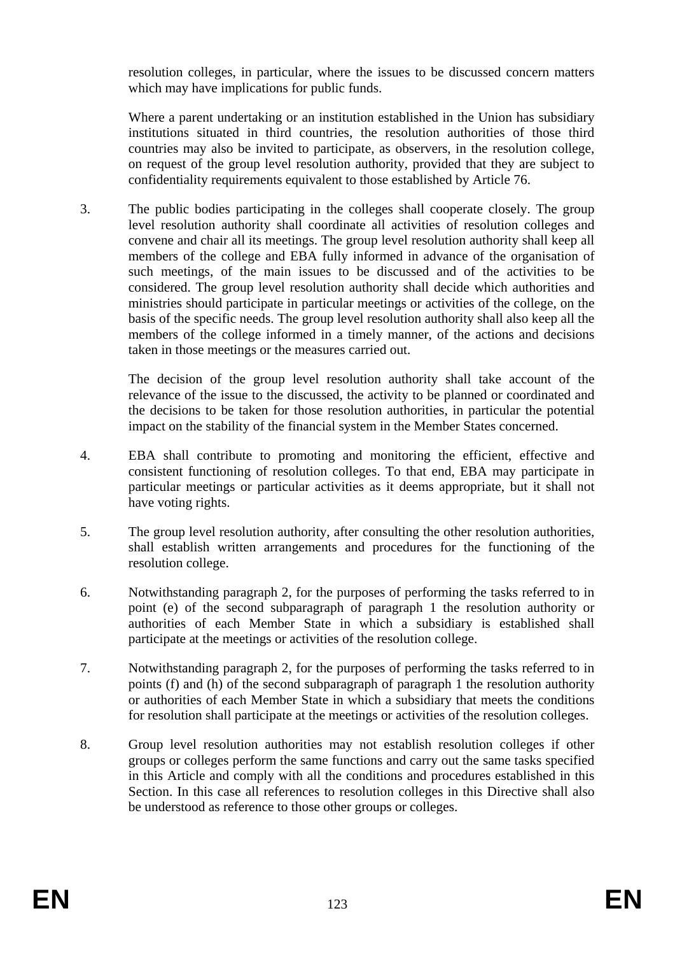resolution colleges, in particular, where the issues to be discussed concern matters which may have implications for public funds.

Where a parent undertaking or an institution established in the Union has subsidiary institutions situated in third countries, the resolution authorities of those third countries may also be invited to participate, as observers, in the resolution college, on request of the group level resolution authority, provided that they are subject to confidentiality requirements equivalent to those established by Article 76.

3. The public bodies participating in the colleges shall cooperate closely. The group level resolution authority shall coordinate all activities of resolution colleges and convene and chair all its meetings. The group level resolution authority shall keep all members of the college and EBA fully informed in advance of the organisation of such meetings, of the main issues to be discussed and of the activities to be considered. The group level resolution authority shall decide which authorities and ministries should participate in particular meetings or activities of the college, on the basis of the specific needs. The group level resolution authority shall also keep all the members of the college informed in a timely manner, of the actions and decisions taken in those meetings or the measures carried out.

The decision of the group level resolution authority shall take account of the relevance of the issue to the discussed, the activity to be planned or coordinated and the decisions to be taken for those resolution authorities, in particular the potential impact on the stability of the financial system in the Member States concerned.

- 4. EBA shall contribute to promoting and monitoring the efficient, effective and consistent functioning of resolution colleges. To that end, EBA may participate in particular meetings or particular activities as it deems appropriate, but it shall not have voting rights.
- 5. The group level resolution authority, after consulting the other resolution authorities, shall establish written arrangements and procedures for the functioning of the resolution college.
- 6. Notwithstanding paragraph 2, for the purposes of performing the tasks referred to in point (e) of the second subparagraph of paragraph 1 the resolution authority or authorities of each Member State in which a subsidiary is established shall participate at the meetings or activities of the resolution college.
- 7. Notwithstanding paragraph 2, for the purposes of performing the tasks referred to in points (f) and (h) of the second subparagraph of paragraph 1 the resolution authority or authorities of each Member State in which a subsidiary that meets the conditions for resolution shall participate at the meetings or activities of the resolution colleges.
- 8. Group level resolution authorities may not establish resolution colleges if other groups or colleges perform the same functions and carry out the same tasks specified in this Article and comply with all the conditions and procedures established in this Section. In this case all references to resolution colleges in this Directive shall also be understood as reference to those other groups or colleges.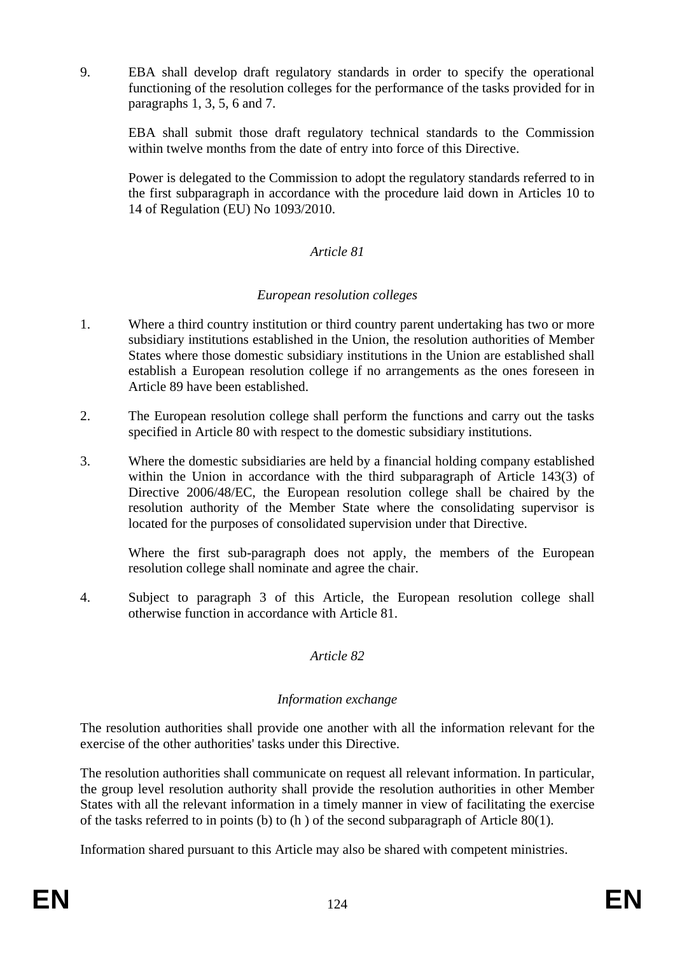9. EBA shall develop draft regulatory standards in order to specify the operational functioning of the resolution colleges for the performance of the tasks provided for in paragraphs 1, 3, 5, 6 and 7.

EBA shall submit those draft regulatory technical standards to the Commission within twelve months from the date of entry into force of this Directive.

Power is delegated to the Commission to adopt the regulatory standards referred to in the first subparagraph in accordance with the procedure laid down in Articles 10 to 14 of Regulation (EU) No 1093/2010.

### *Article 81*

### *European resolution colleges*

- 1. Where a third country institution or third country parent undertaking has two or more subsidiary institutions established in the Union, the resolution authorities of Member States where those domestic subsidiary institutions in the Union are established shall establish a European resolution college if no arrangements as the ones foreseen in Article 89 have been established.
- 2. The European resolution college shall perform the functions and carry out the tasks specified in Article 80 with respect to the domestic subsidiary institutions.
- 3. Where the domestic subsidiaries are held by a financial holding company established within the Union in accordance with the third subparagraph of Article 143(3) of Directive 2006/48/EC, the European resolution college shall be chaired by the resolution authority of the Member State where the consolidating supervisor is located for the purposes of consolidated supervision under that Directive.

Where the first sub-paragraph does not apply, the members of the European resolution college shall nominate and agree the chair.

4. Subject to paragraph 3 of this Article, the European resolution college shall otherwise function in accordance with Article 81.

#### *Article 82*

#### *Information exchange*

The resolution authorities shall provide one another with all the information relevant for the exercise of the other authorities' tasks under this Directive.

The resolution authorities shall communicate on request all relevant information. In particular, the group level resolution authority shall provide the resolution authorities in other Member States with all the relevant information in a timely manner in view of facilitating the exercise of the tasks referred to in points (b) to (h ) of the second subparagraph of Article 80(1).

Information shared pursuant to this Article may also be shared with competent ministries.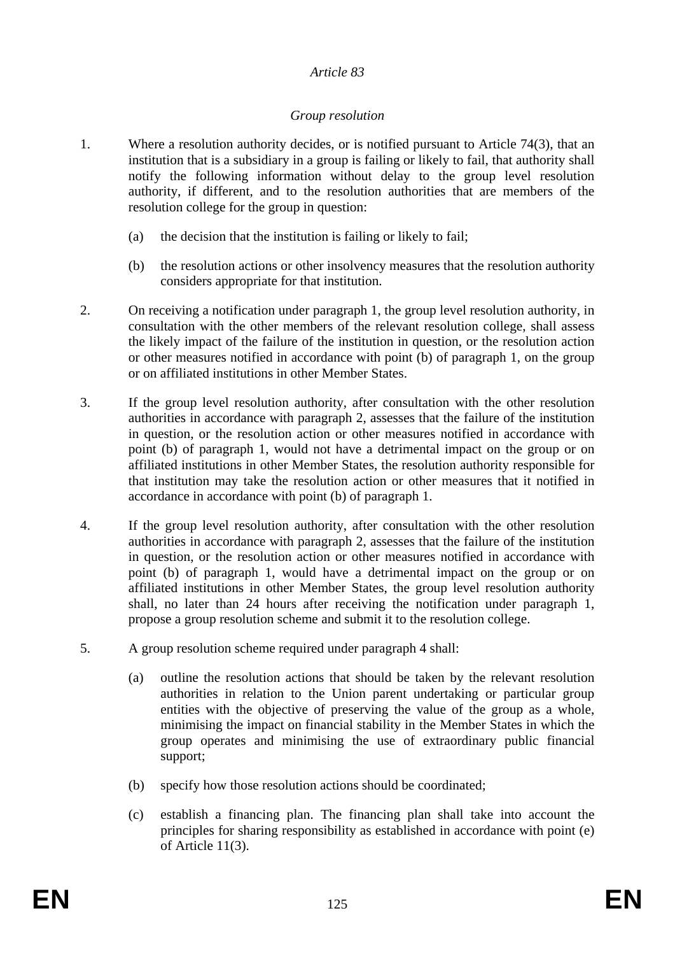### *Group resolution*

- 1. Where a resolution authority decides, or is notified pursuant to Article 74(3), that an institution that is a subsidiary in a group is failing or likely to fail, that authority shall notify the following information without delay to the group level resolution authority, if different, and to the resolution authorities that are members of the resolution college for the group in question:
	- (a) the decision that the institution is failing or likely to fail;
	- (b) the resolution actions or other insolvency measures that the resolution authority considers appropriate for that institution.
- 2. On receiving a notification under paragraph 1, the group level resolution authority, in consultation with the other members of the relevant resolution college, shall assess the likely impact of the failure of the institution in question, or the resolution action or other measures notified in accordance with point (b) of paragraph 1, on the group or on affiliated institutions in other Member States.
- 3. If the group level resolution authority, after consultation with the other resolution authorities in accordance with paragraph 2, assesses that the failure of the institution in question, or the resolution action or other measures notified in accordance with point (b) of paragraph 1, would not have a detrimental impact on the group or on affiliated institutions in other Member States, the resolution authority responsible for that institution may take the resolution action or other measures that it notified in accordance in accordance with point (b) of paragraph 1.
- 4. If the group level resolution authority, after consultation with the other resolution authorities in accordance with paragraph 2, assesses that the failure of the institution in question, or the resolution action or other measures notified in accordance with point (b) of paragraph 1, would have a detrimental impact on the group or on affiliated institutions in other Member States, the group level resolution authority shall, no later than 24 hours after receiving the notification under paragraph 1, propose a group resolution scheme and submit it to the resolution college.
- 5. A group resolution scheme required under paragraph 4 shall:
	- (a) outline the resolution actions that should be taken by the relevant resolution authorities in relation to the Union parent undertaking or particular group entities with the objective of preserving the value of the group as a whole, minimising the impact on financial stability in the Member States in which the group operates and minimising the use of extraordinary public financial support;
	- (b) specify how those resolution actions should be coordinated;
	- (c) establish a financing plan. The financing plan shall take into account the principles for sharing responsibility as established in accordance with point (e) of Article 11(3).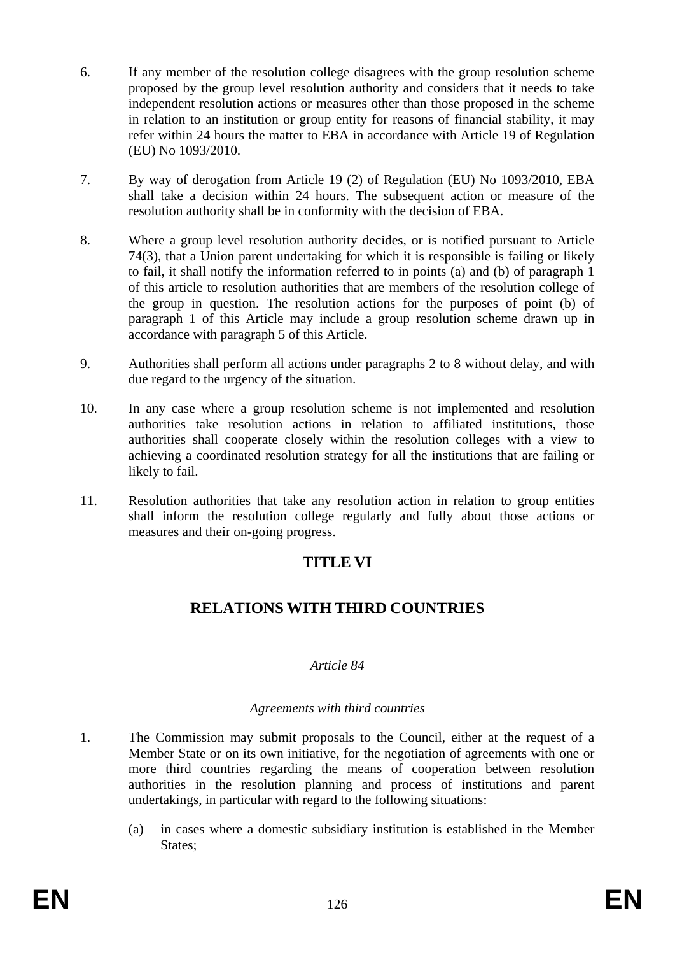- 6. If any member of the resolution college disagrees with the group resolution scheme proposed by the group level resolution authority and considers that it needs to take independent resolution actions or measures other than those proposed in the scheme in relation to an institution or group entity for reasons of financial stability, it may refer within 24 hours the matter to EBA in accordance with Article 19 of Regulation (EU) No 1093/2010.
- 7. By way of derogation from Article 19 (2) of Regulation (EU) No 1093/2010, EBA shall take a decision within 24 hours. The subsequent action or measure of the resolution authority shall be in conformity with the decision of EBA.
- 8. Where a group level resolution authority decides, or is notified pursuant to Article 74(3), that a Union parent undertaking for which it is responsible is failing or likely to fail, it shall notify the information referred to in points (a) and (b) of paragraph 1 of this article to resolution authorities that are members of the resolution college of the group in question. The resolution actions for the purposes of point (b) of paragraph 1 of this Article may include a group resolution scheme drawn up in accordance with paragraph 5 of this Article.
- 9. Authorities shall perform all actions under paragraphs 2 to 8 without delay, and with due regard to the urgency of the situation.
- 10. In any case where a group resolution scheme is not implemented and resolution authorities take resolution actions in relation to affiliated institutions, those authorities shall cooperate closely within the resolution colleges with a view to achieving a coordinated resolution strategy for all the institutions that are failing or likely to fail.
- 11. Resolution authorities that take any resolution action in relation to group entities shall inform the resolution college regularly and fully about those actions or measures and their on-going progress.

## **TITLE VI**

## **RELATIONS WITH THIRD COUNTRIES**

### *Article 84*

#### *Agreements with third countries*

- 1. The Commission may submit proposals to the Council, either at the request of a Member State or on its own initiative, for the negotiation of agreements with one or more third countries regarding the means of cooperation between resolution authorities in the resolution planning and process of institutions and parent undertakings, in particular with regard to the following situations:
	- (a) in cases where a domestic subsidiary institution is established in the Member States;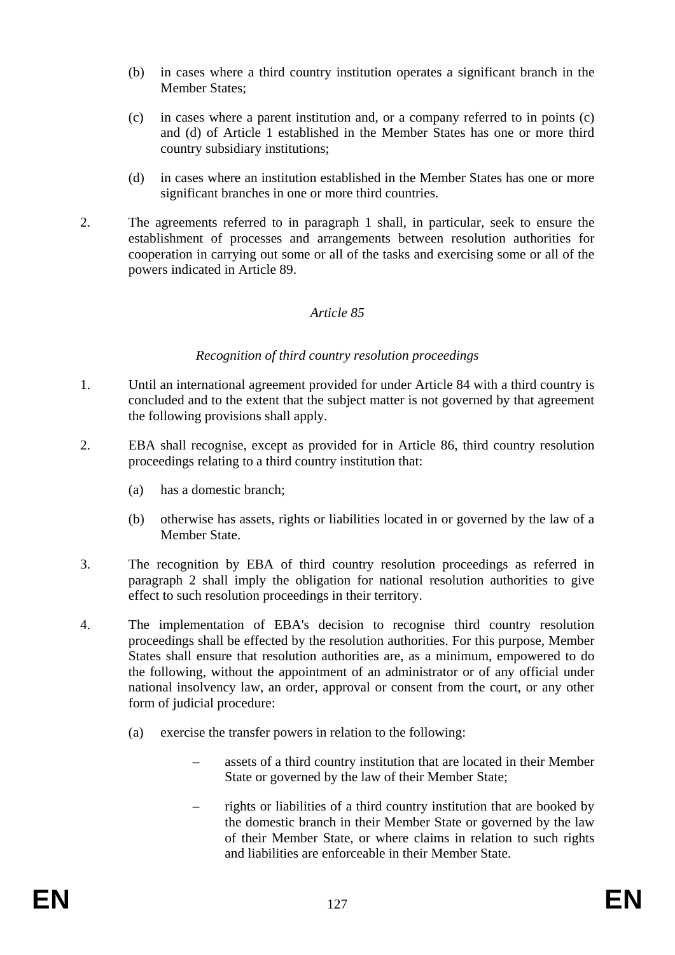- (b) in cases where a third country institution operates a significant branch in the Member States;
- (c) in cases where a parent institution and, or a company referred to in points (c) and (d) of Article 1 established in the Member States has one or more third country subsidiary institutions;
- (d) in cases where an institution established in the Member States has one or more significant branches in one or more third countries.
- 2. The agreements referred to in paragraph 1 shall, in particular, seek to ensure the establishment of processes and arrangements between resolution authorities for cooperation in carrying out some or all of the tasks and exercising some or all of the powers indicated in Article 89.

#### *Recognition of third country resolution proceedings*

- 1. Until an international agreement provided for under Article 84 with a third country is concluded and to the extent that the subject matter is not governed by that agreement the following provisions shall apply.
- 2. EBA shall recognise, except as provided for in Article 86, third country resolution proceedings relating to a third country institution that:
	- (a) has a domestic branch;
	- (b) otherwise has assets, rights or liabilities located in or governed by the law of a Member State.
- 3. The recognition by EBA of third country resolution proceedings as referred in paragraph 2 shall imply the obligation for national resolution authorities to give effect to such resolution proceedings in their territory.
- 4. The implementation of EBA's decision to recognise third country resolution proceedings shall be effected by the resolution authorities. For this purpose, Member States shall ensure that resolution authorities are, as a minimum, empowered to do the following, without the appointment of an administrator or of any official under national insolvency law, an order, approval or consent from the court, or any other form of judicial procedure:
	- (a) exercise the transfer powers in relation to the following:
		- assets of a third country institution that are located in their Member State or governed by the law of their Member State;
		- rights or liabilities of a third country institution that are booked by the domestic branch in their Member State or governed by the law of their Member State, or where claims in relation to such rights and liabilities are enforceable in their Member State.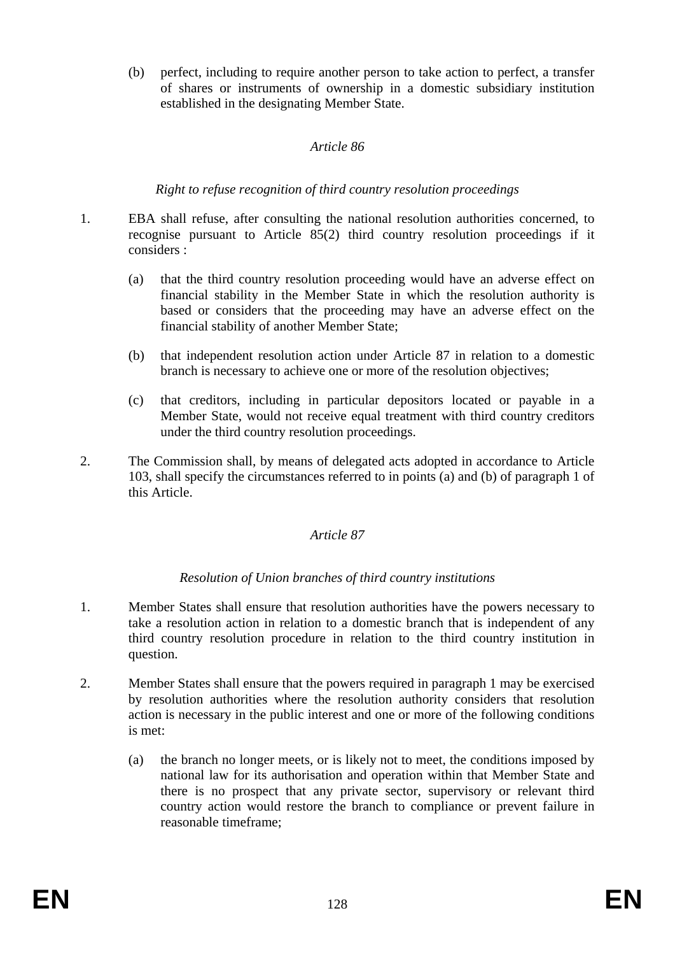(b) perfect, including to require another person to take action to perfect, a transfer of shares or instruments of ownership in a domestic subsidiary institution established in the designating Member State.

### *Article 86*

### *Right to refuse recognition of third country resolution proceedings*

- 1. EBA shall refuse, after consulting the national resolution authorities concerned, to recognise pursuant to Article 85(2) third country resolution proceedings if it considers :
	- (a) that the third country resolution proceeding would have an adverse effect on financial stability in the Member State in which the resolution authority is based or considers that the proceeding may have an adverse effect on the financial stability of another Member State;
	- (b) that independent resolution action under Article 87 in relation to a domestic branch is necessary to achieve one or more of the resolution objectives;
	- (c) that creditors, including in particular depositors located or payable in a Member State, would not receive equal treatment with third country creditors under the third country resolution proceedings.
- 2. The Commission shall, by means of delegated acts adopted in accordance to Article 103, shall specify the circumstances referred to in points (a) and (b) of paragraph 1 of this Article.

### *Article 87*

### *Resolution of Union branches of third country institutions*

- 1. Member States shall ensure that resolution authorities have the powers necessary to take a resolution action in relation to a domestic branch that is independent of any third country resolution procedure in relation to the third country institution in question.
- 2. Member States shall ensure that the powers required in paragraph 1 may be exercised by resolution authorities where the resolution authority considers that resolution action is necessary in the public interest and one or more of the following conditions is met:
	- (a) the branch no longer meets, or is likely not to meet, the conditions imposed by national law for its authorisation and operation within that Member State and there is no prospect that any private sector, supervisory or relevant third country action would restore the branch to compliance or prevent failure in reasonable timeframe;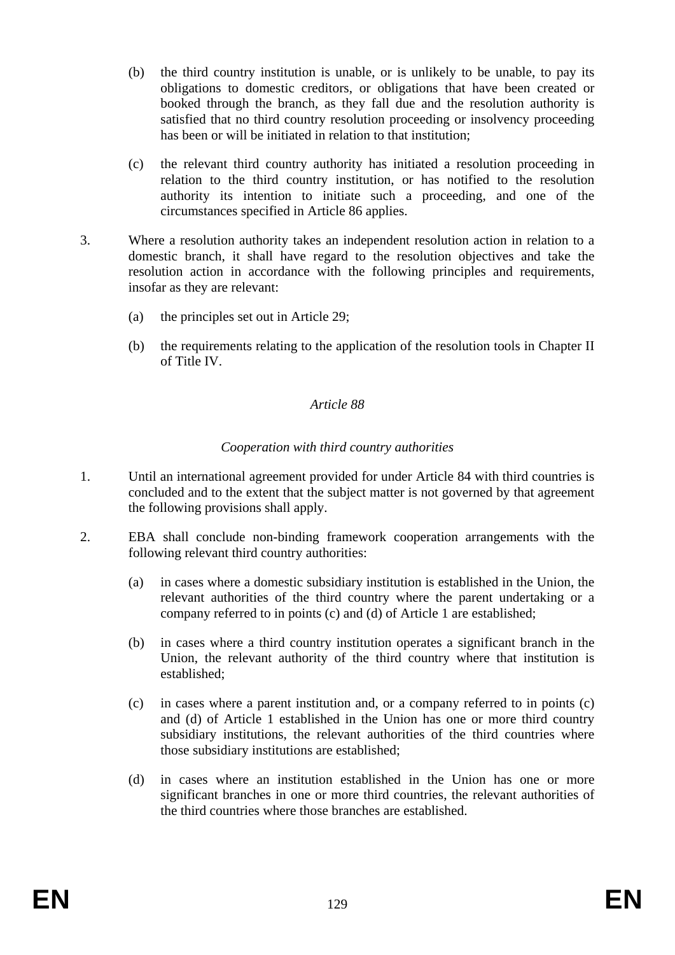- (b) the third country institution is unable, or is unlikely to be unable, to pay its obligations to domestic creditors, or obligations that have been created or booked through the branch, as they fall due and the resolution authority is satisfied that no third country resolution proceeding or insolvency proceeding has been or will be initiated in relation to that institution;
- (c) the relevant third country authority has initiated a resolution proceeding in relation to the third country institution, or has notified to the resolution authority its intention to initiate such a proceeding, and one of the circumstances specified in Article 86 applies.
- 3. Where a resolution authority takes an independent resolution action in relation to a domestic branch, it shall have regard to the resolution objectives and take the resolution action in accordance with the following principles and requirements, insofar as they are relevant:
	- (a) the principles set out in Article 29;
	- (b) the requirements relating to the application of the resolution tools in Chapter II of Title IV.

#### *Cooperation with third country authorities*

- 1. Until an international agreement provided for under Article 84 with third countries is concluded and to the extent that the subject matter is not governed by that agreement the following provisions shall apply.
- 2. EBA shall conclude non-binding framework cooperation arrangements with the following relevant third country authorities:
	- (a) in cases where a domestic subsidiary institution is established in the Union, the relevant authorities of the third country where the parent undertaking or a company referred to in points (c) and (d) of Article 1 are established;
	- (b) in cases where a third country institution operates a significant branch in the Union, the relevant authority of the third country where that institution is established;
	- (c) in cases where a parent institution and, or a company referred to in points (c) and (d) of Article 1 established in the Union has one or more third country subsidiary institutions, the relevant authorities of the third countries where those subsidiary institutions are established;
	- (d) in cases where an institution established in the Union has one or more significant branches in one or more third countries, the relevant authorities of the third countries where those branches are established.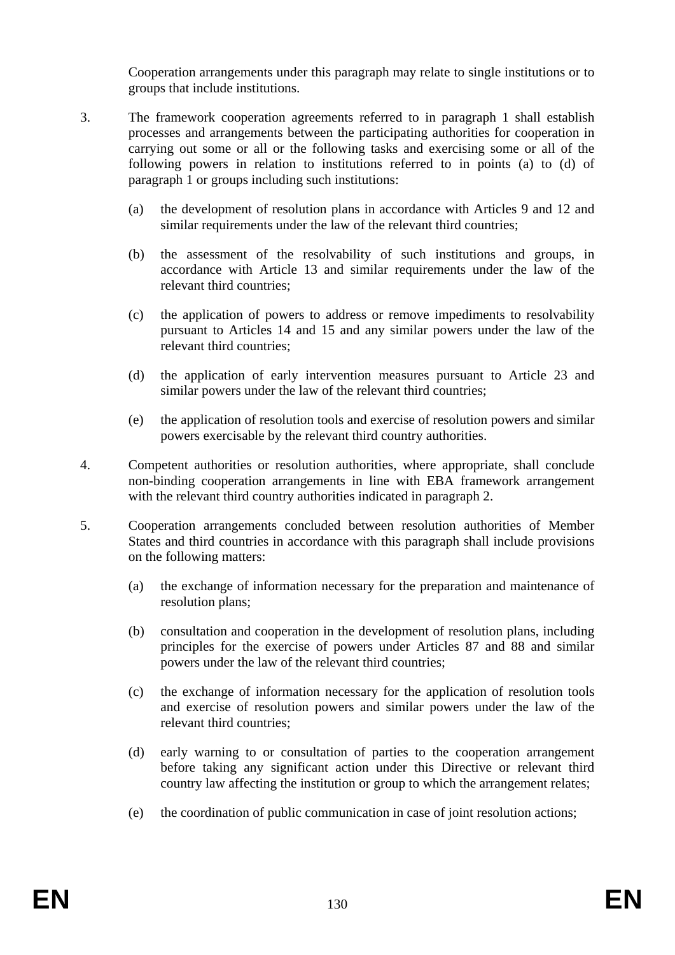Cooperation arrangements under this paragraph may relate to single institutions or to groups that include institutions.

- 3. The framework cooperation agreements referred to in paragraph 1 shall establish processes and arrangements between the participating authorities for cooperation in carrying out some or all or the following tasks and exercising some or all of the following powers in relation to institutions referred to in points (a) to (d) of paragraph 1 or groups including such institutions:
	- (a) the development of resolution plans in accordance with Articles 9 and 12 and similar requirements under the law of the relevant third countries;
	- (b) the assessment of the resolvability of such institutions and groups, in accordance with Article 13 and similar requirements under the law of the relevant third countries;
	- (c) the application of powers to address or remove impediments to resolvability pursuant to Articles 14 and 15 and any similar powers under the law of the relevant third countries;
	- (d) the application of early intervention measures pursuant to Article 23 and similar powers under the law of the relevant third countries;
	- (e) the application of resolution tools and exercise of resolution powers and similar powers exercisable by the relevant third country authorities.
- 4. Competent authorities or resolution authorities, where appropriate, shall conclude non-binding cooperation arrangements in line with EBA framework arrangement with the relevant third country authorities indicated in paragraph 2.
- 5. Cooperation arrangements concluded between resolution authorities of Member States and third countries in accordance with this paragraph shall include provisions on the following matters:
	- (a) the exchange of information necessary for the preparation and maintenance of resolution plans;
	- (b) consultation and cooperation in the development of resolution plans, including principles for the exercise of powers under Articles 87 and 88 and similar powers under the law of the relevant third countries;
	- (c) the exchange of information necessary for the application of resolution tools and exercise of resolution powers and similar powers under the law of the relevant third countries;
	- (d) early warning to or consultation of parties to the cooperation arrangement before taking any significant action under this Directive or relevant third country law affecting the institution or group to which the arrangement relates;
	- (e) the coordination of public communication in case of joint resolution actions;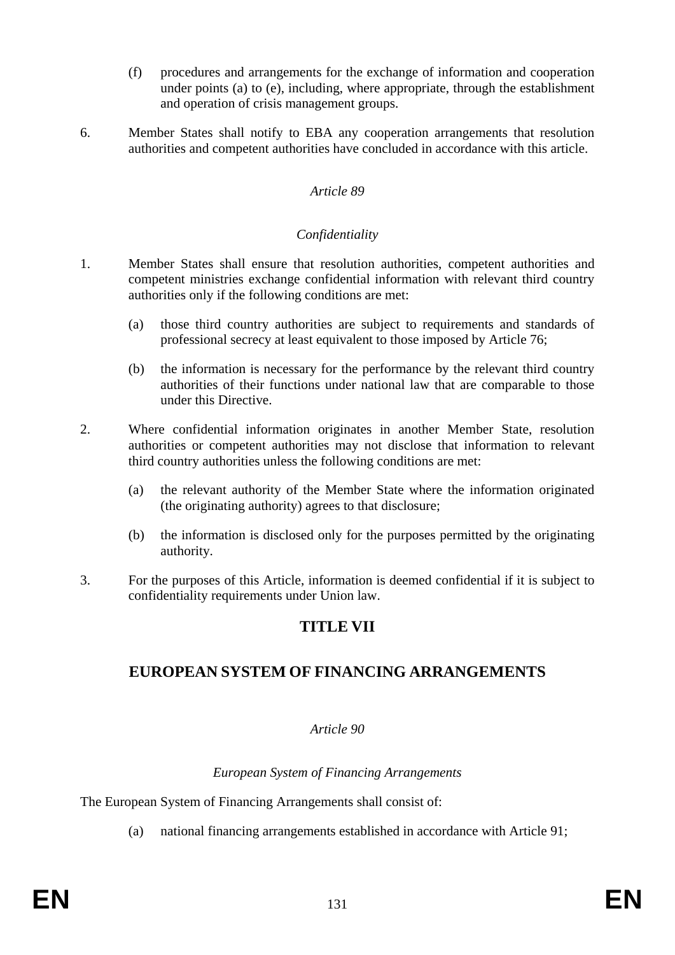- (f) procedures and arrangements for the exchange of information and cooperation under points (a) to (e), including, where appropriate, through the establishment and operation of crisis management groups.
- 6. Member States shall notify to EBA any cooperation arrangements that resolution authorities and competent authorities have concluded in accordance with this article.

#### *Confidentiality*

- 1. Member States shall ensure that resolution authorities, competent authorities and competent ministries exchange confidential information with relevant third country authorities only if the following conditions are met:
	- (a) those third country authorities are subject to requirements and standards of professional secrecy at least equivalent to those imposed by Article 76;
	- (b) the information is necessary for the performance by the relevant third country authorities of their functions under national law that are comparable to those under this Directive.
- 2. Where confidential information originates in another Member State, resolution authorities or competent authorities may not disclose that information to relevant third country authorities unless the following conditions are met:
	- (a) the relevant authority of the Member State where the information originated (the originating authority) agrees to that disclosure;
	- (b) the information is disclosed only for the purposes permitted by the originating authority.
- 3. For the purposes of this Article, information is deemed confidential if it is subject to confidentiality requirements under Union law.

### **TITLE VII**

### **EUROPEAN SYSTEM OF FINANCING ARRANGEMENTS**

#### *Article 90*

#### *European System of Financing Arrangements*

The European System of Financing Arrangements shall consist of:

(a) national financing arrangements established in accordance with Article 91;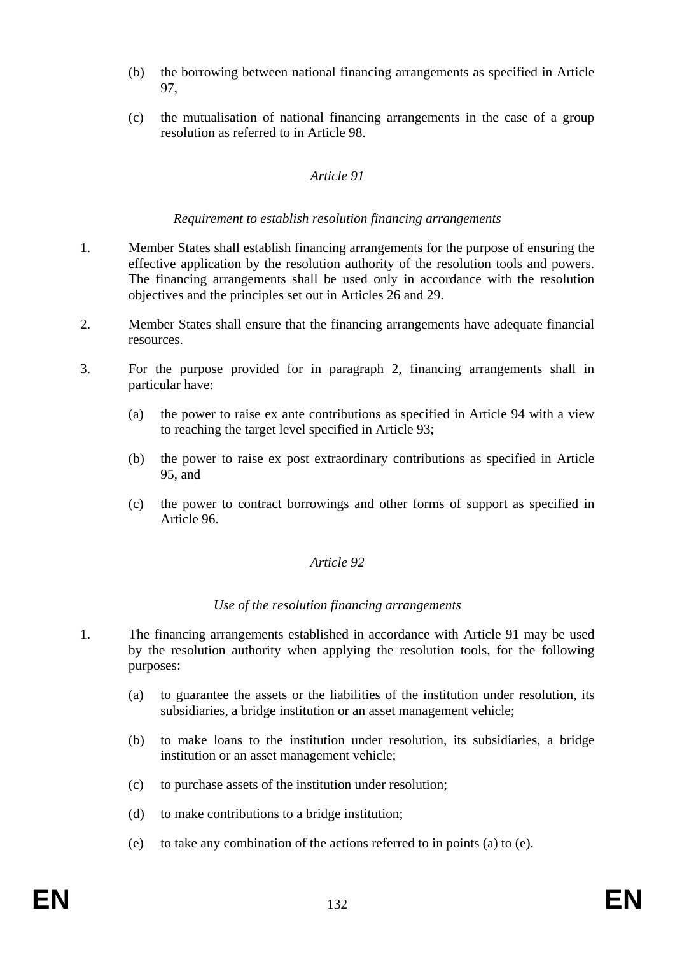- (b) the borrowing between national financing arrangements as specified in Article 97,
- (c) the mutualisation of national financing arrangements in the case of a group resolution as referred to in Article 98.

#### *Requirement to establish resolution financing arrangements*

- 1. Member States shall establish financing arrangements for the purpose of ensuring the effective application by the resolution authority of the resolution tools and powers. The financing arrangements shall be used only in accordance with the resolution objectives and the principles set out in Articles 26 and 29.
- 2. Member States shall ensure that the financing arrangements have adequate financial resources.
- 3. For the purpose provided for in paragraph 2, financing arrangements shall in particular have:
	- (a) the power to raise ex ante contributions as specified in Article 94 with a view to reaching the target level specified in Article 93;
	- (b) the power to raise ex post extraordinary contributions as specified in Article 95, and
	- (c) the power to contract borrowings and other forms of support as specified in Article 96.

#### *Article 92*

#### *Use of the resolution financing arrangements*

- 1. The financing arrangements established in accordance with Article 91 may be used by the resolution authority when applying the resolution tools, for the following purposes:
	- (a) to guarantee the assets or the liabilities of the institution under resolution, its subsidiaries, a bridge institution or an asset management vehicle;
	- (b) to make loans to the institution under resolution, its subsidiaries, a bridge institution or an asset management vehicle;
	- (c) to purchase assets of the institution under resolution;
	- (d) to make contributions to a bridge institution;
	- (e) to take any combination of the actions referred to in points (a) to (e).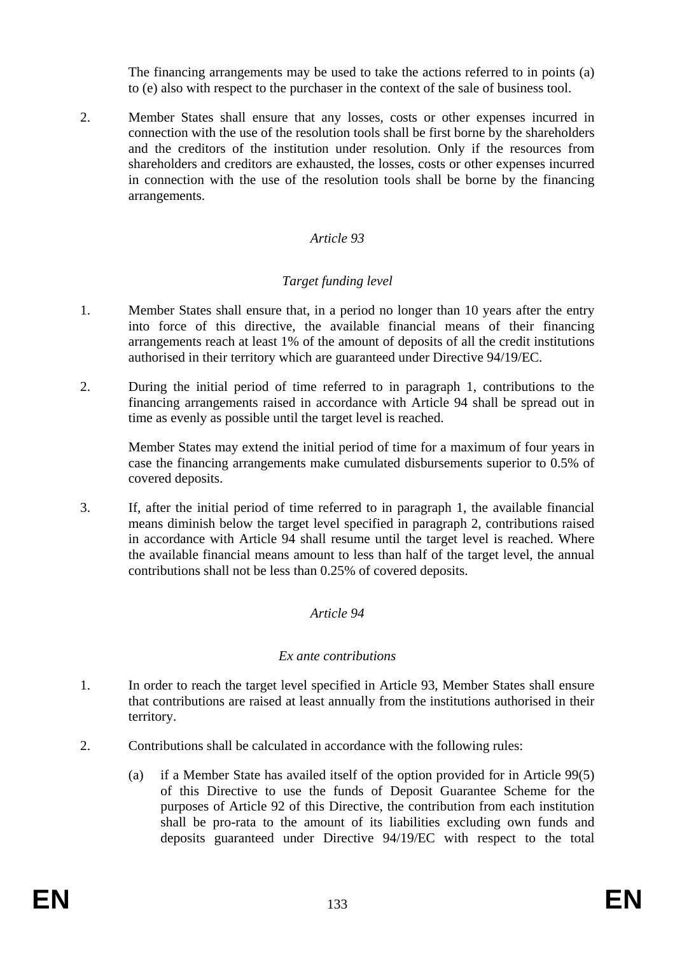The financing arrangements may be used to take the actions referred to in points (a) to (e) also with respect to the purchaser in the context of the sale of business tool.

2. Member States shall ensure that any losses, costs or other expenses incurred in connection with the use of the resolution tools shall be first borne by the shareholders and the creditors of the institution under resolution. Only if the resources from shareholders and creditors are exhausted, the losses, costs or other expenses incurred in connection with the use of the resolution tools shall be borne by the financing arrangements.

### *Article 93*

### *Target funding level*

- 1. Member States shall ensure that, in a period no longer than 10 years after the entry into force of this directive, the available financial means of their financing arrangements reach at least 1% of the amount of deposits of all the credit institutions authorised in their territory which are guaranteed under Directive 94/19/EC.
- 2. During the initial period of time referred to in paragraph 1, contributions to the financing arrangements raised in accordance with Article 94 shall be spread out in time as evenly as possible until the target level is reached.

Member States may extend the initial period of time for a maximum of four years in case the financing arrangements make cumulated disbursements superior to 0.5% of covered deposits.

3. If, after the initial period of time referred to in paragraph 1, the available financial means diminish below the target level specified in paragraph 2, contributions raised in accordance with Article 94 shall resume until the target level is reached. Where the available financial means amount to less than half of the target level, the annual contributions shall not be less than 0.25% of covered deposits.

### *Article 94*

#### *Ex ante contributions*

- 1. In order to reach the target level specified in Article 93, Member States shall ensure that contributions are raised at least annually from the institutions authorised in their territory.
- 2. Contributions shall be calculated in accordance with the following rules:
	- (a) if a Member State has availed itself of the option provided for in Article 99(5) of this Directive to use the funds of Deposit Guarantee Scheme for the purposes of Article 92 of this Directive, the contribution from each institution shall be pro-rata to the amount of its liabilities excluding own funds and deposits guaranteed under Directive 94/19/EC with respect to the total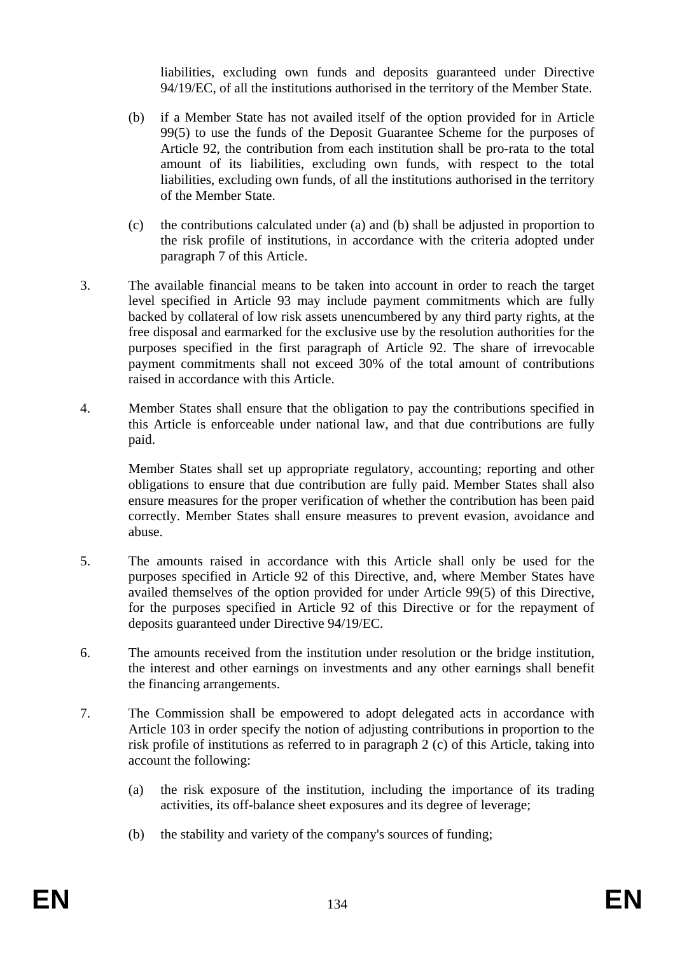liabilities, excluding own funds and deposits guaranteed under Directive 94/19/EC, of all the institutions authorised in the territory of the Member State.

- (b) if a Member State has not availed itself of the option provided for in Article 99(5) to use the funds of the Deposit Guarantee Scheme for the purposes of Article 92, the contribution from each institution shall be pro-rata to the total amount of its liabilities, excluding own funds, with respect to the total liabilities, excluding own funds, of all the institutions authorised in the territory of the Member State.
- (c) the contributions calculated under (a) and (b) shall be adjusted in proportion to the risk profile of institutions, in accordance with the criteria adopted under paragraph 7 of this Article.
- 3. The available financial means to be taken into account in order to reach the target level specified in Article 93 may include payment commitments which are fully backed by collateral of low risk assets unencumbered by any third party rights, at the free disposal and earmarked for the exclusive use by the resolution authorities for the purposes specified in the first paragraph of Article 92. The share of irrevocable payment commitments shall not exceed 30% of the total amount of contributions raised in accordance with this Article.
- 4. Member States shall ensure that the obligation to pay the contributions specified in this Article is enforceable under national law, and that due contributions are fully paid.

Member States shall set up appropriate regulatory, accounting; reporting and other obligations to ensure that due contribution are fully paid. Member States shall also ensure measures for the proper verification of whether the contribution has been paid correctly. Member States shall ensure measures to prevent evasion, avoidance and abuse.

- 5. The amounts raised in accordance with this Article shall only be used for the purposes specified in Article 92 of this Directive, and, where Member States have availed themselves of the option provided for under Article 99(5) of this Directive, for the purposes specified in Article 92 of this Directive or for the repayment of deposits guaranteed under Directive 94/19/EC.
- 6. The amounts received from the institution under resolution or the bridge institution, the interest and other earnings on investments and any other earnings shall benefit the financing arrangements.
- 7. The Commission shall be empowered to adopt delegated acts in accordance with Article 103 in order specify the notion of adjusting contributions in proportion to the risk profile of institutions as referred to in paragraph 2 (c) of this Article, taking into account the following:
	- (a) the risk exposure of the institution, including the importance of its trading activities, its off-balance sheet exposures and its degree of leverage;
	- (b) the stability and variety of the company's sources of funding;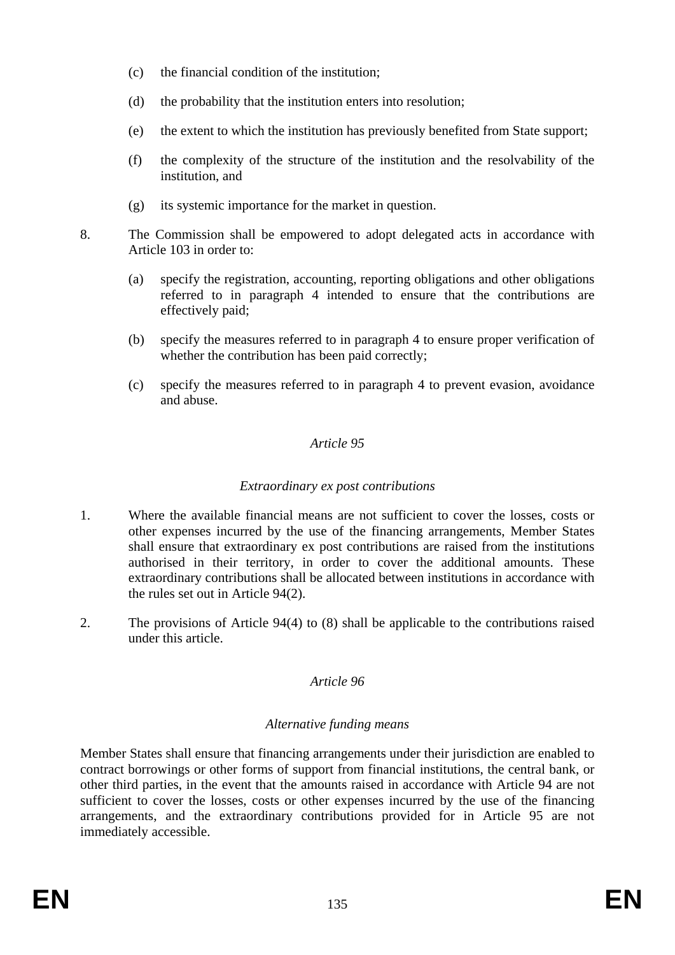- (c) the financial condition of the institution;
- (d) the probability that the institution enters into resolution;
- (e) the extent to which the institution has previously benefited from State support;
- (f) the complexity of the structure of the institution and the resolvability of the institution, and
- (g) its systemic importance for the market in question.
- 8. The Commission shall be empowered to adopt delegated acts in accordance with Article 103 in order to:
	- (a) specify the registration, accounting, reporting obligations and other obligations referred to in paragraph 4 intended to ensure that the contributions are effectively paid;
	- (b) specify the measures referred to in paragraph 4 to ensure proper verification of whether the contribution has been paid correctly;
	- (c) specify the measures referred to in paragraph 4 to prevent evasion, avoidance and abuse.

### *Extraordinary ex post contributions*

- 1. Where the available financial means are not sufficient to cover the losses, costs or other expenses incurred by the use of the financing arrangements, Member States shall ensure that extraordinary ex post contributions are raised from the institutions authorised in their territory, in order to cover the additional amounts. These extraordinary contributions shall be allocated between institutions in accordance with the rules set out in Article 94(2).
- 2. The provisions of Article 94(4) to (8) shall be applicable to the contributions raised under this article.

# *Article 96*

## *Alternative funding means*

Member States shall ensure that financing arrangements under their jurisdiction are enabled to contract borrowings or other forms of support from financial institutions, the central bank, or other third parties, in the event that the amounts raised in accordance with Article 94 are not sufficient to cover the losses, costs or other expenses incurred by the use of the financing arrangements, and the extraordinary contributions provided for in Article 95 are not immediately accessible.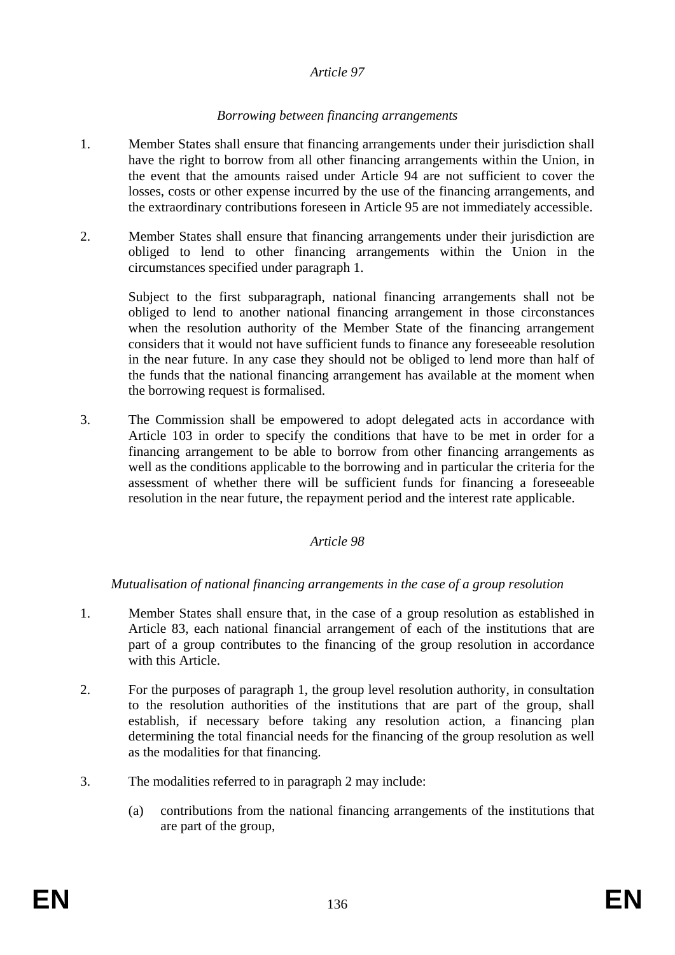#### *Borrowing between financing arrangements*

- 1. Member States shall ensure that financing arrangements under their jurisdiction shall have the right to borrow from all other financing arrangements within the Union, in the event that the amounts raised under Article 94 are not sufficient to cover the losses, costs or other expense incurred by the use of the financing arrangements, and the extraordinary contributions foreseen in Article 95 are not immediately accessible.
- 2. Member States shall ensure that financing arrangements under their jurisdiction are obliged to lend to other financing arrangements within the Union in the circumstances specified under paragraph 1.

Subject to the first subparagraph, national financing arrangements shall not be obliged to lend to another national financing arrangement in those circonstances when the resolution authority of the Member State of the financing arrangement considers that it would not have sufficient funds to finance any foreseeable resolution in the near future. In any case they should not be obliged to lend more than half of the funds that the national financing arrangement has available at the moment when the borrowing request is formalised.

3. The Commission shall be empowered to adopt delegated acts in accordance with Article 103 in order to specify the conditions that have to be met in order for a financing arrangement to be able to borrow from other financing arrangements as well as the conditions applicable to the borrowing and in particular the criteria for the assessment of whether there will be sufficient funds for financing a foreseeable resolution in the near future, the repayment period and the interest rate applicable.

#### *Article 98*

#### *Mutualisation of national financing arrangements in the case of a group resolution*

- 1. Member States shall ensure that, in the case of a group resolution as established in Article 83, each national financial arrangement of each of the institutions that are part of a group contributes to the financing of the group resolution in accordance with this Article.
- 2. For the purposes of paragraph 1, the group level resolution authority, in consultation to the resolution authorities of the institutions that are part of the group, shall establish, if necessary before taking any resolution action, a financing plan determining the total financial needs for the financing of the group resolution as well as the modalities for that financing.
- 3. The modalities referred to in paragraph 2 may include:
	- (a) contributions from the national financing arrangements of the institutions that are part of the group,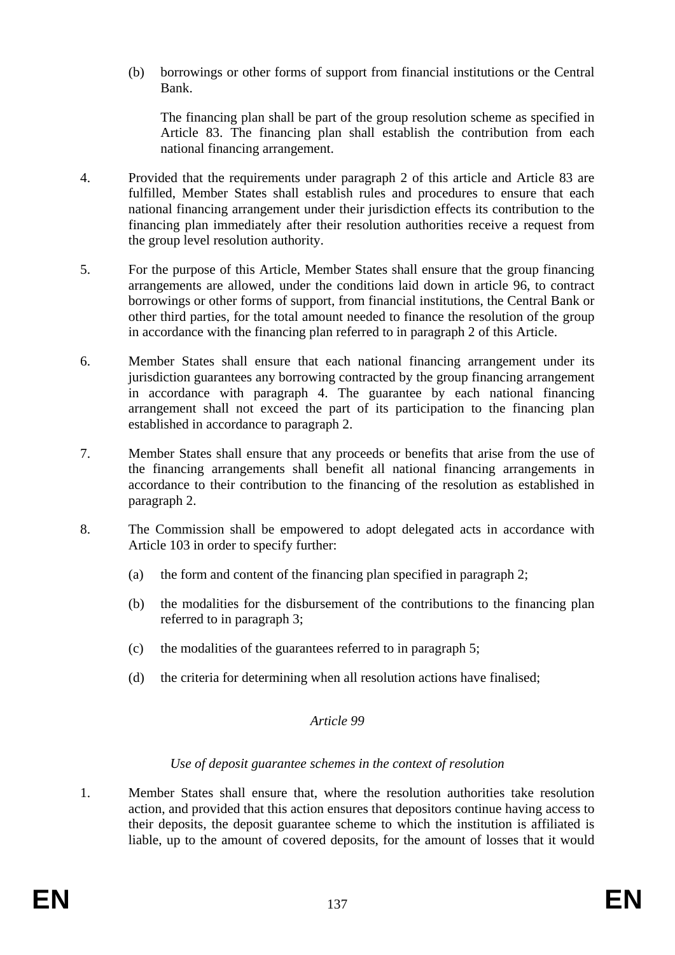(b) borrowings or other forms of support from financial institutions or the Central Bank.

The financing plan shall be part of the group resolution scheme as specified in Article 83. The financing plan shall establish the contribution from each national financing arrangement.

- 4. Provided that the requirements under paragraph 2 of this article and Article 83 are fulfilled, Member States shall establish rules and procedures to ensure that each national financing arrangement under their jurisdiction effects its contribution to the financing plan immediately after their resolution authorities receive a request from the group level resolution authority.
- 5. For the purpose of this Article, Member States shall ensure that the group financing arrangements are allowed, under the conditions laid down in article 96, to contract borrowings or other forms of support, from financial institutions, the Central Bank or other third parties, for the total amount needed to finance the resolution of the group in accordance with the financing plan referred to in paragraph 2 of this Article.
- 6. Member States shall ensure that each national financing arrangement under its jurisdiction guarantees any borrowing contracted by the group financing arrangement in accordance with paragraph 4. The guarantee by each national financing arrangement shall not exceed the part of its participation to the financing plan established in accordance to paragraph 2.
- 7. Member States shall ensure that any proceeds or benefits that arise from the use of the financing arrangements shall benefit all national financing arrangements in accordance to their contribution to the financing of the resolution as established in paragraph 2.
- 8. The Commission shall be empowered to adopt delegated acts in accordance with Article 103 in order to specify further:
	- (a) the form and content of the financing plan specified in paragraph 2;
	- (b) the modalities for the disbursement of the contributions to the financing plan referred to in paragraph 3;
	- (c) the modalities of the guarantees referred to in paragraph 5;
	- (d) the criteria for determining when all resolution actions have finalised;

### *Article 99*

### *Use of deposit guarantee schemes in the context of resolution*

1. Member States shall ensure that, where the resolution authorities take resolution action, and provided that this action ensures that depositors continue having access to their deposits, the deposit guarantee scheme to which the institution is affiliated is liable, up to the amount of covered deposits, for the amount of losses that it would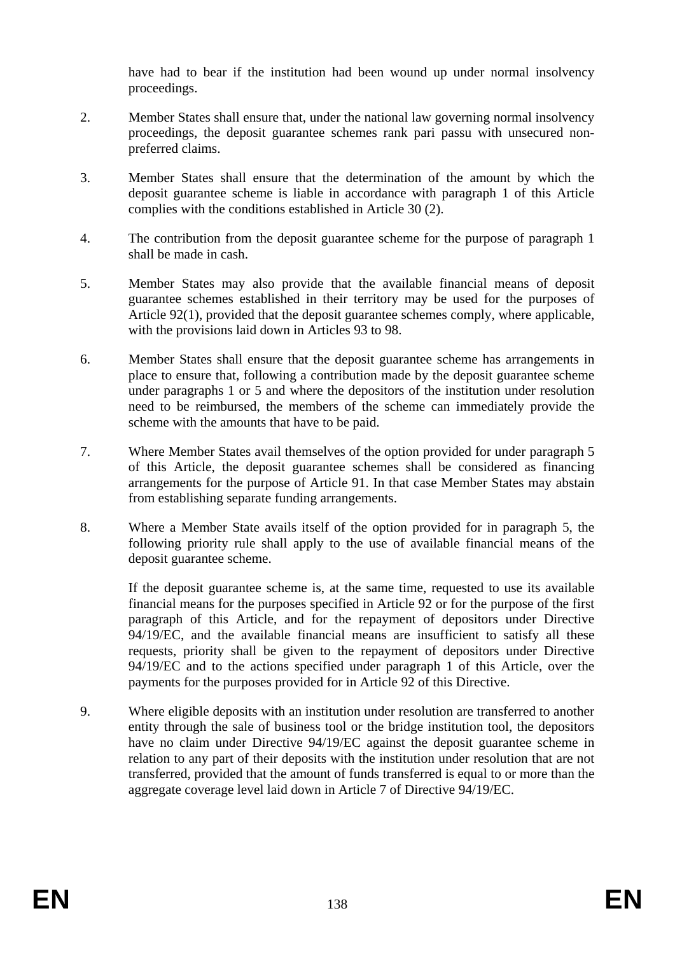have had to bear if the institution had been wound up under normal insolvency proceedings.

- 2. Member States shall ensure that, under the national law governing normal insolvency proceedings, the deposit guarantee schemes rank pari passu with unsecured nonpreferred claims.
- 3. Member States shall ensure that the determination of the amount by which the deposit guarantee scheme is liable in accordance with paragraph 1 of this Article complies with the conditions established in Article 30 (2).
- 4. The contribution from the deposit guarantee scheme for the purpose of paragraph 1 shall be made in cash.
- 5. Member States may also provide that the available financial means of deposit guarantee schemes established in their territory may be used for the purposes of Article 92(1), provided that the deposit guarantee schemes comply, where applicable, with the provisions laid down in Articles 93 to 98.
- 6. Member States shall ensure that the deposit guarantee scheme has arrangements in place to ensure that, following a contribution made by the deposit guarantee scheme under paragraphs 1 or 5 and where the depositors of the institution under resolution need to be reimbursed, the members of the scheme can immediately provide the scheme with the amounts that have to be paid.
- 7. Where Member States avail themselves of the option provided for under paragraph 5 of this Article, the deposit guarantee schemes shall be considered as financing arrangements for the purpose of Article 91. In that case Member States may abstain from establishing separate funding arrangements.
- 8. Where a Member State avails itself of the option provided for in paragraph 5, the following priority rule shall apply to the use of available financial means of the deposit guarantee scheme.

If the deposit guarantee scheme is, at the same time, requested to use its available financial means for the purposes specified in Article 92 or for the purpose of the first paragraph of this Article, and for the repayment of depositors under Directive 94/19/EC, and the available financial means are insufficient to satisfy all these requests, priority shall be given to the repayment of depositors under Directive 94/19/EC and to the actions specified under paragraph 1 of this Article, over the payments for the purposes provided for in Article 92 of this Directive.

9. Where eligible deposits with an institution under resolution are transferred to another entity through the sale of business tool or the bridge institution tool, the depositors have no claim under Directive 94/19/EC against the deposit guarantee scheme in relation to any part of their deposits with the institution under resolution that are not transferred, provided that the amount of funds transferred is equal to or more than the aggregate coverage level laid down in Article 7 of Directive 94/19/EC.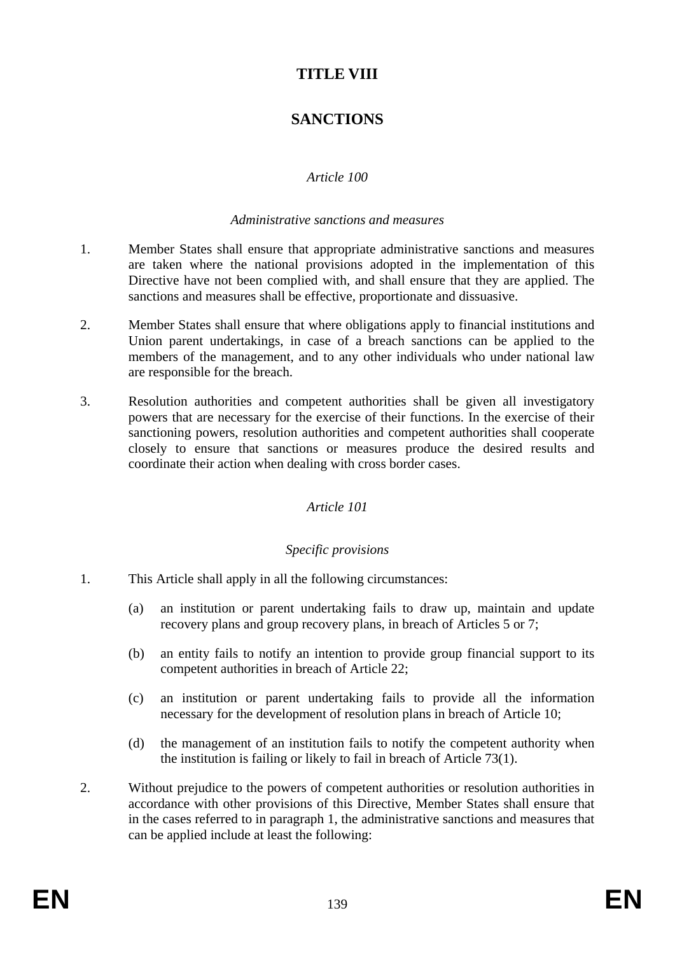# **TITLE VIII**

# **SANCTIONS**

### *Article 100*

#### *Administrative sanctions and measures*

- 1. Member States shall ensure that appropriate administrative sanctions and measures are taken where the national provisions adopted in the implementation of this Directive have not been complied with, and shall ensure that they are applied. The sanctions and measures shall be effective, proportionate and dissuasive.
- 2. Member States shall ensure that where obligations apply to financial institutions and Union parent undertakings, in case of a breach sanctions can be applied to the members of the management, and to any other individuals who under national law are responsible for the breach.
- 3. Resolution authorities and competent authorities shall be given all investigatory powers that are necessary for the exercise of their functions. In the exercise of their sanctioning powers, resolution authorities and competent authorities shall cooperate closely to ensure that sanctions or measures produce the desired results and coordinate their action when dealing with cross border cases.

#### *Article 101*

### *Specific provisions*

- 1. This Article shall apply in all the following circumstances:
	- (a) an institution or parent undertaking fails to draw up, maintain and update recovery plans and group recovery plans, in breach of Articles 5 or 7;
	- (b) an entity fails to notify an intention to provide group financial support to its competent authorities in breach of Article 22;
	- (c) an institution or parent undertaking fails to provide all the information necessary for the development of resolution plans in breach of Article 10;
	- (d) the management of an institution fails to notify the competent authority when the institution is failing or likely to fail in breach of Article 73(1).
- 2. Without prejudice to the powers of competent authorities or resolution authorities in accordance with other provisions of this Directive, Member States shall ensure that in the cases referred to in paragraph 1, the administrative sanctions and measures that can be applied include at least the following: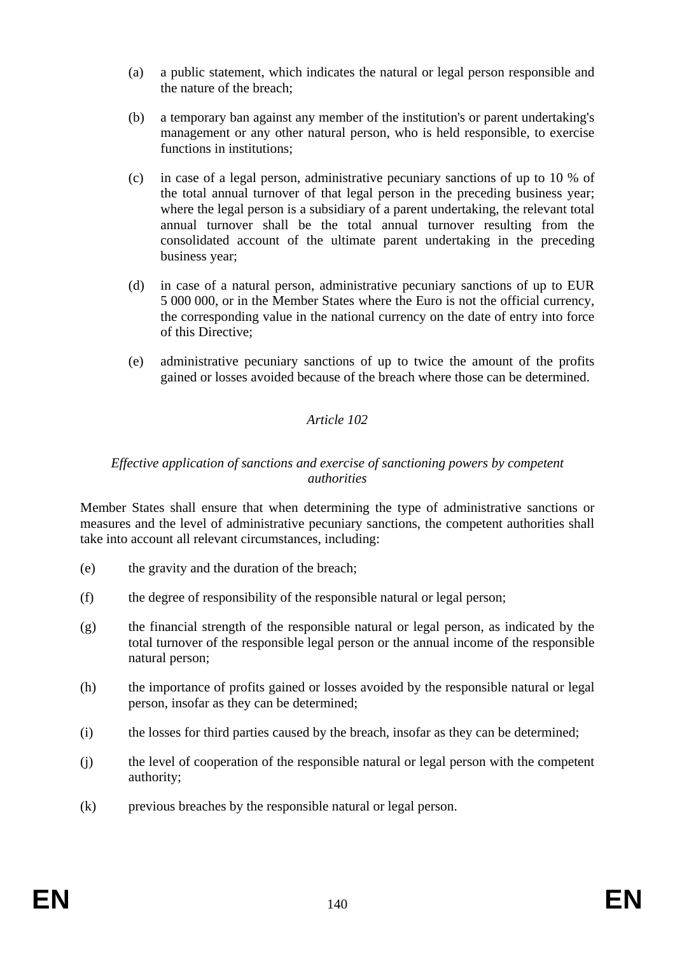- (a) a public statement, which indicates the natural or legal person responsible and the nature of the breach;
- (b) a temporary ban against any member of the institution's or parent undertaking's management or any other natural person, who is held responsible, to exercise functions in institutions;
- (c) in case of a legal person, administrative pecuniary sanctions of up to 10 % of the total annual turnover of that legal person in the preceding business year; where the legal person is a subsidiary of a parent undertaking, the relevant total annual turnover shall be the total annual turnover resulting from the consolidated account of the ultimate parent undertaking in the preceding business year;
- (d) in case of a natural person, administrative pecuniary sanctions of up to EUR 5 000 000, or in the Member States where the Euro is not the official currency, the corresponding value in the national currency on the date of entry into force of this Directive;
- (e) administrative pecuniary sanctions of up to twice the amount of the profits gained or losses avoided because of the breach where those can be determined.

#### *Effective application of sanctions and exercise of sanctioning powers by competent authorities*

Member States shall ensure that when determining the type of administrative sanctions or measures and the level of administrative pecuniary sanctions, the competent authorities shall take into account all relevant circumstances, including:

- (e) the gravity and the duration of the breach;
- (f) the degree of responsibility of the responsible natural or legal person;
- (g) the financial strength of the responsible natural or legal person, as indicated by the total turnover of the responsible legal person or the annual income of the responsible natural person;
- (h) the importance of profits gained or losses avoided by the responsible natural or legal person, insofar as they can be determined;
- (i) the losses for third parties caused by the breach, insofar as they can be determined;
- (j) the level of cooperation of the responsible natural or legal person with the competent authority;
- (k) previous breaches by the responsible natural or legal person.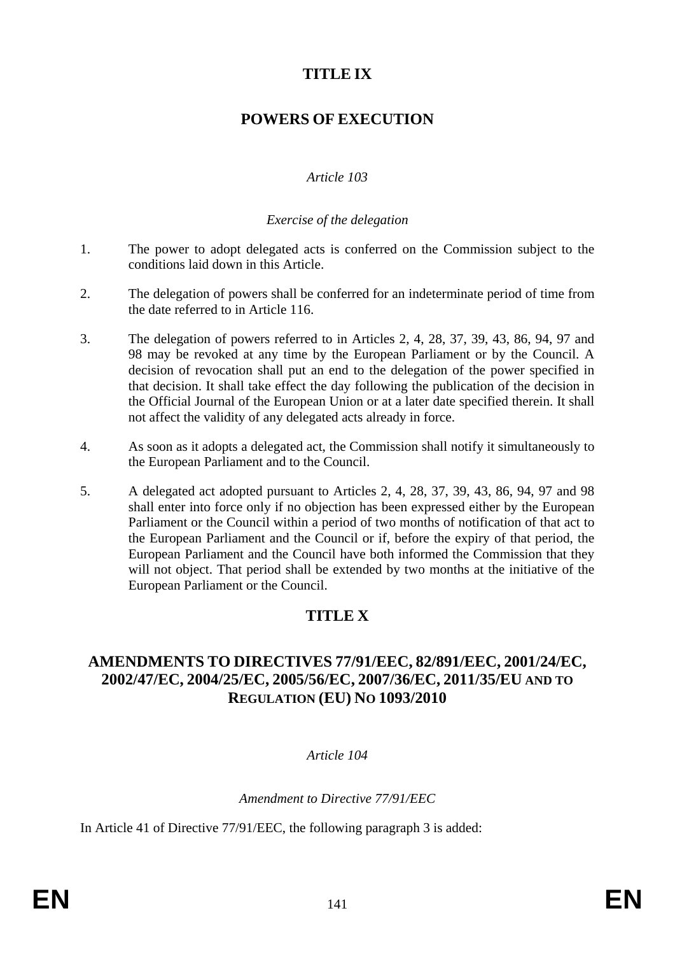# **TITLE IX**

# **POWERS OF EXECUTION**

### *Article 103*

### *Exercise of the delegation*

- 1. The power to adopt delegated acts is conferred on the Commission subject to the conditions laid down in this Article.
- 2. The delegation of powers shall be conferred for an indeterminate period of time from the date referred to in Article 116.
- 3. The delegation of powers referred to in Articles 2, 4, 28, 37, 39, 43, 86, 94, 97 and 98 may be revoked at any time by the European Parliament or by the Council. A decision of revocation shall put an end to the delegation of the power specified in that decision. It shall take effect the day following the publication of the decision in the Official Journal of the European Union or at a later date specified therein. It shall not affect the validity of any delegated acts already in force.
- 4. As soon as it adopts a delegated act, the Commission shall notify it simultaneously to the European Parliament and to the Council.
- 5. A delegated act adopted pursuant to Articles 2, 4, 28, 37, 39, 43, 86, 94, 97 and 98 shall enter into force only if no objection has been expressed either by the European Parliament or the Council within a period of two months of notification of that act to the European Parliament and the Council or if, before the expiry of that period, the European Parliament and the Council have both informed the Commission that they will not object. That period shall be extended by two months at the initiative of the European Parliament or the Council.

# **TITLE X**

### **AMENDMENTS TO DIRECTIVES 77/91/EEC, 82/891/EEC, 2001/24/EC, 2002/47/EC, 2004/25/EC, 2005/56/EC, 2007/36/EC, 2011/35/EU AND TO REGULATION (EU) NO 1093/2010**

### *Article 104*

*Amendment to Directive 77/91/EEC* 

In Article 41 of Directive 77/91/EEC, the following paragraph 3 is added: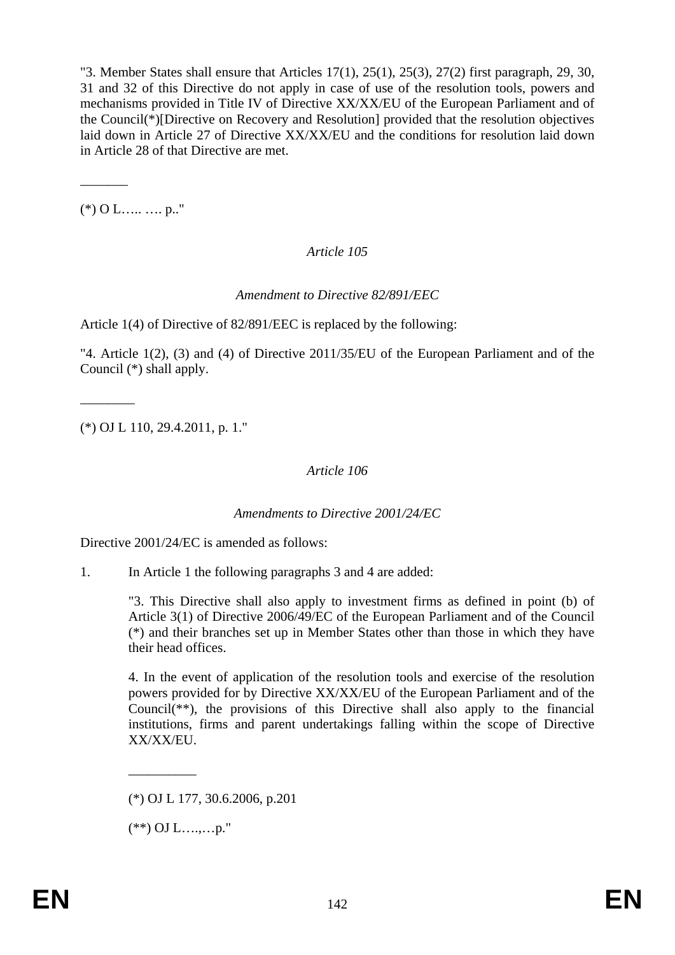"3. Member States shall ensure that Articles  $17(1)$ ,  $25(1)$ ,  $25(3)$ ,  $27(2)$  first paragraph, 29, 30, 31 and 32 of this Directive do not apply in case of use of the resolution tools, powers and mechanisms provided in Title IV of Directive XX/XX/EU of the European Parliament and of the Council(\*)[Directive on Recovery and Resolution] provided that the resolution objectives laid down in Article 27 of Directive XX/XX/EU and the conditions for resolution laid down in Article 28 of that Directive are met.

 $(*)$  O L….. …. p.."

 $\overline{\phantom{a}}$ 

 $\overline{\phantom{a}}$   $\overline{\phantom{a}}$ 

### *Article 105*

### *Amendment to Directive 82/891/EEC*

Article 1(4) of Directive of 82/891/EEC is replaced by the following:

"4. Article 1(2), (3) and (4) of Directive 2011/35/EU of the European Parliament and of the Council (\*) shall apply.

(\*) OJ L 110, 29.4.2011, p. 1."

### *Article 106*

#### *Amendments to Directive 2001/24/EC*

Directive 2001/24/EC is amended as follows:

1. In Article 1 the following paragraphs 3 and 4 are added:

"3. This Directive shall also apply to investment firms as defined in point (b) of Article 3(1) of Directive 2006/49/EC of the European Parliament and of the Council (\*) and their branches set up in Member States other than those in which they have their head offices.

4. In the event of application of the resolution tools and exercise of the resolution powers provided for by Directive XX/XX/EU of the European Parliament and of the Council(\*\*), the provisions of this Directive shall also apply to the financial institutions, firms and parent undertakings falling within the scope of Directive XX/XX/EU.

 $(**)$  OJ L…,...p."

\_\_\_\_\_\_\_\_\_\_

<sup>(\*)</sup> OJ L 177, 30.6.2006, p.201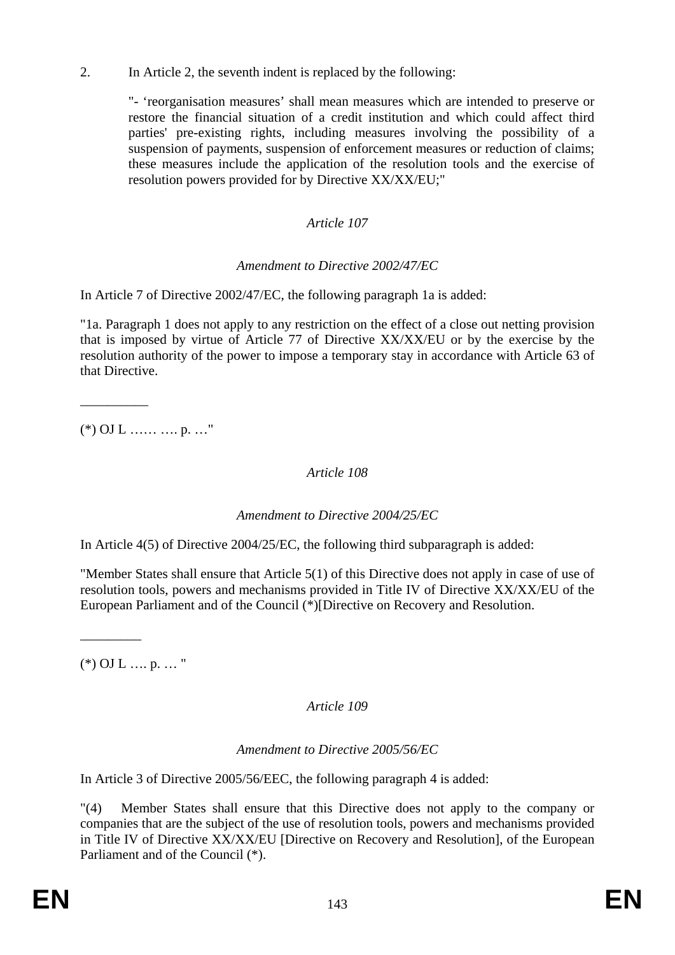2. In Article 2, the seventh indent is replaced by the following:

"- 'reorganisation measures' shall mean measures which are intended to preserve or restore the financial situation of a credit institution and which could affect third parties' pre-existing rights, including measures involving the possibility of a suspension of payments, suspension of enforcement measures or reduction of claims; these measures include the application of the resolution tools and the exercise of resolution powers provided for by Directive XX/XX/EU;"

### *Article 107*

### *Amendment to Directive 2002/47/EC*

In Article 7 of Directive 2002/47/EC, the following paragraph 1a is added:

"1a. Paragraph 1 does not apply to any restriction on the effect of a close out netting provision that is imposed by virtue of Article 77 of Directive XX/XX/EU or by the exercise by the resolution authority of the power to impose a temporary stay in accordance with Article 63 of that Directive.

 $(*)$  OJ L …… … p. …"

\_\_\_\_\_\_\_\_\_\_

### *Article 108*

### *Amendment to Directive 2004/25/EC*

In Article 4(5) of Directive 2004/25/EC, the following third subparagraph is added:

"Member States shall ensure that Article 5(1) of this Directive does not apply in case of use of resolution tools, powers and mechanisms provided in Title IV of Directive XX/XX/EU of the European Parliament and of the Council (\*)[Directive on Recovery and Resolution.

 $(*)$  OJ L .... p. ... "

 $\overline{\phantom{a}}$ 

### *Article 109*

### *Amendment to Directive 2005/56/EC*

In Article 3 of Directive 2005/56/EEC, the following paragraph 4 is added:

"(4) Member States shall ensure that this Directive does not apply to the company or companies that are the subject of the use of resolution tools, powers and mechanisms provided in Title IV of Directive XX/XX/EU [Directive on Recovery and Resolution], of the European Parliament and of the Council (\*).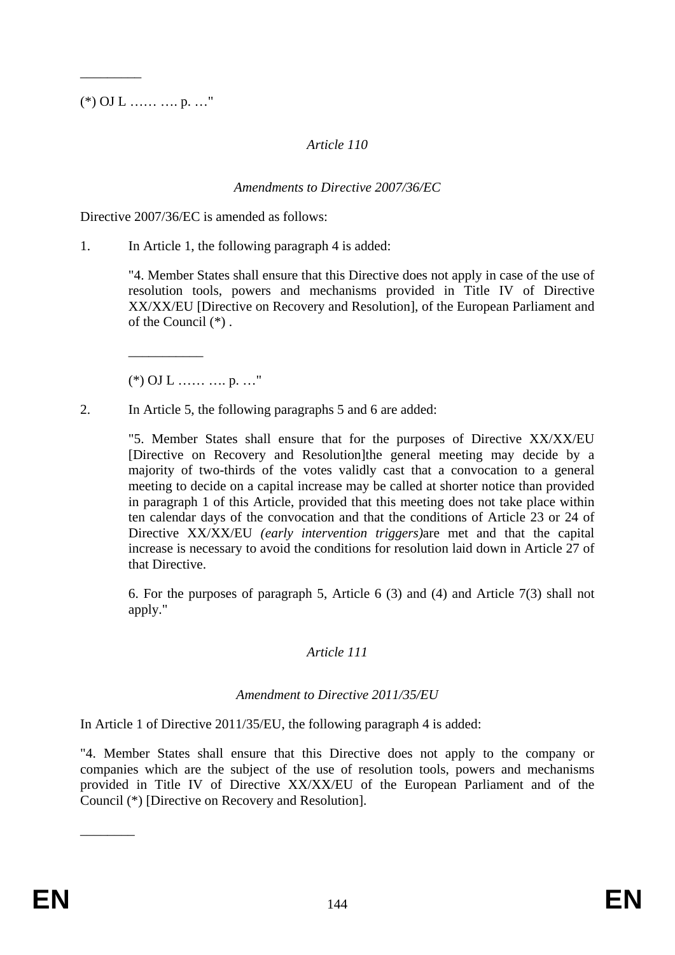$(*)$  OJ L …... …. p. …"

 $\overline{\phantom{a}}$ 

### *Article 110*

### *Amendments to Directive 2007/36/EC*

Directive 2007/36/EC is amended as follows:

1. In Article 1, the following paragraph 4 is added:

"4. Member States shall ensure that this Directive does not apply in case of the use of resolution tools, powers and mechanisms provided in Title IV of Directive XX/XX/EU [Directive on Recovery and Resolution], of the European Parliament and of the Council (\*) .

 $(*)$  OJ L …… … p. …"

\_\_\_\_\_\_\_\_\_\_\_

2. In Article 5, the following paragraphs 5 and 6 are added:

"5. Member States shall ensure that for the purposes of Directive XX/XX/EU [Directive on Recovery and Resolution]the general meeting may decide by a majority of two-thirds of the votes validly cast that a convocation to a general meeting to decide on a capital increase may be called at shorter notice than provided in paragraph 1 of this Article, provided that this meeting does not take place within ten calendar days of the convocation and that the conditions of Article 23 or 24 of Directive XX/XX/EU *(early intervention triggers)*are met and that the capital increase is necessary to avoid the conditions for resolution laid down in Article 27 of that Directive.

6. For the purposes of paragraph 5, Article 6 (3) and (4) and Article 7(3) shall not apply."

### *Article 111*

### *Amendment to Directive 2011/35/EU*

In Article 1 of Directive 2011/35/EU, the following paragraph 4 is added:

"4. Member States shall ensure that this Directive does not apply to the company or companies which are the subject of the use of resolution tools, powers and mechanisms provided in Title IV of Directive XX/XX/EU of the European Parliament and of the Council (\*) [Directive on Recovery and Resolution].

 $\overline{\phantom{a}}$   $\overline{\phantom{a}}$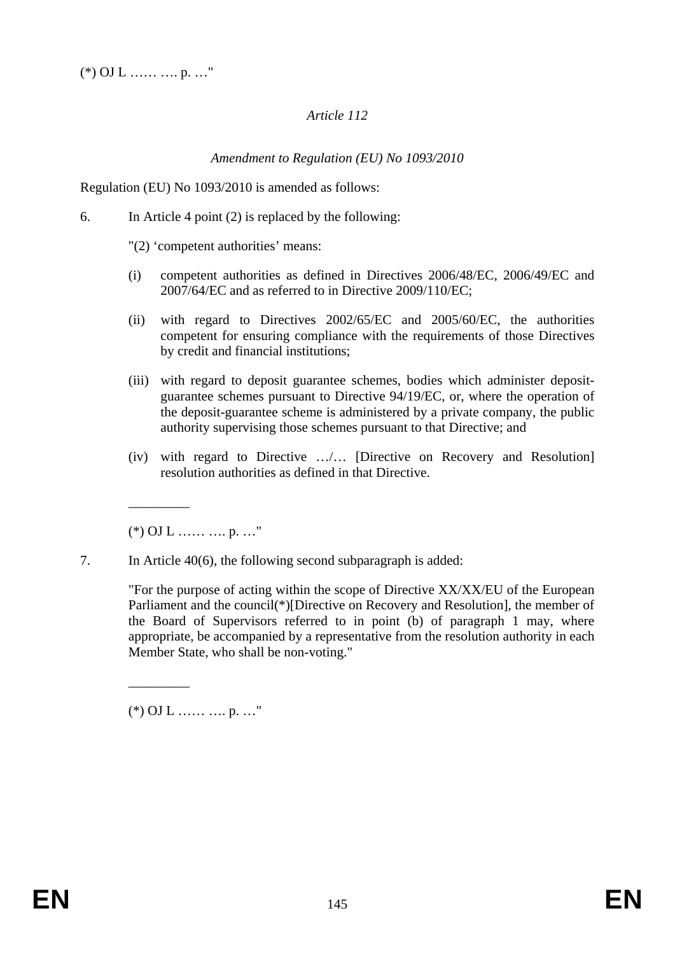## *Article 112*

## *Amendment to Regulation (EU) No 1093/2010*

Regulation (EU) No 1093/2010 is amended as follows:

6. In Article 4 point (2) is replaced by the following:

"(2) 'competent authorities' means:

- (i) competent authorities as defined in Directives 2006/48/EC, 2006/49/EC and 2007/64/EC and as referred to in Directive 2009/110/EC;
- (ii) with regard to Directives 2002/65/EC and 2005/60/EC, the authorities competent for ensuring compliance with the requirements of those Directives by credit and financial institutions;
- (iii) with regard to deposit guarantee schemes, bodies which administer depositguarantee schemes pursuant to Directive 94/19/EC, or, where the operation of the deposit-guarantee scheme is administered by a private company, the public authority supervising those schemes pursuant to that Directive; and
- (iv) with regard to Directive …/… [Directive on Recovery and Resolution] resolution authorities as defined in that Directive.

 $(*)$  OJ L …... …. p. …"

\_\_\_\_\_\_\_\_\_

\_\_\_\_\_\_\_\_\_

7. In Article 40(6), the following second subparagraph is added:

"For the purpose of acting within the scope of Directive XX/XX/EU of the European Parliament and the council(\*)[Directive on Recovery and Resolution], the member of the Board of Supervisors referred to in point (b) of paragraph 1 may, where appropriate, be accompanied by a representative from the resolution authority in each Member State, who shall be non-voting."

 $(*)$  OJ L …… …. p. …"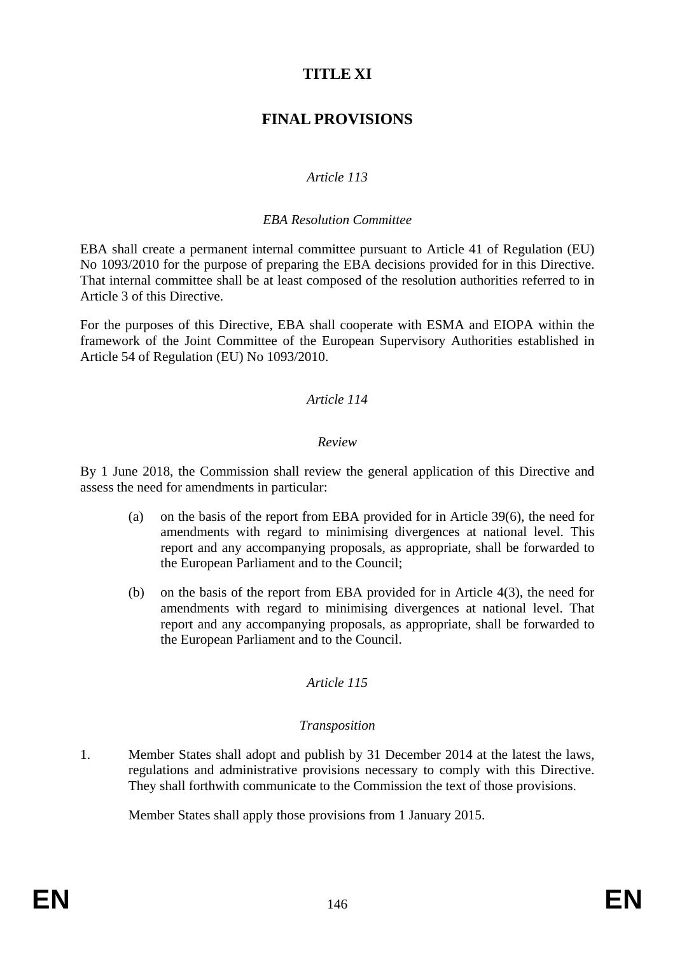# **TITLE XI**

# **FINAL PROVISIONS**

## *Article 113*

#### *EBA Resolution Committee*

EBA shall create a permanent internal committee pursuant to Article 41 of Regulation (EU) No 1093/2010 for the purpose of preparing the EBA decisions provided for in this Directive. That internal committee shall be at least composed of the resolution authorities referred to in Article 3 of this Directive.

For the purposes of this Directive, EBA shall cooperate with ESMA and EIOPA within the framework of the Joint Committee of the European Supervisory Authorities established in Article 54 of Regulation (EU) No 1093/2010.

#### *Article 114*

#### *Review*

By 1 June 2018, the Commission shall review the general application of this Directive and assess the need for amendments in particular:

- (a) on the basis of the report from EBA provided for in Article 39(6), the need for amendments with regard to minimising divergences at national level. This report and any accompanying proposals, as appropriate, shall be forwarded to the European Parliament and to the Council;
- (b) on the basis of the report from EBA provided for in Article 4(3), the need for amendments with regard to minimising divergences at national level. That report and any accompanying proposals, as appropriate, shall be forwarded to the European Parliament and to the Council.

## *Article 115*

#### *Transposition*

1. Member States shall adopt and publish by 31 December 2014 at the latest the laws, regulations and administrative provisions necessary to comply with this Directive. They shall forthwith communicate to the Commission the text of those provisions.

Member States shall apply those provisions from 1 January 2015.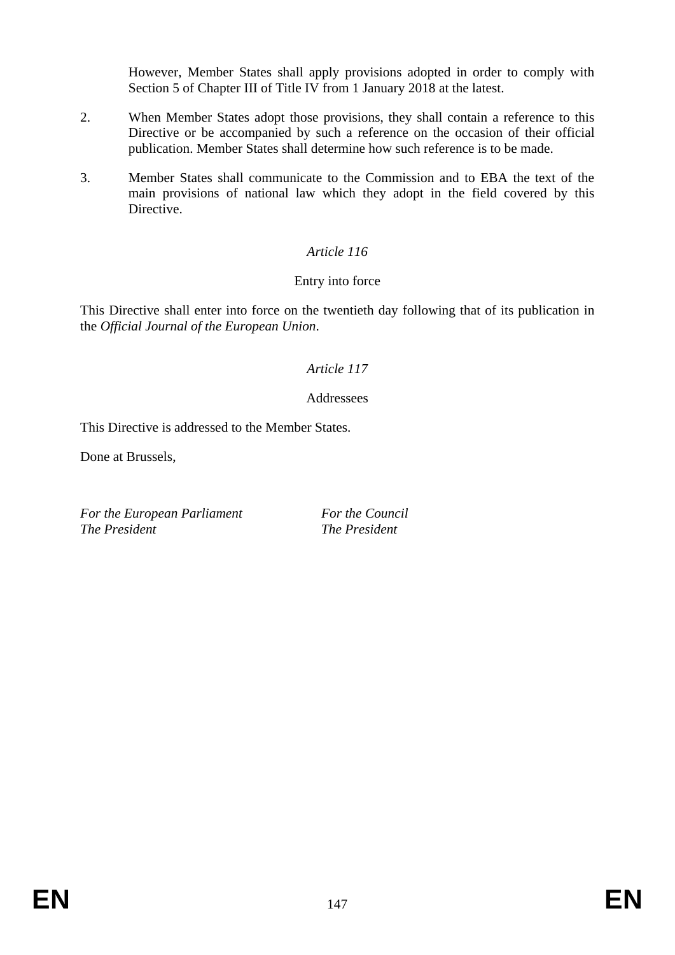However, Member States shall apply provisions adopted in order to comply with Section 5 of Chapter III of Title IV from 1 January 2018 at the latest.

- 2. When Member States adopt those provisions, they shall contain a reference to this Directive or be accompanied by such a reference on the occasion of their official publication. Member States shall determine how such reference is to be made.
- 3. Member States shall communicate to the Commission and to EBA the text of the main provisions of national law which they adopt in the field covered by this Directive.

# *Article 116*

## Entry into force

This Directive shall enter into force on the twentieth day following that of its publication in the *Official Journal of the European Union*.

## *Article 117*

#### **Addressees**

This Directive is addressed to the Member States.

Done at Brussels,

*For the European Parliament For the Council*<br>The President **For the President** 

*The President The President*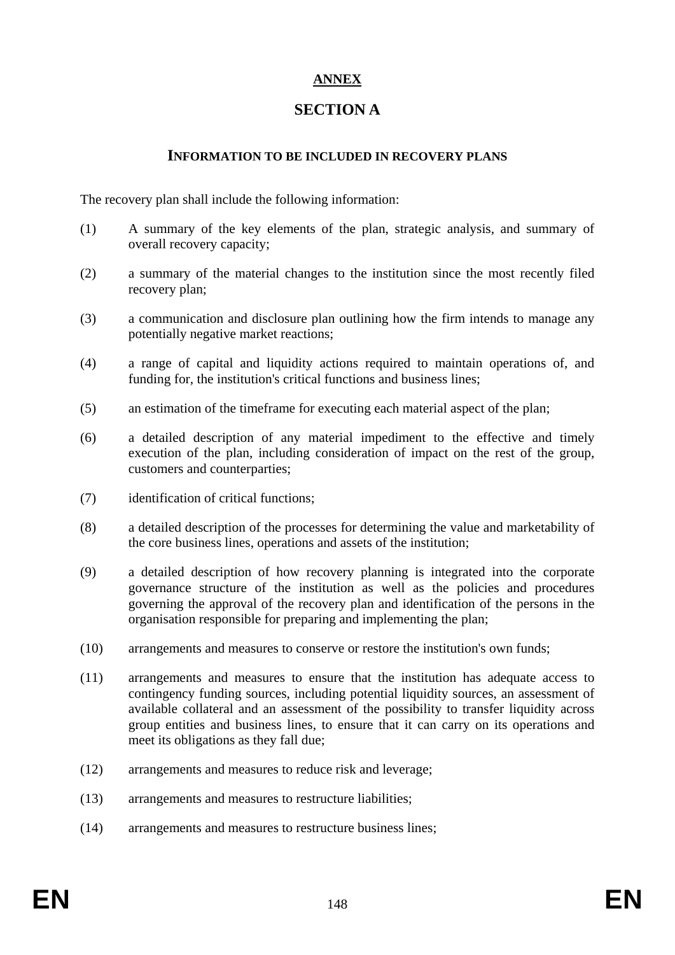# **ANNEX**

# **SECTION A**

#### **INFORMATION TO BE INCLUDED IN RECOVERY PLANS**

The recovery plan shall include the following information:

- (1) A summary of the key elements of the plan, strategic analysis, and summary of overall recovery capacity;
- (2) a summary of the material changes to the institution since the most recently filed recovery plan;
- (3) a communication and disclosure plan outlining how the firm intends to manage any potentially negative market reactions;
- (4) a range of capital and liquidity actions required to maintain operations of, and funding for, the institution's critical functions and business lines;
- (5) an estimation of the timeframe for executing each material aspect of the plan;
- (6) a detailed description of any material impediment to the effective and timely execution of the plan, including consideration of impact on the rest of the group, customers and counterparties;
- (7) identification of critical functions;
- (8) a detailed description of the processes for determining the value and marketability of the core business lines, operations and assets of the institution;
- (9) a detailed description of how recovery planning is integrated into the corporate governance structure of the institution as well as the policies and procedures governing the approval of the recovery plan and identification of the persons in the organisation responsible for preparing and implementing the plan;
- (10) arrangements and measures to conserve or restore the institution's own funds;
- (11) arrangements and measures to ensure that the institution has adequate access to contingency funding sources, including potential liquidity sources, an assessment of available collateral and an assessment of the possibility to transfer liquidity across group entities and business lines, to ensure that it can carry on its operations and meet its obligations as they fall due;
- (12) arrangements and measures to reduce risk and leverage;
- (13) arrangements and measures to restructure liabilities;
- (14) arrangements and measures to restructure business lines;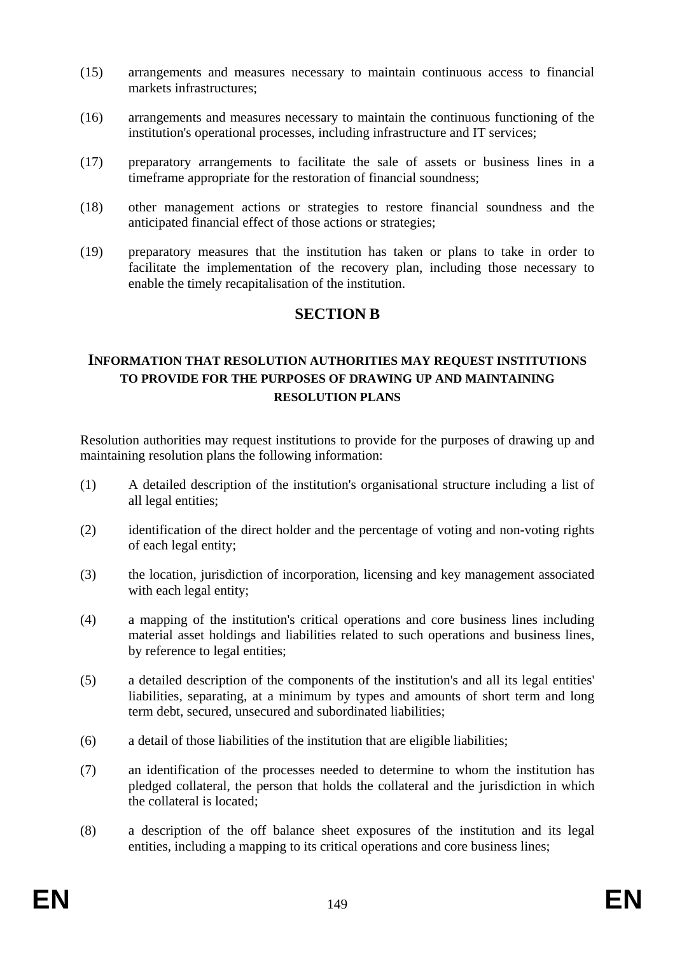- (15) arrangements and measures necessary to maintain continuous access to financial markets infrastructures;
- (16) arrangements and measures necessary to maintain the continuous functioning of the institution's operational processes, including infrastructure and IT services;
- (17) preparatory arrangements to facilitate the sale of assets or business lines in a timeframe appropriate for the restoration of financial soundness;
- (18) other management actions or strategies to restore financial soundness and the anticipated financial effect of those actions or strategies;
- (19) preparatory measures that the institution has taken or plans to take in order to facilitate the implementation of the recovery plan, including those necessary to enable the timely recapitalisation of the institution.

## **SECTION B**

## **INFORMATION THAT RESOLUTION AUTHORITIES MAY REQUEST INSTITUTIONS TO PROVIDE FOR THE PURPOSES OF DRAWING UP AND MAINTAINING RESOLUTION PLANS**

Resolution authorities may request institutions to provide for the purposes of drawing up and maintaining resolution plans the following information:

- (1) A detailed description of the institution's organisational structure including a list of all legal entities;
- (2) identification of the direct holder and the percentage of voting and non-voting rights of each legal entity;
- (3) the location, jurisdiction of incorporation, licensing and key management associated with each legal entity;
- (4) a mapping of the institution's critical operations and core business lines including material asset holdings and liabilities related to such operations and business lines, by reference to legal entities;
- (5) a detailed description of the components of the institution's and all its legal entities' liabilities, separating, at a minimum by types and amounts of short term and long term debt, secured, unsecured and subordinated liabilities;
- (6) a detail of those liabilities of the institution that are eligible liabilities;
- (7) an identification of the processes needed to determine to whom the institution has pledged collateral, the person that holds the collateral and the jurisdiction in which the collateral is located;
- (8) a description of the off balance sheet exposures of the institution and its legal entities, including a mapping to its critical operations and core business lines;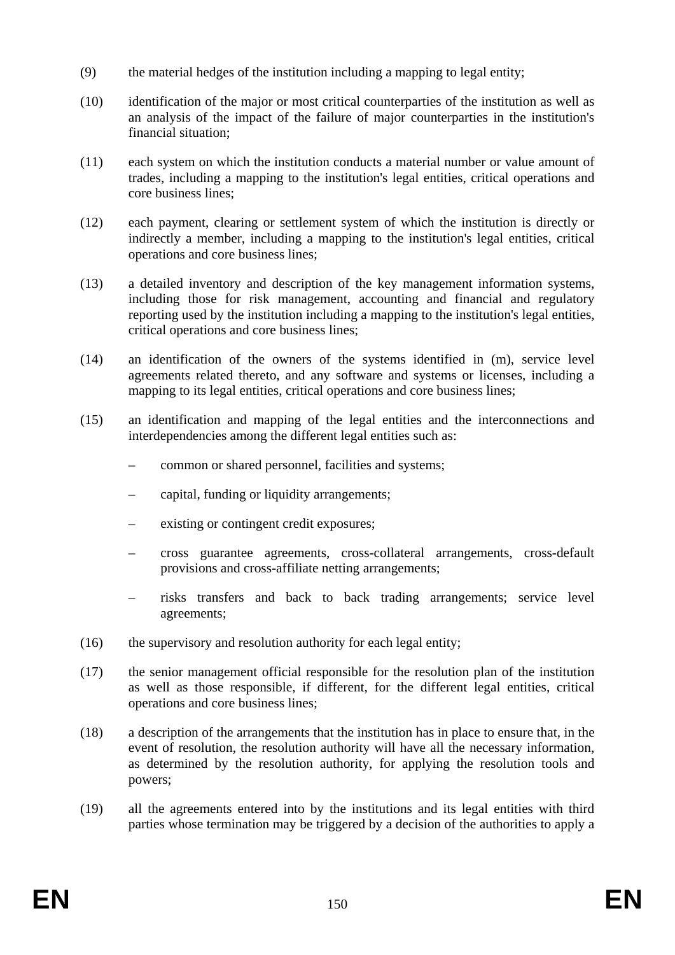- (9) the material hedges of the institution including a mapping to legal entity;
- (10) identification of the major or most critical counterparties of the institution as well as an analysis of the impact of the failure of major counterparties in the institution's financial situation;
- (11) each system on which the institution conducts a material number or value amount of trades, including a mapping to the institution's legal entities, critical operations and core business lines;
- (12) each payment, clearing or settlement system of which the institution is directly or indirectly a member, including a mapping to the institution's legal entities, critical operations and core business lines;
- (13) a detailed inventory and description of the key management information systems, including those for risk management, accounting and financial and regulatory reporting used by the institution including a mapping to the institution's legal entities, critical operations and core business lines;
- (14) an identification of the owners of the systems identified in (m), service level agreements related thereto, and any software and systems or licenses, including a mapping to its legal entities, critical operations and core business lines;
- (15) an identification and mapping of the legal entities and the interconnections and interdependencies among the different legal entities such as:
	- common or shared personnel, facilities and systems;
	- capital, funding or liquidity arrangements;
	- existing or contingent credit exposures;
	- cross guarantee agreements, cross-collateral arrangements, cross-default provisions and cross-affiliate netting arrangements;
	- risks transfers and back to back trading arrangements; service level agreements;
- $(16)$  the supervisory and resolution authority for each legal entity;
- (17) the senior management official responsible for the resolution plan of the institution as well as those responsible, if different, for the different legal entities, critical operations and core business lines;
- (18) a description of the arrangements that the institution has in place to ensure that, in the event of resolution, the resolution authority will have all the necessary information, as determined by the resolution authority, for applying the resolution tools and powers;
- (19) all the agreements entered into by the institutions and its legal entities with third parties whose termination may be triggered by a decision of the authorities to apply a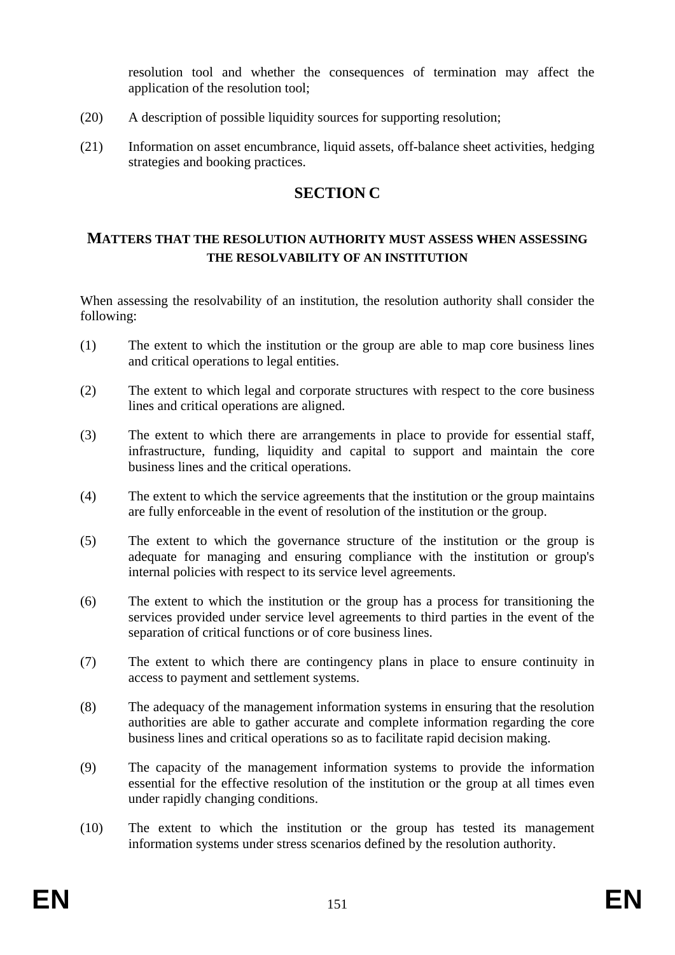resolution tool and whether the consequences of termination may affect the application of the resolution tool;

- (20) A description of possible liquidity sources for supporting resolution;
- (21) Information on asset encumbrance, liquid assets, off-balance sheet activities, hedging strategies and booking practices.

# **SECTION C**

## **MATTERS THAT THE RESOLUTION AUTHORITY MUST ASSESS WHEN ASSESSING THE RESOLVABILITY OF AN INSTITUTION**

When assessing the resolvability of an institution, the resolution authority shall consider the following:

- (1) The extent to which the institution or the group are able to map core business lines and critical operations to legal entities.
- (2) The extent to which legal and corporate structures with respect to the core business lines and critical operations are aligned.
- (3) The extent to which there are arrangements in place to provide for essential staff, infrastructure, funding, liquidity and capital to support and maintain the core business lines and the critical operations.
- (4) The extent to which the service agreements that the institution or the group maintains are fully enforceable in the event of resolution of the institution or the group.
- (5) The extent to which the governance structure of the institution or the group is adequate for managing and ensuring compliance with the institution or group's internal policies with respect to its service level agreements.
- (6) The extent to which the institution or the group has a process for transitioning the services provided under service level agreements to third parties in the event of the separation of critical functions or of core business lines.
- (7) The extent to which there are contingency plans in place to ensure continuity in access to payment and settlement systems.
- (8) The adequacy of the management information systems in ensuring that the resolution authorities are able to gather accurate and complete information regarding the core business lines and critical operations so as to facilitate rapid decision making.
- (9) The capacity of the management information systems to provide the information essential for the effective resolution of the institution or the group at all times even under rapidly changing conditions.
- (10) The extent to which the institution or the group has tested its management information systems under stress scenarios defined by the resolution authority.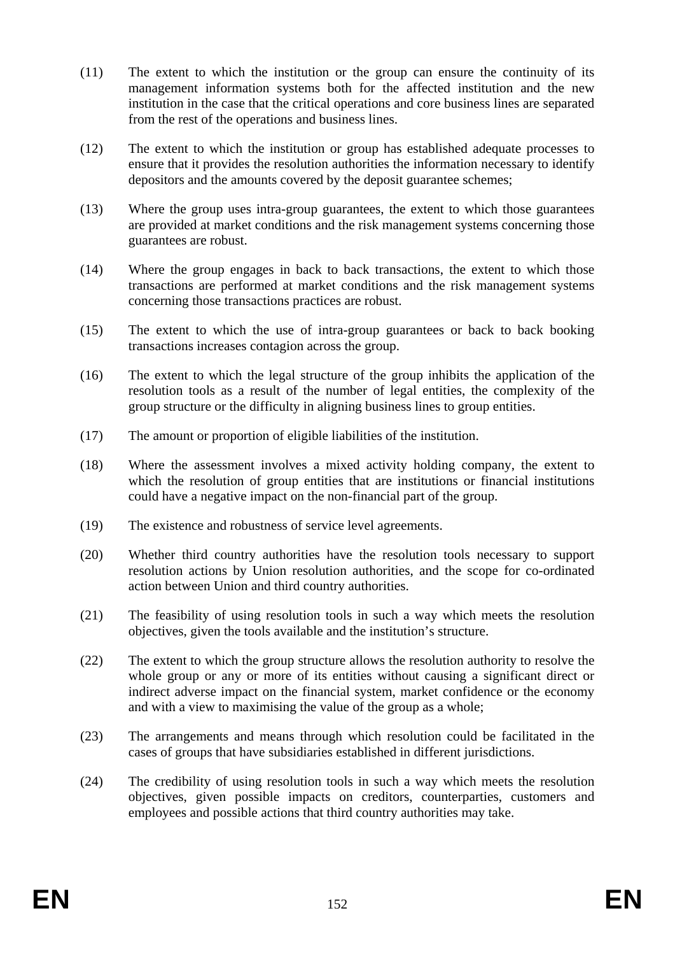- (11) The extent to which the institution or the group can ensure the continuity of its management information systems both for the affected institution and the new institution in the case that the critical operations and core business lines are separated from the rest of the operations and business lines.
- (12) The extent to which the institution or group has established adequate processes to ensure that it provides the resolution authorities the information necessary to identify depositors and the amounts covered by the deposit guarantee schemes;
- (13) Where the group uses intra-group guarantees, the extent to which those guarantees are provided at market conditions and the risk management systems concerning those guarantees are robust.
- (14) Where the group engages in back to back transactions, the extent to which those transactions are performed at market conditions and the risk management systems concerning those transactions practices are robust.
- (15) The extent to which the use of intra-group guarantees or back to back booking transactions increases contagion across the group.
- (16) The extent to which the legal structure of the group inhibits the application of the resolution tools as a result of the number of legal entities, the complexity of the group structure or the difficulty in aligning business lines to group entities.
- (17) The amount or proportion of eligible liabilities of the institution.
- (18) Where the assessment involves a mixed activity holding company, the extent to which the resolution of group entities that are institutions or financial institutions could have a negative impact on the non-financial part of the group.
- (19) The existence and robustness of service level agreements.
- (20) Whether third country authorities have the resolution tools necessary to support resolution actions by Union resolution authorities, and the scope for co-ordinated action between Union and third country authorities.
- (21) The feasibility of using resolution tools in such a way which meets the resolution objectives, given the tools available and the institution's structure.
- (22) The extent to which the group structure allows the resolution authority to resolve the whole group or any or more of its entities without causing a significant direct or indirect adverse impact on the financial system, market confidence or the economy and with a view to maximising the value of the group as a whole;
- (23) The arrangements and means through which resolution could be facilitated in the cases of groups that have subsidiaries established in different jurisdictions.
- (24) The credibility of using resolution tools in such a way which meets the resolution objectives, given possible impacts on creditors, counterparties, customers and employees and possible actions that third country authorities may take.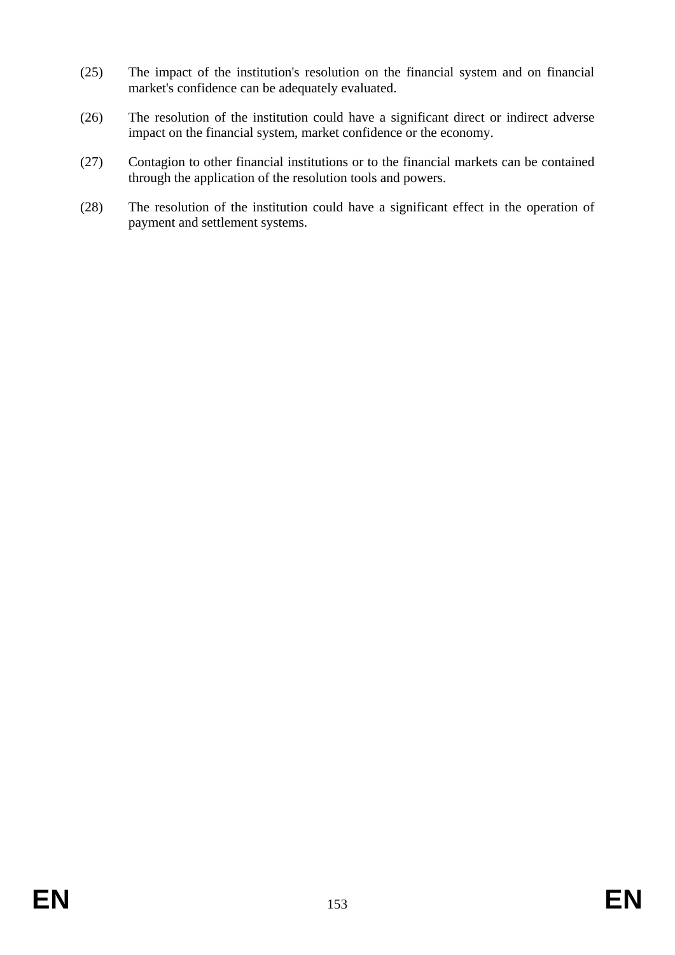- (25) The impact of the institution's resolution on the financial system and on financial market's confidence can be adequately evaluated.
- (26) The resolution of the institution could have a significant direct or indirect adverse impact on the financial system, market confidence or the economy.
- (27) Contagion to other financial institutions or to the financial markets can be contained through the application of the resolution tools and powers.
- (28) The resolution of the institution could have a significant effect in the operation of payment and settlement systems.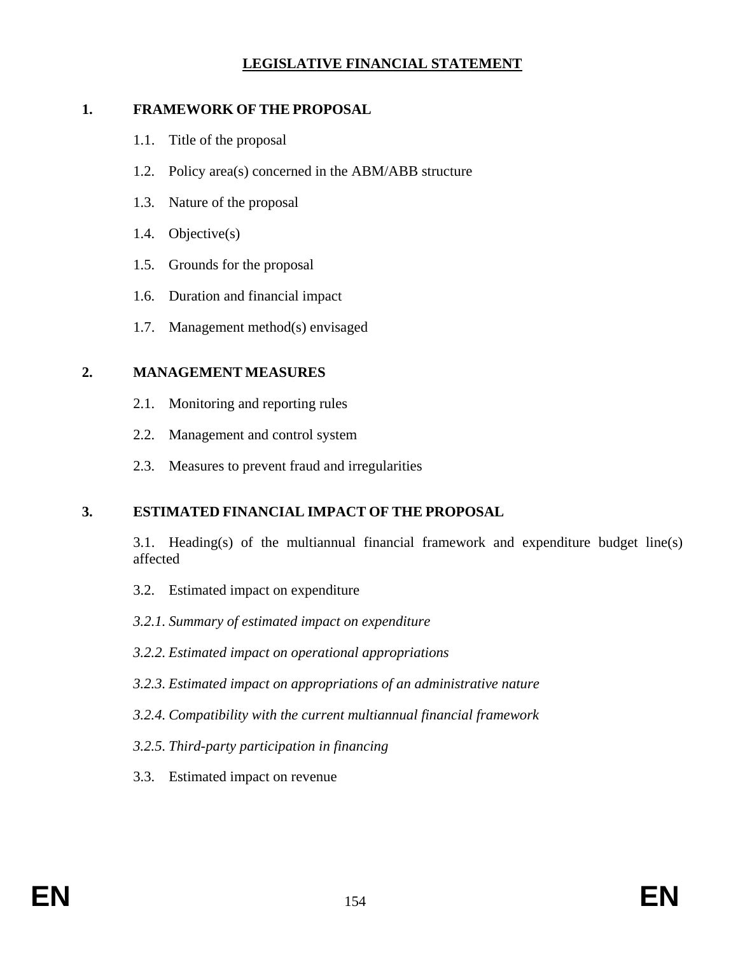## **LEGISLATIVE FINANCIAL STATEMENT**

#### **1. FRAMEWORK OF THE PROPOSAL**

- 1.1. Title of the proposal
- 1.2. Policy area(s) concerned in the ABM/ABB structure
- 1.3. Nature of the proposal
- 1.4. Objective(s)
- 1.5. Grounds for the proposal
- 1.6. Duration and financial impact
- 1.7. Management method(s) envisaged

## **2. MANAGEMENT MEASURES**

- 2.1. Monitoring and reporting rules
- 2.2. Management and control system
- 2.3. Measures to prevent fraud and irregularities

## **3. ESTIMATED FINANCIAL IMPACT OF THE PROPOSAL**

 3.1. Heading(s) of the multiannual financial framework and expenditure budget line(s) affected

3.2. Estimated impact on expenditure

 *3.2.1. Summary of estimated impact on expenditure* 

- *3.2.2. Estimated impact on operational appropriations*
- *3.2.3. Estimated impact on appropriations of an administrative nature*
- *3.2.4. Compatibility with the current multiannual financial framework*
- *3.2.5. Third-party participation in financing*
- 3.3. Estimated impact on revenue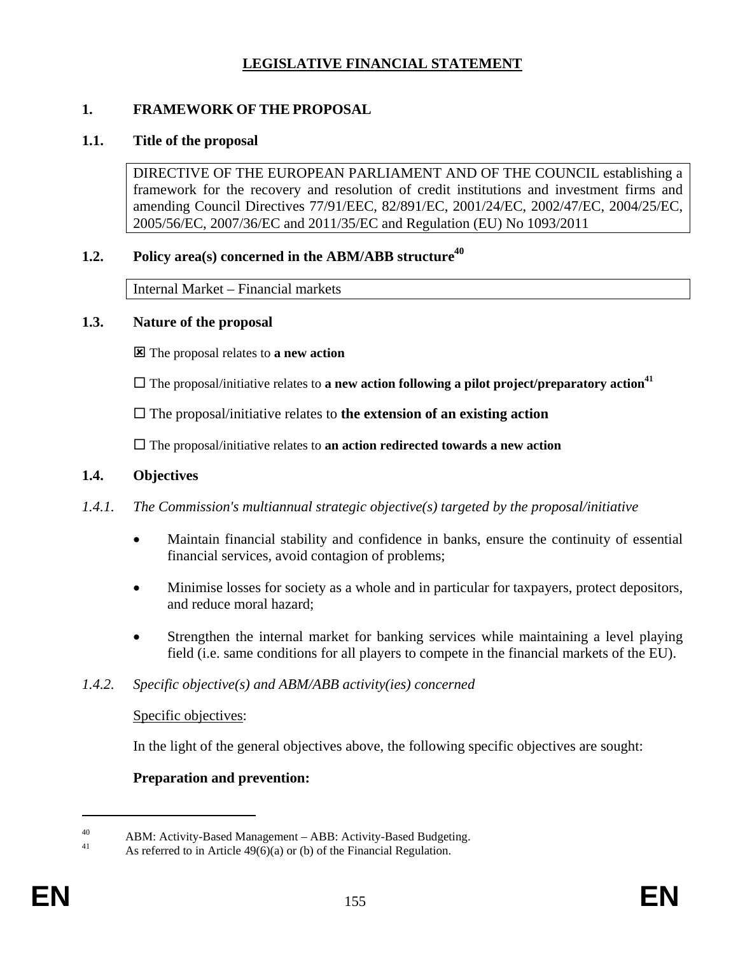## **LEGISLATIVE FINANCIAL STATEMENT**

## **1. FRAMEWORK OF THE PROPOSAL**

#### **1.1. Title of the proposal**

DIRECTIVE OF THE EUROPEAN PARLIAMENT AND OF THE COUNCIL establishing a framework for the recovery and resolution of credit institutions and investment firms and amending Council Directives 77/91/EEC, 82/891/EC, 2001/24/EC, 2002/47/EC, 2004/25/EC, 2005/56/EC, 2007/36/EC and 2011/35/EC and Regulation (EU) No 1093/2011

# **1.2.** Policy area(s) concerned in the ABM/ABB structure<sup>40</sup>

Internal Market – Financial markets

## **1.3. Nature of the proposal**

: The proposal relates to **a new action**

 $\Box$  The proposal/initiative relates to **a new action following a pilot project/preparatory action**<sup>41</sup>

 $\Box$  The proposal/initiative relates to **the extension of an existing action** 

The proposal/initiative relates to **an action redirected towards a new action**

## **1.4. Objectives**

## *1.4.1. The Commission's multiannual strategic objective(s) targeted by the proposal/initiative*

- Maintain financial stability and confidence in banks, ensure the continuity of essential financial services, avoid contagion of problems;
- Minimise losses for society as a whole and in particular for taxpayers, protect depositors, and reduce moral hazard;
- Strengthen the internal market for banking services while maintaining a level playing field (i.e. same conditions for all players to compete in the financial markets of the EU).

## *1.4.2. Specific objective(s) and ABM/ABB activity(ies) concerned*

## Specific objectives:

In the light of the general objectives above, the following specific objectives are sought:

## **Preparation and prevention:**

<sup>40</sup> ABM: Activity-Based Management – ABB: Activity-Based Budgeting.<br>41 Acceptance to in Actiola 40(6)(a) or (b) of the Einengial Bosyletian

As referred to in Article  $49(6)(a)$  or (b) of the Financial Regulation.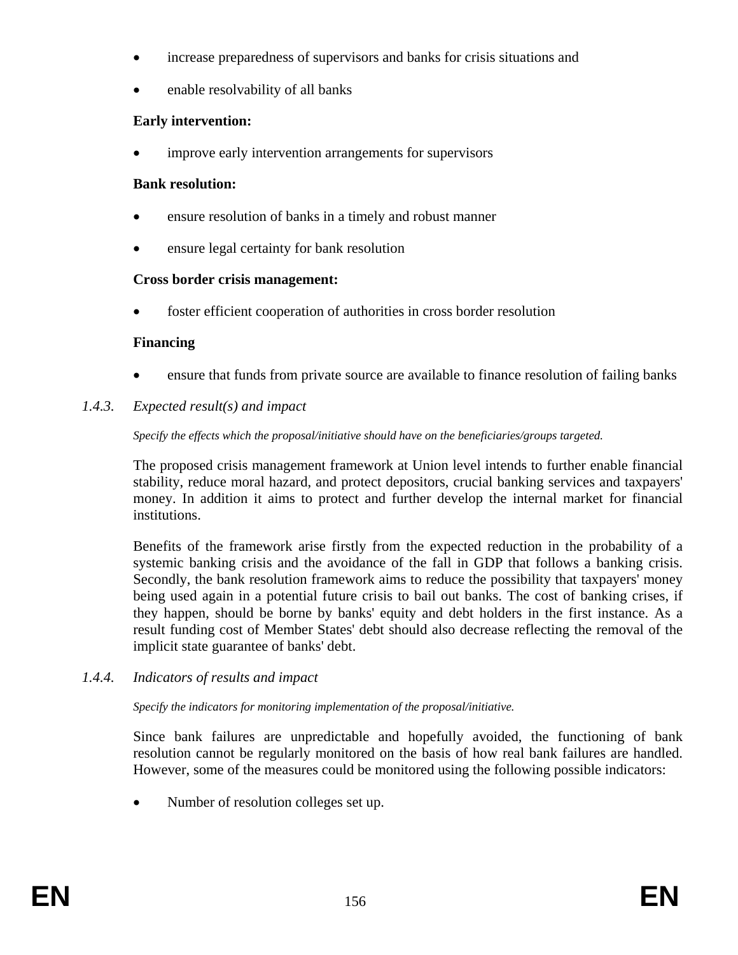- increase preparedness of supervisors and banks for crisis situations and
- enable resolvability of all banks

## **Early intervention:**

improve early intervention arrangements for supervisors

## **Bank resolution:**

- ensure resolution of banks in a timely and robust manner
- ensure legal certainty for bank resolution

# **Cross border crisis management:**

foster efficient cooperation of authorities in cross border resolution

## **Financing**

- ensure that funds from private source are available to finance resolution of failing banks
- *1.4.3. Expected result(s) and impact*

## *Specify the effects which the proposal/initiative should have on the beneficiaries/groups targeted.*

The proposed crisis management framework at Union level intends to further enable financial stability, reduce moral hazard, and protect depositors, crucial banking services and taxpayers' money. In addition it aims to protect and further develop the internal market for financial institutions.

Benefits of the framework arise firstly from the expected reduction in the probability of a systemic banking crisis and the avoidance of the fall in GDP that follows a banking crisis. Secondly, the bank resolution framework aims to reduce the possibility that taxpayers' money being used again in a potential future crisis to bail out banks. The cost of banking crises, if they happen, should be borne by banks' equity and debt holders in the first instance. As a result funding cost of Member States' debt should also decrease reflecting the removal of the implicit state guarantee of banks' debt.

*1.4.4. Indicators of results and impact* 

## *Specify the indicators for monitoring implementation of the proposal/initiative.*

Since bank failures are unpredictable and hopefully avoided, the functioning of bank resolution cannot be regularly monitored on the basis of how real bank failures are handled. However, some of the measures could be monitored using the following possible indicators:

• Number of resolution colleges set up.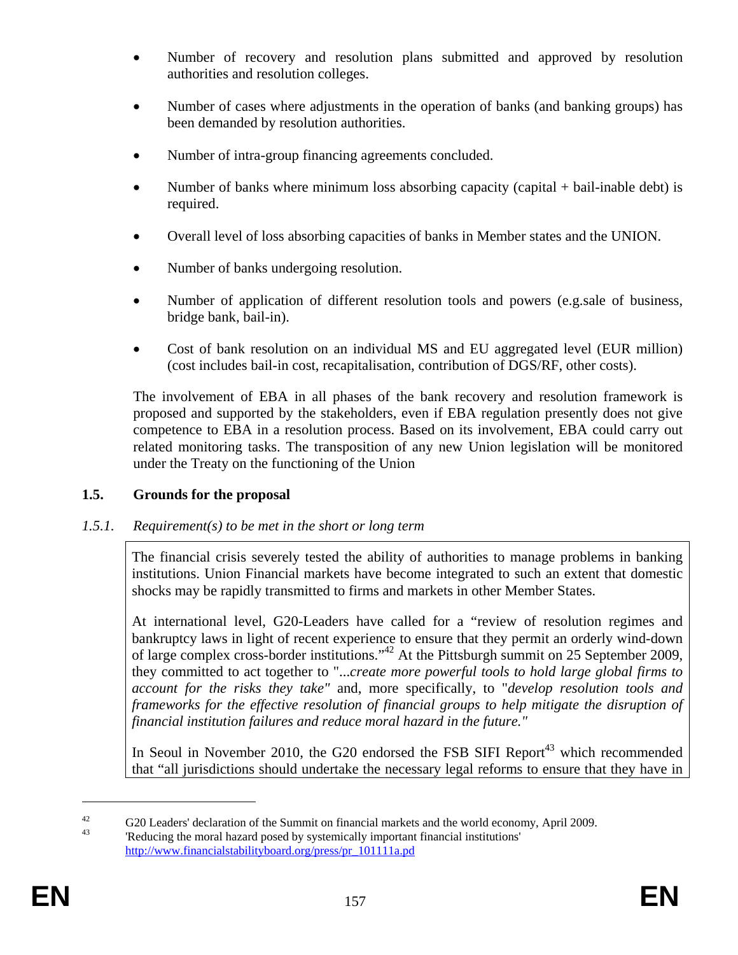- Number of recovery and resolution plans submitted and approved by resolution authorities and resolution colleges.
- Number of cases where adjustments in the operation of banks (and banking groups) has been demanded by resolution authorities.
- Number of intra-group financing agreements concluded.
- Number of banks where minimum loss absorbing capacity (capital + bail-inable debt) is required.
- Overall level of loss absorbing capacities of banks in Member states and the UNION.
- Number of banks undergoing resolution.
- Number of application of different resolution tools and powers (e.g.sale of business, bridge bank, bail-in).
- Cost of bank resolution on an individual MS and EU aggregated level (EUR million) (cost includes bail-in cost, recapitalisation, contribution of DGS/RF, other costs).

The involvement of EBA in all phases of the bank recovery and resolution framework is proposed and supported by the stakeholders, even if EBA regulation presently does not give competence to EBA in a resolution process. Based on its involvement, EBA could carry out related monitoring tasks. The transposition of any new Union legislation will be monitored under the Treaty on the functioning of the Union

# **1.5. Grounds for the proposal**

# *1.5.1. Requirement(s) to be met in the short or long term*

The financial crisis severely tested the ability of authorities to manage problems in banking institutions. Union Financial markets have become integrated to such an extent that domestic shocks may be rapidly transmitted to firms and markets in other Member States.

At international level, G20-Leaders have called for a "review of resolution regimes and bankruptcy laws in light of recent experience to ensure that they permit an orderly wind-down of large complex cross-border institutions."42 At the Pittsburgh summit on 25 September 2009, they committed to act together to "...*create more powerful tools to hold large global firms to account for the risks they take"* and, more specifically, to "*develop resolution tools and frameworks for the effective resolution of financial groups to help mitigate the disruption of financial institution failures and reduce moral hazard in the future."* 

In Seoul in November 2010, the G20 endorsed the FSB SIFI Report<sup>43</sup> which recommended that "all jurisdictions should undertake the necessary legal reforms to ensure that they have in

 $\frac{42}{43}$  G20 Leaders' declaration of the Summit on financial markets and the world economy, April 2009.

<sup>&#</sup>x27;Reducing the moral hazard posed by systemically important financial institutions' [http://www.financialstabilityboard.org/press/pr\\_101111a.pd](http://www.financialstabilityboard.org/press/pr_101111a.pd)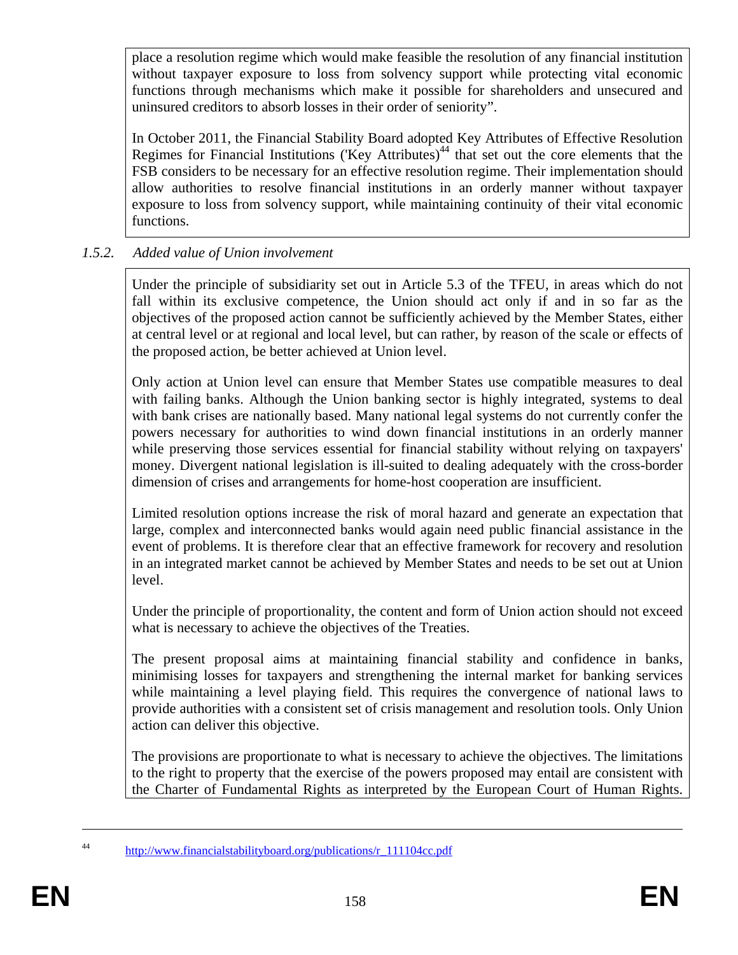place a resolution regime which would make feasible the resolution of any financial institution without taxpayer exposure to loss from solvency support while protecting vital economic functions through mechanisms which make it possible for shareholders and unsecured and uninsured creditors to absorb losses in their order of seniority".

In October 2011, the Financial Stability Board adopted Key Attributes of Effective Resolution Regimes for Financial Institutions ('Key Attributes)<sup>44</sup> that set out the core elements that the FSB considers to be necessary for an effective resolution regime. Their implementation should allow authorities to resolve financial institutions in an orderly manner without taxpayer exposure to loss from solvency support, while maintaining continuity of their vital economic functions.

## *1.5.2. Added value of Union involvement*

Under the principle of subsidiarity set out in Article 5.3 of the TFEU, in areas which do not fall within its exclusive competence, the Union should act only if and in so far as the objectives of the proposed action cannot be sufficiently achieved by the Member States, either at central level or at regional and local level, but can rather, by reason of the scale or effects of the proposed action, be better achieved at Union level.

Only action at Union level can ensure that Member States use compatible measures to deal with failing banks. Although the Union banking sector is highly integrated, systems to deal with bank crises are nationally based. Many national legal systems do not currently confer the powers necessary for authorities to wind down financial institutions in an orderly manner while preserving those services essential for financial stability without relying on taxpayers' money. Divergent national legislation is ill-suited to dealing adequately with the cross-border dimension of crises and arrangements for home-host cooperation are insufficient.

Limited resolution options increase the risk of moral hazard and generate an expectation that large, complex and interconnected banks would again need public financial assistance in the event of problems. It is therefore clear that an effective framework for recovery and resolution in an integrated market cannot be achieved by Member States and needs to be set out at Union level.

Under the principle of proportionality, the content and form of Union action should not exceed what is necessary to achieve the objectives of the Treaties.

The present proposal aims at maintaining financial stability and confidence in banks, minimising losses for taxpayers and strengthening the internal market for banking services while maintaining a level playing field. This requires the convergence of national laws to provide authorities with a consistent set of crisis management and resolution tools. Only Union action can deliver this objective.

The provisions are proportionate to what is necessary to achieve the objectives. The limitations to the right to property that the exercise of the powers proposed may entail are consistent with the Charter of Fundamental Rights as interpreted by the European Court of Human Rights.

<sup>44</sup> [http://www.financialstabilityboard.org/publications/r\\_111104cc.pdf](http://www.financialstabilityboard.org/publications/r_111104cc.pdf)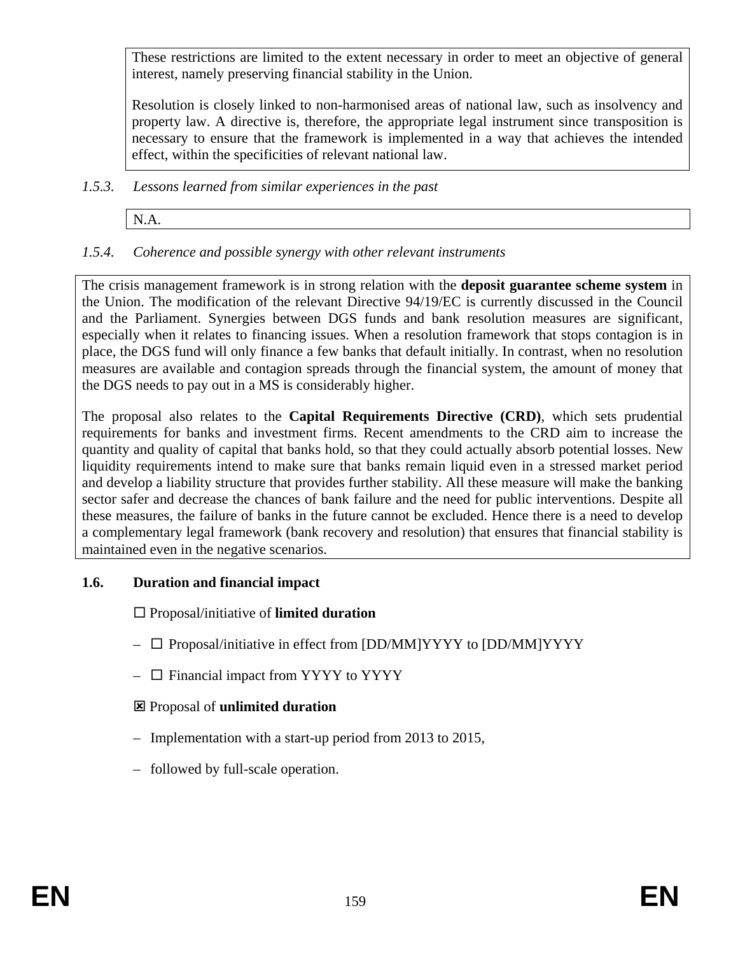These restrictions are limited to the extent necessary in order to meet an objective of general interest, namely preserving financial stability in the Union.

Resolution is closely linked to non-harmonised areas of national law, such as insolvency and property law. A directive is, therefore, the appropriate legal instrument since transposition is necessary to ensure that the framework is implemented in a way that achieves the intended effect, within the specificities of relevant national law.

- *1.5.3. Lessons learned from similar experiences in the past* 
	- N.A.
- *1.5.4. Coherence and possible synergy with other relevant instruments*

The crisis management framework is in strong relation with the **deposit guarantee scheme system** in the Union. The modification of the relevant Directive 94/19/EC is currently discussed in the Council and the Parliament. Synergies between DGS funds and bank resolution measures are significant, especially when it relates to financing issues. When a resolution framework that stops contagion is in place, the DGS fund will only finance a few banks that default initially. In contrast, when no resolution measures are available and contagion spreads through the financial system, the amount of money that the DGS needs to pay out in a MS is considerably higher.

The proposal also relates to the **Capital Requirements Directive (CRD)**, which sets prudential requirements for banks and investment firms. Recent amendments to the CRD aim to increase the quantity and quality of capital that banks hold, so that they could actually absorb potential losses. New liquidity requirements intend to make sure that banks remain liquid even in a stressed market period and develop a liability structure that provides further stability. All these measure will make the banking sector safer and decrease the chances of bank failure and the need for public interventions. Despite all these measures, the failure of banks in the future cannot be excluded. Hence there is a need to develop a complementary legal framework (bank recovery and resolution) that ensures that financial stability is maintained even in the negative scenarios.

#### **1.6. Duration and financial impact**

Proposal/initiative of **limited duration**

- $\Box$  Proposal/initiative in effect from [DD/MM]YYYY to [DD/MM]YYYY
- $\Box$  Financial impact from YYYY to YYYY
- : Proposal of **unlimited duration**
- Implementation with a start-up period from 2013 to 2015,
- followed by full-scale operation.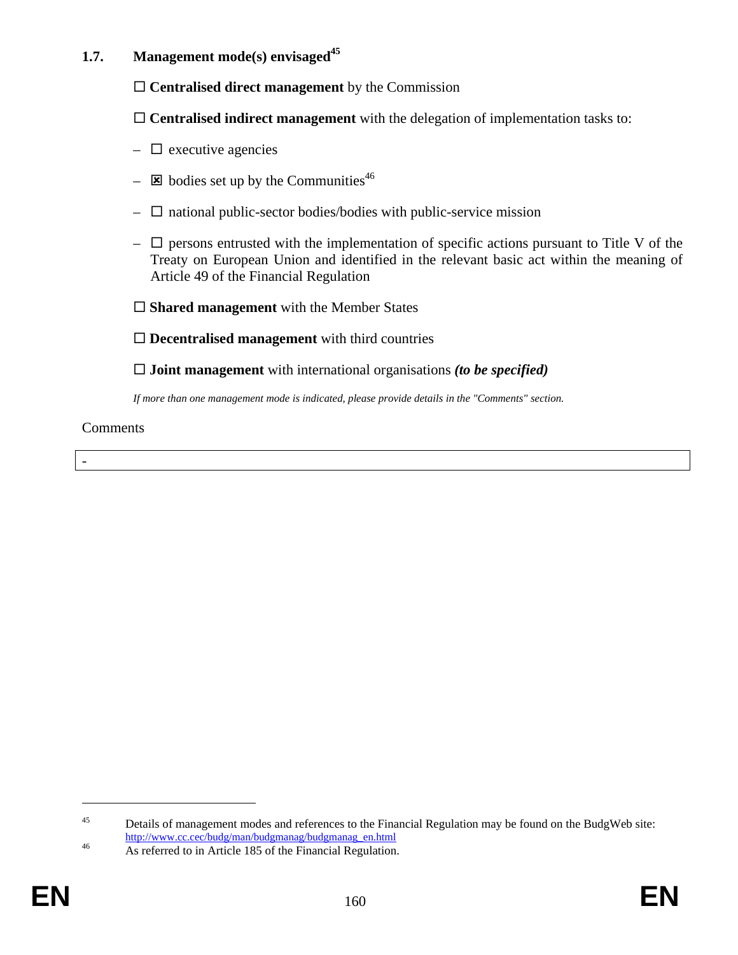## **1.7.** Management mode(s) envisaged<sup>45</sup>

**Centralised direct management** by the Commission

**Centralised indirect management** with the delegation of implementation tasks to:

- $\Box$  executive agencies
- $\overline{\mathbf{z}}$  bodies set up by the Communities<sup>46</sup>
- $\Box$  national public-sector bodies/bodies with public-service mission
- $\Box$  persons entrusted with the implementation of specific actions pursuant to Title V of the Treaty on European Union and identified in the relevant basic act within the meaning of Article 49 of the Financial Regulation
- □ **Shared management** with the Member States

**Decentralised management** with third countries

**Joint management** with international organisations *(to be specified)* 

*If more than one management mode is indicated, please provide details in the "Comments" section.* 

**Comments** 

<sup>&</sup>lt;sup>45</sup> Details of management modes and references to the Financial Regulation may be found on the BudgWeb site:

[http://www.cc.cec/budg/man/budgmanag/budgm](http://www.cc.cec/budg/man/budgmanag/budgmanag_en.html)anag\_en.html 46 As referred to in Article 185 of the Financial Regulation.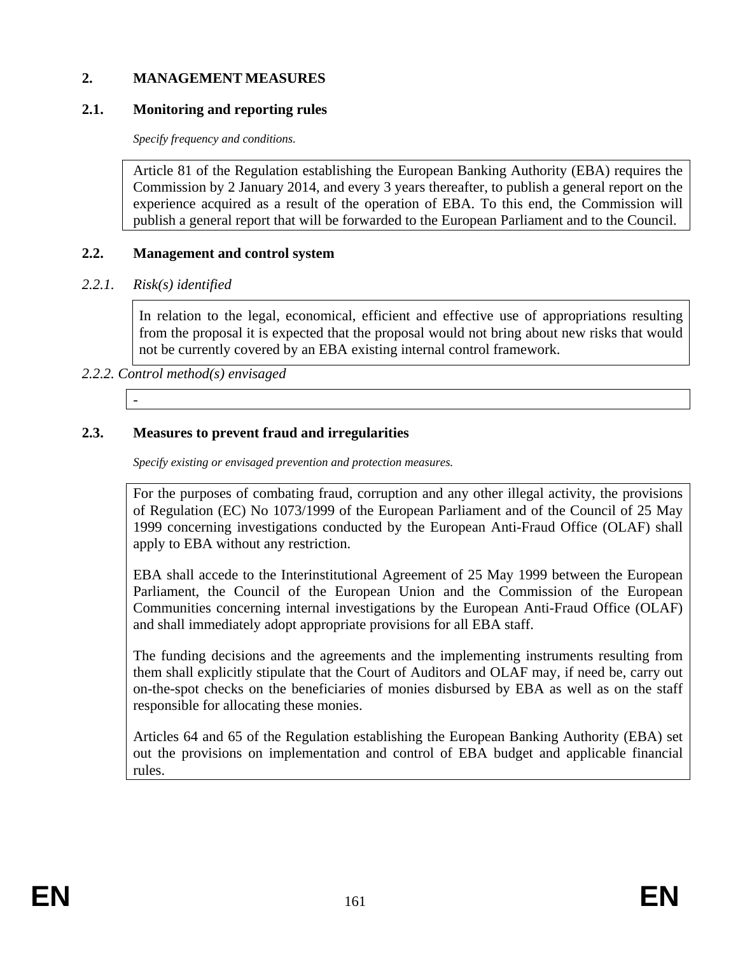#### **2. MANAGEMENT MEASURES**

#### **2.1. Monitoring and reporting rules**

*Specify frequency and conditions.* 

Article 81 of the Regulation establishing the European Banking Authority (EBA) requires the Commission by 2 January 2014, and every 3 years thereafter, to publish a general report on the experience acquired as a result of the operation of EBA. To this end, the Commission will publish a general report that will be forwarded to the European Parliament and to the Council.

#### **2.2. Management and control system**

#### *2.2.1. Risk(s) identified*

In relation to the legal, economical, efficient and effective use of appropriations resulting from the proposal it is expected that the proposal would not bring about new risks that would not be currently covered by an EBA existing internal control framework.

## *2.2.2. Control method(s) envisaged*

-

#### **2.3. Measures to prevent fraud and irregularities**

*Specify existing or envisaged prevention and protection measures.* 

For the purposes of combating fraud, corruption and any other illegal activity, the provisions of Regulation (EC) No 1073/1999 of the European Parliament and of the Council of 25 May 1999 concerning investigations conducted by the European Anti-Fraud Office (OLAF) shall apply to EBA without any restriction.

EBA shall accede to the Interinstitutional Agreement of 25 May 1999 between the European Parliament, the Council of the European Union and the Commission of the European Communities concerning internal investigations by the European Anti-Fraud Office (OLAF) and shall immediately adopt appropriate provisions for all EBA staff.

The funding decisions and the agreements and the implementing instruments resulting from them shall explicitly stipulate that the Court of Auditors and OLAF may, if need be, carry out on-the-spot checks on the beneficiaries of monies disbursed by EBA as well as on the staff responsible for allocating these monies.

Articles 64 and 65 of the Regulation establishing the European Banking Authority (EBA) set out the provisions on implementation and control of EBA budget and applicable financial rules.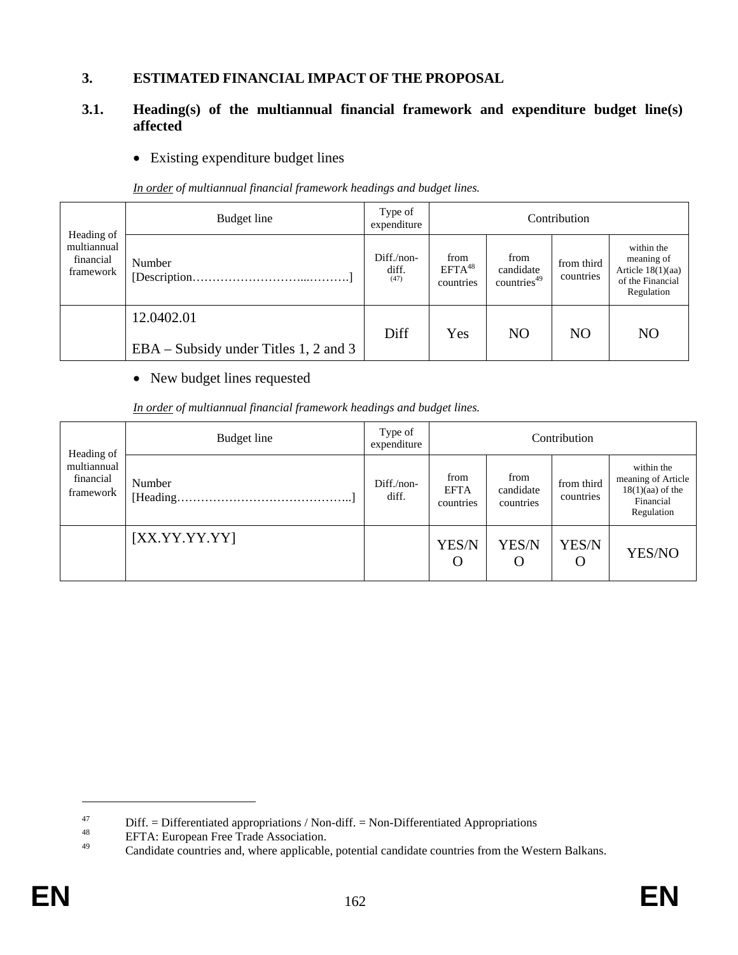#### **3. ESTIMATED FINANCIAL IMPACT OF THE PROPOSAL**

#### **3.1. Heading(s) of the multiannual financial framework and expenditure budget line(s) affected**

#### • Existing expenditure budget lines

*In order of multiannual financial framework headings and budget lines.* 

|                                                     | Budget line                                         | Type of<br>expenditure      |                                                                                                                    |           | Contribution   |                                                                                   |
|-----------------------------------------------------|-----------------------------------------------------|-----------------------------|--------------------------------------------------------------------------------------------------------------------|-----------|----------------|-----------------------------------------------------------------------------------|
| Heading of<br>multiannual<br>financial<br>framework | Number                                              | Diff./non-<br>diff.<br>(47) | from<br>from<br>from third<br>EFTA <sup>48</sup><br>candidate<br>countries<br>countries <sup>49</sup><br>countries |           |                | within the<br>meaning of<br>Article $18(1)(aa)$<br>of the Financial<br>Regulation |
|                                                     | 12.0402.01<br>EBA – Subsidy under Titles 1, 2 and 3 | Diff                        | Yes                                                                                                                | <b>NO</b> | N <sub>O</sub> | N <sub>O</sub>                                                                    |

#### • New budget lines requested

| In order of multiannual financial framework headings and budget lines. |  |  |  |
|------------------------------------------------------------------------|--|--|--|
|------------------------------------------------------------------------|--|--|--|

| Heading of                            | Budget line                                                                   | Type of<br>expenditure | Contribution                     |                                |                         |                                                                                   |  |  |
|---------------------------------------|-------------------------------------------------------------------------------|------------------------|----------------------------------|--------------------------------|-------------------------|-----------------------------------------------------------------------------------|--|--|
| multiannual<br>financial<br>framework | Number<br>$[Heading. \dots  \dots  \dots  \dots  \dots  \dots  \dots  \dots]$ | $Diff./non-$<br>diff.  | from<br><b>EFTA</b><br>countries | from<br>candidate<br>countries | from third<br>countries | within the<br>meaning of Article<br>$18(1)(aa)$ of the<br>Financial<br>Regulation |  |  |
|                                       | [XX.YY.YY.YY]                                                                 |                        | YES/N<br>O                       | YES/N<br>O                     | YES/N<br>$\cup$         | YES/NO                                                                            |  |  |

<sup>&</sup>lt;sup>47</sup> Diff. = Differentiated appropriations / Non-diff. = Non-Differentiated Appropriations<br>
<sup>48</sup> EFTA: European Free Trade Association.<br>
Condidate countries and where applicable potential condidate countries from the Wo

Candidate countries and, where applicable, potential candidate countries from the Western Balkans.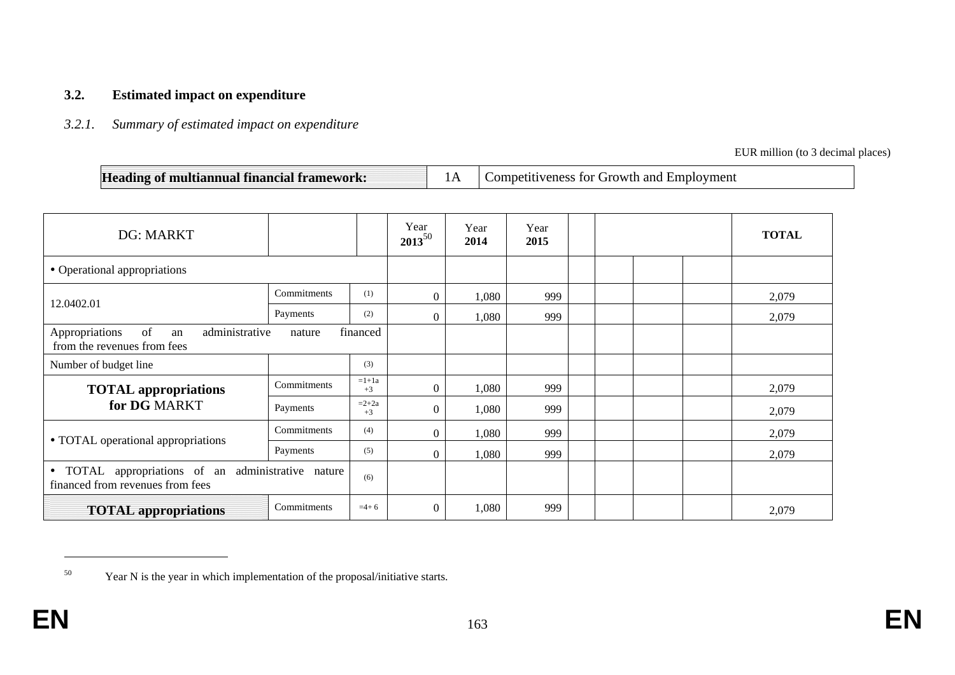#### **3.2. Estimated impact on expenditure**

#### *3.2.1. Summary of estimated impact on expenditure*

EUR million (to 3 decimal places)

| Heading of multiannual financial framework: |  | Competitiveness for Growth and Employment |
|---------------------------------------------|--|-------------------------------------------|
|---------------------------------------------|--|-------------------------------------------|

| <b>DG: MARKT</b>                                                                                         |             |                 | Year<br>$2013^{50}$ | Year<br>2014 | Year<br>2015 |  | <b>TOTAL</b> |
|----------------------------------------------------------------------------------------------------------|-------------|-----------------|---------------------|--------------|--------------|--|--------------|
| • Operational appropriations                                                                             |             |                 |                     |              |              |  |              |
| 12.0402.01                                                                                               | Commitments | (1)             | $\mathbf{0}$        | 1,080        | 999          |  | 2,079        |
|                                                                                                          | Payments    | (2)             | $\Omega$            | 1,080        | 999          |  | 2,079        |
| of<br>Appropriations<br>administrative<br>an<br>from the revenues from fees                              | nature      | financed        |                     |              |              |  |              |
| Number of budget line                                                                                    |             | (3)             |                     |              |              |  |              |
| <b>TOTAL</b> appropriations                                                                              | Commitments | $=1+1a$<br>$+3$ | $\theta$            | 1,080        | 999          |  | 2,079        |
| for DG MARKT                                                                                             | Payments    | $=2+2a$<br>$+3$ | $\mathbf{0}$        | 1,080        | 999          |  | 2,079        |
|                                                                                                          | Commitments | (4)             | $\theta$            | 1,080        | 999          |  | 2,079        |
| • TOTAL operational appropriations<br>Payments                                                           |             | (5)             | $\Omega$            | 1,080        | 999          |  | 2,079        |
| TOTAL appropriations of an administrative nature<br>$\bullet$<br>(6)<br>financed from revenues from fees |             |                 |                     |              |              |  |              |
| Commitments<br>$=4+6$<br><b>TOTAL</b> appropriations                                                     |             |                 | $\mathbf{0}$        | 1,080        | 999          |  | 2,079        |

<sup>&</sup>lt;sup>50</sup> Year N is the year in which implementation of the proposal/initiative starts.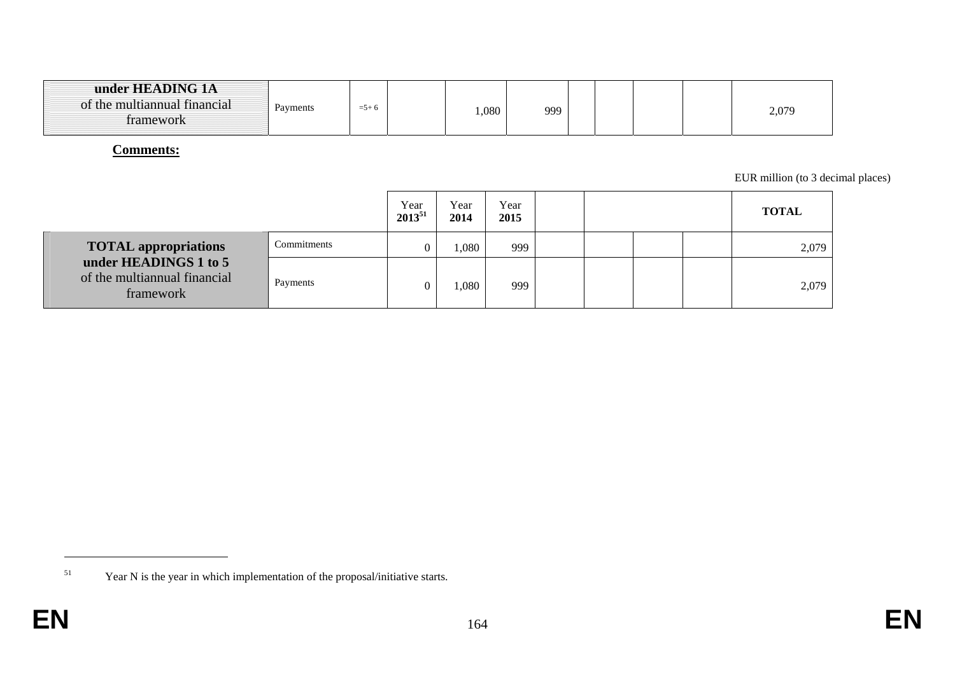| under HEADING 1A<br>of the multiannual financial<br>tramework | Payments | $=$ 5+6 |  | 080 | 999 |  |  |  |  | 2,079 |
|---------------------------------------------------------------|----------|---------|--|-----|-----|--|--|--|--|-------|
|---------------------------------------------------------------|----------|---------|--|-----|-----|--|--|--|--|-------|

#### **Comments:**

EUR million (to 3 decimal places)

|                                                                    |             | Year<br>$2013^{51}$ | Year<br>2014 | Year<br>2015 |  |  | <b>TOTAL</b> |
|--------------------------------------------------------------------|-------------|---------------------|--------------|--------------|--|--|--------------|
| <b>TOTAL appropriations</b>                                        | Commitments |                     | .080         | 999          |  |  | 2,079        |
| under HEADINGS 1 to 5<br>of the multiannual financial<br>framework | Payments    |                     | $080$ .      | 999          |  |  | 2,079        |

<sup>&</sup>lt;sup>51</sup> Year N is the year in which implementation of the proposal/initiative starts.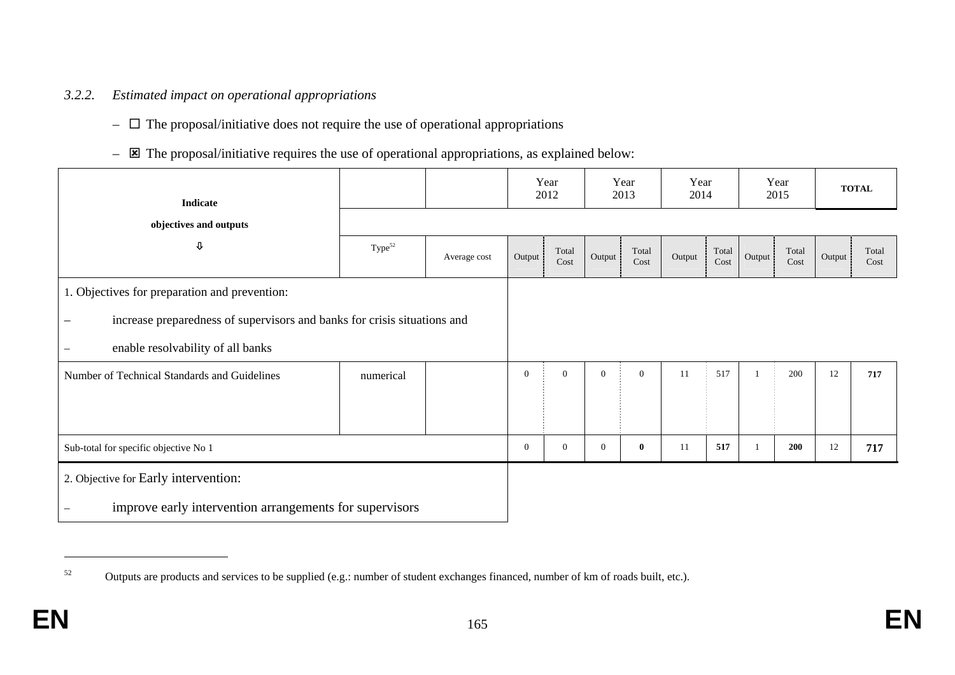#### *3.2.2. Estimated impact on operational appropriations*

- $\Box$  The proposal/initiative does not require the use of operational appropriations
- $\equiv$   $\Xi$  The proposal/initiative requires the use of operational appropriations, as explained below:

| <b>Indicate</b>                                                          |                    |              |                | Year<br>2012   |                | Year<br>2013  | Year<br>2014 |                          |        | Year<br>2015  |        | <b>TOTAL</b>  |
|--------------------------------------------------------------------------|--------------------|--------------|----------------|----------------|----------------|---------------|--------------|--------------------------|--------|---------------|--------|---------------|
| objectives and outputs                                                   |                    |              |                |                |                |               |              |                          |        |               |        |               |
| $\pmb{\mathbb{U}}$                                                       | Type <sup>52</sup> | Average cost | Output         | Total<br>Cost  | Output         | Total<br>Cost | Output       | Total<br>$\mathbf{Cost}$ | Output | Total<br>Cost | Output | Total<br>Cost |
| 1. Objectives for preparation and prevention:                            |                    |              |                |                |                |               |              |                          |        |               |        |               |
| increase preparedness of supervisors and banks for crisis situations and |                    |              |                |                |                |               |              |                          |        |               |        |               |
| enable resolvability of all banks                                        |                    |              |                |                |                |               |              |                          |        |               |        |               |
| Number of Technical Standards and Guidelines                             | numerical          |              | $\overline{0}$ | $\overline{0}$ | $\overline{0}$ | $\mathbf{0}$  | 11           | 517                      |        | 200           | 12     | 717           |
|                                                                          |                    |              |                |                |                |               |              |                          |        |               |        |               |
| Sub-total for specific objective No 1                                    |                    |              | $\overline{0}$ | $\overline{0}$ | $\mathbf{0}$   | $\bf{0}$      | 11           | 517                      |        | 200           | 12     | 717           |
| 2. Objective for Early intervention:                                     |                    |              |                |                |                |               |              |                          |        |               |        |               |
| improve early intervention arrangements for supervisors                  |                    |              |                |                |                |               |              |                          |        |               |        |               |

<sup>&</sup>lt;sup>52</sup> Outputs are products and services to be supplied (e.g.: number of student exchanges financed, number of km of roads built, etc.).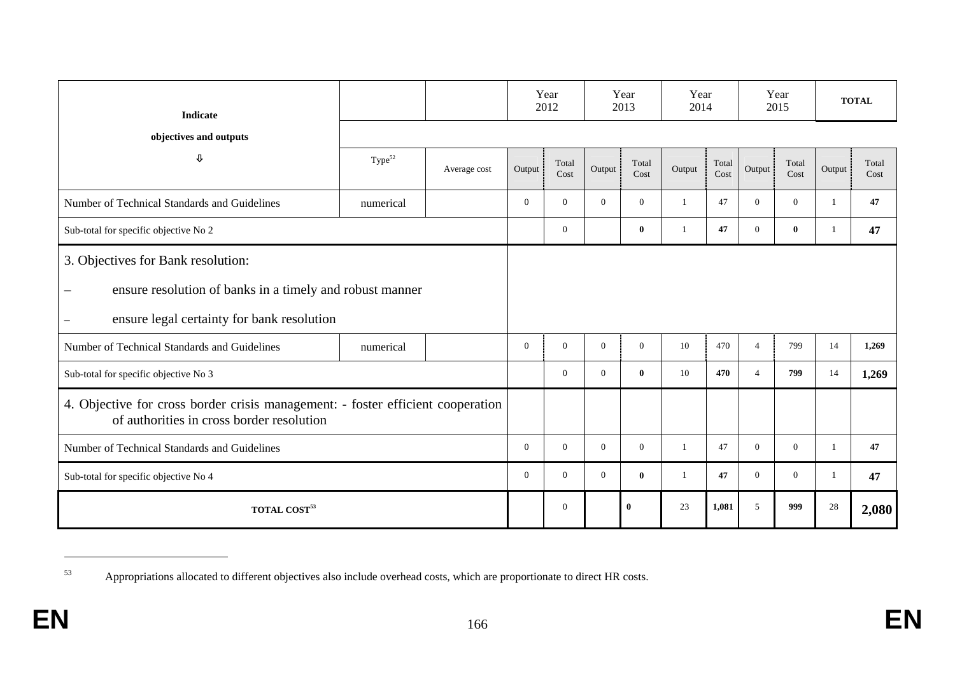| <b>Indicate</b>                                                                                                              |                    |              |          | Year<br>2012   |                | Year<br>2013  | Year<br>2014 |               |                | Year<br>2015   |        | <b>TOTAL</b>  |
|------------------------------------------------------------------------------------------------------------------------------|--------------------|--------------|----------|----------------|----------------|---------------|--------------|---------------|----------------|----------------|--------|---------------|
| objectives and outputs                                                                                                       |                    |              |          |                |                |               |              |               |                |                |        |               |
| ⇩                                                                                                                            | Type <sup>52</sup> | Average cost | Output   | Total<br>Cost  | Output         | Total<br>Cost | Output       | Total<br>Cost | Output         | Total<br>Cost  | Output | Total<br>Cost |
| Number of Technical Standards and Guidelines                                                                                 | numerical          |              | $\Omega$ | $\Omega$       | $\Omega$       | $\Omega$      | 1            | 47            | $\overline{0}$ | $\Omega$       |        | 47            |
| Sub-total for specific objective No 2                                                                                        |                    |              |          | $\mathbf{0}$   |                | $\mathbf{0}$  |              | 47            | $\mathbf{0}$   | $\bf{0}$       |        | 47            |
| 3. Objectives for Bank resolution:                                                                                           |                    |              |          |                |                |               |              |               |                |                |        |               |
| ensure resolution of banks in a timely and robust manner<br>$\overline{\phantom{m}}$                                         |                    |              |          |                |                |               |              |               |                |                |        |               |
| ensure legal certainty for bank resolution                                                                                   |                    |              |          |                |                |               |              |               |                |                |        |               |
| Number of Technical Standards and Guidelines                                                                                 | numerical          |              | $\Omega$ | $\Omega$       | $\Omega$       | $\Omega$      | 10           | 470           | $\overline{4}$ | 799            | 14     | 1,269         |
| Sub-total for specific objective No 3                                                                                        |                    |              |          | $\Omega$       | $\Omega$       | $\mathbf{0}$  | 10           | 470           | $\overline{4}$ | 799            | 14     | 1,269         |
| 4. Objective for cross border crisis management: - foster efficient cooperation<br>of authorities in cross border resolution |                    |              |          |                |                |               |              |               |                |                |        |               |
| Number of Technical Standards and Guidelines                                                                                 |                    |              | $\theta$ | $\overline{0}$ | $\overline{0}$ | $\Omega$      | -1           | 47            | $\overline{0}$ | $\overline{0}$ |        | 47            |
| Sub-total for specific objective No 4                                                                                        |                    |              | $\Omega$ | $\Omega$       | $\Omega$       | $\mathbf{0}$  | 1            | 47            | $\overline{0}$ | $\Omega$       |        | 47            |
| <b>TOTAL COST<sup>53</sup></b>                                                                                               |                    |              |          | $\theta$       |                | $\bf{0}$      | 23           | 1,081         | 5              | 999            | 28     | 2,080         |

<sup>53</sup> Appropriations allocated to different objectives also include overhead costs, which are proportionate to direct HR costs.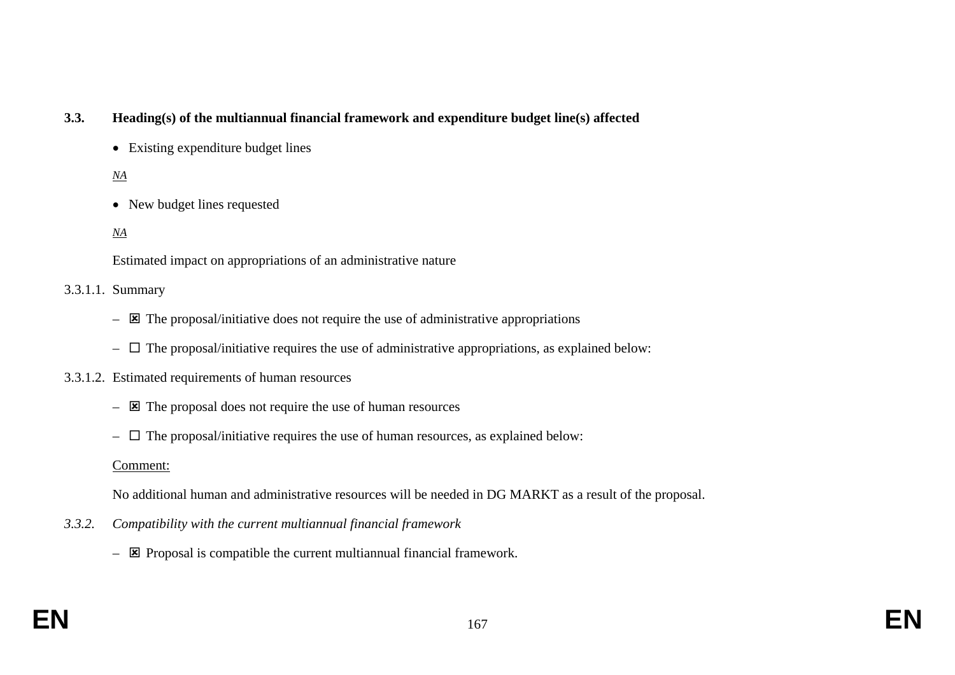## **3.3. Heading(s) of the multiannual financial framework and expenditure budget line(s) affected**

• Existing expenditure budget lines

## *NA*

• New budget lines requested

### *NA*

Estimated impact on appropriations of an administrative nature

#### 3.3.1.1. Summary

- $\boxtimes$  The proposal/initiative does not require the use of administrative appropriations
- $\Box$  The proposal/initiative requires the use of administrative appropriations, as explained below:
- 3.3.1.2. Estimated requirements of human resources
	- $\overline{\mathbf{z}}$  The proposal does not require the use of human resources
	- $\Box$  The proposal/initiative requires the use of human resources, as explained below:

### Comment:

No additional human and administrative resources will be needed in DG MARKT as a result of the proposal.

- *3.3.2. Compatibility with the current multiannual financial framework* 
	- $\overline{\mathbf{z}}$  Proposal is compatible the current multiannual financial framework.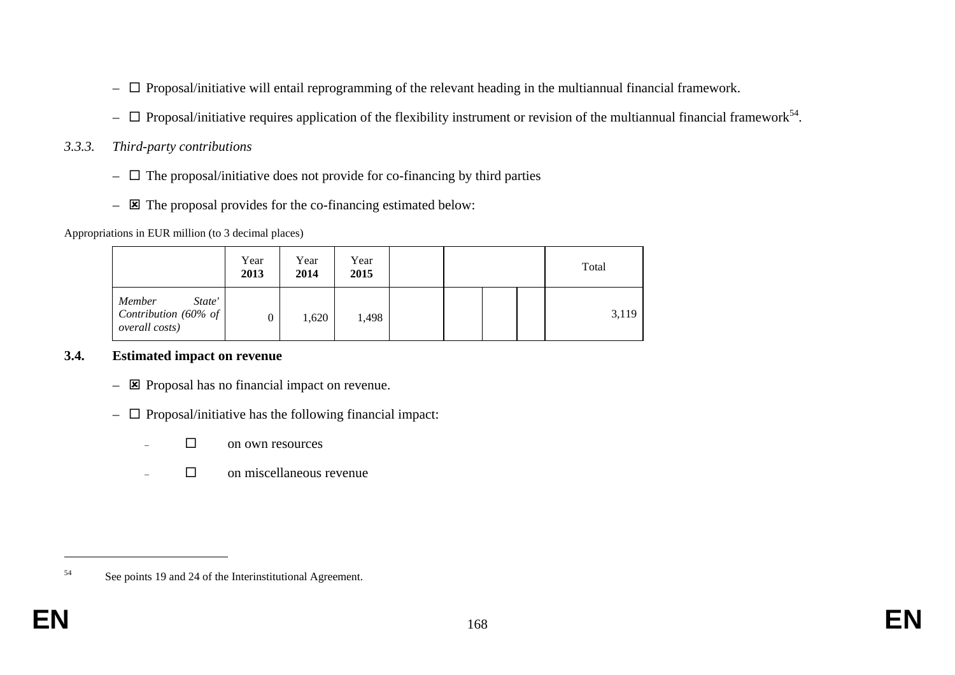- $\Box$  Proposal/initiative will entail reprogramming of the relevant heading in the multiannual financial framework.
- $\Box$  Proposal/initiative requires application of the flexibility instrument or revision of the multiannual financial framework<sup>54</sup>.
- *3.3.3. Third-party contributions* 
	- $\Box$  The proposal/initiative does not provide for co-financing by third parties
	- $\boxtimes$  The proposal provides for the co-financing estimated below:

Appropriations in EUR million (to 3 decimal places)

|                                                                    | Year<br>2013 | Year<br>2014 | Year<br>2015 |  |  | Total |
|--------------------------------------------------------------------|--------------|--------------|--------------|--|--|-------|
| State'<br>Member<br>Contribution (60% of<br><i>overall costs</i> ) |              | 1,620        | 1,498        |  |  | 3,119 |

## **3.4. Estimated impact on revenue**

- $\boxtimes$  Proposal has no financial impact on revenue.
- $\Box$  Proposal/initiative has the following financial impact:
	- $\square$  on own resources
	- □ on miscellaneous revenue

<sup>54</sup> See points 19 and 24 of the Interinstitutional Agreement.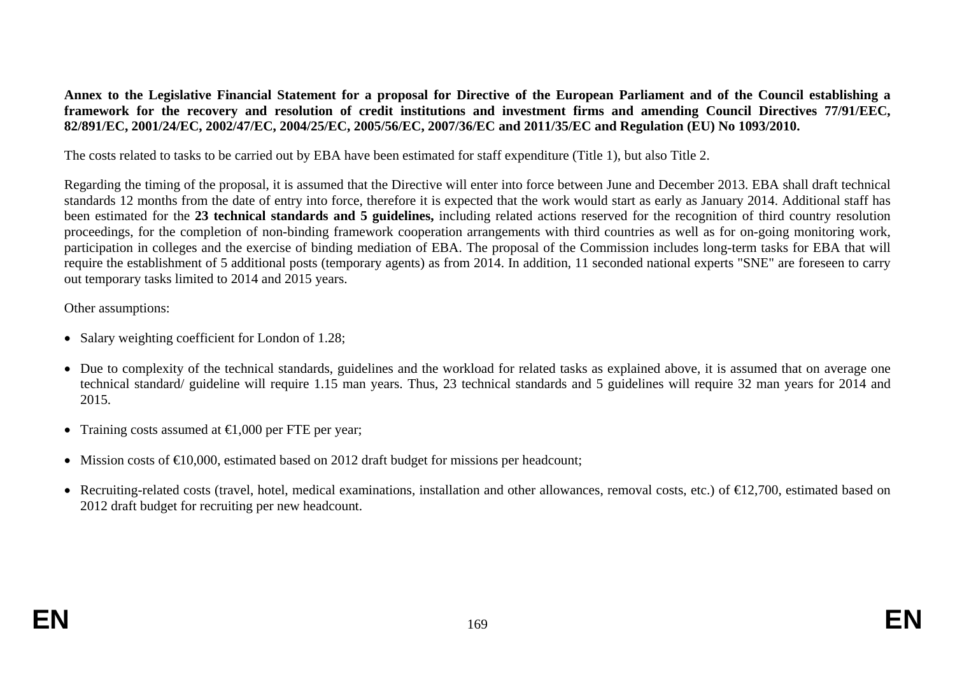**Annex to the Legislative Financial Statement for a proposal for Directive of the European Parliament and of the Council establishing a framework for the recovery and resolution of credit institutions and investment firms and amending Council Directives 77/91/EEC, 82/891/EC, 2001/24/EC, 2002/47/EC, 2004/25/EC, 2005/56/EC, 2007/36/EC and 2011/35/EC and Regulation (EU) No 1093/2010.** 

The costs related to tasks to be carried out by EBA have been estimated for staff expenditure (Title 1), but also Title 2.

Regarding the timing of the proposal, it is assumed that the Directive will enter into force between June and December 2013. EBA shall draft technical standards 12 months from the date of entry into force, therefore it is expected that the work would start as early as January 2014. Additional staff has been estimated for the **23 technical standards and 5 guidelines,** including related actions reserved for the recognition of third country resolution proceedings, for the completion of non-binding framework cooperation arrangements with third countries as well as for on-going monitoring work, participation in colleges and the exercise of binding mediation of EBA. The proposal of the Commission includes long-term tasks for EBA that will require the establishment of 5 additional posts (temporary agents) as from 2014. In addition, 11 seconded national experts "SNE" are foreseen to carry out temporary tasks limited to 2014 and 2015 years.

#### Other assumptions:

- Salary weighting coefficient for London of 1.28;
- Due to complexity of the technical standards, guidelines and the workload for related tasks as explained above, it is assumed that on average one technical standard/ guideline will require 1.15 man years. Thus, 23 technical standards and 5 guidelines will require 32 man years for 2014 and 2015.
- Training costs assumed at **€**1,000 per FTE per year;
- Mission costs of  $\epsilon 0,000$ , estimated based on 2012 draft budget for missions per headcount;
- Recruiting-related costs (travel, hotel, medical examinations, installation and other allowances, removal costs, etc.) of €12,700, estimated based on 2012 draft budget for recruiting per new headcount.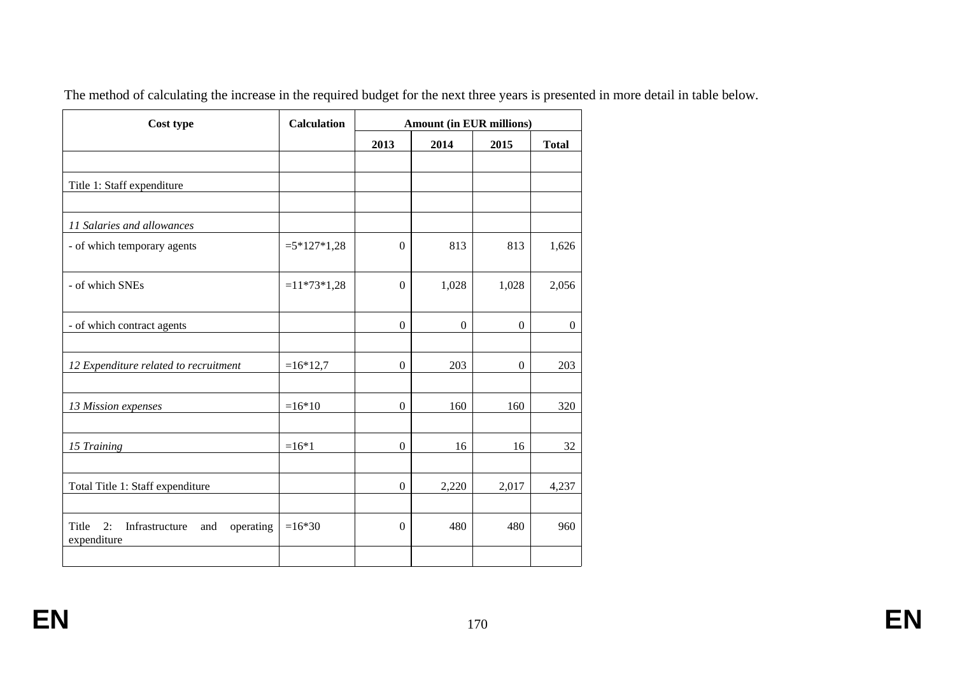| Cost type                                                        | <b>Calculation</b> |                  | <b>Amount (in EUR millions)</b> |                |                |
|------------------------------------------------------------------|--------------------|------------------|---------------------------------|----------------|----------------|
|                                                                  |                    | 2013             | 2014                            | 2015           | <b>Total</b>   |
|                                                                  |                    |                  |                                 |                |                |
| Title 1: Staff expenditure                                       |                    |                  |                                 |                |                |
|                                                                  |                    |                  |                                 |                |                |
| 11 Salaries and allowances                                       |                    |                  |                                 |                |                |
| - of which temporary agents                                      | $=5*127*1,28$      | $\Omega$         | 813                             | 813            | 1,626          |
|                                                                  |                    |                  |                                 |                |                |
| - of which SNEs                                                  | $=11*73*1,28$      | $\Omega$         | 1,028                           | 1,028          | 2,056          |
|                                                                  |                    |                  |                                 |                |                |
| - of which contract agents                                       |                    | $\boldsymbol{0}$ | $\overline{0}$                  | $\overline{0}$ | $\overline{0}$ |
|                                                                  |                    |                  |                                 |                |                |
| 12 Expenditure related to recruitment                            | $=16*12,7$         | $\mathbf{0}$     | 203                             | $\mathbf{0}$   | 203            |
|                                                                  |                    |                  |                                 |                |                |
| 13 Mission expenses                                              | $=16*10$           | $\boldsymbol{0}$ | 160                             | 160            | 320            |
|                                                                  |                    |                  |                                 |                |                |
| 15 Training                                                      | $=16*1$            | $\mathbf{0}$     | 16                              | 16             | 32             |
|                                                                  |                    |                  |                                 |                |                |
| Total Title 1: Staff expenditure                                 |                    | $\boldsymbol{0}$ | 2,220                           | 2,017          | 4,237          |
|                                                                  |                    |                  |                                 |                |                |
| 2:<br>Title<br>Infrastructure<br>operating<br>and<br>expenditure | $=16*30$           | $\theta$         | 480                             | 480            | 960            |
|                                                                  |                    |                  |                                 |                |                |

The method of calculating the increase in the required budget for the next three years is presented in more detail in table below.

**EN**